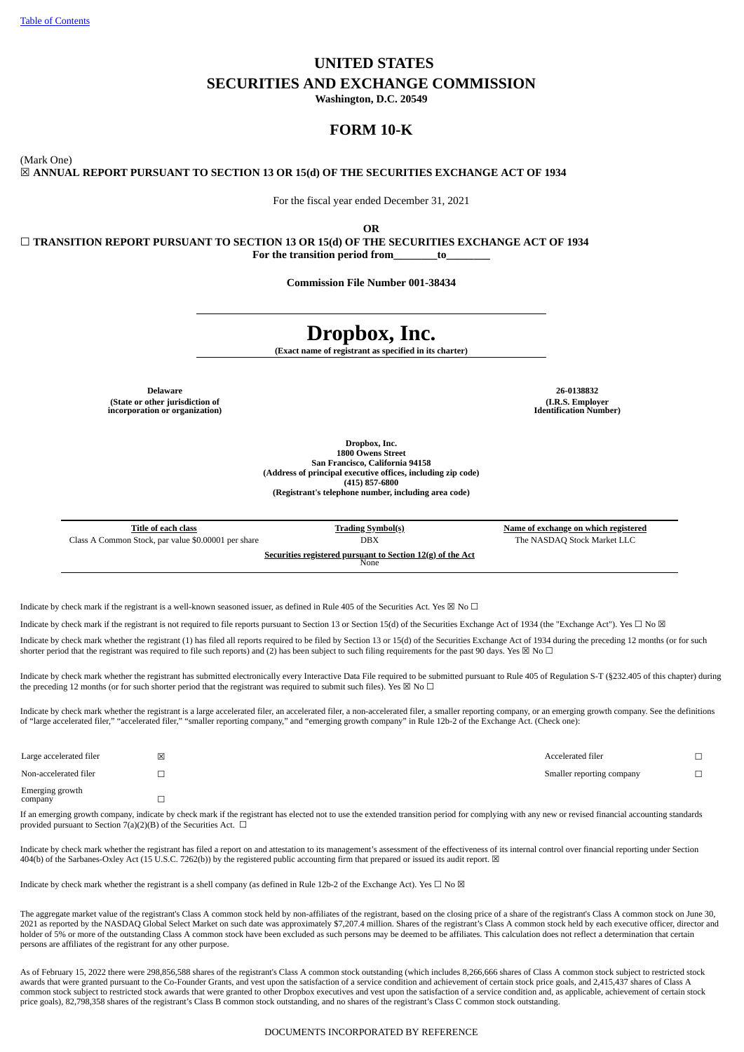## **UNITED STATES SECURITIES AND EXCHANGE COMMISSION**

**Washington, D.C. 20549**

## **FORM 10-K**

(Mark One)

☒ **ANNUAL REPORT PURSUANT TO SECTION 13 OR 15(d) OF THE SECURITIES EXCHANGE ACT OF 1934**

For the fiscal year ended December 31, 2021

**OR**

☐ **TRANSITION REPORT PURSUANT TO SECTION 13 OR 15(d) OF THE SECURITIES EXCHANGE ACT OF 1934 For the transition period from\_\_\_\_\_\_\_\_to\_\_\_\_\_\_\_\_**

**Commission File Number 001-38434**

# **Dropbox, Inc.**

**(Exact name of registrant as specified in its charter)**

**Delaware 26-0138832 (State or other jurisdiction of incorporation or organization)**

**(I.R.S. Employer Identification Number)**

**Dropbox, Inc.**

**1800 Owens Street San Francisco, California 94158 (Address of principal executive offices, including zip code) (415) 857-6800 (Registrant's telephone number, including area code)**

**Title of each class Trading Symbol(s) Name of exchange on which registered** Class A Common Stock, par value \$0.00001 per share **DBX** DBX The NASDAQ Stock Market LLC

> **Securities registered pursuant to Section 12(g) of the Act** None

Indicate by check mark if the registrant is a well-known seasoned issuer, as defined in Rule 405 of the Securities Act. Yes  $\boxtimes$  No  $\Box$ 

Indicate by check mark if the registrant is not required to file reports pursuant to Section 13 or Section 15(d) of the Securities Exchange Act of 1934 (the "Exchange Act"). Yes □ No ⊠

Indicate by check mark whether the registrant (1) has filed all reports required to be filed by Section 13 or 15(d) of the Securities Exchange Act of 1934 during the preceding 12 months (or for such shorter period that the registrant was required to file such reports) and (2) has been subject to such filing requirements for the past 90 days. Yes  $\boxtimes$  No  $\Box$ 

Indicate by check mark whether the registrant has submitted electronically every Interactive Data File required to be submitted pursuant to Rule 405 of Regulation S-T (§232.405 of this chapter) during the preceding 12 months (or for such shorter period that the registrant was required to submit such files). Yes  $\boxtimes$  No  $\Box$ 

Indicate by check mark whether the registrant is a large accelerated filer, an accelerated filer, a non-accelerated filer, a smaller reporting company, or an emerging growth company. See the definitions of "large accelerated filer," "accelerated filer," "smaller reporting company," and "emerging growth company" in Rule 12b-2 of the Exchange Act. (Check one):

| Large accelerated filer                     | 区                                                                                                                                                                     | Accelerated filer         | $\Box$<br>▃              |
|---------------------------------------------|-----------------------------------------------------------------------------------------------------------------------------------------------------------------------|---------------------------|--------------------------|
| Non-accelerated filer                       |                                                                                                                                                                       | Smaller reporting company | $\overline{\phantom{0}}$ |
| Emerging growth<br>company<br>$\sim$ $\sim$ | _<br>$\cdots$<br>$\cdot$ $\cdot$ $\cdot$<br>the contract of the contract of the contract of the contract of the contract of the contract of the contract of<br>.<br>. |                           |                          |

If an emerging growth company, indicate by check mark if the registrant has elected not to use the extended transition period for complying with any new or revised financial accounting standards provided pursuant to Section 7(a)(2)(B) of the Securities Act.  $\Box$ 

Indicate by check mark whether the registrant has filed a report on and attestation to its management's assessment of the effectiveness of its internal control over financial reporting under Section 404(b) of the Sarbanes-Oxley Act (15 U.S.C. 7262(b)) by the registered public accounting firm that prepared or issued its audit report.  $\boxtimes$ 

Indicate by check mark whether the registrant is a shell company (as defined in Rule 12b-2 of the Exchange Act). Yes  $\Box$  No  $\boxtimes$ 

The aggregate market value of the registrant's Class A common stock held by non-affiliates of the registrant, based on the closing price of a share of the registrant's Class A common stock on June 30, 2021 as reported by the NASDAQ Global Select Market on such date was approximately \$7,207.4 million. Shares of the registrant's Class A common stock held by each executive officer, director and<br>holder of 5% or more of the persons are affiliates of the registrant for any other purpose.

As of February 15, 2022 there were 298,856,588 shares of the registrant's Class A common stock outstanding (which includes 8,266,666 shares of Class A common stock subject to restricted stock awards that were granted pursuant to the Co-Founder Grants, and vest upon the satisfaction of a service condition and achievement of certain stock price goals, and 2,415,437 shares of Class A common stock subject to restricted stock awards that were granted to other Dropbox executives and vest upon the satisfaction of a service condition and, as applicable, achievement of certain stock price goals), 82,798,358 shares of the registrant's Class B common stock outstanding, and no shares of the registrant's Class C common stock outstanding.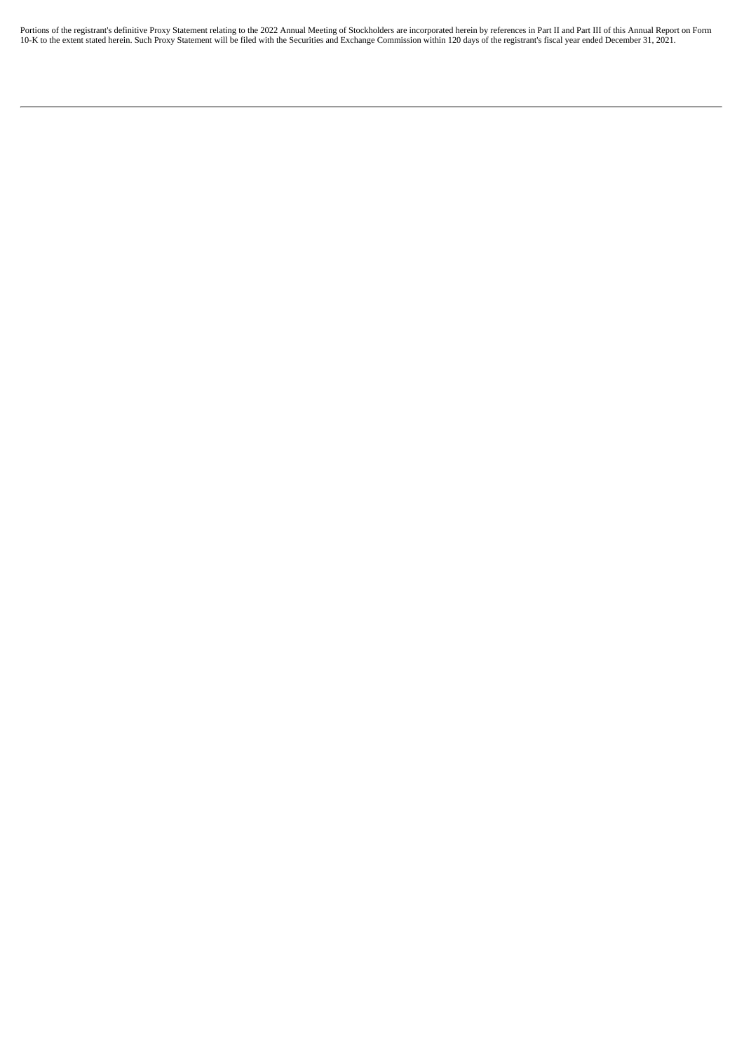<span id="page-1-0"></span>Portions of the registrant's definitive Proxy Statement relating to the 2022 Annual Meeting of Stockholders are incorporated herein by references in Part II and Part III of this Annual Report on Form<br>10-K to the extent sta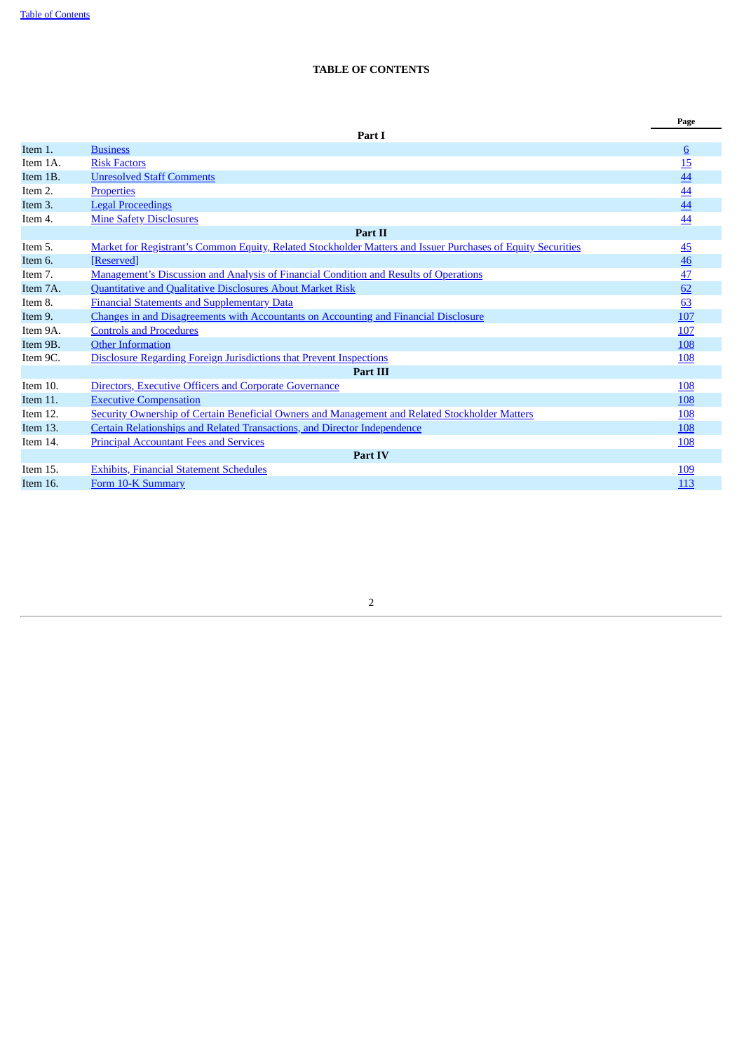## **TABLE OF CONTENTS**

|          |                                                                                                              | Page             |  |
|----------|--------------------------------------------------------------------------------------------------------------|------------------|--|
| Part I   |                                                                                                              |                  |  |
| Item 1.  | <b>Business</b>                                                                                              | $6 \overline{6}$ |  |
| Item 1A. | <b>Risk Factors</b>                                                                                          | <u>15</u>        |  |
| Item 1B. | <b>Unresolved Staff Comments</b>                                                                             | 44               |  |
| Item 2.  | <b>Properties</b>                                                                                            | 44               |  |
| Item 3.  | <b>Legal Proceedings</b>                                                                                     | 44               |  |
| Item 4.  | <b>Mine Safety Disclosures</b>                                                                               | 44               |  |
|          | Part II                                                                                                      |                  |  |
| Item 5.  | Market for Registrant's Common Equity, Related Stockholder Matters and Issuer Purchases of Equity Securities | 45               |  |
| Item 6.  | [Reserved]                                                                                                   | 46               |  |
| Item 7.  | <b>Management's Discussion and Analysis of Financial Condition and Results of Operations</b>                 | 47               |  |
| Item 7A. | <b>Quantitative and Qualitative Disclosures About Market Risk</b>                                            | 62               |  |
| Item 8.  | <b>Financial Statements and Supplementary Data</b>                                                           | 63               |  |
| Item 9.  | Changes in and Disagreements with Accountants on Accounting and Financial Disclosure                         | 107              |  |
| Item 9A. | <b>Controls and Procedures</b>                                                                               | <b>107</b>       |  |
| Item 9B. | <b>Other Information</b>                                                                                     | 108              |  |
| Item 9C. | Disclosure Regarding Foreign Jurisdictions that Prevent Inspections                                          | 108              |  |
|          | Part III                                                                                                     |                  |  |
| Item 10. | Directors, Executive Officers and Corporate Governance                                                       | 108              |  |
| Item 11. | <b>Executive Compensation</b>                                                                                | 108              |  |
| Item 12. | <b>Security Ownership of Certain Beneficial Owners and Management and Related Stockholder Matters</b>        | 108              |  |
| Item 13. | <b>Certain Relationships and Related Transactions, and Director Independence</b>                             | 108              |  |
| Item 14. | <b>Principal Accountant Fees and Services</b>                                                                | 108              |  |
|          | <b>Part IV</b>                                                                                               |                  |  |
| Item 15. | <b>Exhibits, Financial Statement Schedules</b>                                                               | 109              |  |
| Item 16. | Form 10-K Summary                                                                                            | 113              |  |

2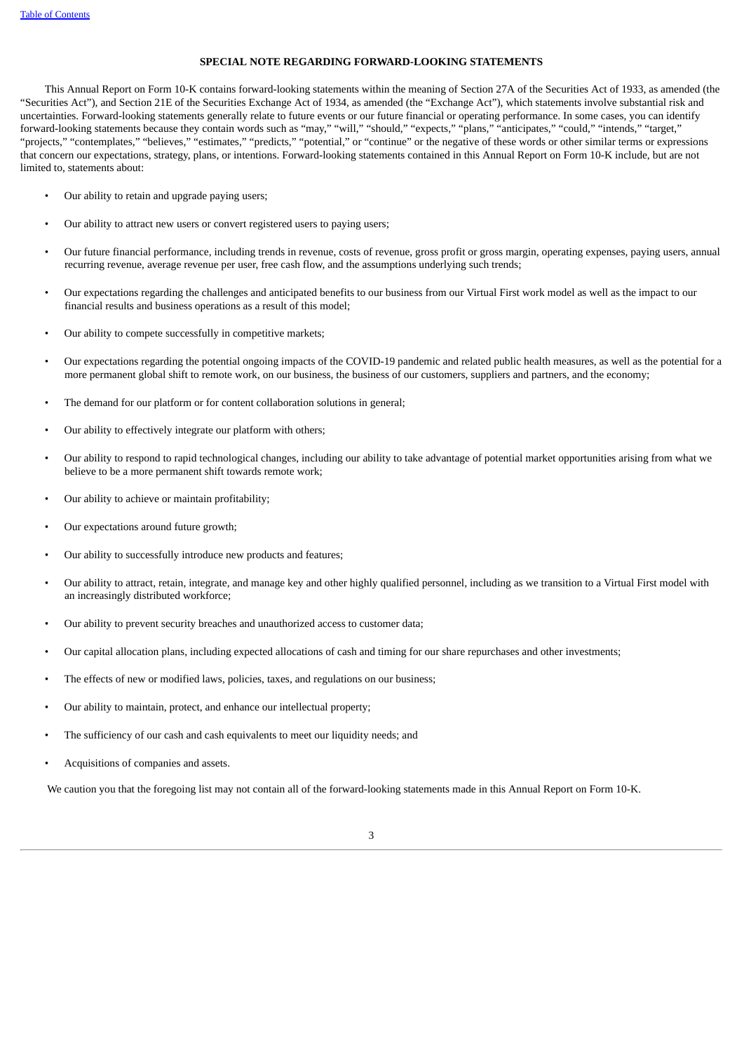## **SPECIAL NOTE REGARDING FORWARD-LOOKING STATEMENTS**

This Annual Report on Form 10-K contains forward-looking statements within the meaning of Section 27A of the Securities Act of 1933, as amended (the "Securities Act"), and Section 21E of the Securities Exchange Act of 1934, as amended (the "Exchange Act"), which statements involve substantial risk and uncertainties. Forward-looking statements generally relate to future events or our future financial or operating performance. In some cases, you can identify forward-looking statements because they contain words such as "may," "will," "should," "expects," "plans," "anticipates," "could," "intends," "target," "projects," "contemplates," "believes," "estimates," "predicts," "potential," or "continue" or the negative of these words or other similar terms or expressions that concern our expectations, strategy, plans, or intentions. Forward-looking statements contained in this Annual Report on Form 10-K include, but are not limited to, statements about:

- Our ability to retain and upgrade paying users;
- Our ability to attract new users or convert registered users to paying users;
- Our future financial performance, including trends in revenue, costs of revenue, gross profit or gross margin, operating expenses, paying users, annual recurring revenue, average revenue per user, free cash flow, and the assumptions underlying such trends;
- Our expectations regarding the challenges and anticipated benefits to our business from our Virtual First work model as well as the impact to our financial results and business operations as a result of this model;
- Our ability to compete successfully in competitive markets;
- Our expectations regarding the potential ongoing impacts of the COVID-19 pandemic and related public health measures, as well as the potential for a more permanent global shift to remote work, on our business, the business of our customers, suppliers and partners, and the economy;
- The demand for our platform or for content collaboration solutions in general;
- Our ability to effectively integrate our platform with others;
- Our ability to respond to rapid technological changes, including our ability to take advantage of potential market opportunities arising from what we believe to be a more permanent shift towards remote work;
- Our ability to achieve or maintain profitability;
- Our expectations around future growth;
- Our ability to successfully introduce new products and features;
- Our ability to attract, retain, integrate, and manage key and other highly qualified personnel, including as we transition to a Virtual First model with an increasingly distributed workforce;
- Our ability to prevent security breaches and unauthorized access to customer data;
- Our capital allocation plans, including expected allocations of cash and timing for our share repurchases and other investments;
- The effects of new or modified laws, policies, taxes, and regulations on our business;
- Our ability to maintain, protect, and enhance our intellectual property;
- The sufficiency of our cash and cash equivalents to meet our liquidity needs; and
- Acquisitions of companies and assets.

We caution you that the foregoing list may not contain all of the forward-looking statements made in this Annual Report on Form 10-K.

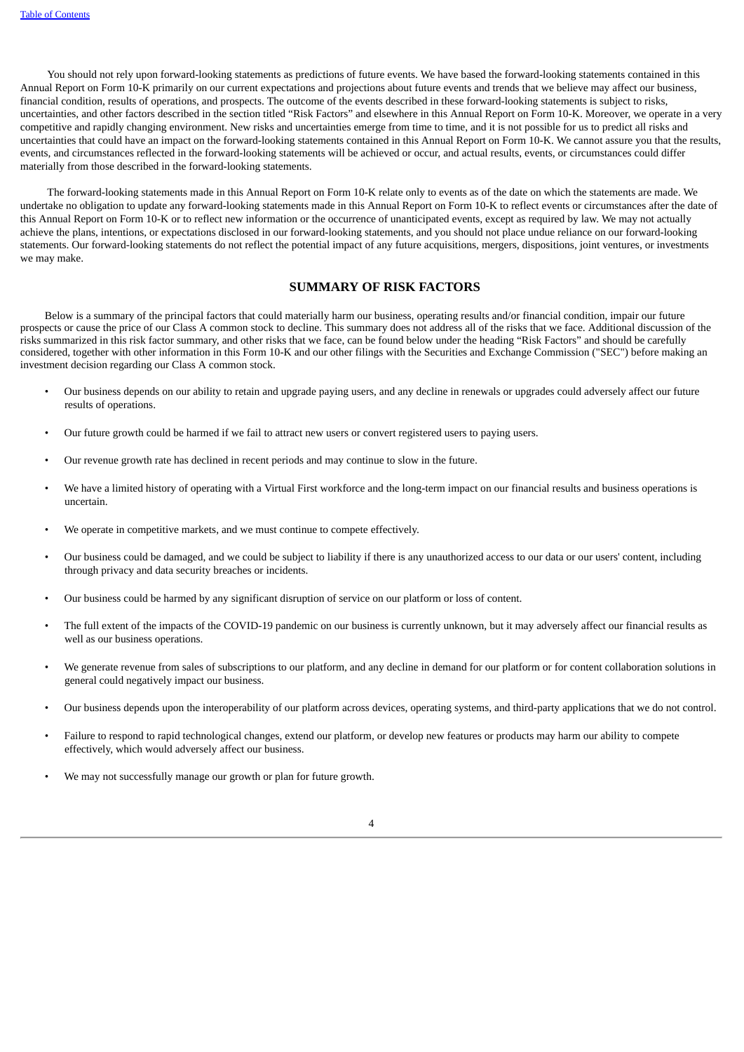You should not rely upon forward-looking statements as predictions of future events. We have based the forward-looking statements contained in this Annual Report on Form 10-K primarily on our current expectations and projections about future events and trends that we believe may affect our business, financial condition, results of operations, and prospects. The outcome of the events described in these forward-looking statements is subject to risks, uncertainties, and other factors described in the section titled "Risk Factors" and elsewhere in this Annual Report on Form 10-K. Moreover, we operate in a very competitive and rapidly changing environment. New risks and uncertainties emerge from time to time, and it is not possible for us to predict all risks and uncertainties that could have an impact on the forward-looking statements contained in this Annual Report on Form 10-K. We cannot assure you that the results, events, and circumstances reflected in the forward-looking statements will be achieved or occur, and actual results, events, or circumstances could differ materially from those described in the forward-looking statements.

The forward-looking statements made in this Annual Report on Form 10-K relate only to events as of the date on which the statements are made. We undertake no obligation to update any forward-looking statements made in this Annual Report on Form 10-K to reflect events or circumstances after the date of this Annual Report on Form 10-K or to reflect new information or the occurrence of unanticipated events, except as required by law. We may not actually achieve the plans, intentions, or expectations disclosed in our forward-looking statements, and you should not place undue reliance on our forward-looking statements. Our forward-looking statements do not reflect the potential impact of any future acquisitions, mergers, dispositions, joint ventures, or investments we may make.

## **SUMMARY OF RISK FACTORS**

Below is a summary of the principal factors that could materially harm our business, operating results and/or financial condition, impair our future prospects or cause the price of our Class A common stock to decline. This summary does not address all of the risks that we face. Additional discussion of the risks summarized in this risk factor summary, and other risks that we face, can be found below under the heading "Risk Factors" and should be carefully considered, together with other information in this Form 10-K and our other filings with the Securities and Exchange Commission ("SEC") before making an investment decision regarding our Class A common stock.

- Our business depends on our ability to retain and upgrade paying users, and any decline in renewals or upgrades could adversely affect our future results of operations.
- Our future growth could be harmed if we fail to attract new users or convert registered users to paying users.
- Our revenue growth rate has declined in recent periods and may continue to slow in the future.
- We have a limited history of operating with a Virtual First workforce and the long-term impact on our financial results and business operations is uncertain.
- We operate in competitive markets, and we must continue to compete effectively.
- Our business could be damaged, and we could be subject to liability if there is any unauthorized access to our data or our users' content, including through privacy and data security breaches or incidents.
- Our business could be harmed by any significant disruption of service on our platform or loss of content.
- The full extent of the impacts of the COVID-19 pandemic on our business is currently unknown, but it may adversely affect our financial results as well as our business operations.
- We generate revenue from sales of subscriptions to our platform, and any decline in demand for our platform or for content collaboration solutions in general could negatively impact our business.
- Our business depends upon the interoperability of our platform across devices, operating systems, and third-party applications that we do not control.
- Failure to respond to rapid technological changes, extend our platform, or develop new features or products may harm our ability to compete effectively, which would adversely affect our business.
- We may not successfully manage our growth or plan for future growth.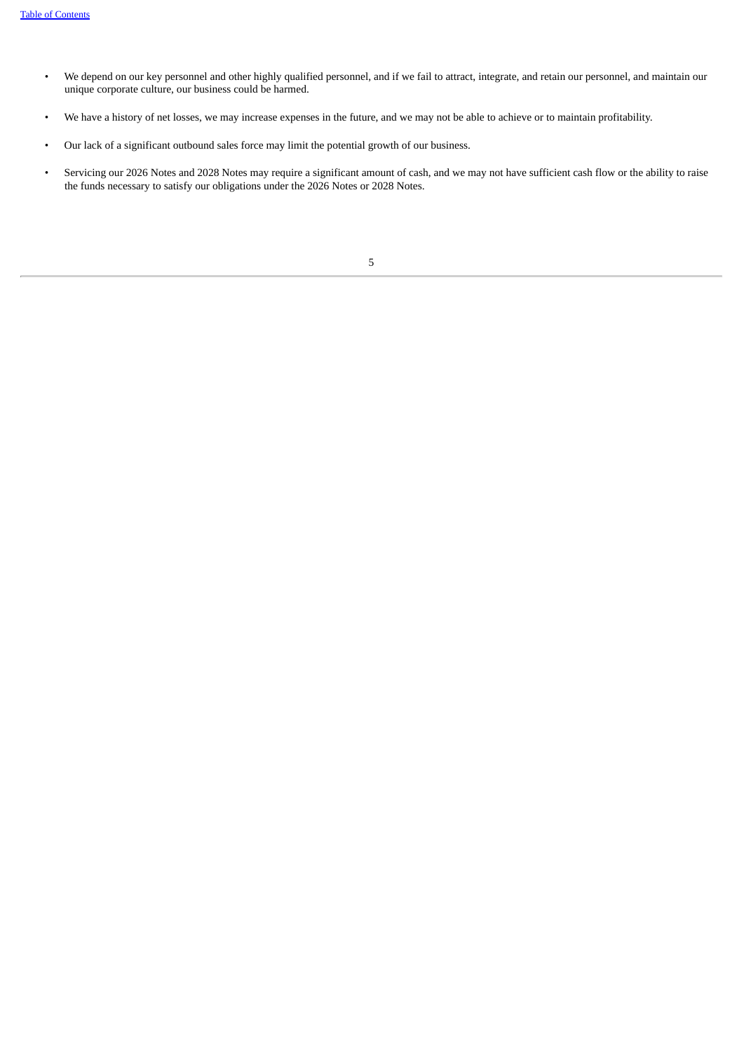- We depend on our key personnel and other highly qualified personnel, and if we fail to attract, integrate, and retain our personnel, and maintain our unique corporate culture, our business could be harmed.
- We have a history of net losses, we may increase expenses in the future, and we may not be able to achieve or to maintain profitability.
- Our lack of a significant outbound sales force may limit the potential growth of our business.
- Servicing our 2026 Notes and 2028 Notes may require a significant amount of cash, and we may not have sufficient cash flow or the ability to raise the funds necessary to satisfy our obligations under the 2026 Notes or 2028 Notes.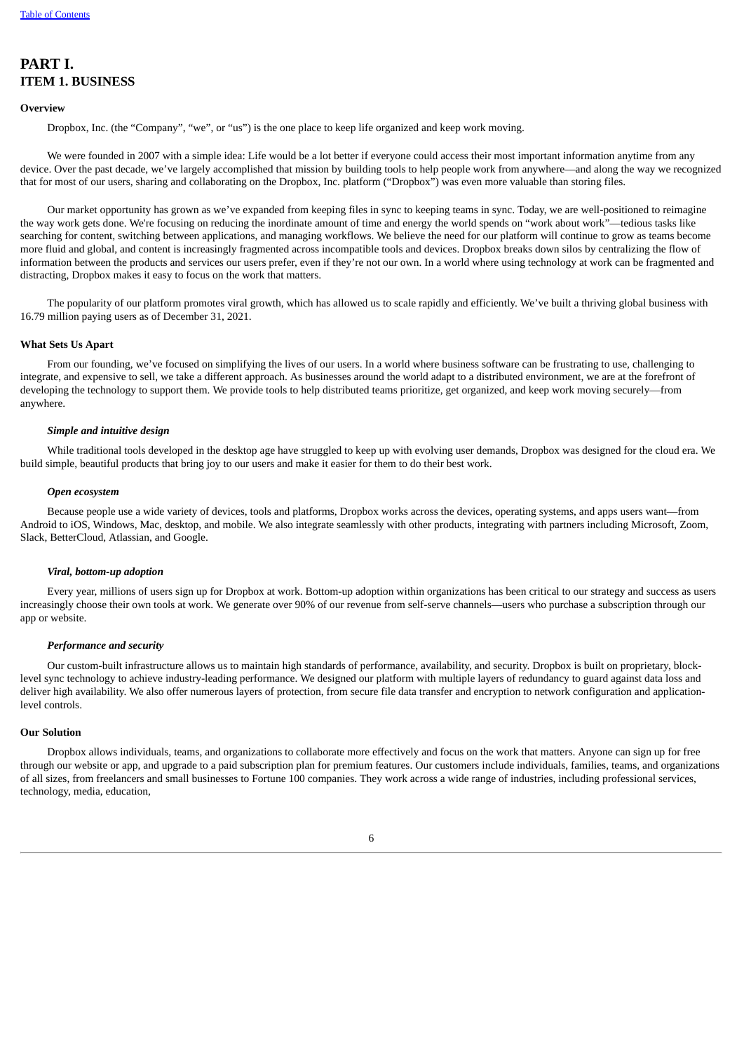## <span id="page-6-0"></span>**PART I. ITEM 1. BUSINESS**

## **Overview**

Dropbox, Inc. (the "Company", "we", or "us") is the one place to keep life organized and keep work moving.

We were founded in 2007 with a simple idea: Life would be a lot better if everyone could access their most important information anytime from any device. Over the past decade, we've largely accomplished that mission by building tools to help people work from anywhere—and along the way we recognized that for most of our users, sharing and collaborating on the Dropbox, Inc. platform ("Dropbox") was even more valuable than storing files.

Our market opportunity has grown as we've expanded from keeping files in sync to keeping teams in sync. Today, we are well-positioned to reimagine the way work gets done. We're focusing on reducing the inordinate amount of time and energy the world spends on "work about work"—tedious tasks like searching for content, switching between applications, and managing workflows. We believe the need for our platform will continue to grow as teams become more fluid and global, and content is increasingly fragmented across incompatible tools and devices. Dropbox breaks down silos by centralizing the flow of information between the products and services our users prefer, even if they're not our own. In a world where using technology at work can be fragmented and distracting, Dropbox makes it easy to focus on the work that matters.

The popularity of our platform promotes viral growth, which has allowed us to scale rapidly and efficiently. We've built a thriving global business with 16.79 million paying users as of December 31, 2021.

## **What Sets Us Apart**

From our founding, we've focused on simplifying the lives of our users. In a world where business software can be frustrating to use, challenging to integrate, and expensive to sell, we take a different approach. As businesses around the world adapt to a distributed environment, we are at the forefront of developing the technology to support them. We provide tools to help distributed teams prioritize, get organized, and keep work moving securely—from anywhere.

## *Simple and intuitive design*

While traditional tools developed in the desktop age have struggled to keep up with evolving user demands, Dropbox was designed for the cloud era. We build simple, beautiful products that bring joy to our users and make it easier for them to do their best work.

## *Open ecosystem*

Because people use a wide variety of devices, tools and platforms, Dropbox works across the devices, operating systems, and apps users want—from Android to iOS, Windows, Mac, desktop, and mobile. We also integrate seamlessly with other products, integrating with partners including Microsoft, Zoom, Slack, BetterCloud, Atlassian, and Google.

## *Viral, bottom-up adoption*

Every year, millions of users sign up for Dropbox at work. Bottom-up adoption within organizations has been critical to our strategy and success as users increasingly choose their own tools at work. We generate over 90% of our revenue from self-serve channels—users who purchase a subscription through our app or website.

## *Performance and security*

Our custom-built infrastructure allows us to maintain high standards of performance, availability, and security. Dropbox is built on proprietary, blocklevel sync technology to achieve industry-leading performance. We designed our platform with multiple layers of redundancy to guard against data loss and deliver high availability. We also offer numerous layers of protection, from secure file data transfer and encryption to network configuration and applicationlevel controls.

## **Our Solution**

Dropbox allows individuals, teams, and organizations to collaborate more effectively and focus on the work that matters. Anyone can sign up for free through our website or app, and upgrade to a paid subscription plan for premium features. Our customers include individuals, families, teams, and organizations of all sizes, from freelancers and small businesses to Fortune 100 companies. They work across a wide range of industries, including professional services, technology, media, education,

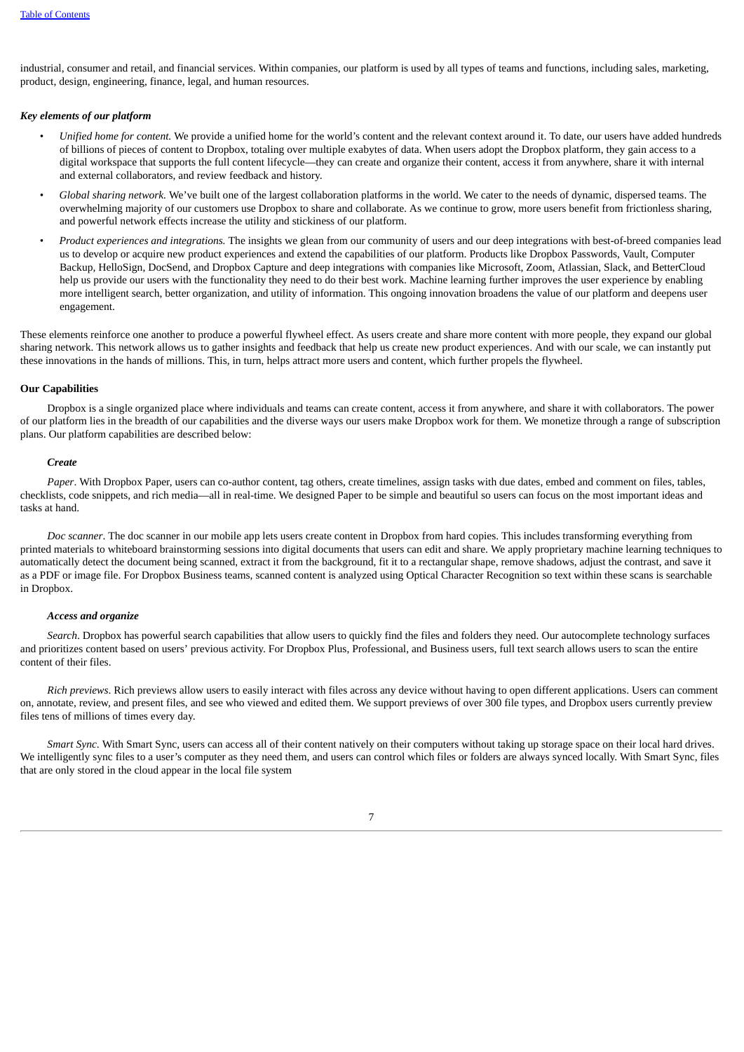industrial, consumer and retail, and financial services. Within companies, our platform is used by all types of teams and functions, including sales, marketing, product, design, engineering, finance, legal, and human resources.

## *Key elements of our platform*

- *Unified home for content.* We provide a unified home for the world's content and the relevant context around it. To date, our users have added hundreds of billions of pieces of content to Dropbox, totaling over multiple exabytes of data. When users adopt the Dropbox platform, they gain access to a digital workspace that supports the full content lifecycle—they can create and organize their content, access it from anywhere, share it with internal and external collaborators, and review feedback and history.
- *Global sharing network.* We've built one of the largest collaboration platforms in the world. We cater to the needs of dynamic, dispersed teams. The overwhelming majority of our customers use Dropbox to share and collaborate. As we continue to grow, more users benefit from frictionless sharing, and powerful network effects increase the utility and stickiness of our platform.
- *Product experiences and integrations.* The insights we glean from our community of users and our deep integrations with best-of-breed companies lead us to develop or acquire new product experiences and extend the capabilities of our platform. Products like Dropbox Passwords, Vault, Computer Backup, HelloSign, DocSend, and Dropbox Capture and deep integrations with companies like Microsoft, Zoom, Atlassian, Slack, and BetterCloud help us provide our users with the functionality they need to do their best work. Machine learning further improves the user experience by enabling more intelligent search, better organization, and utility of information. This ongoing innovation broadens the value of our platform and deepens user engagement.

These elements reinforce one another to produce a powerful flywheel effect. As users create and share more content with more people, they expand our global sharing network. This network allows us to gather insights and feedback that help us create new product experiences. And with our scale, we can instantly put these innovations in the hands of millions. This, in turn, helps attract more users and content, which further propels the flywheel.

#### **Our Capabilities**

Dropbox is a single organized place where individuals and teams can create content, access it from anywhere, and share it with collaborators. The power of our platform lies in the breadth of our capabilities and the diverse ways our users make Dropbox work for them. We monetize through a range of subscription plans. Our platform capabilities are described below:

#### *Create*

*Paper*. With Dropbox Paper, users can co-author content, tag others, create timelines, assign tasks with due dates, embed and comment on files, tables, checklists, code snippets, and rich media—all in real-time. We designed Paper to be simple and beautiful so users can focus on the most important ideas and tasks at hand.

*Doc scanner*. The doc scanner in our mobile app lets users create content in Dropbox from hard copies. This includes transforming everything from printed materials to whiteboard brainstorming sessions into digital documents that users can edit and share. We apply proprietary machine learning techniques to automatically detect the document being scanned, extract it from the background, fit it to a rectangular shape, remove shadows, adjust the contrast, and save it as a PDF or image file. For Dropbox Business teams, scanned content is analyzed using Optical Character Recognition so text within these scans is searchable in Dropbox.

#### *Access and organize*

*Search*. Dropbox has powerful search capabilities that allow users to quickly find the files and folders they need. Our autocomplete technology surfaces and prioritizes content based on users' previous activity. For Dropbox Plus, Professional, and Business users, full text search allows users to scan the entire content of their files.

*Rich previews*. Rich previews allow users to easily interact with files across any device without having to open different applications. Users can comment on, annotate, review, and present files, and see who viewed and edited them. We support previews of over 300 file types, and Dropbox users currently preview files tens of millions of times every day.

*Smart Sync*. With Smart Sync, users can access all of their content natively on their computers without taking up storage space on their local hard drives. We intelligently sync files to a user's computer as they need them, and users can control which files or folders are always synced locally. With Smart Sync, files that are only stored in the cloud appear in the local file system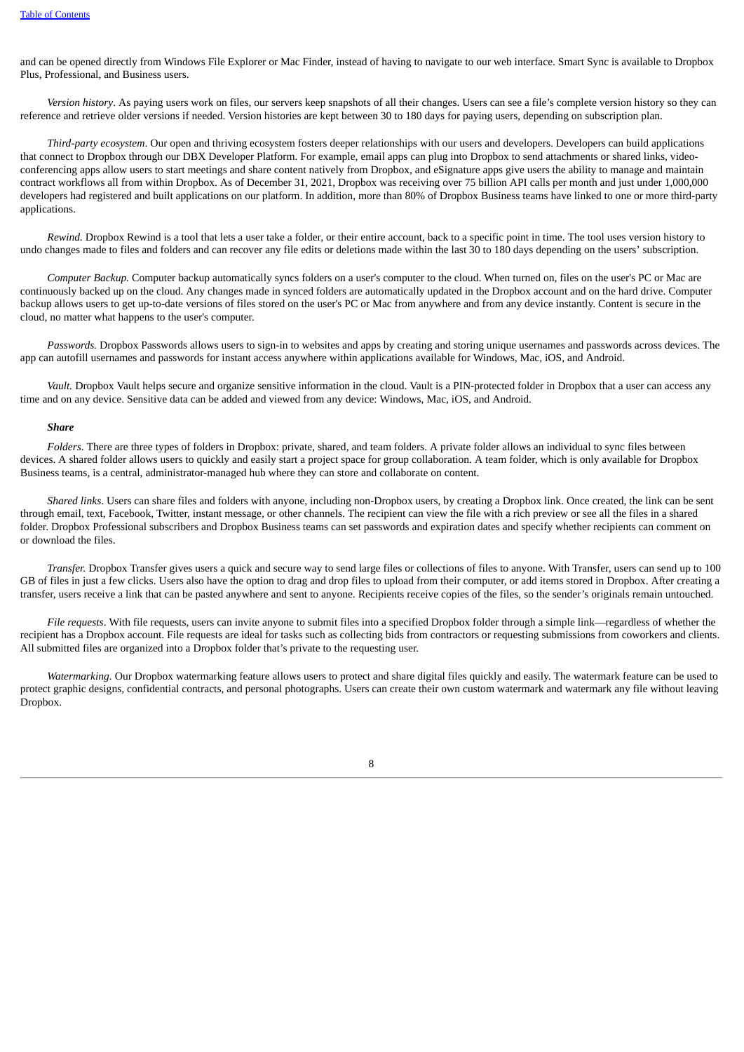and can be opened directly from Windows File Explorer or Mac Finder, instead of having to navigate to our web interface. Smart Sync is available to Dropbox Plus, Professional, and Business users.

*Version history*. As paying users work on files, our servers keep snapshots of all their changes. Users can see a file's complete version history so they can reference and retrieve older versions if needed. Version histories are kept between 30 to 180 days for paying users, depending on subscription plan.

*Third-party ecosystem*. Our open and thriving ecosystem fosters deeper relationships with our users and developers. Developers can build applications that connect to Dropbox through our DBX Developer Platform. For example, email apps can plug into Dropbox to send attachments or shared links, videoconferencing apps allow users to start meetings and share content natively from Dropbox, and eSignature apps give users the ability to manage and maintain contract workflows all from within Dropbox. As of December 31, 2021, Dropbox was receiving over 75 billion API calls per month and just under 1,000,000 developers had registered and built applications on our platform. In addition, more than 80% of Dropbox Business teams have linked to one or more third-party applications.

*Rewind.* Dropbox Rewind is a tool that lets a user take a folder, or their entire account, back to a specific point in time. The tool uses version history to undo changes made to files and folders and can recover any file edits or deletions made within the last 30 to 180 days depending on the users' subscription.

*Computer Backup.* Computer backup automatically syncs folders on a user's computer to the cloud. When turned on, files on the user's PC or Mac are continuously backed up on the cloud. Any changes made in synced folders are automatically updated in the Dropbox account and on the hard drive. Computer backup allows users to get up-to-date versions of files stored on the user's PC or Mac from anywhere and from any device instantly. Content is secure in the cloud, no matter what happens to the user's computer.

*Passwords.* Dropbox Passwords allows users to sign-in to websites and apps by creating and storing unique usernames and passwords across devices. The app can autofill usernames and passwords for instant access anywhere within applications available for Windows, Mac, iOS, and Android.

*Vault.* Dropbox Vault helps secure and organize sensitive information in the cloud. Vault is a PIN-protected folder in Dropbox that a user can access any time and on any device. Sensitive data can be added and viewed from any device: Windows, Mac, iOS, and Android.

#### *Share*

*Folders*. There are three types of folders in Dropbox: private, shared, and team folders. A private folder allows an individual to sync files between devices. A shared folder allows users to quickly and easily start a project space for group collaboration. A team folder, which is only available for Dropbox Business teams, is a central, administrator-managed hub where they can store and collaborate on content.

*Shared links*. Users can share files and folders with anyone, including non-Dropbox users, by creating a Dropbox link. Once created, the link can be sent through email, text, Facebook, Twitter, instant message, or other channels. The recipient can view the file with a rich preview or see all the files in a shared folder. Dropbox Professional subscribers and Dropbox Business teams can set passwords and expiration dates and specify whether recipients can comment on or download the files.

*Transfer.* Dropbox Transfer gives users a quick and secure way to send large files or collections of files to anyone. With Transfer, users can send up to 100 GB of files in just a few clicks. Users also have the option to drag and drop files to upload from their computer, or add items stored in Dropbox. After creating a transfer, users receive a link that can be pasted anywhere and sent to anyone. Recipients receive copies of the files, so the sender's originals remain untouched.

*File requests*. With file requests, users can invite anyone to submit files into a specified Dropbox folder through a simple link—regardless of whether the recipient has a Dropbox account. File requests are ideal for tasks such as collecting bids from contractors or requesting submissions from coworkers and clients. All submitted files are organized into a Dropbox folder that's private to the requesting user.

*Watermarking.* Our Dropbox watermarking feature allows users to protect and share digital files quickly and easily. The watermark feature can be used to protect graphic designs, confidential contracts, and personal photographs. Users can create their own custom watermark and watermark any file without leaving Dropbox.

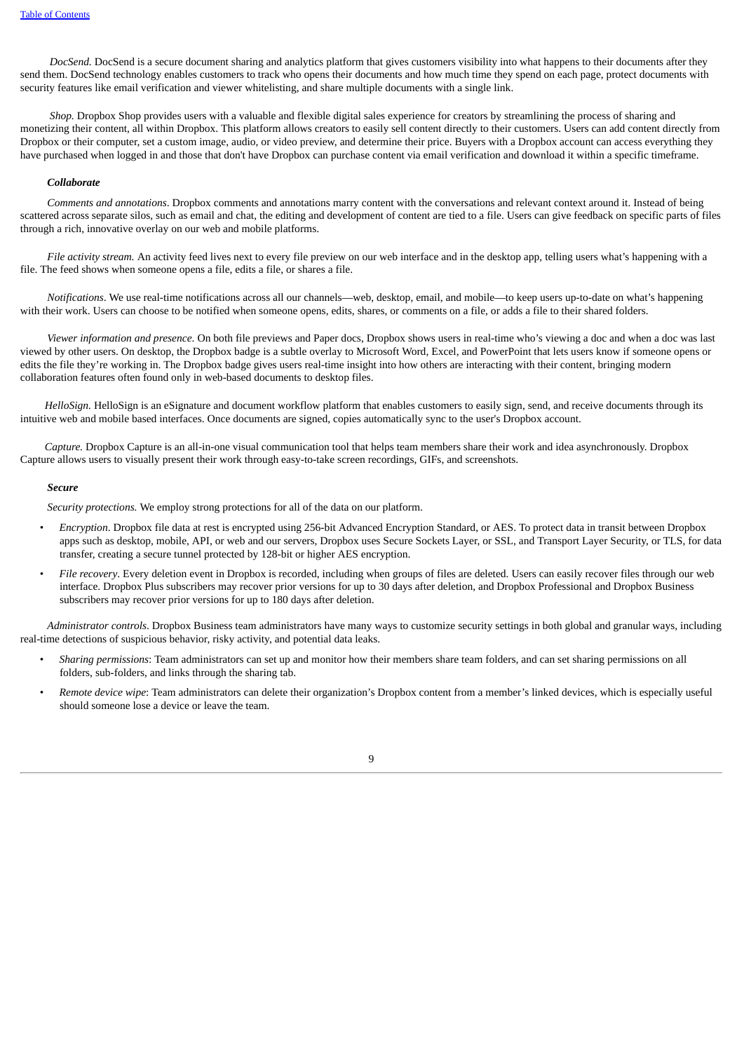*DocSend.* DocSend is a secure document sharing and analytics platform that gives customers visibility into what happens to their documents after they send them. DocSend technology enables customers to track who opens their documents and how much time they spend on each page, protect documents with security features like email verification and viewer whitelisting, and share multiple documents with a single link.

*Shop.* Dropbox Shop provides users with a valuable and flexible digital sales experience for creators by streamlining the process of sharing and monetizing their content, all within Dropbox. This platform allows creators to easily sell content directly to their customers. Users can add content directly from Dropbox or their computer, set a custom image, audio, or video preview, and determine their price. Buyers with a Dropbox account can access everything they have purchased when logged in and those that don't have Dropbox can purchase content via email verification and download it within a specific timeframe.

#### *Collaborate*

*Comments and annotations*. Dropbox comments and annotations marry content with the conversations and relevant context around it. Instead of being scattered across separate silos, such as email and chat, the editing and development of content are tied to a file. Users can give feedback on specific parts of files through a rich, innovative overlay on our web and mobile platforms.

*File activity stream.* An activity feed lives next to every file preview on our web interface and in the desktop app, telling users what's happening with a file. The feed shows when someone opens a file, edits a file, or shares a file.

*Notifications*. We use real-time notifications across all our channels—web, desktop, email, and mobile—to keep users up-to-date on what's happening with their work. Users can choose to be notified when someone opens, edits, shares, or comments on a file, or adds a file to their shared folders.

*Viewer information and presence*. On both file previews and Paper docs, Dropbox shows users in real-time who's viewing a doc and when a doc was last viewed by other users. On desktop, the Dropbox badge is a subtle overlay to Microsoft Word, Excel, and PowerPoint that lets users know if someone opens or edits the file they're working in. The Dropbox badge gives users real-time insight into how others are interacting with their content, bringing modern collaboration features often found only in web-based documents to desktop files.

*HelloSign.* HelloSign is an eSignature and document workflow platform that enables customers to easily sign, send, and receive documents through its intuitive web and mobile based interfaces. Once documents are signed, copies automatically sync to the user's Dropbox account.

*Capture.* Dropbox Capture is an all-in-one visual communication tool that helps team members share their work and idea asynchronously. Dropbox Capture allows users to visually present their work through easy-to-take screen recordings, GIFs, and screenshots.

## *Secure*

*Security protections.* We employ strong protections for all of the data on our platform.

- *Encryption*. Dropbox file data at rest is encrypted using 256-bit Advanced Encryption Standard, or AES. To protect data in transit between Dropbox apps such as desktop, mobile, API, or web and our servers, Dropbox uses Secure Sockets Layer, or SSL, and Transport Layer Security, or TLS, for data transfer, creating a secure tunnel protected by 128-bit or higher AES encryption.
- *File recovery*. Every deletion event in Dropbox is recorded, including when groups of files are deleted. Users can easily recover files through our web interface. Dropbox Plus subscribers may recover prior versions for up to 30 days after deletion, and Dropbox Professional and Dropbox Business subscribers may recover prior versions for up to 180 days after deletion.

*Administrator controls*. Dropbox Business team administrators have many ways to customize security settings in both global and granular ways, including real-time detections of suspicious behavior, risky activity, and potential data leaks.

- *Sharing permissions*: Team administrators can set up and monitor how their members share team folders, and can set sharing permissions on all folders, sub-folders, and links through the sharing tab.
- *Remote device wipe*: Team administrators can delete their organization's Dropbox content from a member's linked devices, which is especially useful should someone lose a device or leave the team.

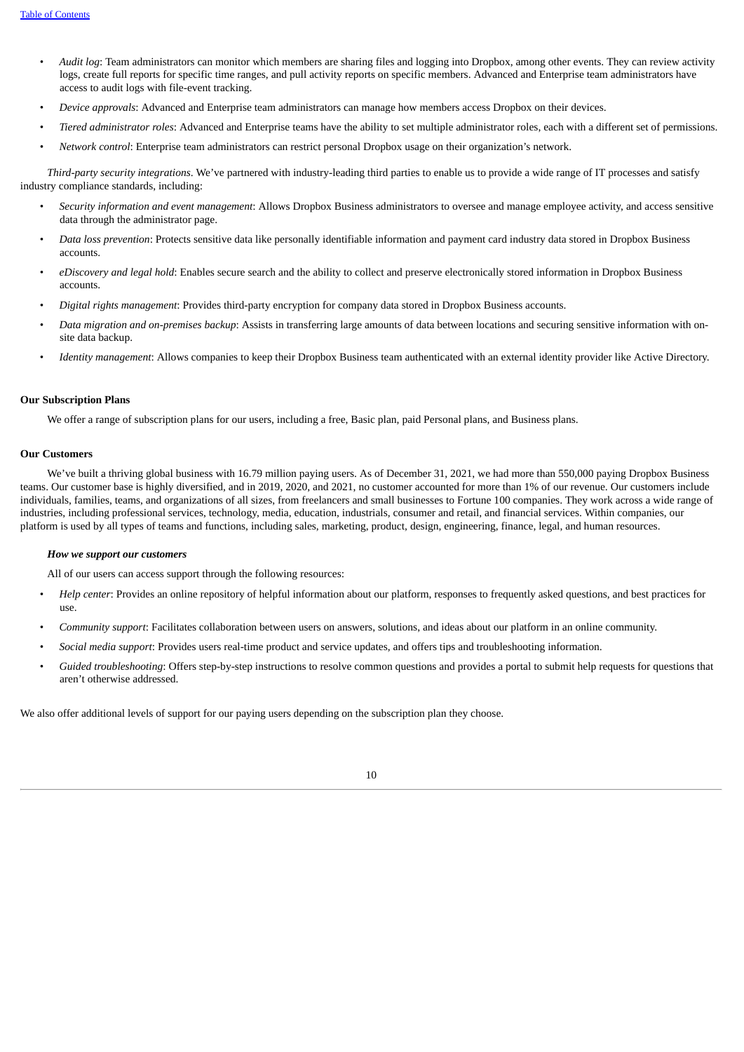- *Audit log*: Team administrators can monitor which members are sharing files and logging into Dropbox, among other events. They can review activity logs, create full reports for specific time ranges, and pull activity reports on specific members. Advanced and Enterprise team administrators have access to audit logs with file-event tracking.
- *Device approvals*: Advanced and Enterprise team administrators can manage how members access Dropbox on their devices.
- *Tiered administrator roles*: Advanced and Enterprise teams have the ability to set multiple administrator roles, each with a different set of permissions.
- *Network control*: Enterprise team administrators can restrict personal Dropbox usage on their organization's network.

*Third-party security integrations*. We've partnered with industry-leading third parties to enable us to provide a wide range of IT processes and satisfy industry compliance standards, including:

- *Security information and event management*: Allows Dropbox Business administrators to oversee and manage employee activity, and access sensitive data through the administrator page.
- *Data loss prevention*: Protects sensitive data like personally identifiable information and payment card industry data stored in Dropbox Business accounts.
- *eDiscovery and legal hold*: Enables secure search and the ability to collect and preserve electronically stored information in Dropbox Business accounts.
- *Digital rights management*: Provides third-party encryption for company data stored in Dropbox Business accounts.
- *Data migration and on-premises backup*: Assists in transferring large amounts of data between locations and securing sensitive information with onsite data backup.
- *Identity management*: Allows companies to keep their Dropbox Business team authenticated with an external identity provider like Active Directory.

#### **Our Subscription Plans**

We offer a range of subscription plans for our users, including a free, Basic plan, paid Personal plans, and Business plans.

#### **Our Customers**

We've built a thriving global business with 16.79 million paying users. As of December 31, 2021, we had more than 550,000 paying Dropbox Business teams. Our customer base is highly diversified, and in 2019, 2020, and 2021, no customer accounted for more than 1% of our revenue. Our customers include individuals, families, teams, and organizations of all sizes, from freelancers and small businesses to Fortune 100 companies. They work across a wide range of industries, including professional services, technology, media, education, industrials, consumer and retail, and financial services. Within companies, our platform is used by all types of teams and functions, including sales, marketing, product, design, engineering, finance, legal, and human resources.

#### *How we support our customers*

All of our users can access support through the following resources:

- *Help center*: Provides an online repository of helpful information about our platform, responses to frequently asked questions, and best practices for use.
- *Community support*: Facilitates collaboration between users on answers, solutions, and ideas about our platform in an online community.
- *Social media support*: Provides users real-time product and service updates, and offers tips and troubleshooting information.
- *Guided troubleshooting*: Offers step-by-step instructions to resolve common questions and provides a portal to submit help requests for questions that aren't otherwise addressed.

We also offer additional levels of support for our paying users depending on the subscription plan they choose.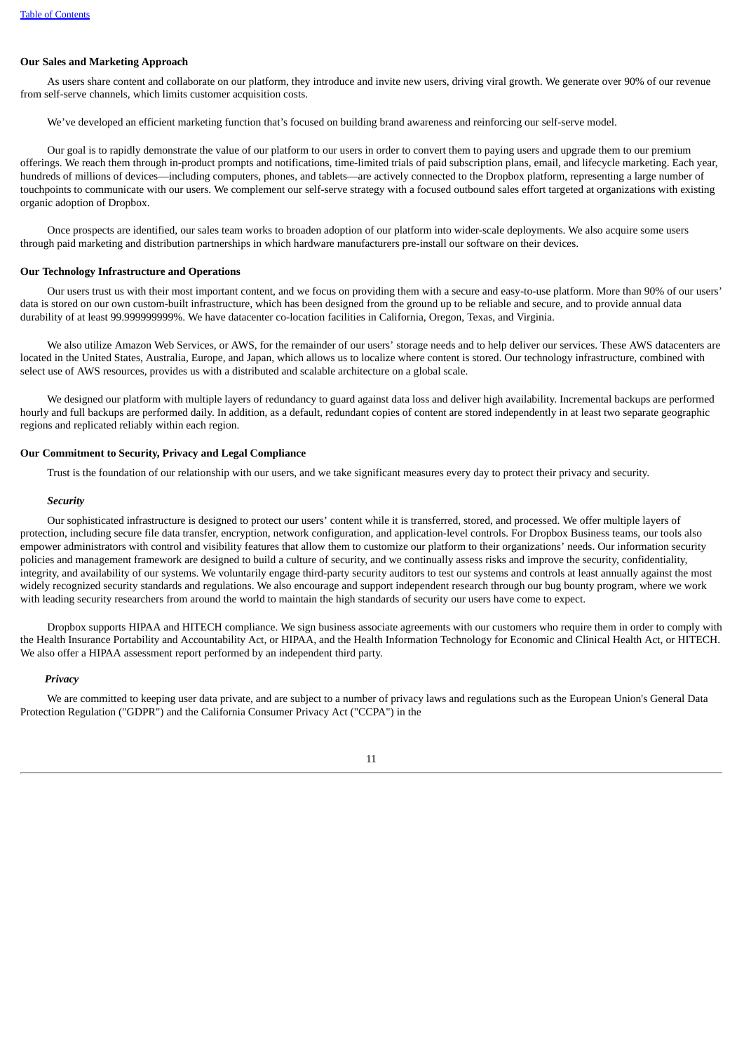## **Our Sales and Marketing Approach**

As users share content and collaborate on our platform, they introduce and invite new users, driving viral growth. We generate over 90% of our revenue from self-serve channels, which limits customer acquisition costs.

We've developed an efficient marketing function that's focused on building brand awareness and reinforcing our self-serve model.

Our goal is to rapidly demonstrate the value of our platform to our users in order to convert them to paying users and upgrade them to our premium offerings. We reach them through in-product prompts and notifications, time-limited trials of paid subscription plans, email, and lifecycle marketing. Each year, hundreds of millions of devices—including computers, phones, and tablets—are actively connected to the Dropbox platform, representing a large number of touchpoints to communicate with our users. We complement our self-serve strategy with a focused outbound sales effort targeted at organizations with existing organic adoption of Dropbox.

Once prospects are identified, our sales team works to broaden adoption of our platform into wider-scale deployments. We also acquire some users through paid marketing and distribution partnerships in which hardware manufacturers pre-install our software on their devices.

#### **Our Technology Infrastructure and Operations**

Our users trust us with their most important content, and we focus on providing them with a secure and easy-to-use platform. More than 90% of our users' data is stored on our own custom-built infrastructure, which has been designed from the ground up to be reliable and secure, and to provide annual data durability of at least 99.999999999%. We have datacenter co-location facilities in California, Oregon, Texas, and Virginia.

We also utilize Amazon Web Services, or AWS, for the remainder of our users' storage needs and to help deliver our services. These AWS datacenters are located in the United States, Australia, Europe, and Japan, which allows us to localize where content is stored. Our technology infrastructure, combined with select use of AWS resources, provides us with a distributed and scalable architecture on a global scale.

We designed our platform with multiple layers of redundancy to guard against data loss and deliver high availability. Incremental backups are performed hourly and full backups are performed daily. In addition, as a default, redundant copies of content are stored independently in at least two separate geographic regions and replicated reliably within each region.

#### **Our Commitment to Security, Privacy and Legal Compliance**

Trust is the foundation of our relationship with our users, and we take significant measures every day to protect their privacy and security.

#### *Security*

Our sophisticated infrastructure is designed to protect our users' content while it is transferred, stored, and processed. We offer multiple layers of protection, including secure file data transfer, encryption, network configuration, and application-level controls. For Dropbox Business teams, our tools also empower administrators with control and visibility features that allow them to customize our platform to their organizations' needs. Our information security policies and management framework are designed to build a culture of security, and we continually assess risks and improve the security, confidentiality, integrity, and availability of our systems. We voluntarily engage third-party security auditors to test our systems and controls at least annually against the most widely recognized security standards and regulations. We also encourage and support independent research through our bug bounty program, where we work with leading security researchers from around the world to maintain the high standards of security our users have come to expect.

Dropbox supports HIPAA and HITECH compliance. We sign business associate agreements with our customers who require them in order to comply with the Health Insurance Portability and Accountability Act, or HIPAA, and the Health Information Technology for Economic and Clinical Health Act, or HITECH. We also offer a HIPAA assessment report performed by an independent third party.

#### *Privacy*

We are committed to keeping user data private, and are subject to a number of privacy laws and regulations such as the European Union's General Data Protection Regulation ("GDPR") and the California Consumer Privacy Act ("CCPA") in the

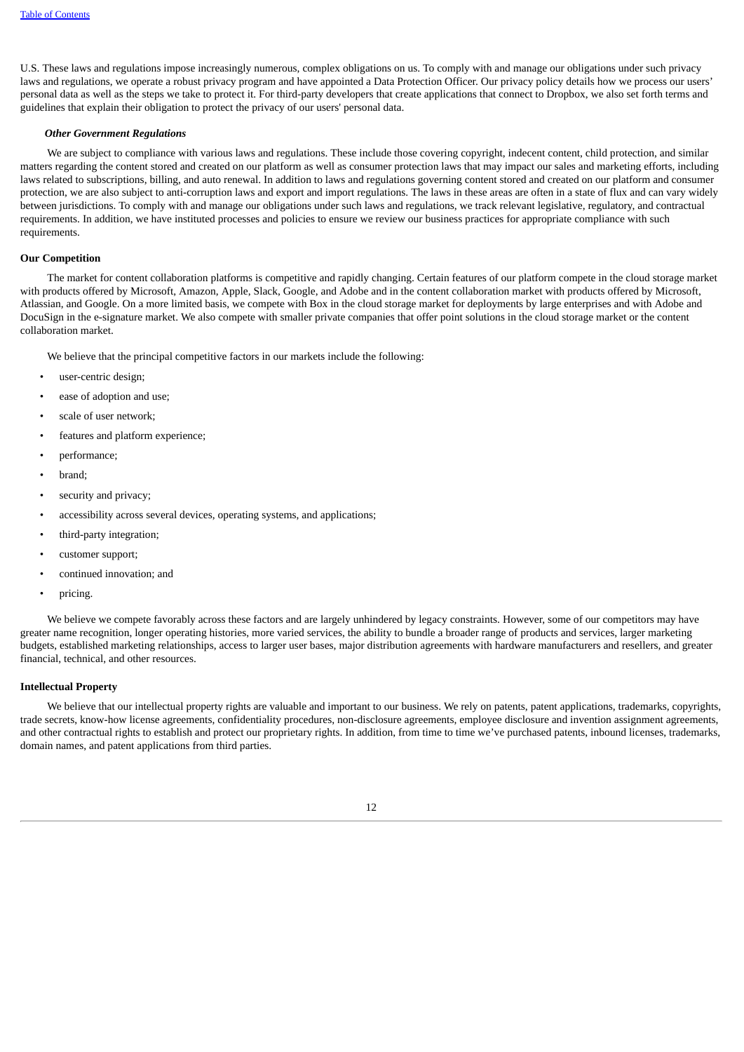U.S. These laws and regulations impose increasingly numerous, complex obligations on us. To comply with and manage our obligations under such privacy laws and regulations, we operate a robust privacy program and have appointed a Data Protection Officer. Our privacy policy details how we process our users' personal data as well as the steps we take to protect it. For third-party developers that create applications that connect to Dropbox, we also set forth terms and guidelines that explain their obligation to protect the privacy of our users' personal data.

#### *Other Government Regulations*

We are subject to compliance with various laws and regulations. These include those covering copyright, indecent content, child protection, and similar matters regarding the content stored and created on our platform as well as consumer protection laws that may impact our sales and marketing efforts, including laws related to subscriptions, billing, and auto renewal. In addition to laws and regulations governing content stored and created on our platform and consumer protection, we are also subject to anti-corruption laws and export and import regulations. The laws in these areas are often in a state of flux and can vary widely between jurisdictions. To comply with and manage our obligations under such laws and regulations, we track relevant legislative, regulatory, and contractual requirements. In addition, we have instituted processes and policies to ensure we review our business practices for appropriate compliance with such requirements.

## **Our Competition**

The market for content collaboration platforms is competitive and rapidly changing. Certain features of our platform compete in the cloud storage market with products offered by Microsoft, Amazon, Apple, Slack, Google, and Adobe and in the content collaboration market with products offered by Microsoft, Atlassian, and Google. On a more limited basis, we compete with Box in the cloud storage market for deployments by large enterprises and with Adobe and DocuSign in the e-signature market. We also compete with smaller private companies that offer point solutions in the cloud storage market or the content collaboration market.

We believe that the principal competitive factors in our markets include the following:

- user-centric design;
- ease of adoption and use:
- scale of user network;
- features and platform experience;
- performance;
- brand;
- security and privacy:
- accessibility across several devices, operating systems, and applications;
- third-party integration;
- customer support;
- continued innovation; and
- pricing.

We believe we compete favorably across these factors and are largely unhindered by legacy constraints. However, some of our competitors may have greater name recognition, longer operating histories, more varied services, the ability to bundle a broader range of products and services, larger marketing budgets, established marketing relationships, access to larger user bases, major distribution agreements with hardware manufacturers and resellers, and greater financial, technical, and other resources.

#### **Intellectual Property**

We believe that our intellectual property rights are valuable and important to our business. We rely on patents, patent applications, trademarks, copyrights, trade secrets, know-how license agreements, confidentiality procedures, non-disclosure agreements, employee disclosure and invention assignment agreements, and other contractual rights to establish and protect our proprietary rights. In addition, from time to time we've purchased patents, inbound licenses, trademarks, domain names, and patent applications from third parties.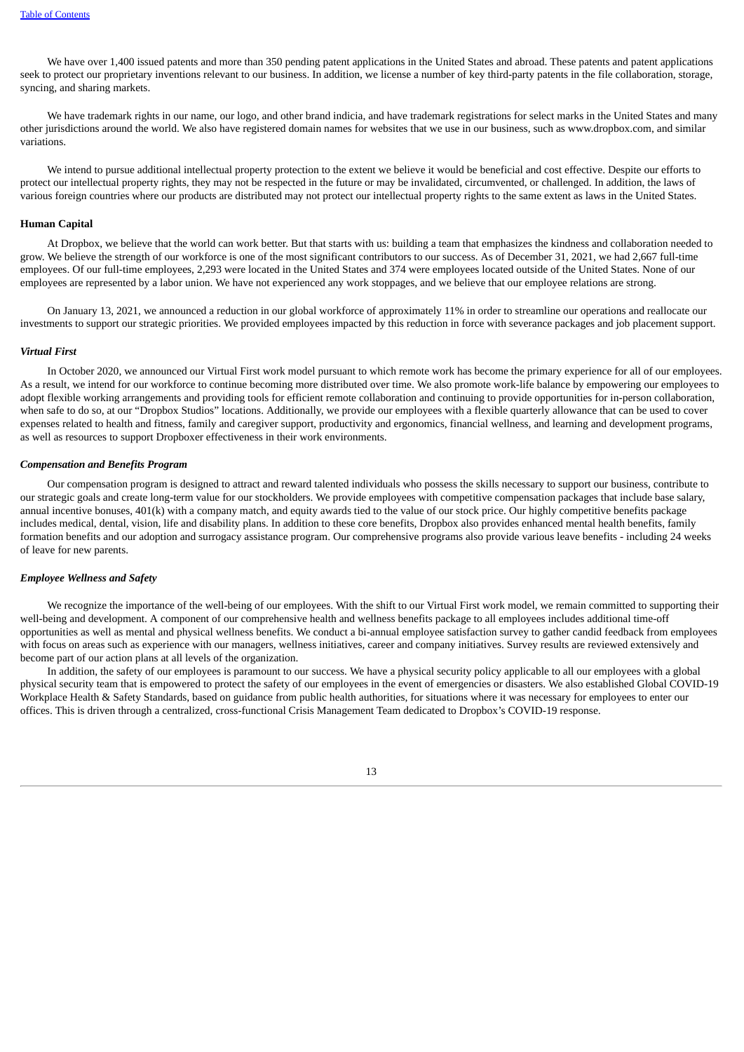We have over 1,400 issued patents and more than 350 pending patent applications in the United States and abroad. These patents and patent applications seek to protect our proprietary inventions relevant to our business. In addition, we license a number of key third-party patents in the file collaboration, storage, syncing, and sharing markets.

We have trademark rights in our name, our logo, and other brand indicia, and have trademark registrations for select marks in the United States and many other jurisdictions around the world. We also have registered domain names for websites that we use in our business, such as www.dropbox.com, and similar variations.

We intend to pursue additional intellectual property protection to the extent we believe it would be beneficial and cost effective. Despite our efforts to protect our intellectual property rights, they may not be respected in the future or may be invalidated, circumvented, or challenged. In addition, the laws of various foreign countries where our products are distributed may not protect our intellectual property rights to the same extent as laws in the United States.

## **Human Capital**

At Dropbox, we believe that the world can work better. But that starts with us: building a team that emphasizes the kindness and collaboration needed to grow. We believe the strength of our workforce is one of the most significant contributors to our success. As of December 31, 2021, we had 2,667 full-time employees. Of our full-time employees, 2,293 were located in the United States and 374 were employees located outside of the United States. None of our employees are represented by a labor union. We have not experienced any work stoppages, and we believe that our employee relations are strong.

On January 13, 2021, we announced a reduction in our global workforce of approximately 11% in order to streamline our operations and reallocate our investments to support our strategic priorities. We provided employees impacted by this reduction in force with severance packages and job placement support.

## *Virtual First*

In October 2020, we announced our Virtual First work model pursuant to which remote work has become the primary experience for all of our employees. As a result, we intend for our workforce to continue becoming more distributed over time. We also promote work-life balance by empowering our employees to adopt flexible working arrangements and providing tools for efficient remote collaboration and continuing to provide opportunities for in-person collaboration, when safe to do so, at our "Dropbox Studios" locations. Additionally, we provide our employees with a flexible quarterly allowance that can be used to cover expenses related to health and fitness, family and caregiver support, productivity and ergonomics, financial wellness, and learning and development programs, as well as resources to support Dropboxer effectiveness in their work environments.

#### *Compensation and Benefits Program*

Our compensation program is designed to attract and reward talented individuals who possess the skills necessary to support our business, contribute to our strategic goals and create long-term value for our stockholders. We provide employees with competitive compensation packages that include base salary, annual incentive bonuses, 401(k) with a company match, and equity awards tied to the value of our stock price. Our highly competitive benefits package includes medical, dental, vision, life and disability plans. In addition to these core benefits, Dropbox also provides enhanced mental health benefits, family formation benefits and our adoption and surrogacy assistance program. Our comprehensive programs also provide various leave benefits - including 24 weeks of leave for new parents.

#### *Employee Wellness and Safety*

We recognize the importance of the well-being of our employees. With the shift to our Virtual First work model, we remain committed to supporting their well-being and development. A component of our comprehensive health and wellness benefits package to all employees includes additional time-off opportunities as well as mental and physical wellness benefits. We conduct a bi-annual employee satisfaction survey to gather candid feedback from employees with focus on areas such as experience with our managers, wellness initiatives, career and company initiatives. Survey results are reviewed extensively and become part of our action plans at all levels of the organization.

In addition, the safety of our employees is paramount to our success. We have a physical security policy applicable to all our employees with a global physical security team that is empowered to protect the safety of our employees in the event of emergencies or disasters. We also established Global COVID-19 Workplace Health & Safety Standards, based on guidance from public health authorities, for situations where it was necessary for employees to enter our offices. This is driven through a centralized, cross-functional Crisis Management Team dedicated to Dropbox's COVID-19 response.

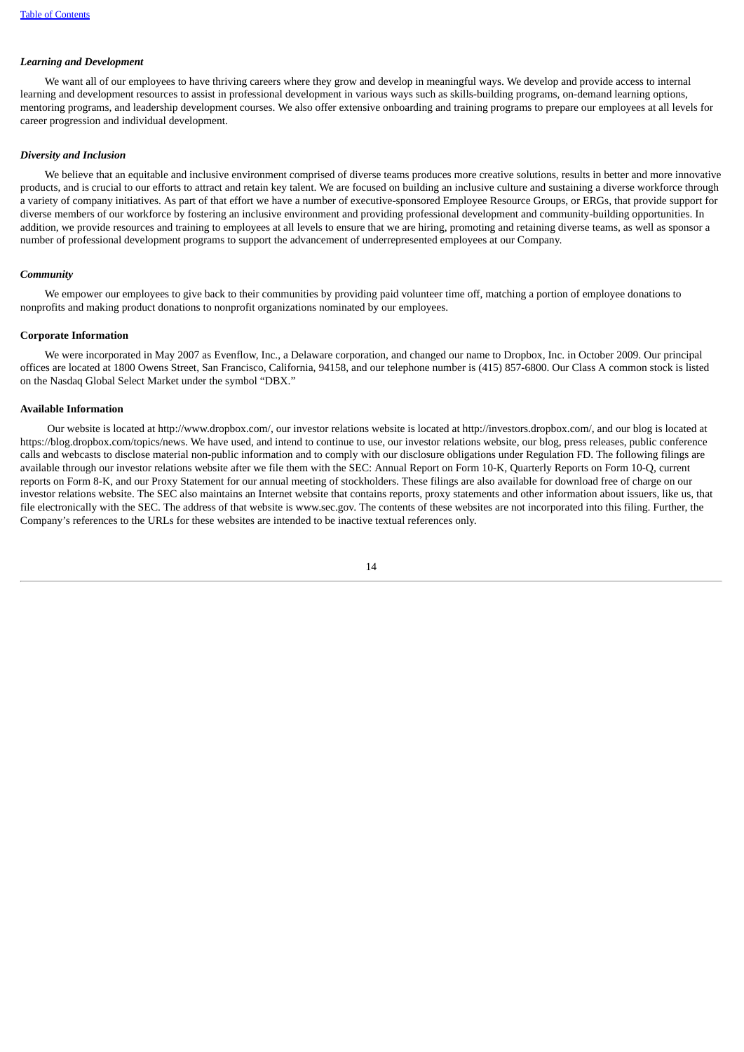#### *Learning and Development*

We want all of our employees to have thriving careers where they grow and develop in meaningful ways. We develop and provide access to internal learning and development resources to assist in professional development in various ways such as skills-building programs, on-demand learning options, mentoring programs, and leadership development courses. We also offer extensive onboarding and training programs to prepare our employees at all levels for career progression and individual development.

#### *Diversity and Inclusion*

We believe that an equitable and inclusive environment comprised of diverse teams produces more creative solutions, results in better and more innovative products, and is crucial to our efforts to attract and retain key talent. We are focused on building an inclusive culture and sustaining a diverse workforce through a variety of company initiatives. As part of that effort we have a number of executive-sponsored Employee Resource Groups, or ERGs, that provide support for diverse members of our workforce by fostering an inclusive environment and providing professional development and community-building opportunities. In addition, we provide resources and training to employees at all levels to ensure that we are hiring, promoting and retaining diverse teams, as well as sponsor a number of professional development programs to support the advancement of underrepresented employees at our Company.

#### *Community*

We empower our employees to give back to their communities by providing paid volunteer time off, matching a portion of employee donations to nonprofits and making product donations to nonprofit organizations nominated by our employees.

#### **Corporate Information**

We were incorporated in May 2007 as Evenflow, Inc., a Delaware corporation, and changed our name to Dropbox, Inc. in October 2009. Our principal offices are located at 1800 Owens Street, San Francisco, California, 94158, and our telephone number is (415) 857-6800. Our Class A common stock is listed on the Nasdaq Global Select Market under the symbol "DBX."

#### **Available Information**

<span id="page-14-0"></span>Our website is located at http://www.dropbox.com/, our investor relations website is located at http://investors.dropbox.com/, and our blog is located at https://blog.dropbox.com/topics/news. We have used, and intend to continue to use, our investor relations website, our blog, press releases, public conference calls and webcasts to disclose material non-public information and to comply with our disclosure obligations under Regulation FD. The following filings are available through our investor relations website after we file them with the SEC: Annual Report on Form 10-K, Quarterly Reports on Form 10-Q, current reports on Form 8-K, and our Proxy Statement for our annual meeting of stockholders. These filings are also available for download free of charge on our investor relations website. The SEC also maintains an Internet website that contains reports, proxy statements and other information about issuers, like us, that file electronically with the SEC. The address of that website is www.sec.gov. The contents of these websites are not incorporated into this filing. Further, the Company's references to the URLs for these websites are intended to be inactive textual references only.

14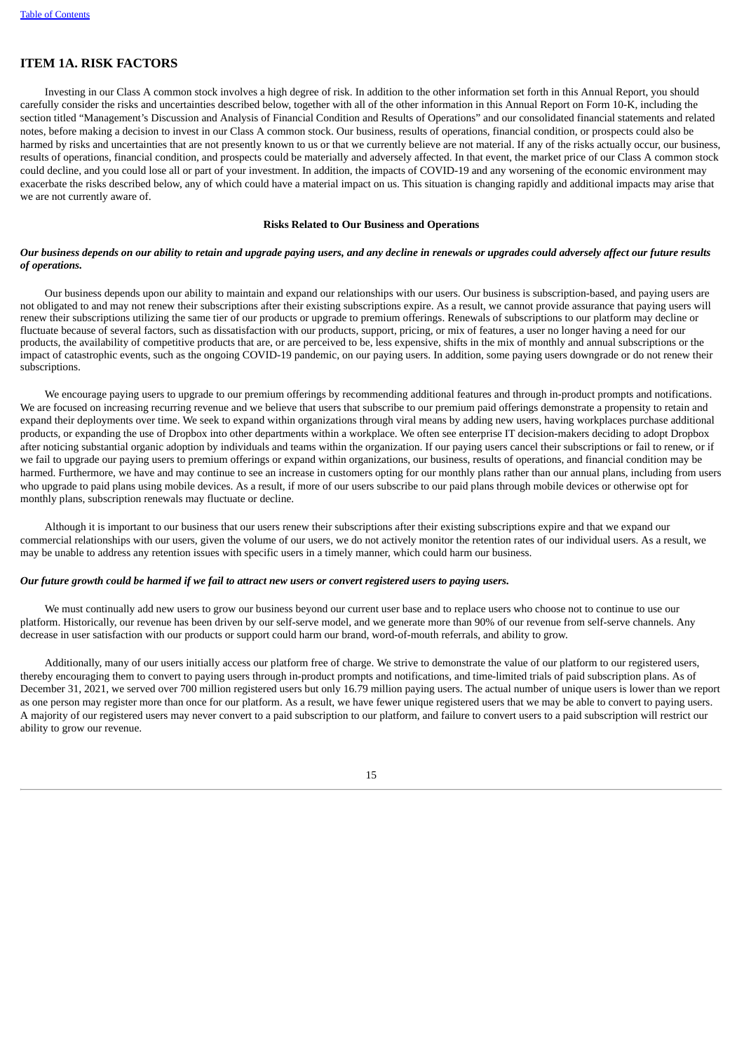## **ITEM 1A. RISK FACTORS**

Investing in our Class A common stock involves a high degree of risk. In addition to the other information set forth in this Annual Report, you should carefully consider the risks and uncertainties described below, together with all of the other information in this Annual Report on Form 10-K, including the section titled "Management's Discussion and Analysis of Financial Condition and Results of Operations" and our consolidated financial statements and related notes, before making a decision to invest in our Class A common stock. Our business, results of operations, financial condition, or prospects could also be harmed by risks and uncertainties that are not presently known to us or that we currently believe are not material. If any of the risks actually occur, our business, results of operations, financial condition, and prospects could be materially and adversely affected. In that event, the market price of our Class A common stock could decline, and you could lose all or part of your investment. In addition, the impacts of COVID-19 and any worsening of the economic environment may exacerbate the risks described below, any of which could have a material impact on us. This situation is changing rapidly and additional impacts may arise that we are not currently aware of.

## **Risks Related to Our Business and Operations**

## Our business depends on our ability to retain and upgrade paying users, and any decline in renewals or upgrades could adversely affect our future results *of operations.*

Our business depends upon our ability to maintain and expand our relationships with our users. Our business is subscription-based, and paying users are not obligated to and may not renew their subscriptions after their existing subscriptions expire. As a result, we cannot provide assurance that paying users will renew their subscriptions utilizing the same tier of our products or upgrade to premium offerings. Renewals of subscriptions to our platform may decline or fluctuate because of several factors, such as dissatisfaction with our products, support, pricing, or mix of features, a user no longer having a need for our products, the availability of competitive products that are, or are perceived to be, less expensive, shifts in the mix of monthly and annual subscriptions or the impact of catastrophic events, such as the ongoing COVID-19 pandemic, on our paying users. In addition, some paying users downgrade or do not renew their subscriptions.

We encourage paying users to upgrade to our premium offerings by recommending additional features and through in-product prompts and notifications. We are focused on increasing recurring revenue and we believe that users that subscribe to our premium paid offerings demonstrate a propensity to retain and expand their deployments over time. We seek to expand within organizations through viral means by adding new users, having workplaces purchase additional products, or expanding the use of Dropbox into other departments within a workplace. We often see enterprise IT decision-makers deciding to adopt Dropbox after noticing substantial organic adoption by individuals and teams within the organization. If our paying users cancel their subscriptions or fail to renew, or if we fail to upgrade our paying users to premium offerings or expand within organizations, our business, results of operations, and financial condition may be harmed. Furthermore, we have and may continue to see an increase in customers opting for our monthly plans rather than our annual plans, including from users who upgrade to paid plans using mobile devices. As a result, if more of our users subscribe to our paid plans through mobile devices or otherwise opt for monthly plans, subscription renewals may fluctuate or decline.

Although it is important to our business that our users renew their subscriptions after their existing subscriptions expire and that we expand our commercial relationships with our users, given the volume of our users, we do not actively monitor the retention rates of our individual users. As a result, we may be unable to address any retention issues with specific users in a timely manner, which could harm our business.

#### Our future growth could be harmed if we fail to attract new users or convert registered users to paying users.

We must continually add new users to grow our business beyond our current user base and to replace users who choose not to continue to use our platform. Historically, our revenue has been driven by our self-serve model, and we generate more than 90% of our revenue from self-serve channels. Any decrease in user satisfaction with our products or support could harm our brand, word-of-mouth referrals, and ability to grow.

Additionally, many of our users initially access our platform free of charge. We strive to demonstrate the value of our platform to our registered users, thereby encouraging them to convert to paying users through in-product prompts and notifications, and time-limited trials of paid subscription plans. As of December 31, 2021, we served over 700 million registered users but only 16.79 million paying users. The actual number of unique users is lower than we report as one person may register more than once for our platform. As a result, we have fewer unique registered users that we may be able to convert to paying users. A majority of our registered users may never convert to a paid subscription to our platform, and failure to convert users to a paid subscription will restrict our ability to grow our revenue.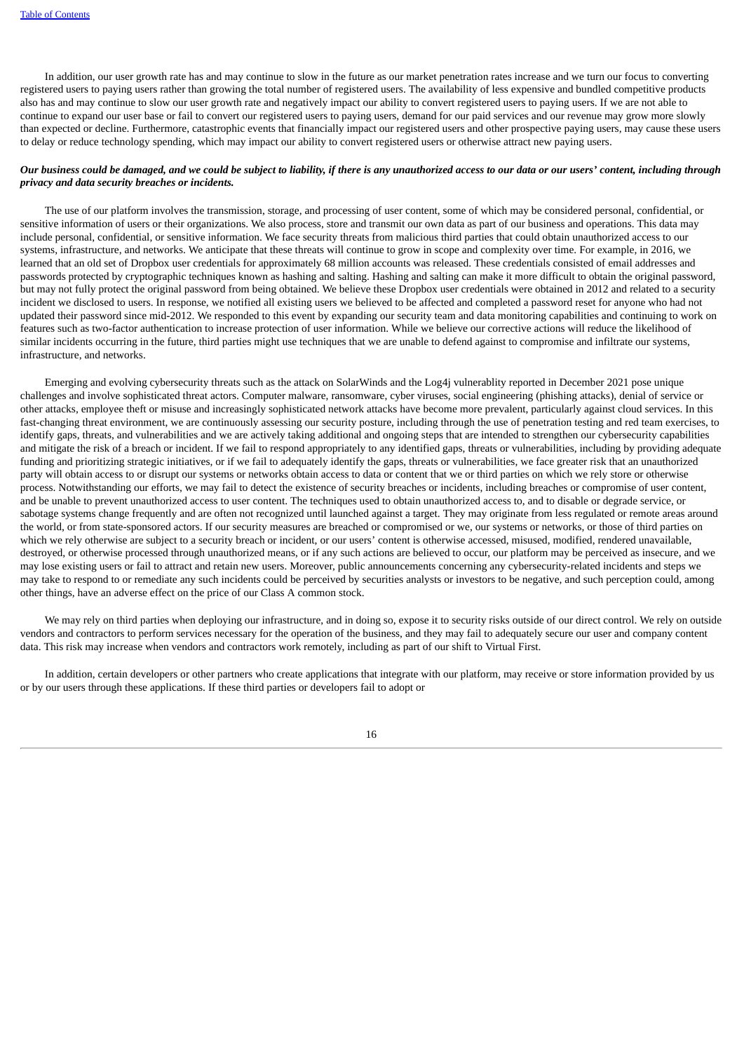In addition, our user growth rate has and may continue to slow in the future as our market penetration rates increase and we turn our focus to converting registered users to paying users rather than growing the total number of registered users. The availability of less expensive and bundled competitive products also has and may continue to slow our user growth rate and negatively impact our ability to convert registered users to paying users. If we are not able to continue to expand our user base or fail to convert our registered users to paying users, demand for our paid services and our revenue may grow more slowly than expected or decline. Furthermore, catastrophic events that financially impact our registered users and other prospective paying users, may cause these users to delay or reduce technology spending, which may impact our ability to convert registered users or otherwise attract new paying users.

## Our business could be damaged, and we could be subject to liability, if there is any unauthorized access to our data or our users' content, including through *privacy and data security breaches or incidents.*

The use of our platform involves the transmission, storage, and processing of user content, some of which may be considered personal, confidential, or sensitive information of users or their organizations. We also process, store and transmit our own data as part of our business and operations. This data may include personal, confidential, or sensitive information. We face security threats from malicious third parties that could obtain unauthorized access to our systems, infrastructure, and networks. We anticipate that these threats will continue to grow in scope and complexity over time. For example, in 2016, we learned that an old set of Dropbox user credentials for approximately 68 million accounts was released. These credentials consisted of email addresses and passwords protected by cryptographic techniques known as hashing and salting. Hashing and salting can make it more difficult to obtain the original password, but may not fully protect the original password from being obtained. We believe these Dropbox user credentials were obtained in 2012 and related to a security incident we disclosed to users. In response, we notified all existing users we believed to be affected and completed a password reset for anyone who had not updated their password since mid-2012. We responded to this event by expanding our security team and data monitoring capabilities and continuing to work on features such as two-factor authentication to increase protection of user information. While we believe our corrective actions will reduce the likelihood of similar incidents occurring in the future, third parties might use techniques that we are unable to defend against to compromise and infiltrate our systems, infrastructure, and networks.

Emerging and evolving cybersecurity threats such as the attack on SolarWinds and the Log4j vulnerablity reported in December 2021 pose unique challenges and involve sophisticated threat actors. Computer malware, ransomware, cyber viruses, social engineering (phishing attacks), denial of service or other attacks, employee theft or misuse and increasingly sophisticated network attacks have become more prevalent, particularly against cloud services. In this fast-changing threat environment, we are continuously assessing our security posture, including through the use of penetration testing and red team exercises, to identify gaps, threats, and vulnerabilities and we are actively taking additional and ongoing steps that are intended to strengthen our cybersecurity capabilities and mitigate the risk of a breach or incident. If we fail to respond appropriately to any identified gaps, threats or vulnerabilities, including by providing adequate funding and prioritizing strategic initiatives, or if we fail to adequately identify the gaps, threats or vulnerabilities, we face greater risk that an unauthorized party will obtain access to or disrupt our systems or networks obtain access to data or content that we or third parties on which we rely store or otherwise process. Notwithstanding our efforts, we may fail to detect the existence of security breaches or incidents, including breaches or compromise of user content, and be unable to prevent unauthorized access to user content. The techniques used to obtain unauthorized access to, and to disable or degrade service, or sabotage systems change frequently and are often not recognized until launched against a target. They may originate from less regulated or remote areas around the world, or from state-sponsored actors. If our security measures are breached or compromised or we, our systems or networks, or those of third parties on which we rely otherwise are subject to a security breach or incident, or our users' content is otherwise accessed, misused, modified, rendered unavailable, destroyed, or otherwise processed through unauthorized means, or if any such actions are believed to occur, our platform may be perceived as insecure, and we may lose existing users or fail to attract and retain new users. Moreover, public announcements concerning any cybersecurity-related incidents and steps we may take to respond to or remediate any such incidents could be perceived by securities analysts or investors to be negative, and such perception could, among other things, have an adverse effect on the price of our Class A common stock.

We may rely on third parties when deploying our infrastructure, and in doing so, expose it to security risks outside of our direct control. We rely on outside vendors and contractors to perform services necessary for the operation of the business, and they may fail to adequately secure our user and company content data. This risk may increase when vendors and contractors work remotely, including as part of our shift to Virtual First.

In addition, certain developers or other partners who create applications that integrate with our platform, may receive or store information provided by us or by our users through these applications. If these third parties or developers fail to adopt or

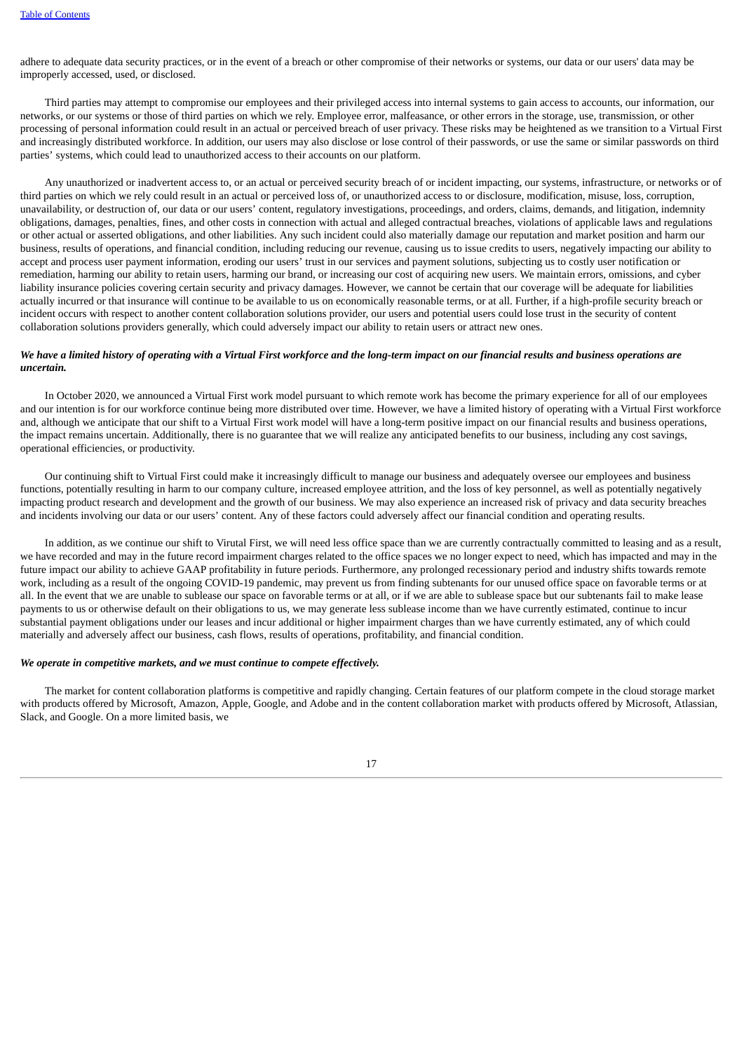adhere to adequate data security practices, or in the event of a breach or other compromise of their networks or systems, our data or our users' data may be improperly accessed, used, or disclosed.

Third parties may attempt to compromise our employees and their privileged access into internal systems to gain access to accounts, our information, our networks, or our systems or those of third parties on which we rely. Employee error, malfeasance, or other errors in the storage, use, transmission, or other processing of personal information could result in an actual or perceived breach of user privacy. These risks may be heightened as we transition to a Virtual First and increasingly distributed workforce. In addition, our users may also disclose or lose control of their passwords, or use the same or similar passwords on third parties' systems, which could lead to unauthorized access to their accounts on our platform.

Any unauthorized or inadvertent access to, or an actual or perceived security breach of or incident impacting, our systems, infrastructure, or networks or of third parties on which we rely could result in an actual or perceived loss of, or unauthorized access to or disclosure, modification, misuse, loss, corruption, unavailability, or destruction of, our data or our users' content, regulatory investigations, proceedings, and orders, claims, demands, and litigation, indemnity obligations, damages, penalties, fines, and other costs in connection with actual and alleged contractual breaches, violations of applicable laws and regulations or other actual or asserted obligations, and other liabilities. Any such incident could also materially damage our reputation and market position and harm our business, results of operations, and financial condition, including reducing our revenue, causing us to issue credits to users, negatively impacting our ability to accept and process user payment information, eroding our users' trust in our services and payment solutions, subjecting us to costly user notification or remediation, harming our ability to retain users, harming our brand, or increasing our cost of acquiring new users. We maintain errors, omissions, and cyber liability insurance policies covering certain security and privacy damages. However, we cannot be certain that our coverage will be adequate for liabilities actually incurred or that insurance will continue to be available to us on economically reasonable terms, or at all. Further, if a high-profile security breach or incident occurs with respect to another content collaboration solutions provider, our users and potential users could lose trust in the security of content collaboration solutions providers generally, which could adversely impact our ability to retain users or attract new ones.

## We have a limited history of operating with a Virtual First workforce and the long-term impact on our financial results and business operations are *uncertain.*

In October 2020, we announced a Virtual First work model pursuant to which remote work has become the primary experience for all of our employees and our intention is for our workforce continue being more distributed over time. However, we have a limited history of operating with a Virtual First workforce and, although we anticipate that our shift to a Virtual First work model will have a long-term positive impact on our financial results and business operations, the impact remains uncertain. Additionally, there is no guarantee that we will realize any anticipated benefits to our business, including any cost savings, operational efficiencies, or productivity.

Our continuing shift to Virtual First could make it increasingly difficult to manage our business and adequately oversee our employees and business functions, potentially resulting in harm to our company culture, increased employee attrition, and the loss of key personnel, as well as potentially negatively impacting product research and development and the growth of our business. We may also experience an increased risk of privacy and data security breaches and incidents involving our data or our users' content. Any of these factors could adversely affect our financial condition and operating results.

In addition, as we continue our shift to Virutal First, we will need less office space than we are currently contractually committed to leasing and as a result, we have recorded and may in the future record impairment charges related to the office spaces we no longer expect to need, which has impacted and may in the future impact our ability to achieve GAAP profitability in future periods. Furthermore, any prolonged recessionary period and industry shifts towards remote work, including as a result of the ongoing COVID-19 pandemic, may prevent us from finding subtenants for our unused office space on favorable terms or at all. In the event that we are unable to sublease our space on favorable terms or at all, or if we are able to sublease space but our subtenants fail to make lease payments to us or otherwise default on their obligations to us, we may generate less sublease income than we have currently estimated, continue to incur substantial payment obligations under our leases and incur additional or higher impairment charges than we have currently estimated, any of which could materially and adversely affect our business, cash flows, results of operations, profitability, and financial condition.

## *We operate in competitive markets, and we must continue to compete effectively.*

The market for content collaboration platforms is competitive and rapidly changing. Certain features of our platform compete in the cloud storage market with products offered by Microsoft, Amazon, Apple, Google, and Adobe and in the content collaboration market with products offered by Microsoft, Atlassian, Slack, and Google. On a more limited basis, we

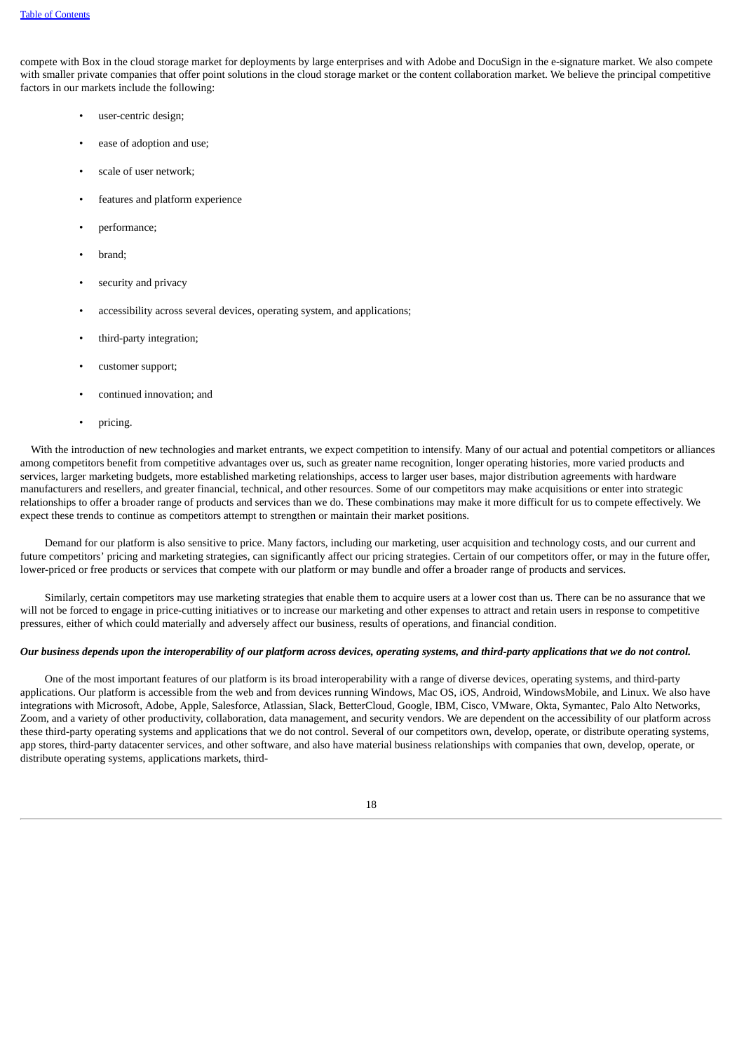compete with Box in the cloud storage market for deployments by large enterprises and with Adobe and DocuSign in the e-signature market. We also compete with smaller private companies that offer point solutions in the cloud storage market or the content collaboration market. We believe the principal competitive factors in our markets include the following:

- user-centric design;
- ease of adoption and use;
- scale of user network;
- features and platform experience
- performance;
- brand;
- security and privacy
- accessibility across several devices, operating system, and applications;
- third-party integration;
- customer support;
- continued innovation; and
- pricing.

With the introduction of new technologies and market entrants, we expect competition to intensify. Many of our actual and potential competitors or alliances among competitors benefit from competitive advantages over us, such as greater name recognition, longer operating histories, more varied products and services, larger marketing budgets, more established marketing relationships, access to larger user bases, major distribution agreements with hardware manufacturers and resellers, and greater financial, technical, and other resources. Some of our competitors may make acquisitions or enter into strategic relationships to offer a broader range of products and services than we do. These combinations may make it more difficult for us to compete effectively. We expect these trends to continue as competitors attempt to strengthen or maintain their market positions.

Demand for our platform is also sensitive to price. Many factors, including our marketing, user acquisition and technology costs, and our current and future competitors' pricing and marketing strategies, can significantly affect our pricing strategies. Certain of our competitors offer, or may in the future offer, lower-priced or free products or services that compete with our platform or may bundle and offer a broader range of products and services.

Similarly, certain competitors may use marketing strategies that enable them to acquire users at a lower cost than us. There can be no assurance that we will not be forced to engage in price-cutting initiatives or to increase our marketing and other expenses to attract and retain users in response to competitive pressures, either of which could materially and adversely affect our business, results of operations, and financial condition.

## Our business depends upon the interoperability of our platform across devices, operating systems, and third-party applications that we do not control.

One of the most important features of our platform is its broad interoperability with a range of diverse devices, operating systems, and third-party applications. Our platform is accessible from the web and from devices running Windows, Mac OS, iOS, Android, WindowsMobile, and Linux. We also have integrations with Microsoft, Adobe, Apple, Salesforce, Atlassian, Slack, BetterCloud, Google, IBM, Cisco, VMware, Okta, Symantec, Palo Alto Networks, Zoom, and a variety of other productivity, collaboration, data management, and security vendors. We are dependent on the accessibility of our platform across these third-party operating systems and applications that we do not control. Several of our competitors own, develop, operate, or distribute operating systems, app stores, third-party datacenter services, and other software, and also have material business relationships with companies that own, develop, operate, or distribute operating systems, applications markets, third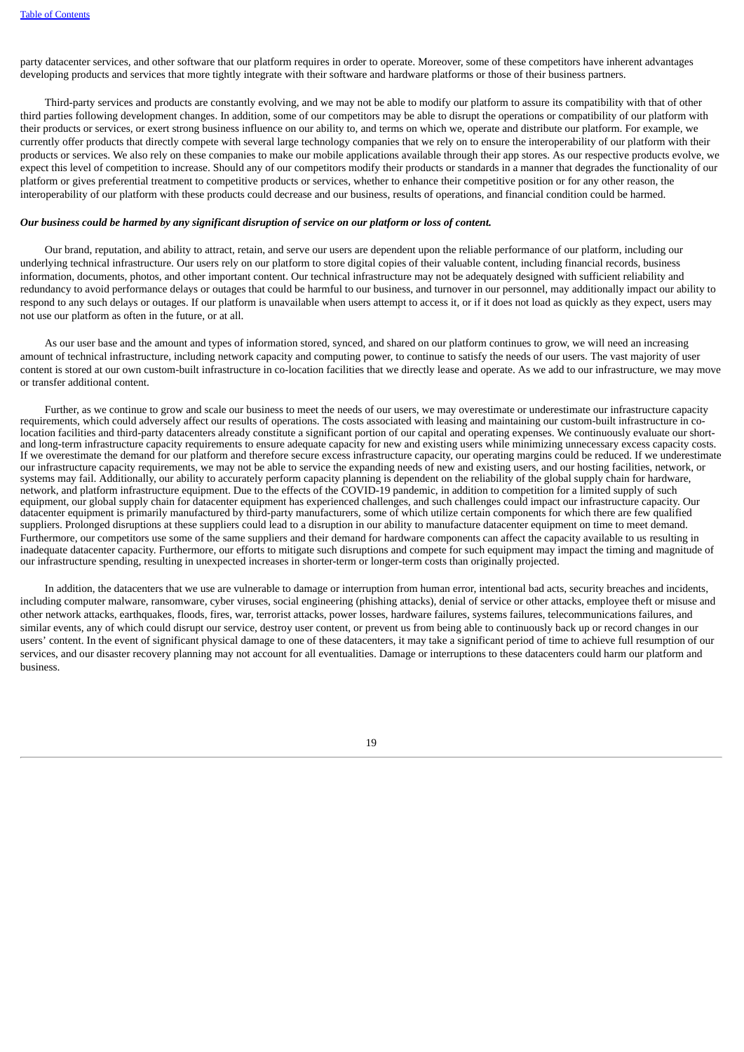party datacenter services, and other software that our platform requires in order to operate. Moreover, some of these competitors have inherent advantages developing products and services that more tightly integrate with their software and hardware platforms or those of their business partners.

Third-party services and products are constantly evolving, and we may not be able to modify our platform to assure its compatibility with that of other third parties following development changes. In addition, some of our competitors may be able to disrupt the operations or compatibility of our platform with their products or services, or exert strong business influence on our ability to, and terms on which we, operate and distribute our platform. For example, we currently offer products that directly compete with several large technology companies that we rely on to ensure the interoperability of our platform with their products or services. We also rely on these companies to make our mobile applications available through their app stores. As our respective products evolve, we expect this level of competition to increase. Should any of our competitors modify their products or standards in a manner that degrades the functionality of our platform or gives preferential treatment to competitive products or services, whether to enhance their competitive position or for any other reason, the interoperability of our platform with these products could decrease and our business, results of operations, and financial condition could be harmed.

#### Our business could be harmed by any significant disruption of service on our platform or loss of content.

Our brand, reputation, and ability to attract, retain, and serve our users are dependent upon the reliable performance of our platform, including our underlying technical infrastructure. Our users rely on our platform to store digital copies of their valuable content, including financial records, business information, documents, photos, and other important content. Our technical infrastructure may not be adequately designed with sufficient reliability and redundancy to avoid performance delays or outages that could be harmful to our business, and turnover in our personnel, may additionally impact our ability to respond to any such delays or outages. If our platform is unavailable when users attempt to access it, or if it does not load as quickly as they expect, users may not use our platform as often in the future, or at all.

As our user base and the amount and types of information stored, synced, and shared on our platform continues to grow, we will need an increasing amount of technical infrastructure, including network capacity and computing power, to continue to satisfy the needs of our users. The vast majority of user content is stored at our own custom-built infrastructure in co-location facilities that we directly lease and operate. As we add to our infrastructure, we may move or transfer additional content.

Further, as we continue to grow and scale our business to meet the needs of our users, we may overestimate or underestimate our infrastructure capacity requirements, which could adversely affect our results of operations. The costs associated with leasing and maintaining our custom-built infrastructure in colocation facilities and third-party datacenters already constitute a significant portion of our capital and operating expenses. We continuously evaluate our shortand long-term infrastructure capacity requirements to ensure adequate capacity for new and existing users while minimizing unnecessary excess capacity costs. If we overestimate the demand for our platform and therefore secure excess infrastructure capacity, our operating margins could be reduced. If we underestimate our infrastructure capacity requirements, we may not be able to service the expanding needs of new and existing users, and our hosting facilities, network, or systems may fail. Additionally, our ability to accurately perform capacity planning is dependent on the reliability of the global supply chain for hardware, network, and platform infrastructure equipment. Due to the effects of the COVID-19 pandemic, in addition to competition for a limited supply of such equipment, our global supply chain for datacenter equipment has experienced challenges, and such challenges could impact our infrastructure capacity. Our datacenter equipment is primarily manufactured by third-party manufacturers, some of which utilize certain components for which there are few qualified suppliers. Prolonged disruptions at these suppliers could lead to a disruption in our ability to manufacture datacenter equipment on time to meet demand. Furthermore, our competitors use some of the same suppliers and their demand for hardware components can affect the capacity available to us resulting in inadequate datacenter capacity. Furthermore, our efforts to mitigate such disruptions and compete for such equipment may impact the timing and magnitude of our infrastructure spending, resulting in unexpected increases in shorter-term or longer-term costs than originally projected.

In addition, the datacenters that we use are vulnerable to damage or interruption from human error, intentional bad acts, security breaches and incidents, including computer malware, ransomware, cyber viruses, social engineering (phishing attacks), denial of service or other attacks, employee theft or misuse and other network attacks, earthquakes, floods, fires, war, terrorist attacks, power losses, hardware failures, systems failures, telecommunications failures, and similar events, any of which could disrupt our service, destroy user content, or prevent us from being able to continuously back up or record changes in our users' content. In the event of significant physical damage to one of these datacenters, it may take a significant period of time to achieve full resumption of our services, and our disaster recovery planning may not account for all eventualities. Damage or interruptions to these datacenters could harm our platform and business.

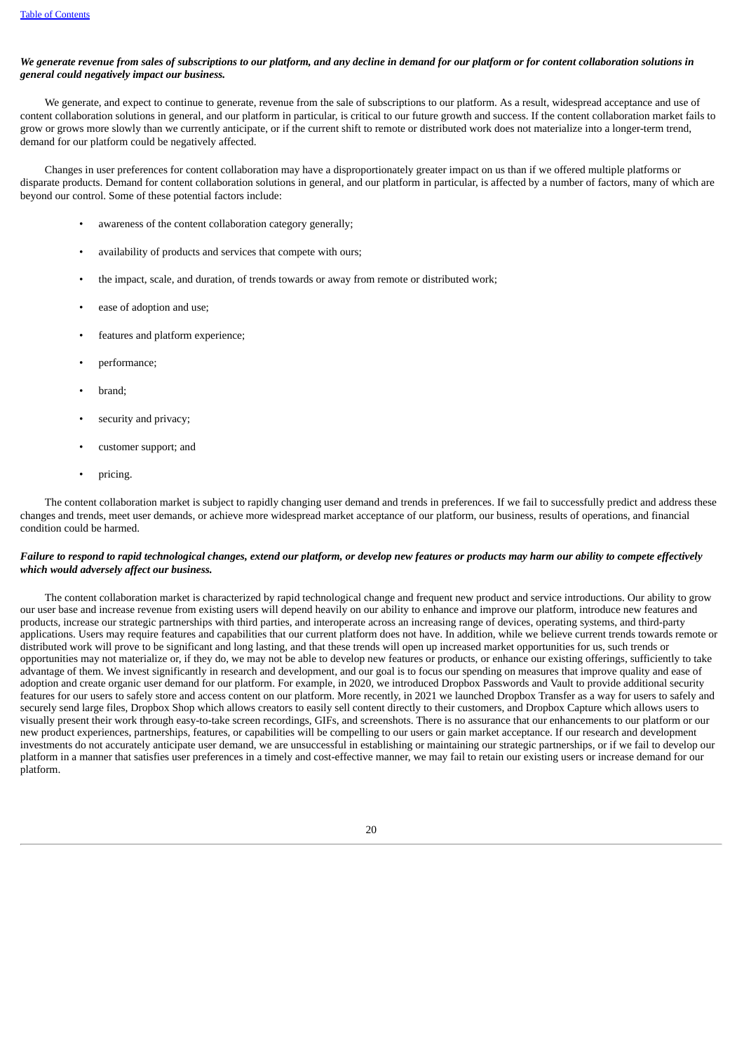## We generate revenue from sales of subscriptions to our platform, and any decline in demand for our platform or for content collaboration solutions in *general could negatively impact our business.*

We generate, and expect to continue to generate, revenue from the sale of subscriptions to our platform. As a result, widespread acceptance and use of content collaboration solutions in general, and our platform in particular, is critical to our future growth and success. If the content collaboration market fails to grow or grows more slowly than we currently anticipate, or if the current shift to remote or distributed work does not materialize into a longer-term trend, demand for our platform could be negatively affected.

Changes in user preferences for content collaboration may have a disproportionately greater impact on us than if we offered multiple platforms or disparate products. Demand for content collaboration solutions in general, and our platform in particular, is affected by a number of factors, many of which are beyond our control. Some of these potential factors include:

- awareness of the content collaboration category generally;
- availability of products and services that compete with ours;
- the impact, scale, and duration, of trends towards or away from remote or distributed work;
- ease of adoption and use;
- features and platform experience;
- performance;
- brand;
- security and privacy;
- customer support; and
- pricing.

The content collaboration market is subject to rapidly changing user demand and trends in preferences. If we fail to successfully predict and address these changes and trends, meet user demands, or achieve more widespread market acceptance of our platform, our business, results of operations, and financial condition could be harmed.

## Failure to respond to rapid technological changes, extend our platform, or develop new features or products may harm our ability to compete effectively *which would adversely affect our business.*

The content collaboration market is characterized by rapid technological change and frequent new product and service introductions. Our ability to grow our user base and increase revenue from existing users will depend heavily on our ability to enhance and improve our platform, introduce new features and products, increase our strategic partnerships with third parties, and interoperate across an increasing range of devices, operating systems, and third-party applications. Users may require features and capabilities that our current platform does not have. In addition, while we believe current trends towards remote or distributed work will prove to be significant and long lasting, and that these trends will open up increased market opportunities for us, such trends or opportunities may not materialize or, if they do, we may not be able to develop new features or products, or enhance our existing offerings, sufficiently to take advantage of them. We invest significantly in research and development, and our goal is to focus our spending on measures that improve quality and ease of adoption and create organic user demand for our platform. For example, in 2020, we introduced Dropbox Passwords and Vault to provide additional security features for our users to safely store and access content on our platform. More recently, in 2021 we launched Dropbox Transfer as a way for users to safely and securely send large files, Dropbox Shop which allows creators to easily sell content directly to their customers, and Dropbox Capture which allows users to visually present their work through easy-to-take screen recordings, GIFs, and screenshots. There is no assurance that our enhancements to our platform or our new product experiences, partnerships, features, or capabilities will be compelling to our users or gain market acceptance. If our research and development investments do not accurately anticipate user demand, we are unsuccessful in establishing or maintaining our strategic partnerships, or if we fail to develop our platform in a manner that satisfies user preferences in a timely and cost-effective manner, we may fail to retain our existing users or increase demand for our platform.

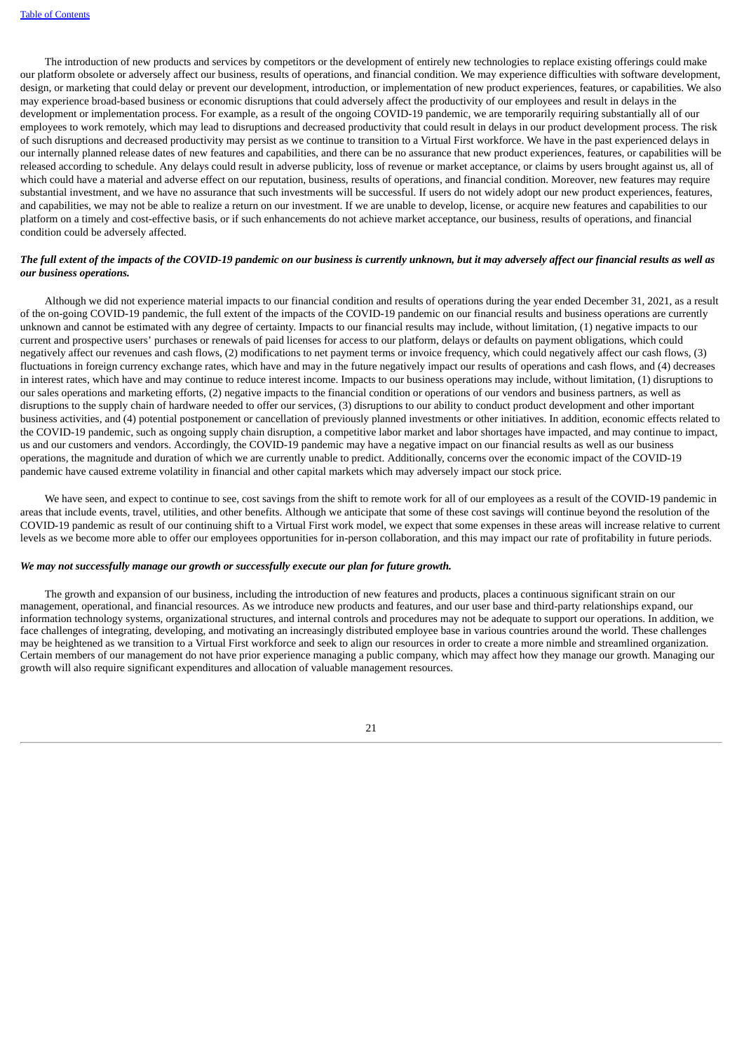The introduction of new products and services by competitors or the development of entirely new technologies to replace existing offerings could make our platform obsolete or adversely affect our business, results of operations, and financial condition. We may experience difficulties with software development, design, or marketing that could delay or prevent our development, introduction, or implementation of new product experiences, features, or capabilities. We also may experience broad-based business or economic disruptions that could adversely affect the productivity of our employees and result in delays in the development or implementation process. For example, as a result of the ongoing COVID-19 pandemic, we are temporarily requiring substantially all of our employees to work remotely, which may lead to disruptions and decreased productivity that could result in delays in our product development process. The risk of such disruptions and decreased productivity may persist as we continue to transition to a Virtual First workforce. We have in the past experienced delays in our internally planned release dates of new features and capabilities, and there can be no assurance that new product experiences, features, or capabilities will be released according to schedule. Any delays could result in adverse publicity, loss of revenue or market acceptance, or claims by users brought against us, all of which could have a material and adverse effect on our reputation, business, results of operations, and financial condition. Moreover, new features may require substantial investment, and we have no assurance that such investments will be successful. If users do not widely adopt our new product experiences, features, and capabilities, we may not be able to realize a return on our investment. If we are unable to develop, license, or acquire new features and capabilities to our platform on a timely and cost-effective basis, or if such enhancements do not achieve market acceptance, our business, results of operations, and financial condition could be adversely affected.

## The full extent of the impacts of the COVID-19 pandemic on our business is currently unknown, but it may adversely affect our financial results as well as *our business operations.*

Although we did not experience material impacts to our financial condition and results of operations during the year ended December 31, 2021, as a result of the on-going COVID-19 pandemic, the full extent of the impacts of the COVID-19 pandemic on our financial results and business operations are currently unknown and cannot be estimated with any degree of certainty. Impacts to our financial results may include, without limitation, (1) negative impacts to our current and prospective users' purchases or renewals of paid licenses for access to our platform, delays or defaults on payment obligations, which could negatively affect our revenues and cash flows, (2) modifications to net payment terms or invoice frequency, which could negatively affect our cash flows, (3) fluctuations in foreign currency exchange rates, which have and may in the future negatively impact our results of operations and cash flows, and (4) decreases in interest rates, which have and may continue to reduce interest income. Impacts to our business operations may include, without limitation, (1) disruptions to our sales operations and marketing efforts, (2) negative impacts to the financial condition or operations of our vendors and business partners, as well as disruptions to the supply chain of hardware needed to offer our services, (3) disruptions to our ability to conduct product development and other important business activities, and (4) potential postponement or cancellation of previously planned investments or other initiatives. In addition, economic effects related to the COVID-19 pandemic, such as ongoing supply chain disruption, a competitive labor market and labor shortages have impacted, and may continue to impact, us and our customers and vendors. Accordingly, the COVID-19 pandemic may have a negative impact on our financial results as well as our business operations, the magnitude and duration of which we are currently unable to predict. Additionally, concerns over the economic impact of the COVID-19 pandemic have caused extreme volatility in financial and other capital markets which may adversely impact our stock price.

We have seen, and expect to continue to see, cost savings from the shift to remote work for all of our employees as a result of the COVID-19 pandemic in areas that include events, travel, utilities, and other benefits. Although we anticipate that some of these cost savings will continue beyond the resolution of the COVID-19 pandemic as result of our continuing shift to a Virtual First work model, we expect that some expenses in these areas will increase relative to current levels as we become more able to offer our employees opportunities for in-person collaboration, and this may impact our rate of profitability in future periods.

## *We may not successfully manage our growth or successfully execute our plan for future growth.*

The growth and expansion of our business, including the introduction of new features and products, places a continuous significant strain on our management, operational, and financial resources. As we introduce new products and features, and our user base and third-party relationships expand, our information technology systems, organizational structures, and internal controls and procedures may not be adequate to support our operations. In addition, we face challenges of integrating, developing, and motivating an increasingly distributed employee base in various countries around the world. These challenges may be heightened as we transition to a Virtual First workforce and seek to align our resources in order to create a more nimble and streamlined organization. Certain members of our management do not have prior experience managing a public company, which may affect how they manage our growth. Managing our growth will also require significant expenditures and allocation of valuable management resources.

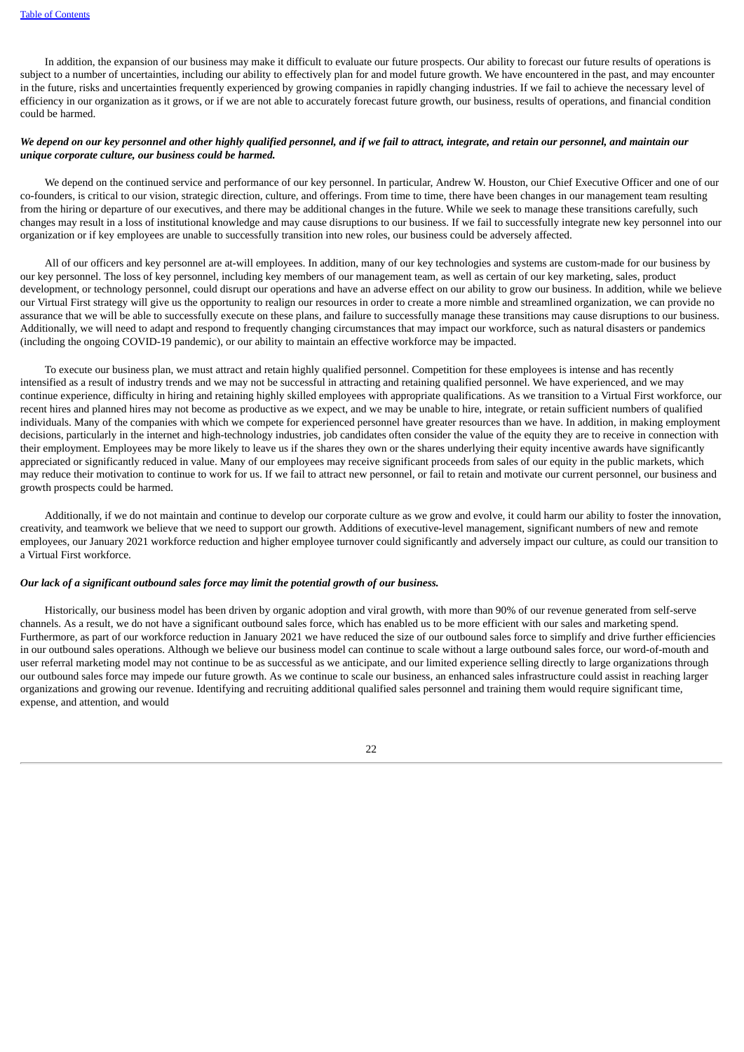In addition, the expansion of our business may make it difficult to evaluate our future prospects. Our ability to forecast our future results of operations is subject to a number of uncertainties, including our ability to effectively plan for and model future growth. We have encountered in the past, and may encounter in the future, risks and uncertainties frequently experienced by growing companies in rapidly changing industries. If we fail to achieve the necessary level of efficiency in our organization as it grows, or if we are not able to accurately forecast future growth, our business, results of operations, and financial condition could be harmed.

## We depend on our key personnel and other highly qualified personnel, and if we fail to attract, integrate, and retain our personnel, and maintain our *unique corporate culture, our business could be harmed.*

We depend on the continued service and performance of our key personnel. In particular, Andrew W. Houston, our Chief Executive Officer and one of our co-founders, is critical to our vision, strategic direction, culture, and offerings. From time to time, there have been changes in our management team resulting from the hiring or departure of our executives, and there may be additional changes in the future. While we seek to manage these transitions carefully, such changes may result in a loss of institutional knowledge and may cause disruptions to our business. If we fail to successfully integrate new key personnel into our organization or if key employees are unable to successfully transition into new roles, our business could be adversely affected.

All of our officers and key personnel are at-will employees. In addition, many of our key technologies and systems are custom-made for our business by our key personnel. The loss of key personnel, including key members of our management team, as well as certain of our key marketing, sales, product development, or technology personnel, could disrupt our operations and have an adverse effect on our ability to grow our business. In addition, while we believe our Virtual First strategy will give us the opportunity to realign our resources in order to create a more nimble and streamlined organization, we can provide no assurance that we will be able to successfully execute on these plans, and failure to successfully manage these transitions may cause disruptions to our business. Additionally, we will need to adapt and respond to frequently changing circumstances that may impact our workforce, such as natural disasters or pandemics (including the ongoing COVID-19 pandemic), or our ability to maintain an effective workforce may be impacted.

To execute our business plan, we must attract and retain highly qualified personnel. Competition for these employees is intense and has recently intensified as a result of industry trends and we may not be successful in attracting and retaining qualified personnel. We have experienced, and we may continue experience, difficulty in hiring and retaining highly skilled employees with appropriate qualifications. As we transition to a Virtual First workforce, our recent hires and planned hires may not become as productive as we expect, and we may be unable to hire, integrate, or retain sufficient numbers of qualified individuals. Many of the companies with which we compete for experienced personnel have greater resources than we have. In addition, in making employment decisions, particularly in the internet and high-technology industries, job candidates often consider the value of the equity they are to receive in connection with their employment. Employees may be more likely to leave us if the shares they own or the shares underlying their equity incentive awards have significantly appreciated or significantly reduced in value. Many of our employees may receive significant proceeds from sales of our equity in the public markets, which may reduce their motivation to continue to work for us. If we fail to attract new personnel, or fail to retain and motivate our current personnel, our business and growth prospects could be harmed.

Additionally, if we do not maintain and continue to develop our corporate culture as we grow and evolve, it could harm our ability to foster the innovation, creativity, and teamwork we believe that we need to support our growth. Additions of executive-level management, significant numbers of new and remote employees, our January 2021 workforce reduction and higher employee turnover could significantly and adversely impact our culture, as could our transition to a Virtual First workforce.

## *Our lack of a significant outbound sales force may limit the potential growth of our business.*

Historically, our business model has been driven by organic adoption and viral growth, with more than 90% of our revenue generated from self-serve channels. As a result, we do not have a significant outbound sales force, which has enabled us to be more efficient with our sales and marketing spend. Furthermore, as part of our workforce reduction in January 2021 we have reduced the size of our outbound sales force to simplify and drive further efficiencies in our outbound sales operations. Although we believe our business model can continue to scale without a large outbound sales force, our word-of-mouth and user referral marketing model may not continue to be as successful as we anticipate, and our limited experience selling directly to large organizations through our outbound sales force may impede our future growth. As we continue to scale our business, an enhanced sales infrastructure could assist in reaching larger organizations and growing our revenue. Identifying and recruiting additional qualified sales personnel and training them would require significant time, expense, and attention, and would

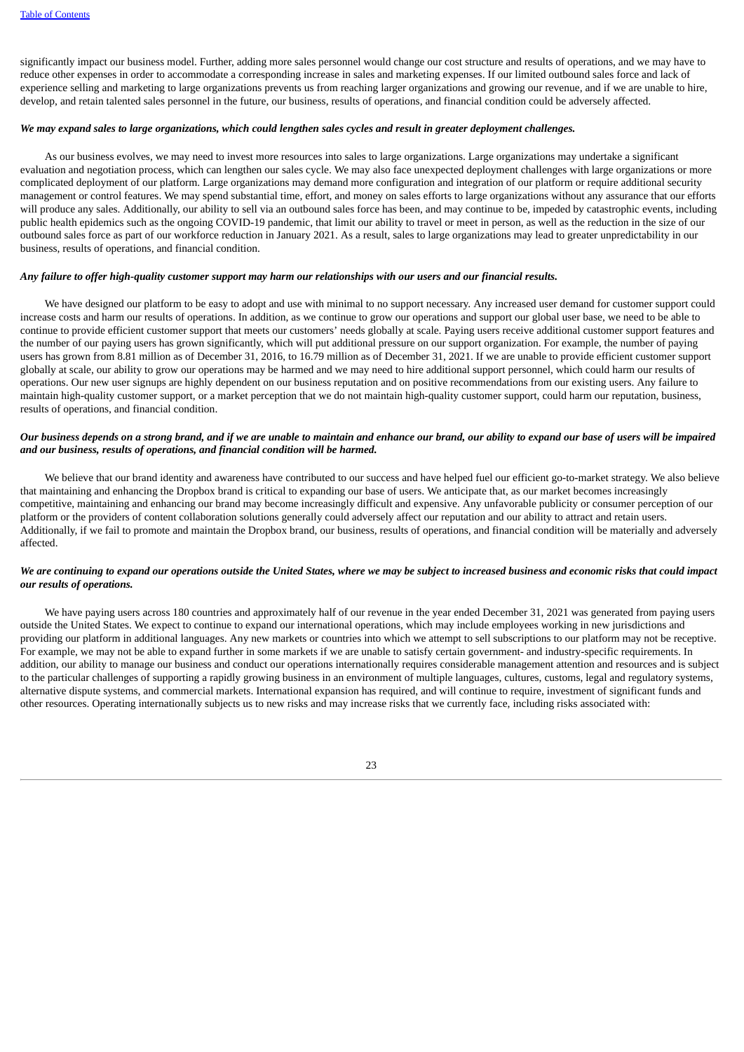significantly impact our business model. Further, adding more sales personnel would change our cost structure and results of operations, and we may have to reduce other expenses in order to accommodate a corresponding increase in sales and marketing expenses. If our limited outbound sales force and lack of experience selling and marketing to large organizations prevents us from reaching larger organizations and growing our revenue, and if we are unable to hire, develop, and retain talented sales personnel in the future, our business, results of operations, and financial condition could be adversely affected.

#### We may expand sales to large organizations, which could lengthen sales cycles and result in greater deployment challenges.

As our business evolves, we may need to invest more resources into sales to large organizations. Large organizations may undertake a significant evaluation and negotiation process, which can lengthen our sales cycle. We may also face unexpected deployment challenges with large organizations or more complicated deployment of our platform. Large organizations may demand more configuration and integration of our platform or require additional security management or control features. We may spend substantial time, effort, and money on sales efforts to large organizations without any assurance that our efforts will produce any sales. Additionally, our ability to sell via an outbound sales force has been, and may continue to be, impeded by catastrophic events, including public health epidemics such as the ongoing COVID-19 pandemic, that limit our ability to travel or meet in person, as well as the reduction in the size of our outbound sales force as part of our workforce reduction in January 2021. As a result, sales to large organizations may lead to greater unpredictability in our business, results of operations, and financial condition.

#### Any failure to offer high-quality customer support may harm our relationships with our users and our financial results.

We have designed our platform to be easy to adopt and use with minimal to no support necessary. Any increased user demand for customer support could increase costs and harm our results of operations. In addition, as we continue to grow our operations and support our global user base, we need to be able to continue to provide efficient customer support that meets our customers' needs globally at scale. Paying users receive additional customer support features and the number of our paying users has grown significantly, which will put additional pressure on our support organization. For example, the number of paying users has grown from 8.81 million as of December 31, 2016, to 16.79 million as of December 31, 2021. If we are unable to provide efficient customer support globally at scale, our ability to grow our operations may be harmed and we may need to hire additional support personnel, which could harm our results of operations. Our new user signups are highly dependent on our business reputation and on positive recommendations from our existing users. Any failure to maintain high-quality customer support, or a market perception that we do not maintain high-quality customer support, could harm our reputation, business, results of operations, and financial condition.

## Our business depends on a strong brand, and if we are unable to maintain and enhance our brand, our ability to expand our base of users will be impaired *and our business, results of operations, and financial condition will be harmed.*

We believe that our brand identity and awareness have contributed to our success and have helped fuel our efficient go-to-market strategy. We also believe that maintaining and enhancing the Dropbox brand is critical to expanding our base of users. We anticipate that, as our market becomes increasingly competitive, maintaining and enhancing our brand may become increasingly difficult and expensive. Any unfavorable publicity or consumer perception of our platform or the providers of content collaboration solutions generally could adversely affect our reputation and our ability to attract and retain users. Additionally, if we fail to promote and maintain the Dropbox brand, our business, results of operations, and financial condition will be materially and adversely affected.

## We are continuing to expand our operations outside the United States, where we may be subject to increased business and economic risks that could impact *our results of operations.*

We have paying users across 180 countries and approximately half of our revenue in the year ended December 31, 2021 was generated from paying users outside the United States. We expect to continue to expand our international operations, which may include employees working in new jurisdictions and providing our platform in additional languages. Any new markets or countries into which we attempt to sell subscriptions to our platform may not be receptive. For example, we may not be able to expand further in some markets if we are unable to satisfy certain government- and industry-specific requirements. In addition, our ability to manage our business and conduct our operations internationally requires considerable management attention and resources and is subject to the particular challenges of supporting a rapidly growing business in an environment of multiple languages, cultures, customs, legal and regulatory systems, alternative dispute systems, and commercial markets. International expansion has required, and will continue to require, investment of significant funds and other resources. Operating internationally subjects us to new risks and may increase risks that we currently face, including risks associated with:

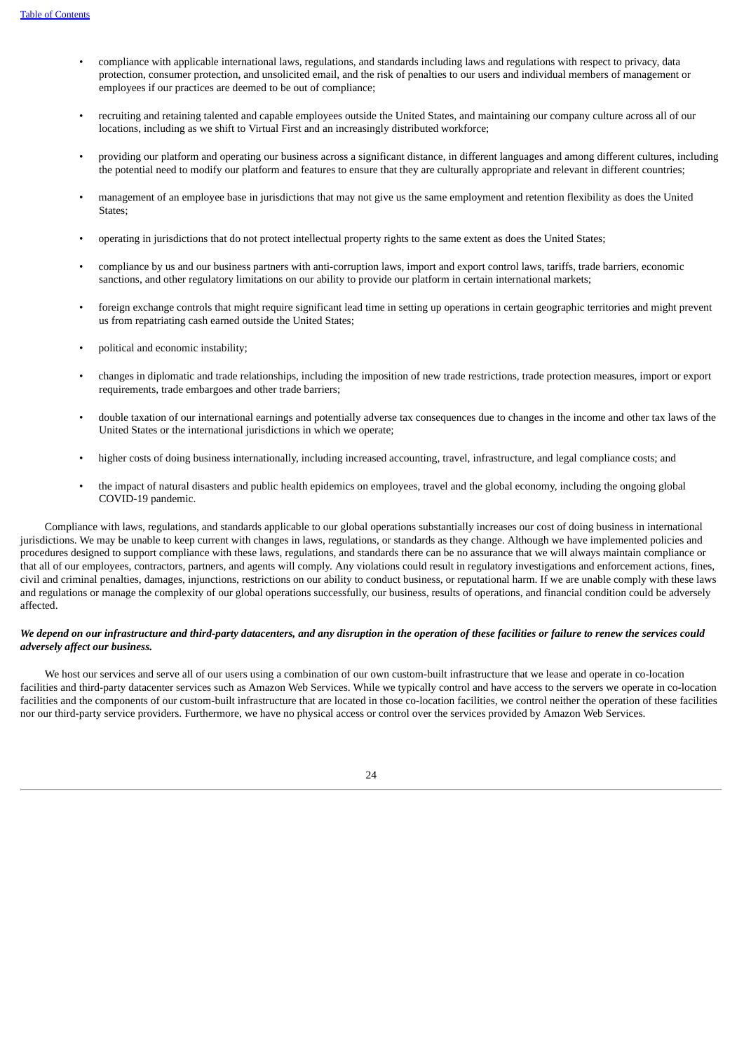- compliance with applicable international laws, regulations, and standards including laws and regulations with respect to privacy, data protection, consumer protection, and unsolicited email, and the risk of penalties to our users and individual members of management or employees if our practices are deemed to be out of compliance;
- recruiting and retaining talented and capable employees outside the United States, and maintaining our company culture across all of our locations, including as we shift to Virtual First and an increasingly distributed workforce;
- providing our platform and operating our business across a significant distance, in different languages and among different cultures, including the potential need to modify our platform and features to ensure that they are culturally appropriate and relevant in different countries;
- management of an employee base in jurisdictions that may not give us the same employment and retention flexibility as does the United States;
- operating in jurisdictions that do not protect intellectual property rights to the same extent as does the United States;
- compliance by us and our business partners with anti-corruption laws, import and export control laws, tariffs, trade barriers, economic sanctions, and other regulatory limitations on our ability to provide our platform in certain international markets;
- foreign exchange controls that might require significant lead time in setting up operations in certain geographic territories and might prevent us from repatriating cash earned outside the United States;
- political and economic instability;
- changes in diplomatic and trade relationships, including the imposition of new trade restrictions, trade protection measures, import or export requirements, trade embargoes and other trade barriers;
- double taxation of our international earnings and potentially adverse tax consequences due to changes in the income and other tax laws of the United States or the international jurisdictions in which we operate;
- higher costs of doing business internationally, including increased accounting, travel, infrastructure, and legal compliance costs; and
- the impact of natural disasters and public health epidemics on employees, travel and the global economy, including the ongoing global COVID-19 pandemic.

Compliance with laws, regulations, and standards applicable to our global operations substantially increases our cost of doing business in international jurisdictions. We may be unable to keep current with changes in laws, regulations, or standards as they change. Although we have implemented policies and procedures designed to support compliance with these laws, regulations, and standards there can be no assurance that we will always maintain compliance or that all of our employees, contractors, partners, and agents will comply. Any violations could result in regulatory investigations and enforcement actions, fines, civil and criminal penalties, damages, injunctions, restrictions on our ability to conduct business, or reputational harm. If we are unable comply with these laws and regulations or manage the complexity of our global operations successfully, our business, results of operations, and financial condition could be adversely affected.

## We depend on our infrastructure and third-party datacenters, and any disruption in the operation of these facilities or failure to renew the services could *adversely affect our business.*

We host our services and serve all of our users using a combination of our own custom-built infrastructure that we lease and operate in co-location facilities and third-party datacenter services such as Amazon Web Services. While we typically control and have access to the servers we operate in co-location facilities and the components of our custom-built infrastructure that are located in those co-location facilities, we control neither the operation of these facilities nor our third-party service providers. Furthermore, we have no physical access or control over the services provided by Amazon Web Services.

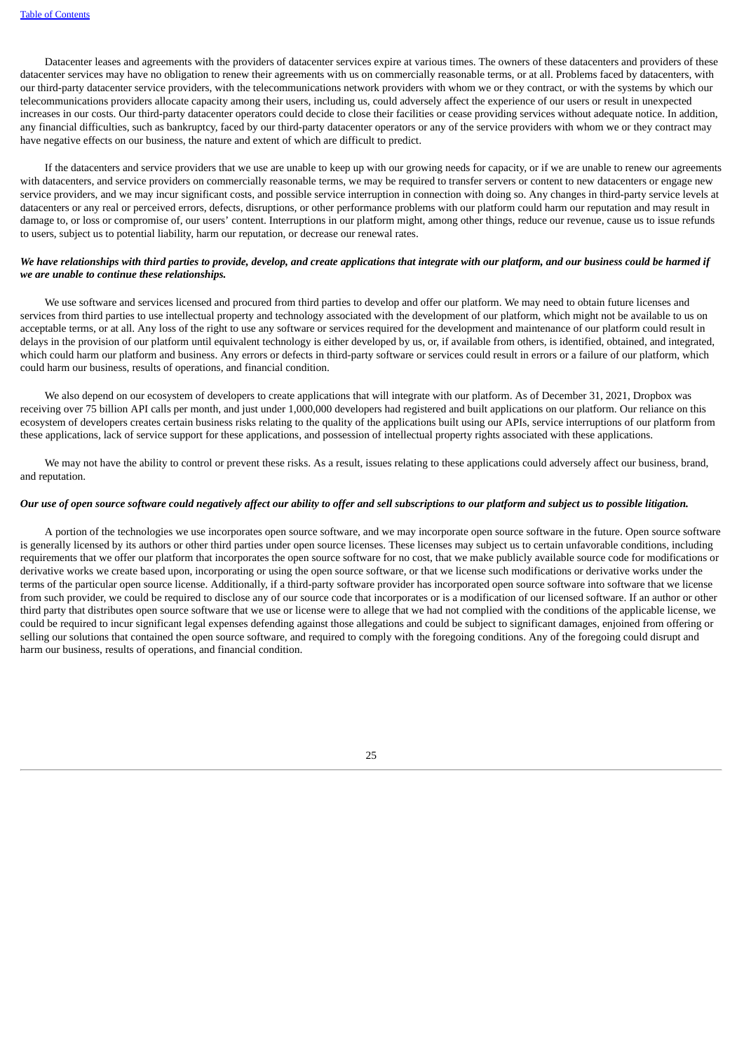Datacenter leases and agreements with the providers of datacenter services expire at various times. The owners of these datacenters and providers of these datacenter services may have no obligation to renew their agreements with us on commercially reasonable terms, or at all. Problems faced by datacenters, with our third-party datacenter service providers, with the telecommunications network providers with whom we or they contract, or with the systems by which our telecommunications providers allocate capacity among their users, including us, could adversely affect the experience of our users or result in unexpected increases in our costs. Our third-party datacenter operators could decide to close their facilities or cease providing services without adequate notice. In addition, any financial difficulties, such as bankruptcy, faced by our third-party datacenter operators or any of the service providers with whom we or they contract may have negative effects on our business, the nature and extent of which are difficult to predict.

If the datacenters and service providers that we use are unable to keep up with our growing needs for capacity, or if we are unable to renew our agreements with datacenters, and service providers on commercially reasonable terms, we may be required to transfer servers or content to new datacenters or engage new service providers, and we may incur significant costs, and possible service interruption in connection with doing so. Any changes in third-party service levels at datacenters or any real or perceived errors, defects, disruptions, or other performance problems with our platform could harm our reputation and may result in damage to, or loss or compromise of, our users' content. Interruptions in our platform might, among other things, reduce our revenue, cause us to issue refunds to users, subject us to potential liability, harm our reputation, or decrease our renewal rates.

## We have relationships with third parties to provide, develop, and create applications that integrate with our platform, and our business could be harmed if *we are unable to continue these relationships.*

We use software and services licensed and procured from third parties to develop and offer our platform. We may need to obtain future licenses and services from third parties to use intellectual property and technology associated with the development of our platform, which might not be available to us on acceptable terms, or at all. Any loss of the right to use any software or services required for the development and maintenance of our platform could result in delays in the provision of our platform until equivalent technology is either developed by us, or, if available from others, is identified, obtained, and integrated, which could harm our platform and business. Any errors or defects in third-party software or services could result in errors or a failure of our platform, which could harm our business, results of operations, and financial condition.

We also depend on our ecosystem of developers to create applications that will integrate with our platform. As of December 31, 2021, Dropbox was receiving over 75 billion API calls per month, and just under 1,000,000 developers had registered and built applications on our platform. Our reliance on this ecosystem of developers creates certain business risks relating to the quality of the applications built using our APIs, service interruptions of our platform from these applications, lack of service support for these applications, and possession of intellectual property rights associated with these applications.

We may not have the ability to control or prevent these risks. As a result, issues relating to these applications could adversely affect our business, brand, and reputation.

#### Our use of open source software could negatively affect our ability to offer and sell subscriptions to our platform and subject us to possible litigation.

A portion of the technologies we use incorporates open source software, and we may incorporate open source software in the future. Open source software is generally licensed by its authors or other third parties under open source licenses. These licenses may subject us to certain unfavorable conditions, including requirements that we offer our platform that incorporates the open source software for no cost, that we make publicly available source code for modifications or derivative works we create based upon, incorporating or using the open source software, or that we license such modifications or derivative works under the terms of the particular open source license. Additionally, if a third-party software provider has incorporated open source software into software that we license from such provider, we could be required to disclose any of our source code that incorporates or is a modification of our licensed software. If an author or other third party that distributes open source software that we use or license were to allege that we had not complied with the conditions of the applicable license, we could be required to incur significant legal expenses defending against those allegations and could be subject to significant damages, enjoined from offering or selling our solutions that contained the open source software, and required to comply with the foregoing conditions. Any of the foregoing could disrupt and harm our business, results of operations, and financial condition.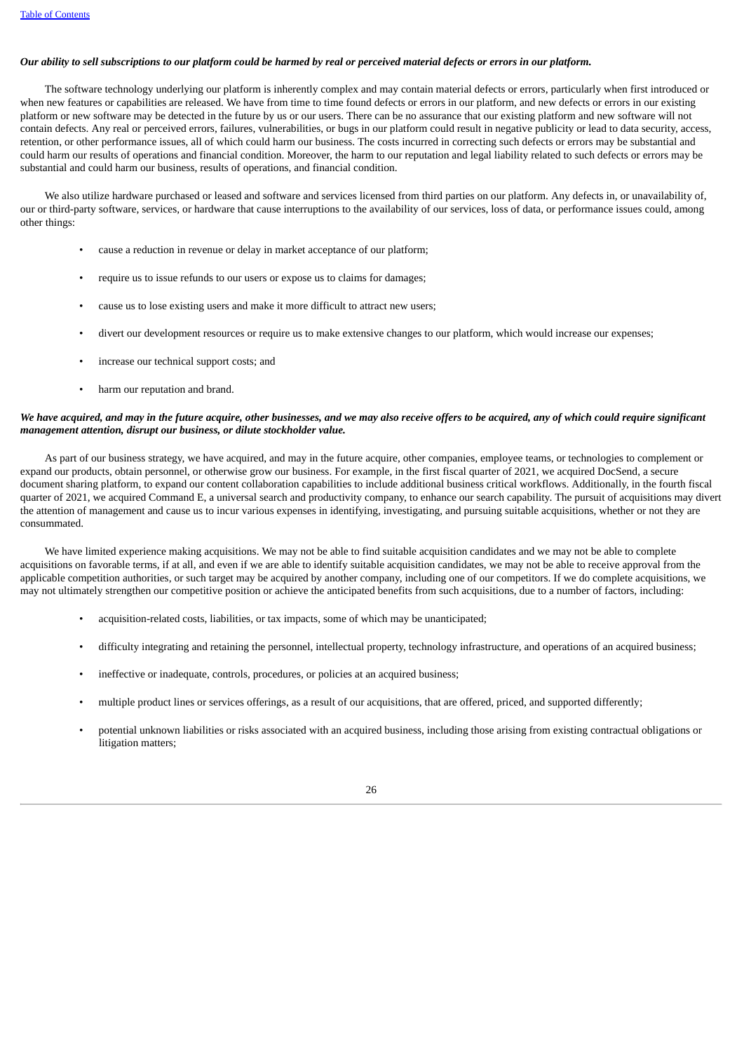## Our ability to sell subscriptions to our platform could be harmed by real or perceived material defects or errors in our platform.

The software technology underlying our platform is inherently complex and may contain material defects or errors, particularly when first introduced or when new features or capabilities are released. We have from time to time found defects or errors in our platform, and new defects or errors in our existing platform or new software may be detected in the future by us or our users. There can be no assurance that our existing platform and new software will not contain defects. Any real or perceived errors, failures, vulnerabilities, or bugs in our platform could result in negative publicity or lead to data security, access, retention, or other performance issues, all of which could harm our business. The costs incurred in correcting such defects or errors may be substantial and could harm our results of operations and financial condition. Moreover, the harm to our reputation and legal liability related to such defects or errors may be substantial and could harm our business, results of operations, and financial condition.

We also utilize hardware purchased or leased and software and services licensed from third parties on our platform. Any defects in, or unavailability of, our or third-party software, services, or hardware that cause interruptions to the availability of our services, loss of data, or performance issues could, among other things:

- cause a reduction in revenue or delay in market acceptance of our platform;
- require us to issue refunds to our users or expose us to claims for damages;
- cause us to lose existing users and make it more difficult to attract new users;
- divert our development resources or require us to make extensive changes to our platform, which would increase our expenses;
- increase our technical support costs; and
- harm our reputation and brand.

## We have acquired, and may in the future acquire, other businesses, and we may also receive offers to be acquired, any of which could require significant *management attention, disrupt our business, or dilute stockholder value.*

As part of our business strategy, we have acquired, and may in the future acquire, other companies, employee teams, or technologies to complement or expand our products, obtain personnel, or otherwise grow our business. For example, in the first fiscal quarter of 2021, we acquired DocSend, a secure document sharing platform, to expand our content collaboration capabilities to include additional business critical workflows. Additionally, in the fourth fiscal quarter of 2021, we acquired Command E, a universal search and productivity company, to enhance our search capability. The pursuit of acquisitions may divert the attention of management and cause us to incur various expenses in identifying, investigating, and pursuing suitable acquisitions, whether or not they are consummated.

We have limited experience making acquisitions. We may not be able to find suitable acquisition candidates and we may not be able to complete acquisitions on favorable terms, if at all, and even if we are able to identify suitable acquisition candidates, we may not be able to receive approval from the applicable competition authorities, or such target may be acquired by another company, including one of our competitors. If we do complete acquisitions, we may not ultimately strengthen our competitive position or achieve the anticipated benefits from such acquisitions, due to a number of factors, including:

- acquisition-related costs, liabilities, or tax impacts, some of which may be unanticipated;
- difficulty integrating and retaining the personnel, intellectual property, technology infrastructure, and operations of an acquired business;
- ineffective or inadequate, controls, procedures, or policies at an acquired business;
- multiple product lines or services offerings, as a result of our acquisitions, that are offered, priced, and supported differently;
- potential unknown liabilities or risks associated with an acquired business, including those arising from existing contractual obligations or <u>.</u><br>litigation matters:

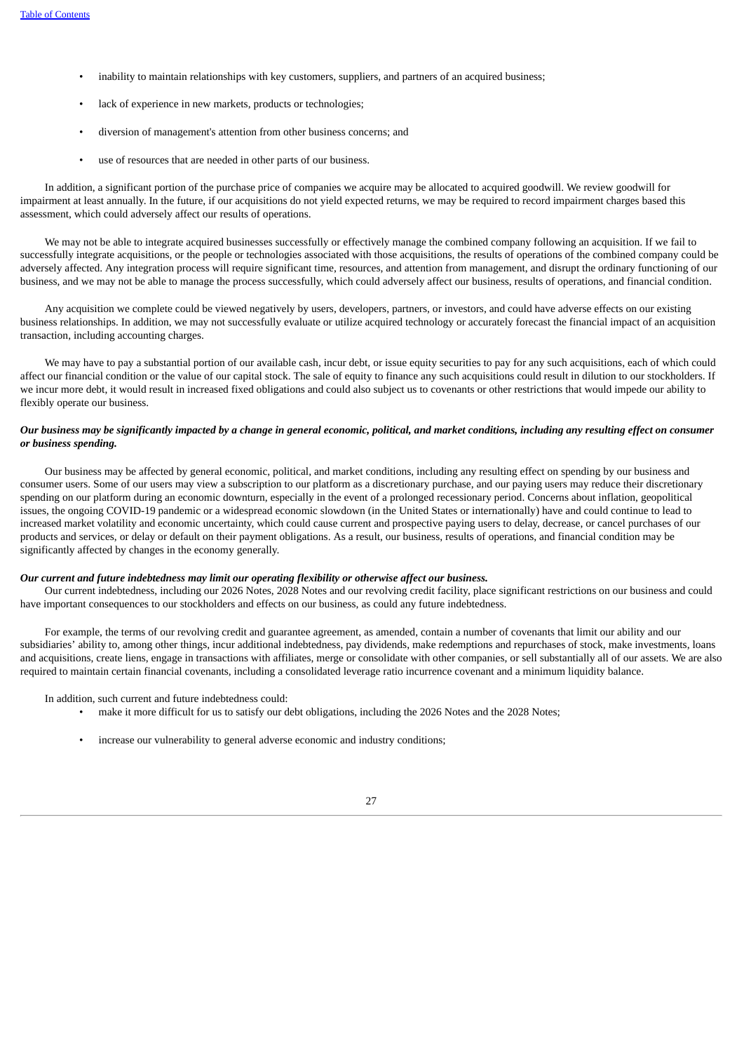- inability to maintain relationships with key customers, suppliers, and partners of an acquired business;
- lack of experience in new markets, products or technologies;
- diversion of management's attention from other business concerns; and
- use of resources that are needed in other parts of our business.

In addition, a significant portion of the purchase price of companies we acquire may be allocated to acquired goodwill. We review goodwill for impairment at least annually. In the future, if our acquisitions do not yield expected returns, we may be required to record impairment charges based this assessment, which could adversely affect our results of operations.

We may not be able to integrate acquired businesses successfully or effectively manage the combined company following an acquisition. If we fail to successfully integrate acquisitions, or the people or technologies associated with those acquisitions, the results of operations of the combined company could be adversely affected. Any integration process will require significant time, resources, and attention from management, and disrupt the ordinary functioning of our business, and we may not be able to manage the process successfully, which could adversely affect our business, results of operations, and financial condition.

Any acquisition we complete could be viewed negatively by users, developers, partners, or investors, and could have adverse effects on our existing business relationships. In addition, we may not successfully evaluate or utilize acquired technology or accurately forecast the financial impact of an acquisition transaction, including accounting charges.

We may have to pay a substantial portion of our available cash, incur debt, or issue equity securities to pay for any such acquisitions, each of which could affect our financial condition or the value of our capital stock. The sale of equity to finance any such acquisitions could result in dilution to our stockholders. If we incur more debt, it would result in increased fixed obligations and could also subject us to covenants or other restrictions that would impede our ability to flexibly operate our business.

## Our business may be significantly impacted by a change in general economic, political, and market conditions, including any resulting effect on consumer *or business spending.*

Our business may be affected by general economic, political, and market conditions, including any resulting effect on spending by our business and consumer users. Some of our users may view a subscription to our platform as a discretionary purchase, and our paying users may reduce their discretionary spending on our platform during an economic downturn, especially in the event of a prolonged recessionary period. Concerns about inflation, geopolitical issues, the ongoing COVID-19 pandemic or a widespread economic slowdown (in the United States or internationally) have and could continue to lead to increased market volatility and economic uncertainty, which could cause current and prospective paying users to delay, decrease, or cancel purchases of our products and services, or delay or default on their payment obligations. As a result, our business, results of operations, and financial condition may be significantly affected by changes in the economy generally.

#### *Our current and future indebtedness may limit our operating flexibility or otherwise affect our business.*

Our current indebtedness, including our 2026 Notes, 2028 Notes and our revolving credit facility, place significant restrictions on our business and could have important consequences to our stockholders and effects on our business, as could any future indebtedness.

For example, the terms of our revolving credit and guarantee agreement, as amended, contain a number of covenants that limit our ability and our subsidiaries' ability to, among other things, incur additional indebtedness, pay dividends, make redemptions and repurchases of stock, make investments, loans and acquisitions, create liens, engage in transactions with affiliates, merge or consolidate with other companies, or sell substantially all of our assets. We are also required to maintain certain financial covenants, including a consolidated leverage ratio incurrence covenant and a minimum liquidity balance.

In addition, such current and future indebtedness could:

- make it more difficult for us to satisfy our debt obligations, including the 2026 Notes and the 2028 Notes;
- increase our vulnerability to general adverse economic and industry conditions;

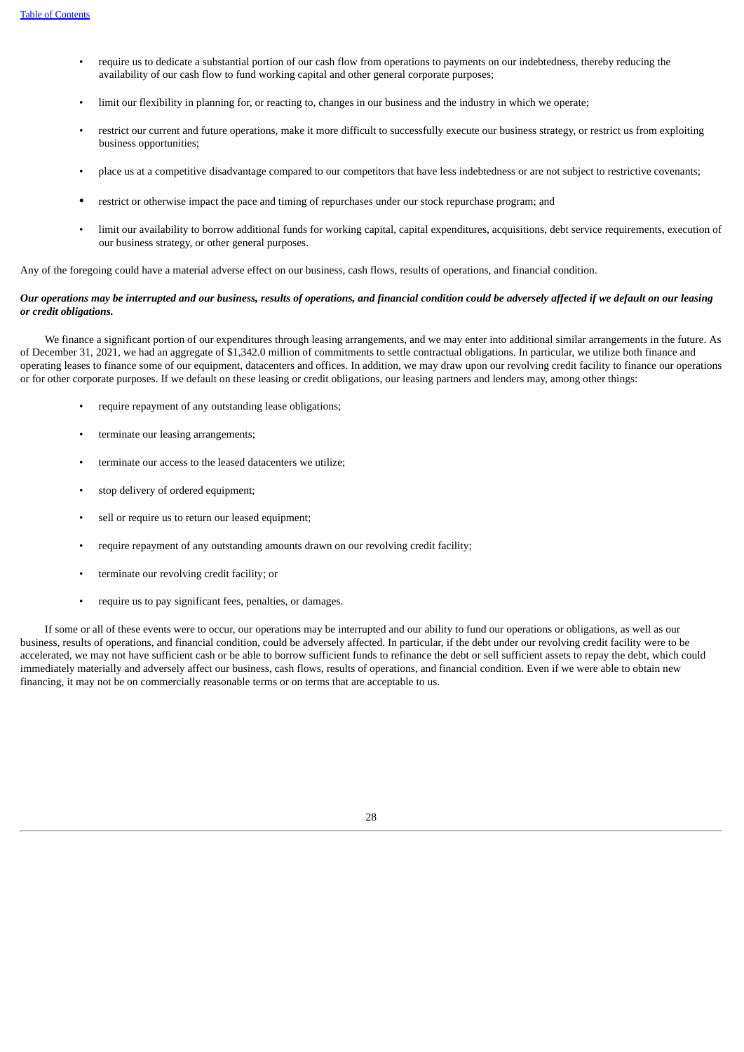- require us to dedicate a substantial portion of our cash flow from operations to payments on our indebtedness, thereby reducing the availability of our cash flow to fund working capital and other general corporate purposes;
- limit our flexibility in planning for, or reacting to, changes in our business and the industry in which we operate;
- restrict our current and future operations, make it more difficult to successfully execute our business strategy, or restrict us from exploiting business opportunities;
- place us at a competitive disadvantage compared to our competitors that have less indebtedness or are not subject to restrictive covenants;
- restrict or otherwise impact the pace and timing of repurchases under our stock repurchase program; and
- limit our availability to borrow additional funds for working capital, capital expenditures, acquisitions, debt service requirements, execution of our business strategy, or other general purposes.

Any of the foregoing could have a material adverse effect on our business, cash flows, results of operations, and financial condition.

## Our operations may be interrupted and our business, results of operations, and financial condition could be adversely affected if we default on our leasing *or credit obligations.*

We finance a significant portion of our expenditures through leasing arrangements, and we may enter into additional similar arrangements in the future. As of December 31, 2021, we had an aggregate of \$1,342.0 million of commitments to settle contractual obligations. In particular, we utilize both finance and operating leases to finance some of our equipment, datacenters and offices. In addition, we may draw upon our revolving credit facility to finance our operations or for other corporate purposes. If we default on these leasing or credit obligations, our leasing partners and lenders may, among other things:

- require repayment of any outstanding lease obligations;
- terminate our leasing arrangements;
- terminate our access to the leased datacenters we utilize;
- stop delivery of ordered equipment;
- sell or require us to return our leased equipment;
- require repayment of any outstanding amounts drawn on our revolving credit facility;
- terminate our revolving credit facility; or
- require us to pay significant fees, penalties, or damages.

If some or all of these events were to occur, our operations may be interrupted and our ability to fund our operations or obligations, as well as our business, results of operations, and financial condition, could be adversely affected. In particular, if the debt under our revolving credit facility were to be accelerated, we may not have sufficient cash or be able to borrow sufficient funds to refinance the debt or sell sufficient assets to repay the debt, which could immediately materially and adversely affect our business, cash flows, results of operations, and financial condition. Even if we were able to obtain new financing, it may not be on commercially reasonable terms or on terms that are acceptable to us.

28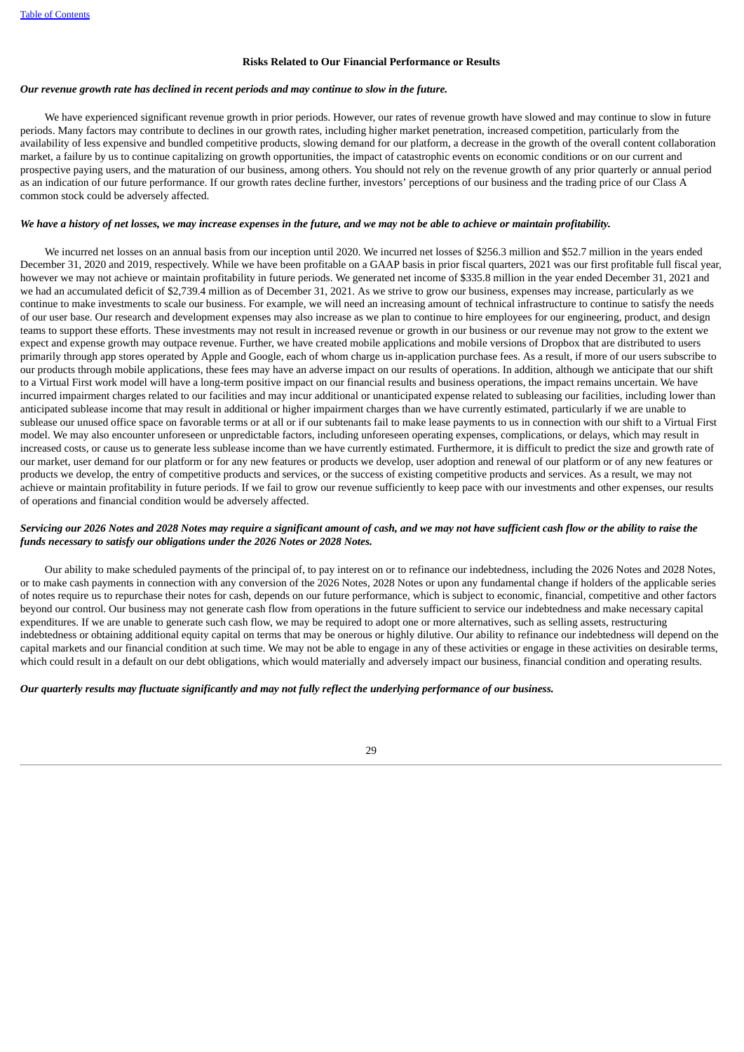#### **Risks Related to Our Financial Performance or Results**

#### *Our revenue growth rate has declined in recent periods and may continue to slow in the future.*

We have experienced significant revenue growth in prior periods. However, our rates of revenue growth have slowed and may continue to slow in future periods. Many factors may contribute to declines in our growth rates, including higher market penetration, increased competition, particularly from the availability of less expensive and bundled competitive products, slowing demand for our platform, a decrease in the growth of the overall content collaboration market, a failure by us to continue capitalizing on growth opportunities, the impact of catastrophic events on economic conditions or on our current and prospective paying users, and the maturation of our business, among others. You should not rely on the revenue growth of any prior quarterly or annual period as an indication of our future performance. If our growth rates decline further, investors' perceptions of our business and the trading price of our Class A common stock could be adversely affected.

## We have a history of net losses, we may increase expenses in the future, and we may not be able to achieve or maintain profitability.

We incurred net losses on an annual basis from our inception until 2020. We incurred net losses of \$256.3 million and \$52.7 million in the years ended December 31, 2020 and 2019, respectively. While we have been profitable on a GAAP basis in prior fiscal quarters, 2021 was our first profitable full fiscal year, however we may not achieve or maintain profitability in future periods. We generated net income of \$335.8 million in the year ended December 31, 2021 and we had an accumulated deficit of \$2,739.4 million as of December 31, 2021. As we strive to grow our business, expenses may increase, particularly as we continue to make investments to scale our business. For example, we will need an increasing amount of technical infrastructure to continue to satisfy the needs of our user base. Our research and development expenses may also increase as we plan to continue to hire employees for our engineering, product, and design teams to support these efforts. These investments may not result in increased revenue or growth in our business or our revenue may not grow to the extent we expect and expense growth may outpace revenue. Further, we have created mobile applications and mobile versions of Dropbox that are distributed to users primarily through app stores operated by Apple and Google, each of whom charge us in-application purchase fees. As a result, if more of our users subscribe to our products through mobile applications, these fees may have an adverse impact on our results of operations. In addition, although we anticipate that our shift to a Virtual First work model will have a long-term positive impact on our financial results and business operations, the impact remains uncertain. We have incurred impairment charges related to our facilities and may incur additional or unanticipated expense related to subleasing our facilities, including lower than anticipated sublease income that may result in additional or higher impairment charges than we have currently estimated, particularly if we are unable to sublease our unused office space on favorable terms or at all or if our subtenants fail to make lease payments to us in connection with our shift to a Virtual First model. We may also encounter unforeseen or unpredictable factors, including unforeseen operating expenses, complications, or delays, which may result in increased costs, or cause us to generate less sublease income than we have currently estimated. Furthermore, it is difficult to predict the size and growth rate of our market, user demand for our platform or for any new features or products we develop, user adoption and renewal of our platform or of any new features or products we develop, the entry of competitive products and services, or the success of existing competitive products and services. As a result, we may not achieve or maintain profitability in future periods. If we fail to grow our revenue sufficiently to keep pace with our investments and other expenses, our results of operations and financial condition would be adversely affected.

## Servicing our 2026 Notes and 2028 Notes may require a significant amount of cash, and we may not have sufficient cash flow or the ability to raise the *funds necessary to satisfy our obligations under the 2026 Notes or 2028 Notes.*

Our ability to make scheduled payments of the principal of, to pay interest on or to refinance our indebtedness, including the 2026 Notes and 2028 Notes, or to make cash payments in connection with any conversion of the 2026 Notes, 2028 Notes or upon any fundamental change if holders of the applicable series of notes require us to repurchase their notes for cash, depends on our future performance, which is subject to economic, financial, competitive and other factors beyond our control. Our business may not generate cash flow from operations in the future sufficient to service our indebtedness and make necessary capital expenditures. If we are unable to generate such cash flow, we may be required to adopt one or more alternatives, such as selling assets, restructuring indebtedness or obtaining additional equity capital on terms that may be onerous or highly dilutive. Our ability to refinance our indebtedness will depend on the capital markets and our financial condition at such time. We may not be able to engage in any of these activities or engage in these activities on desirable terms, which could result in a default on our debt obligations, which would materially and adversely impact our business, financial condition and operating results.

## Our quarterly results may fluctuate significantly and may not fully reflect the underlying performance of our business.

29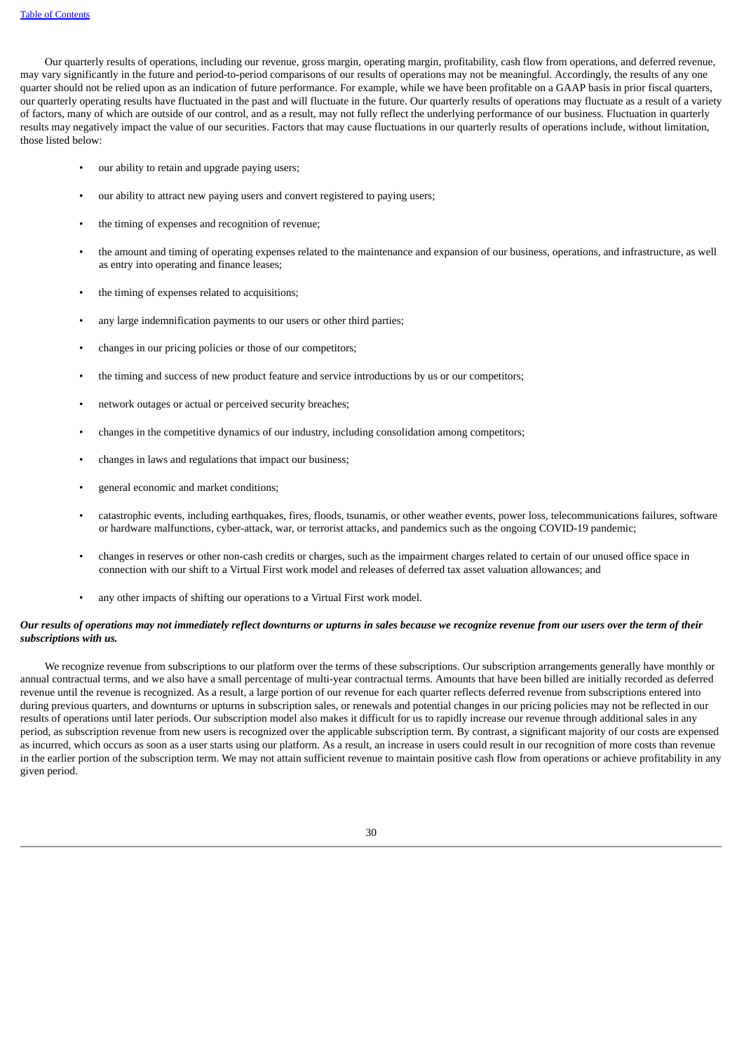Our quarterly results of operations, including our revenue, gross margin, operating margin, profitability, cash flow from operations, and deferred revenue, may vary significantly in the future and period-to-period comparisons of our results of operations may not be meaningful. Accordingly, the results of any one quarter should not be relied upon as an indication of future performance. For example, while we have been profitable on a GAAP basis in prior fiscal quarters, our quarterly operating results have fluctuated in the past and will fluctuate in the future. Our quarterly results of operations may fluctuate as a result of a variety of factors, many of which are outside of our control, and as a result, may not fully reflect the underlying performance of our business. Fluctuation in quarterly results may negatively impact the value of our securities. Factors that may cause fluctuations in our quarterly results of operations include, without limitation, those listed below:

- our ability to retain and upgrade paying users;
- our ability to attract new paying users and convert registered to paying users;
- the timing of expenses and recognition of revenue;
- the amount and timing of operating expenses related to the maintenance and expansion of our business, operations, and infrastructure, as well as entry into operating and finance leases;
- the timing of expenses related to acquisitions;
- any large indemnification payments to our users or other third parties;
- changes in our pricing policies or those of our competitors;
- the timing and success of new product feature and service introductions by us or our competitors;
- network outages or actual or perceived security breaches;
- changes in the competitive dynamics of our industry, including consolidation among competitors;
- changes in laws and regulations that impact our business;
- general economic and market conditions;
- catastrophic events, including earthquakes, fires, floods, tsunamis, or other weather events, power loss, telecommunications failures, software or hardware malfunctions, cyber-attack, war, or terrorist attacks, and pandemics such as the ongoing COVID-19 pandemic;
- changes in reserves or other non-cash credits or charges, such as the impairment charges related to certain of our unused office space in connection with our shift to a Virtual First work model and releases of deferred tax asset valuation allowances; and
- any other impacts of shifting our operations to a Virtual First work model.

## Our results of operations may not immediately reflect downturns or upturns in sales because we recognize revenue from our users over the term of their *subscriptions with us.*

We recognize revenue from subscriptions to our platform over the terms of these subscriptions. Our subscription arrangements generally have monthly or annual contractual terms, and we also have a small percentage of multi-year contractual terms. Amounts that have been billed are initially recorded as deferred revenue until the revenue is recognized. As a result, a large portion of our revenue for each quarter reflects deferred revenue from subscriptions entered into during previous quarters, and downturns or upturns in subscription sales, or renewals and potential changes in our pricing policies may not be reflected in our results of operations until later periods. Our subscription model also makes it difficult for us to rapidly increase our revenue through additional sales in any period, as subscription revenue from new users is recognized over the applicable subscription term. By contrast, a significant majority of our costs are expensed as incurred, which occurs as soon as a user starts using our platform. As a result, an increase in users could result in our recognition of more costs than revenue in the earlier portion of the subscription term. We may not attain sufficient revenue to maintain positive cash flow from operations or achieve profitability in any given period.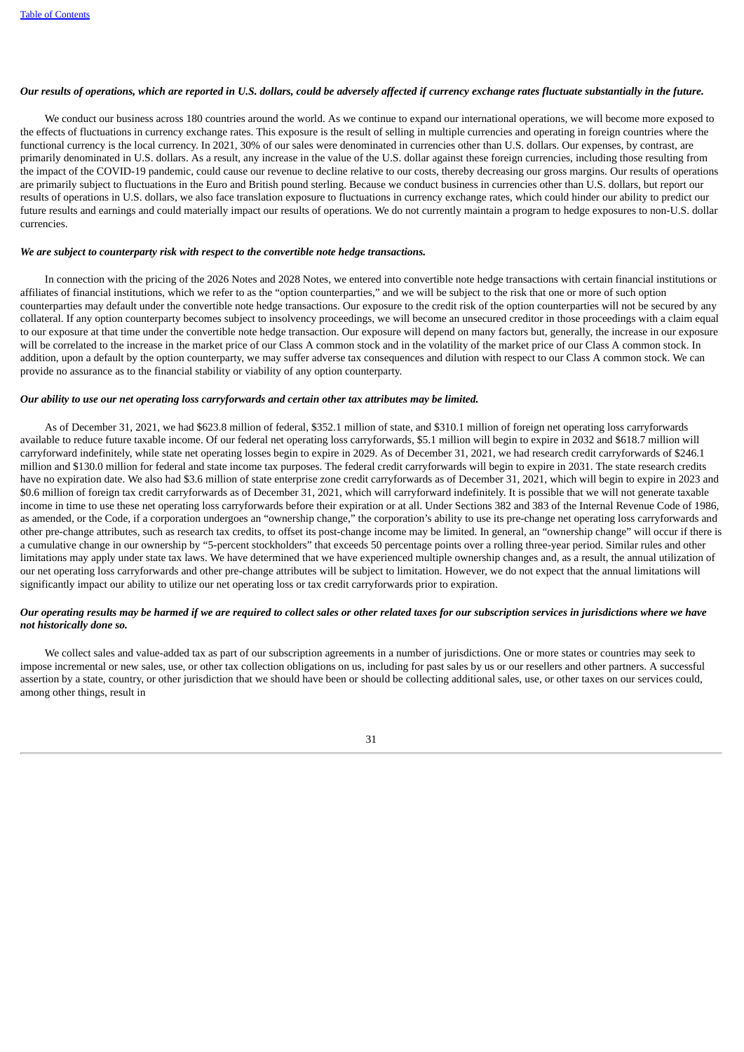## Our results of operations, which are reported in U.S. dollars, could be adversely affected if currency exchange rates fluctuate substantially in the future.

We conduct our business across 180 countries around the world. As we continue to expand our international operations, we will become more exposed to the effects of fluctuations in currency exchange rates. This exposure is the result of selling in multiple currencies and operating in foreign countries where the functional currency is the local currency. In 2021, 30% of our sales were denominated in currencies other than U.S. dollars. Our expenses, by contrast, are primarily denominated in U.S. dollars. As a result, any increase in the value of the U.S. dollar against these foreign currencies, including those resulting from the impact of the COVID-19 pandemic, could cause our revenue to decline relative to our costs, thereby decreasing our gross margins. Our results of operations are primarily subject to fluctuations in the Euro and British pound sterling. Because we conduct business in currencies other than U.S. dollars, but report our results of operations in U.S. dollars, we also face translation exposure to fluctuations in currency exchange rates, which could hinder our ability to predict our future results and earnings and could materially impact our results of operations. We do not currently maintain a program to hedge exposures to non-U.S. dollar currencies.

## *We are subject to counterparty risk with respect to the convertible note hedge transactions.*

In connection with the pricing of the 2026 Notes and 2028 Notes, we entered into convertible note hedge transactions with certain financial institutions or affiliates of financial institutions, which we refer to as the "option counterparties," and we will be subject to the risk that one or more of such option counterparties may default under the convertible note hedge transactions. Our exposure to the credit risk of the option counterparties will not be secured by any collateral. If any option counterparty becomes subject to insolvency proceedings, we will become an unsecured creditor in those proceedings with a claim equal to our exposure at that time under the convertible note hedge transaction. Our exposure will depend on many factors but, generally, the increase in our exposure will be correlated to the increase in the market price of our Class A common stock and in the volatility of the market price of our Class A common stock. In addition, upon a default by the option counterparty, we may suffer adverse tax consequences and dilution with respect to our Class A common stock. We can provide no assurance as to the financial stability or viability of any option counterparty.

#### *Our ability to use our net operating loss carryforwards and certain other tax attributes may be limited.*

As of December 31, 2021, we had \$623.8 million of federal, \$352.1 million of state, and \$310.1 million of foreign net operating loss carryforwards available to reduce future taxable income. Of our federal net operating loss carryforwards, \$5.1 million will begin to expire in 2032 and \$618.7 million will carryforward indefinitely, while state net operating losses begin to expire in 2029. As of December 31, 2021, we had research credit carryforwards of \$246.1 million and \$130.0 million for federal and state income tax purposes. The federal credit carryforwards will begin to expire in 2031. The state research credits have no expiration date. We also had \$3.6 million of state enterprise zone credit carryforwards as of December 31, 2021, which will begin to expire in 2023 and \$0.6 million of foreign tax credit carryforwards as of December 31, 2021, which will carryforward indefinitely. It is possible that we will not generate taxable income in time to use these net operating loss carryforwards before their expiration or at all. Under Sections 382 and 383 of the Internal Revenue Code of 1986, as amended, or the Code, if a corporation undergoes an "ownership change," the corporation's ability to use its pre-change net operating loss carryforwards and other pre-change attributes, such as research tax credits, to offset its post-change income may be limited. In general, an "ownership change" will occur if there is a cumulative change in our ownership by "5-percent stockholders" that exceeds 50 percentage points over a rolling three-year period. Similar rules and other limitations may apply under state tax laws. We have determined that we have experienced multiple ownership changes and, as a result, the annual utilization of our net operating loss carryforwards and other pre-change attributes will be subject to limitation. However, we do not expect that the annual limitations will significantly impact our ability to utilize our net operating loss or tax credit carryforwards prior to expiration.

## Our operating results may be harmed if we are required to collect sales or other related taxes for our subscription services in jurisdictions where we have *not historically done so.*

We collect sales and value-added tax as part of our subscription agreements in a number of jurisdictions. One or more states or countries may seek to impose incremental or new sales, use, or other tax collection obligations on us, including for past sales by us or our resellers and other partners. A successful assertion by a state, country, or other jurisdiction that we should have been or should be collecting additional sales, use, or other taxes on our services could, among other things, result in

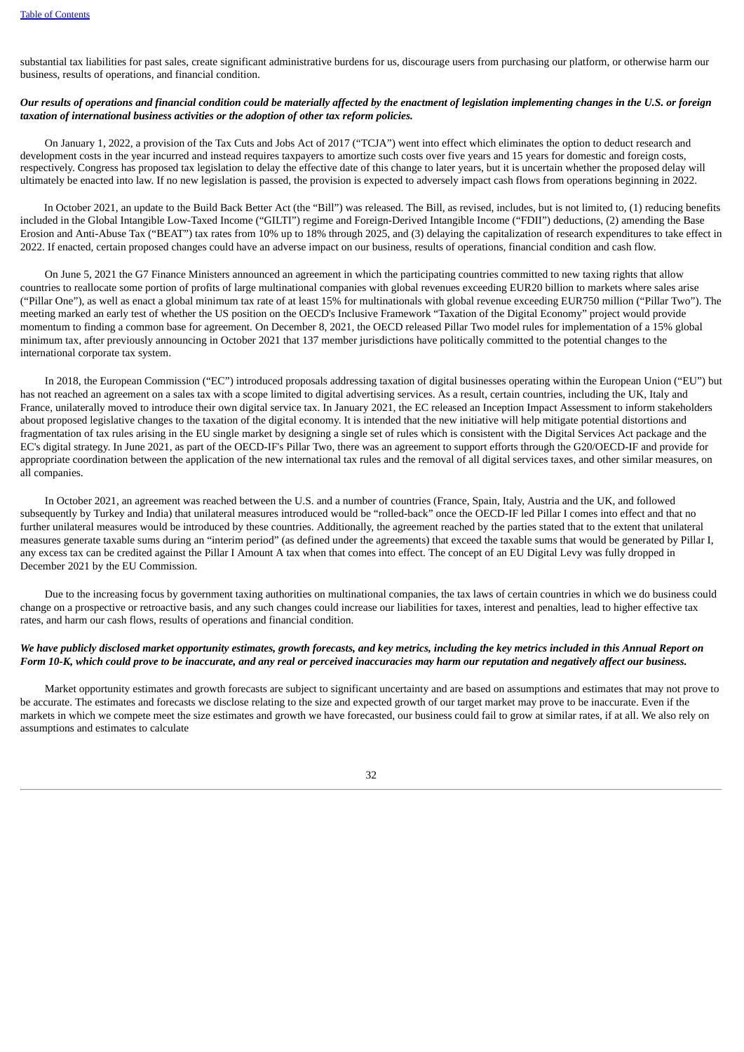substantial tax liabilities for past sales, create significant administrative burdens for us, discourage users from purchasing our platform, or otherwise harm our business, results of operations, and financial condition.

## Our results of operations and financial condition could be materially affected by the enactment of leaislation implementing changes in the U.S. or foreign *taxation of international business activities or the adoption of other tax reform policies.*

On January 1, 2022, a provision of the Tax Cuts and Jobs Act of 2017 ("TCJA") went into effect which eliminates the option to deduct research and development costs in the year incurred and instead requires taxpayers to amortize such costs over five years and 15 years for domestic and foreign costs, respectively. Congress has proposed tax legislation to delay the effective date of this change to later years, but it is uncertain whether the proposed delay will ultimately be enacted into law. If no new legislation is passed, the provision is expected to adversely impact cash flows from operations beginning in 2022.

In October 2021, an update to the Build Back Better Act (the "Bill") was released. The Bill, as revised, includes, but is not limited to, (1) reducing benefits included in the Global Intangible Low-Taxed Income ("GILTI") regime and Foreign-Derived Intangible Income ("FDII") deductions, (2) amending the Base Erosion and Anti-Abuse Tax ("BEAT") tax rates from 10% up to 18% through 2025, and (3) delaying the capitalization of research expenditures to take effect in 2022. If enacted, certain proposed changes could have an adverse impact on our business, results of operations, financial condition and cash flow.

On June 5, 2021 the G7 Finance Ministers announced an agreement in which the participating countries committed to new taxing rights that allow countries to reallocate some portion of profits of large multinational companies with global revenues exceeding EUR20 billion to markets where sales arise ("Pillar One"), as well as enact a global minimum tax rate of at least 15% for multinationals with global revenue exceeding EUR750 million ("Pillar Two"). The meeting marked an early test of whether the US position on the OECD's Inclusive Framework "Taxation of the Digital Economy" project would provide momentum to finding a common base for agreement. On December 8, 2021, the OECD released Pillar Two model rules for implementation of a 15% global minimum tax, after previously announcing in October 2021 that 137 member jurisdictions have politically committed to the potential changes to the international corporate tax system.

In 2018, the European Commission ("EC") introduced proposals addressing taxation of digital businesses operating within the European Union ("EU") but has not reached an agreement on a sales tax with a scope limited to digital advertising services. As a result, certain countries, including the UK, Italy and France, unilaterally moved to introduce their own digital service tax. In January 2021, the EC released an Inception Impact Assessment to inform stakeholders about proposed legislative changes to the taxation of the digital economy. It is intended that the new initiative will help mitigate potential distortions and fragmentation of tax rules arising in the EU single market by designing a single set of rules which is consistent with the Digital Services Act package and the EC's digital strategy. In June 2021, as part of the OECD-IF's Pillar Two, there was an agreement to support efforts through the G20/OECD-IF and provide for appropriate coordination between the application of the new international tax rules and the removal of all digital services taxes, and other similar measures, on all companies.

In October 2021, an agreement was reached between the U.S. and a number of countries (France, Spain, Italy, Austria and the UK, and followed subsequently by Turkey and India) that unilateral measures introduced would be "rolled-back" once the OECD-IF led Pillar I comes into effect and that no further unilateral measures would be introduced by these countries. Additionally, the agreement reached by the parties stated that to the extent that unilateral measures generate taxable sums during an "interim period" (as defined under the agreements) that exceed the taxable sums that would be generated by Pillar I, any excess tax can be credited against the Pillar I Amount A tax when that comes into effect. The concept of an EU Digital Levy was fully dropped in December 2021 by the EU Commission.

Due to the increasing focus by government taxing authorities on multinational companies, the tax laws of certain countries in which we do business could change on a prospective or retroactive basis, and any such changes could increase our liabilities for taxes, interest and penalties, lead to higher effective tax rates, and harm our cash flows, results of operations and financial condition.

## We have publicly disclosed market opportunity estimates, growth forecasts, and key metrics, including the key metrics included in this Annual Report on Form 10-K, which could prove to be inaccurate, and any real or perceived inaccuracies may harm our reputation and negatively affect our business.

Market opportunity estimates and growth forecasts are subject to significant uncertainty and are based on assumptions and estimates that may not prove to be accurate. The estimates and forecasts we disclose relating to the size and expected growth of our target market may prove to be inaccurate. Even if the markets in which we compete meet the size estimates and growth we have forecasted, our business could fail to grow at similar rates, if at all. We also rely on assumptions and estimates to calculate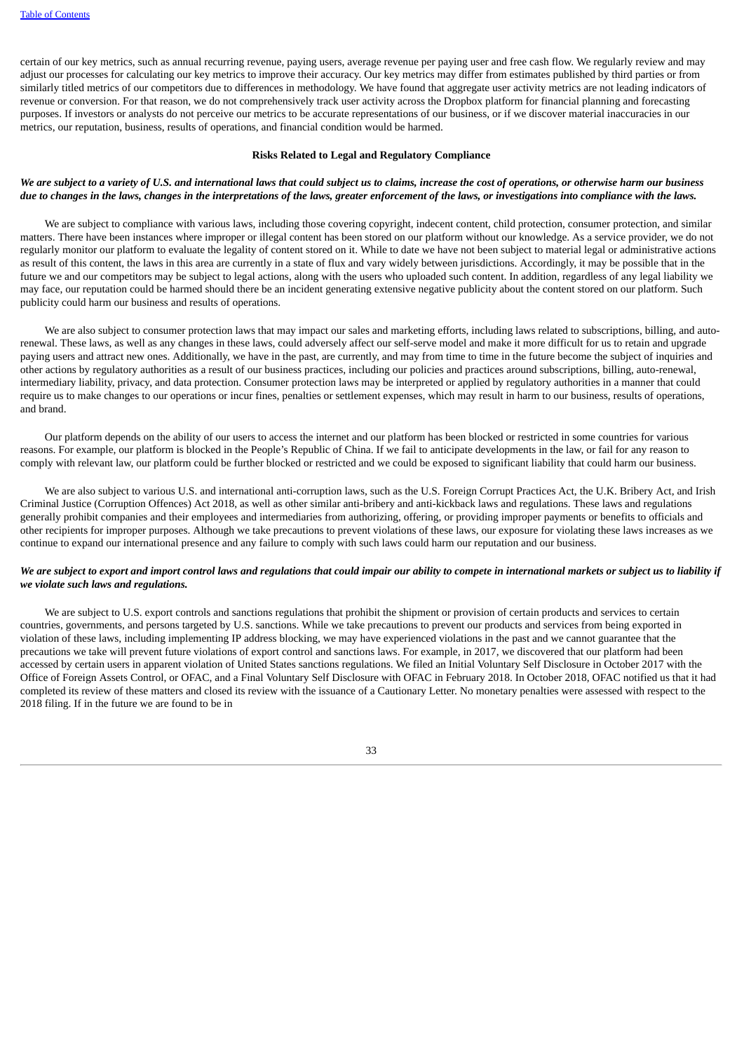certain of our key metrics, such as annual recurring revenue, paying users, average revenue per paying user and free cash flow. We regularly review and may adjust our processes for calculating our key metrics to improve their accuracy. Our key metrics may differ from estimates published by third parties or from similarly titled metrics of our competitors due to differences in methodology. We have found that aggregate user activity metrics are not leading indicators of revenue or conversion. For that reason, we do not comprehensively track user activity across the Dropbox platform for financial planning and forecasting purposes. If investors or analysts do not perceive our metrics to be accurate representations of our business, or if we discover material inaccuracies in our metrics, our reputation, business, results of operations, and financial condition would be harmed.

#### **Risks Related to Legal and Regulatory Compliance**

## We are subject to a variety of U.S. and international laws that could subject us to claims, increase the cost of operations, or otherwise harm our business due to changes in the laws, changes in the interpretations of the laws, greater enforcement of the laws, or investigations into compliance with the laws.

We are subject to compliance with various laws, including those covering copyright, indecent content, child protection, consumer protection, and similar matters. There have been instances where improper or illegal content has been stored on our platform without our knowledge. As a service provider, we do not regularly monitor our platform to evaluate the legality of content stored on it. While to date we have not been subject to material legal or administrative actions as result of this content, the laws in this area are currently in a state of flux and vary widely between jurisdictions. Accordingly, it may be possible that in the future we and our competitors may be subject to legal actions, along with the users who uploaded such content. In addition, regardless of any legal liability we may face, our reputation could be harmed should there be an incident generating extensive negative publicity about the content stored on our platform. Such publicity could harm our business and results of operations.

We are also subject to consumer protection laws that may impact our sales and marketing efforts, including laws related to subscriptions, billing, and autorenewal. These laws, as well as any changes in these laws, could adversely affect our self-serve model and make it more difficult for us to retain and upgrade paying users and attract new ones. Additionally, we have in the past, are currently, and may from time to time in the future become the subject of inquiries and other actions by regulatory authorities as a result of our business practices, including our policies and practices around subscriptions, billing, auto-renewal, intermediary liability, privacy, and data protection. Consumer protection laws may be interpreted or applied by regulatory authorities in a manner that could require us to make changes to our operations or incur fines, penalties or settlement expenses, which may result in harm to our business, results of operations, and brand.

Our platform depends on the ability of our users to access the internet and our platform has been blocked or restricted in some countries for various reasons. For example, our platform is blocked in the People's Republic of China. If we fail to anticipate developments in the law, or fail for any reason to comply with relevant law, our platform could be further blocked or restricted and we could be exposed to significant liability that could harm our business.

We are also subject to various U.S. and international anti-corruption laws, such as the U.S. Foreign Corrupt Practices Act, the U.K. Bribery Act, and Irish Criminal Justice (Corruption Offences) Act 2018, as well as other similar anti-bribery and anti-kickback laws and regulations. These laws and regulations generally prohibit companies and their employees and intermediaries from authorizing, offering, or providing improper payments or benefits to officials and other recipients for improper purposes. Although we take precautions to prevent violations of these laws, our exposure for violating these laws increases as we continue to expand our international presence and any failure to comply with such laws could harm our reputation and our business.

## We are subject to export and import control laws and regulations that could impair our ability to compete in international markets or subject us to liability if *we violate such laws and regulations.*

We are subject to U.S. export controls and sanctions regulations that prohibit the shipment or provision of certain products and services to certain countries, governments, and persons targeted by U.S. sanctions. While we take precautions to prevent our products and services from being exported in violation of these laws, including implementing IP address blocking, we may have experienced violations in the past and we cannot guarantee that the precautions we take will prevent future violations of export control and sanctions laws. For example, in 2017, we discovered that our platform had been accessed by certain users in apparent violation of United States sanctions regulations. We filed an Initial Voluntary Self Disclosure in October 2017 with the Office of Foreign Assets Control, or OFAC, and a Final Voluntary Self Disclosure with OFAC in February 2018. In October 2018, OFAC notified us that it had completed its review of these matters and closed its review with the issuance of a Cautionary Letter. No monetary penalties were assessed with respect to the 2018 filing. If in the future we are found to be in

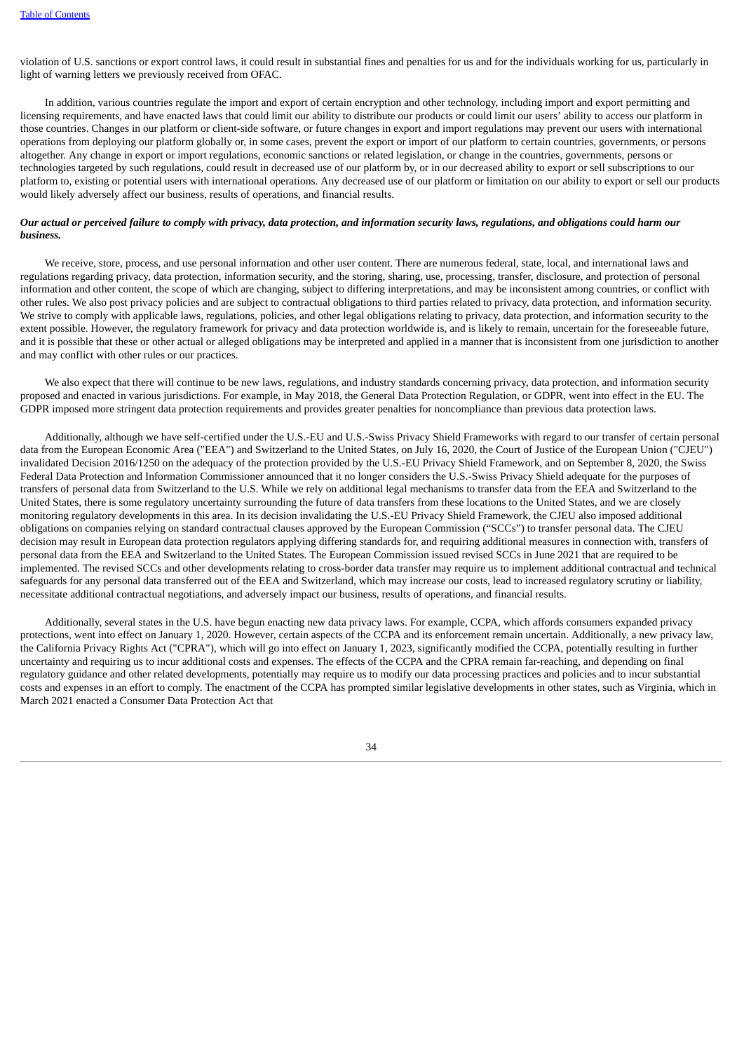violation of U.S. sanctions or export control laws, it could result in substantial fines and penalties for us and for the individuals working for us, particularly in light of warning letters we previously received from OFAC.

In addition, various countries regulate the import and export of certain encryption and other technology, including import and export permitting and licensing requirements, and have enacted laws that could limit our ability to distribute our products or could limit our users' ability to access our platform in those countries. Changes in our platform or client-side software, or future changes in export and import regulations may prevent our users with international operations from deploying our platform globally or, in some cases, prevent the export or import of our platform to certain countries, governments, or persons altogether. Any change in export or import regulations, economic sanctions or related legislation, or change in the countries, governments, persons or technologies targeted by such regulations, could result in decreased use of our platform by, or in our decreased ability to export or sell subscriptions to our platform to, existing or potential users with international operations. Any decreased use of our platform or limitation on our ability to export or sell our products would likely adversely affect our business, results of operations, and financial results.

## Our actual or perceived failure to comply with privacy, data protection, and information security laws, regulations, and obligations could harm our *business.*

We receive, store, process, and use personal information and other user content. There are numerous federal, state, local, and international laws and regulations regarding privacy, data protection, information security, and the storing, sharing, use, processing, transfer, disclosure, and protection of personal information and other content, the scope of which are changing, subject to differing interpretations, and may be inconsistent among countries, or conflict with other rules. We also post privacy policies and are subject to contractual obligations to third parties related to privacy, data protection, and information security. We strive to comply with applicable laws, regulations, policies, and other legal obligations relating to privacy, data protection, and information security to the extent possible. However, the regulatory framework for privacy and data protection worldwide is, and is likely to remain, uncertain for the foreseeable future, and it is possible that these or other actual or alleged obligations may be interpreted and applied in a manner that is inconsistent from one jurisdiction to another and may conflict with other rules or our practices.

We also expect that there will continue to be new laws, regulations, and industry standards concerning privacy, data protection, and information security proposed and enacted in various jurisdictions. For example, in May 2018, the General Data Protection Regulation, or GDPR, went into effect in the EU. The GDPR imposed more stringent data protection requirements and provides greater penalties for noncompliance than previous data protection laws.

Additionally, although we have self-certified under the U.S.-EU and U.S.-Swiss Privacy Shield Frameworks with regard to our transfer of certain personal data from the European Economic Area ("EEA") and Switzerland to the United States, on July 16, 2020, the Court of Justice of the European Union ("CJEU") invalidated Decision 2016/1250 on the adequacy of the protection provided by the U.S.-EU Privacy Shield Framework, and on September 8, 2020, the Swiss Federal Data Protection and Information Commissioner announced that it no longer considers the U.S.-Swiss Privacy Shield adequate for the purposes of transfers of personal data from Switzerland to the U.S. While we rely on additional legal mechanisms to transfer data from the EEA and Switzerland to the United States, there is some regulatory uncertainty surrounding the future of data transfers from these locations to the United States, and we are closely monitoring regulatory developments in this area. In its decision invalidating the U.S.-EU Privacy Shield Framework, the CJEU also imposed additional obligations on companies relying on standard contractual clauses approved by the European Commission ("SCCs") to transfer personal data. The CJEU decision may result in European data protection regulators applying differing standards for, and requiring additional measures in connection with, transfers of personal data from the EEA and Switzerland to the United States. The European Commission issued revised SCCs in June 2021 that are required to be implemented. The revised SCCs and other developments relating to cross-border data transfer may require us to implement additional contractual and technical safeguards for any personal data transferred out of the EEA and Switzerland, which may increase our costs, lead to increased regulatory scrutiny or liability, necessitate additional contractual negotiations, and adversely impact our business, results of operations, and financial results.

Additionally, several states in the U.S. have begun enacting new data privacy laws. For example, CCPA, which affords consumers expanded privacy protections, went into effect on January 1, 2020. However, certain aspects of the CCPA and its enforcement remain uncertain. Additionally, a new privacy law, the California Privacy Rights Act ("CPRA"), which will go into effect on January 1, 2023, significantly modified the CCPA, potentially resulting in further uncertainty and requiring us to incur additional costs and expenses. The effects of the CCPA and the CPRA remain far-reaching, and depending on final regulatory guidance and other related developments, potentially may require us to modify our data processing practices and policies and to incur substantial costs and expenses in an effort to comply. The enactment of the CCPA has prompted similar legislative developments in other states, such as Virginia, which in March 2021 enacted a Consumer Data Protection Act that

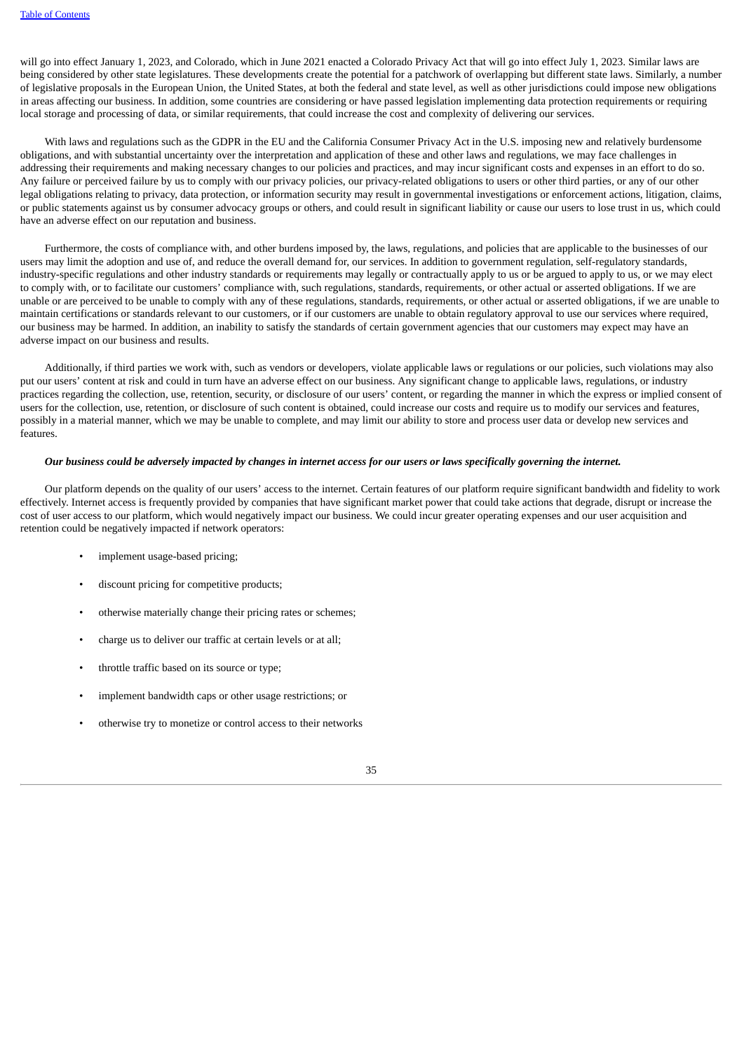will go into effect January 1, 2023, and Colorado, which in June 2021 enacted a Colorado Privacy Act that will go into effect July 1, 2023. Similar laws are being considered by other state legislatures. These developments create the potential for a patchwork of overlapping but different state laws. Similarly, a number of legislative proposals in the European Union, the United States, at both the federal and state level, as well as other jurisdictions could impose new obligations in areas affecting our business. In addition, some countries are considering or have passed legislation implementing data protection requirements or requiring local storage and processing of data, or similar requirements, that could increase the cost and complexity of delivering our services.

With laws and regulations such as the GDPR in the EU and the California Consumer Privacy Act in the U.S. imposing new and relatively burdensome obligations, and with substantial uncertainty over the interpretation and application of these and other laws and regulations, we may face challenges in addressing their requirements and making necessary changes to our policies and practices, and may incur significant costs and expenses in an effort to do so. Any failure or perceived failure by us to comply with our privacy policies, our privacy-related obligations to users or other third parties, or any of our other legal obligations relating to privacy, data protection, or information security may result in governmental investigations or enforcement actions, litigation, claims, or public statements against us by consumer advocacy groups or others, and could result in significant liability or cause our users to lose trust in us, which could have an adverse effect on our reputation and business.

Furthermore, the costs of compliance with, and other burdens imposed by, the laws, regulations, and policies that are applicable to the businesses of our users may limit the adoption and use of, and reduce the overall demand for, our services. In addition to government regulation, self-regulatory standards, industry-specific regulations and other industry standards or requirements may legally or contractually apply to us or be argued to apply to us, or we may elect to comply with, or to facilitate our customers' compliance with, such regulations, standards, requirements, or other actual or asserted obligations. If we are unable or are perceived to be unable to comply with any of these regulations, standards, requirements, or other actual or asserted obligations, if we are unable to maintain certifications or standards relevant to our customers, or if our customers are unable to obtain regulatory approval to use our services where required, our business may be harmed. In addition, an inability to satisfy the standards of certain government agencies that our customers may expect may have an adverse impact on our business and results.

Additionally, if third parties we work with, such as vendors or developers, violate applicable laws or regulations or our policies, such violations may also put our users' content at risk and could in turn have an adverse effect on our business. Any significant change to applicable laws, regulations, or industry practices regarding the collection, use, retention, security, or disclosure of our users' content, or regarding the manner in which the express or implied consent of users for the collection, use, retention, or disclosure of such content is obtained, could increase our costs and require us to modify our services and features, possibly in a material manner, which we may be unable to complete, and may limit our ability to store and process user data or develop new services and features.

#### Our business could be adversely impacted by changes in internet access for our users or laws specifically governing the internet.

Our platform depends on the quality of our users' access to the internet. Certain features of our platform require significant bandwidth and fidelity to work effectively. Internet access is frequently provided by companies that have significant market power that could take actions that degrade, disrupt or increase the cost of user access to our platform, which would negatively impact our business. We could incur greater operating expenses and our user acquisition and retention could be negatively impacted if network operators:

- implement usage-based pricing;
- discount pricing for competitive products;
- otherwise materially change their pricing rates or schemes;
- charge us to deliver our traffic at certain levels or at all;
- throttle traffic based on its source or type;
- implement bandwidth caps or other usage restrictions; or
- otherwise try to monetize or control access to their networks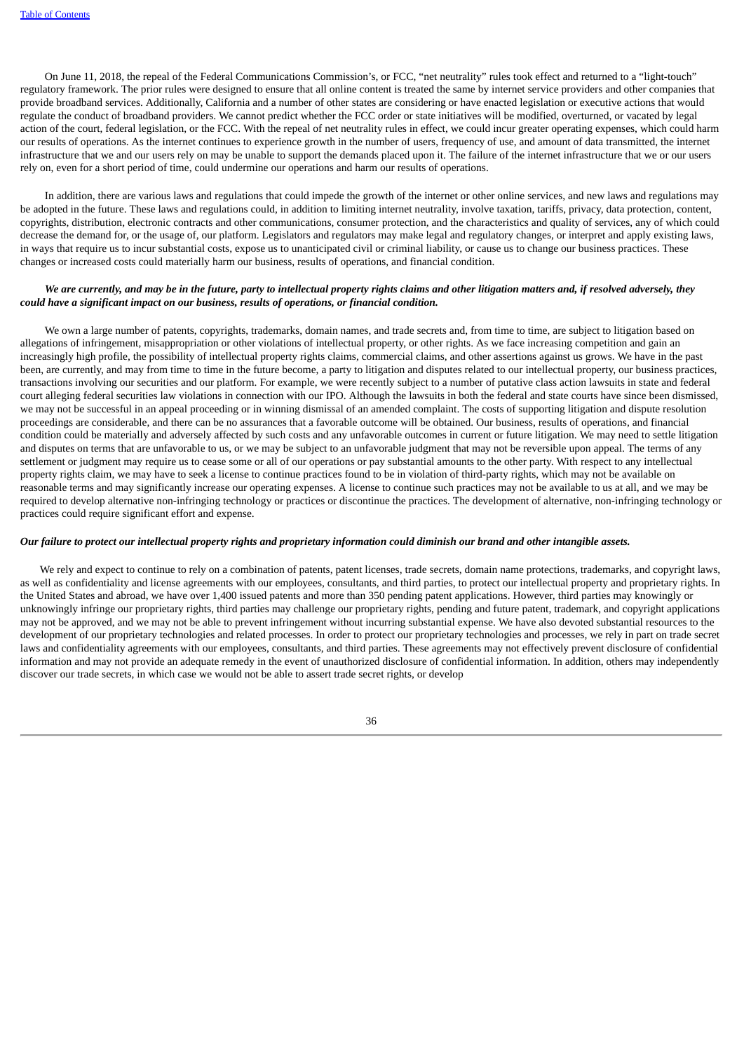On June 11, 2018, the repeal of the Federal Communications Commission's, or FCC, "net neutrality" rules took effect and returned to a "light-touch" regulatory framework. The prior rules were designed to ensure that all online content is treated the same by internet service providers and other companies that provide broadband services. Additionally, California and a number of other states are considering or have enacted legislation or executive actions that would regulate the conduct of broadband providers. We cannot predict whether the FCC order or state initiatives will be modified, overturned, or vacated by legal action of the court, federal legislation, or the FCC. With the repeal of net neutrality rules in effect, we could incur greater operating expenses, which could harm our results of operations. As the internet continues to experience growth in the number of users, frequency of use, and amount of data transmitted, the internet infrastructure that we and our users rely on may be unable to support the demands placed upon it. The failure of the internet infrastructure that we or our users rely on, even for a short period of time, could undermine our operations and harm our results of operations.

In addition, there are various laws and regulations that could impede the growth of the internet or other online services, and new laws and regulations may be adopted in the future. These laws and regulations could, in addition to limiting internet neutrality, involve taxation, tariffs, privacy, data protection, content, copyrights, distribution, electronic contracts and other communications, consumer protection, and the characteristics and quality of services, any of which could decrease the demand for, or the usage of, our platform. Legislators and regulators may make legal and regulatory changes, or interpret and apply existing laws, in ways that require us to incur substantial costs, expose us to unanticipated civil or criminal liability, or cause us to change our business practices. These changes or increased costs could materially harm our business, results of operations, and financial condition.

#### We are currently, and may be in the future, party to intellectual property rights claims and other litigation matters and, if resolved adversely, they *could have a significant impact on our business, results of operations, or financial condition.*

We own a large number of patents, copyrights, trademarks, domain names, and trade secrets and, from time to time, are subject to litigation based on allegations of infringement, misappropriation or other violations of intellectual property, or other rights. As we face increasing competition and gain an increasingly high profile, the possibility of intellectual property rights claims, commercial claims, and other assertions against us grows. We have in the past been, are currently, and may from time to time in the future become, a party to litigation and disputes related to our intellectual property, our business practices, transactions involving our securities and our platform. For example, we were recently subject to a number of putative class action lawsuits in state and federal court alleging federal securities law violations in connection with our IPO. Although the lawsuits in both the federal and state courts have since been dismissed, we may not be successful in an appeal proceeding or in winning dismissal of an amended complaint. The costs of supporting litigation and dispute resolution proceedings are considerable, and there can be no assurances that a favorable outcome will be obtained. Our business, results of operations, and financial condition could be materially and adversely affected by such costs and any unfavorable outcomes in current or future litigation. We may need to settle litigation and disputes on terms that are unfavorable to us, or we may be subject to an unfavorable judgment that may not be reversible upon appeal. The terms of any settlement or judgment may require us to cease some or all of our operations or pay substantial amounts to the other party. With respect to any intellectual property rights claim, we may have to seek a license to continue practices found to be in violation of third-party rights, which may not be available on reasonable terms and may significantly increase our operating expenses. A license to continue such practices may not be available to us at all, and we may be required to develop alternative non-infringing technology or practices or discontinue the practices. The development of alternative, non-infringing technology or practices could require significant effort and expense.

### Our failure to protect our intellectual property rights and proprietary information could diminish our brand and other intangible assets.

We rely and expect to continue to rely on a combination of patents, patent licenses, trade secrets, domain name protections, trademarks, and copyright laws, as well as confidentiality and license agreements with our employees, consultants, and third parties, to protect our intellectual property and proprietary rights. In the United States and abroad, we have over 1,400 issued patents and more than 350 pending patent applications. However, third parties may knowingly or unknowingly infringe our proprietary rights, third parties may challenge our proprietary rights, pending and future patent, trademark, and copyright applications may not be approved, and we may not be able to prevent infringement without incurring substantial expense. We have also devoted substantial resources to the development of our proprietary technologies and related processes. In order to protect our proprietary technologies and processes, we rely in part on trade secret laws and confidentiality agreements with our employees, consultants, and third parties. These agreements may not effectively prevent disclosure of confidential information and may not provide an adequate remedy in the event of unauthorized disclosure of confidential information. In addition, others may independently discover our trade secrets, in which case we would not be able to assert trade secret rights, or develop

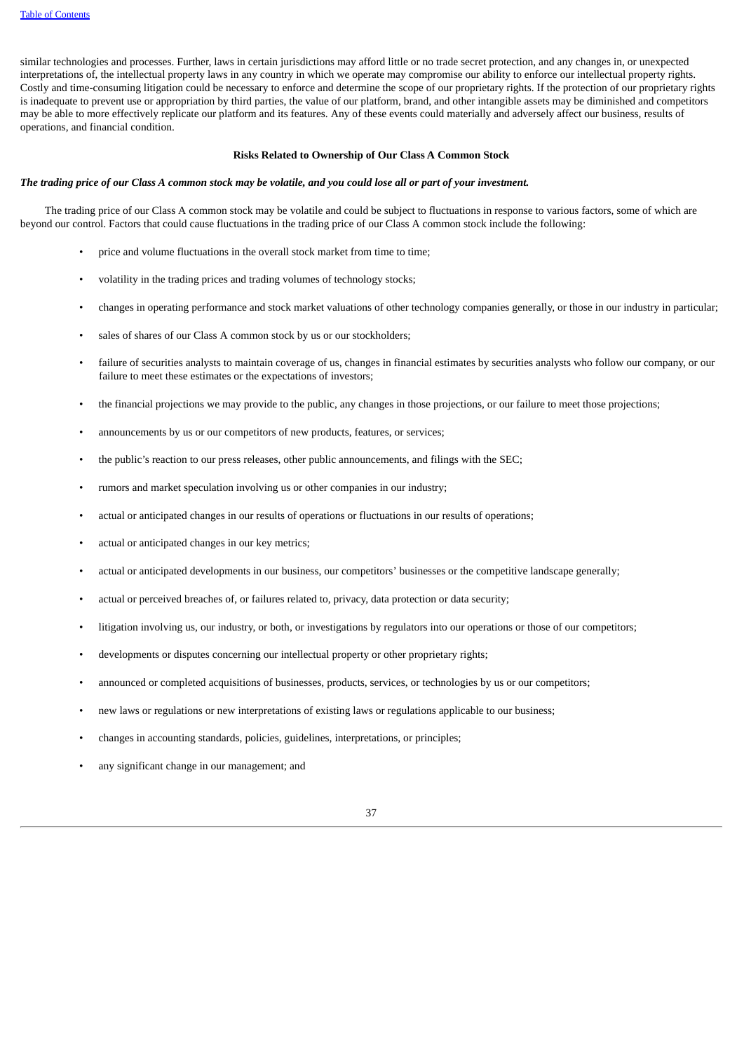similar technologies and processes. Further, laws in certain jurisdictions may afford little or no trade secret protection, and any changes in, or unexpected interpretations of, the intellectual property laws in any country in which we operate may compromise our ability to enforce our intellectual property rights. Costly and time-consuming litigation could be necessary to enforce and determine the scope of our proprietary rights. If the protection of our proprietary rights is inadequate to prevent use or appropriation by third parties, the value of our platform, brand, and other intangible assets may be diminished and competitors may be able to more effectively replicate our platform and its features. Any of these events could materially and adversely affect our business, results of operations, and financial condition.

#### **Risks Related to Ownership of Our Class A Common Stock**

#### The trading price of our Class A common stock may be volatile, and you could lose all or part of your investment.

The trading price of our Class A common stock may be volatile and could be subject to fluctuations in response to various factors, some of which are beyond our control. Factors that could cause fluctuations in the trading price of our Class A common stock include the following:

- price and volume fluctuations in the overall stock market from time to time;
- volatility in the trading prices and trading volumes of technology stocks;
- changes in operating performance and stock market valuations of other technology companies generally, or those in our industry in particular;
- sales of shares of our Class A common stock by us or our stockholders;
- failure of securities analysts to maintain coverage of us, changes in financial estimates by securities analysts who follow our company, or our failure to meet these estimates or the expectations of investors;
- the financial projections we may provide to the public, any changes in those projections, or our failure to meet those projections;
- announcements by us or our competitors of new products, features, or services;
- the public's reaction to our press releases, other public announcements, and filings with the SEC;
- rumors and market speculation involving us or other companies in our industry;
- actual or anticipated changes in our results of operations or fluctuations in our results of operations;
- actual or anticipated changes in our key metrics;
- actual or anticipated developments in our business, our competitors' businesses or the competitive landscape generally;
- actual or perceived breaches of, or failures related to, privacy, data protection or data security;
- litigation involving us, our industry, or both, or investigations by regulators into our operations or those of our competitors;
- developments or disputes concerning our intellectual property or other proprietary rights;
- announced or completed acquisitions of businesses, products, services, or technologies by us or our competitors;
- new laws or regulations or new interpretations of existing laws or regulations applicable to our business;
- changes in accounting standards, policies, guidelines, interpretations, or principles;
- any significant change in our management; and

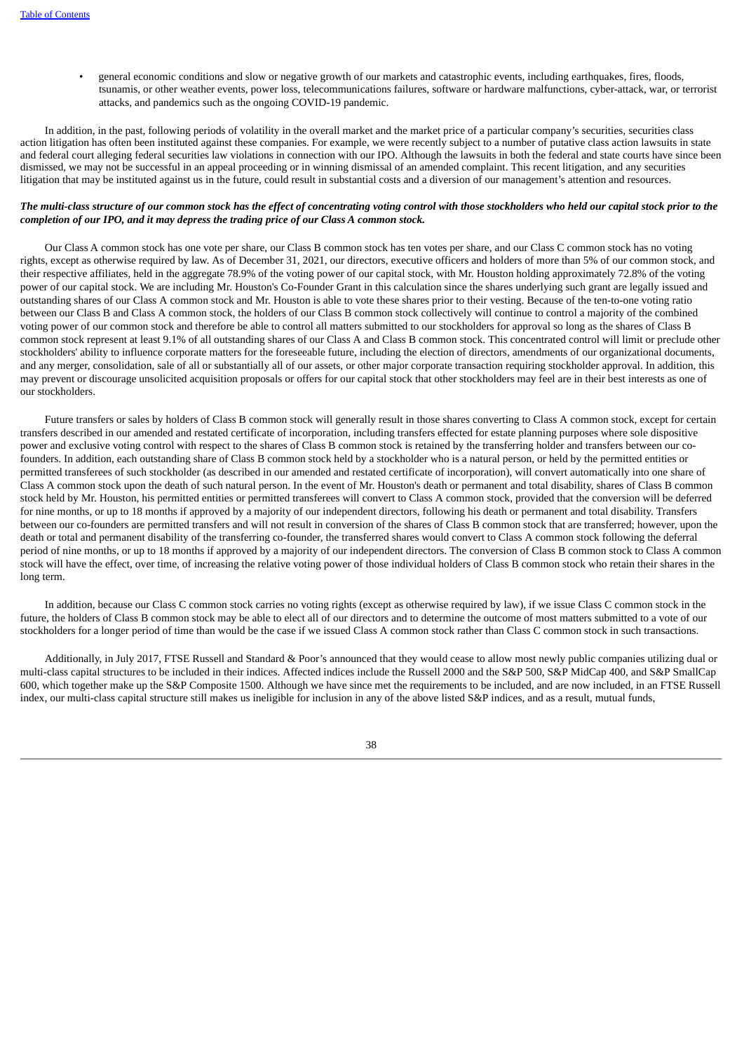• general economic conditions and slow or negative growth of our markets and catastrophic events, including earthquakes, fires, floods, tsunamis, or other weather events, power loss, telecommunications failures, software or hardware malfunctions, cyber-attack, war, or terrorist attacks, and pandemics such as the ongoing COVID-19 pandemic.

In addition, in the past, following periods of volatility in the overall market and the market price of a particular company's securities, securities class action litigation has often been instituted against these companies. For example, we were recently subject to a number of putative class action lawsuits in state and federal court alleging federal securities law violations in connection with our IPO. Although the lawsuits in both the federal and state courts have since been dismissed, we may not be successful in an appeal proceeding or in winning dismissal of an amended complaint. This recent litigation, and any securities litigation that may be instituted against us in the future, could result in substantial costs and a diversion of our management's attention and resources.

## The multi-class structure of our common stock has the effect of concentrating voting control with those stockholders who held our capital stock prior to the *completion of our IPO, and it may depress the trading price of our Class A common stock.*

Our Class A common stock has one vote per share, our Class B common stock has ten votes per share, and our Class C common stock has no voting rights, except as otherwise required by law. As of December 31, 2021, our directors, executive officers and holders of more than 5% of our common stock, and their respective affiliates, held in the aggregate 78.9% of the voting power of our capital stock, with Mr. Houston holding approximately 72.8% of the voting power of our capital stock. We are including Mr. Houston's Co-Founder Grant in this calculation since the shares underlying such grant are legally issued and outstanding shares of our Class A common stock and Mr. Houston is able to vote these shares prior to their vesting. Because of the ten-to-one voting ratio between our Class B and Class A common stock, the holders of our Class B common stock collectively will continue to control a majority of the combined voting power of our common stock and therefore be able to control all matters submitted to our stockholders for approval so long as the shares of Class B common stock represent at least 9.1% of all outstanding shares of our Class A and Class B common stock. This concentrated control will limit or preclude other stockholders' ability to influence corporate matters for the foreseeable future, including the election of directors, amendments of our organizational documents, and any merger, consolidation, sale of all or substantially all of our assets, or other major corporate transaction requiring stockholder approval. In addition, this may prevent or discourage unsolicited acquisition proposals or offers for our capital stock that other stockholders may feel are in their best interests as one of our stockholders.

Future transfers or sales by holders of Class B common stock will generally result in those shares converting to Class A common stock, except for certain transfers described in our amended and restated certificate of incorporation, including transfers effected for estate planning purposes where sole dispositive power and exclusive voting control with respect to the shares of Class B common stock is retained by the transferring holder and transfers between our cofounders. In addition, each outstanding share of Class B common stock held by a stockholder who is a natural person, or held by the permitted entities or permitted transferees of such stockholder (as described in our amended and restated certificate of incorporation), will convert automatically into one share of Class A common stock upon the death of such natural person. In the event of Mr. Houston's death or permanent and total disability, shares of Class B common stock held by Mr. Houston, his permitted entities or permitted transferees will convert to Class A common stock, provided that the conversion will be deferred for nine months, or up to 18 months if approved by a majority of our independent directors, following his death or permanent and total disability. Transfers between our co-founders are permitted transfers and will not result in conversion of the shares of Class B common stock that are transferred; however, upon the death or total and permanent disability of the transferring co-founder, the transferred shares would convert to Class A common stock following the deferral period of nine months, or up to 18 months if approved by a majority of our independent directors. The conversion of Class B common stock to Class A common stock will have the effect, over time, of increasing the relative voting power of those individual holders of Class B common stock who retain their shares in the long term.

In addition, because our Class C common stock carries no voting rights (except as otherwise required by law), if we issue Class C common stock in the future, the holders of Class B common stock may be able to elect all of our directors and to determine the outcome of most matters submitted to a vote of our stockholders for a longer period of time than would be the case if we issued Class A common stock rather than Class C common stock in such transactions.

Additionally, in July 2017, FTSE Russell and Standard & Poor's announced that they would cease to allow most newly public companies utilizing dual or multi-class capital structures to be included in their indices. Affected indices include the Russell 2000 and the S&P 500, S&P MidCap 400, and S&P SmallCap 600, which together make up the S&P Composite 1500. Although we have since met the requirements to be included, and are now included, in an FTSE Russell index, our multi-class capital structure still makes us ineligible for inclusion in any of the above listed S&P indices, and as a result, mutual funds,

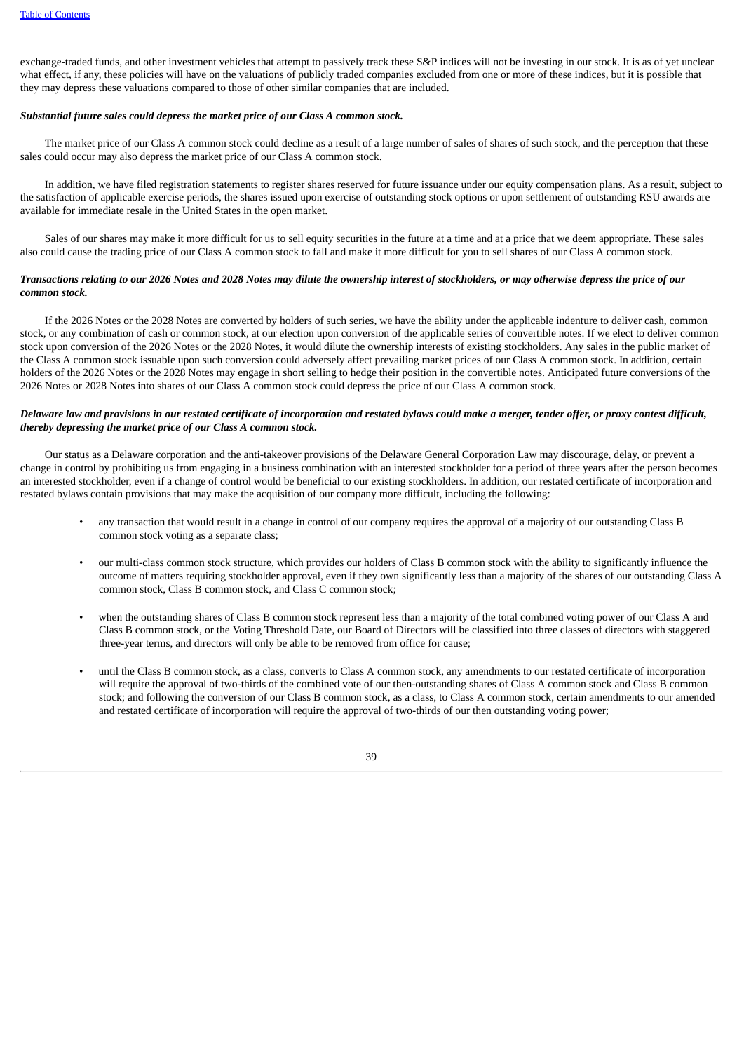exchange-traded funds, and other investment vehicles that attempt to passively track these S&P indices will not be investing in our stock. It is as of yet unclear what effect, if any, these policies will have on the valuations of publicly traded companies excluded from one or more of these indices, but it is possible that they may depress these valuations compared to those of other similar companies that are included.

## *Substantial future sales could depress the market price of our Class A common stock.*

The market price of our Class A common stock could decline as a result of a large number of sales of shares of such stock, and the perception that these sales could occur may also depress the market price of our Class A common stock.

In addition, we have filed registration statements to register shares reserved for future issuance under our equity compensation plans. As a result, subject to the satisfaction of applicable exercise periods, the shares issued upon exercise of outstanding stock options or upon settlement of outstanding RSU awards are available for immediate resale in the United States in the open market.

Sales of our shares may make it more difficult for us to sell equity securities in the future at a time and at a price that we deem appropriate. These sales also could cause the trading price of our Class A common stock to fall and make it more difficult for you to sell shares of our Class A common stock.

## Transactions relating to our 2026 Notes and 2028 Notes may dilute the ownership interest of stockholders, or may otherwise depress the price of our *common stock.*

If the 2026 Notes or the 2028 Notes are converted by holders of such series, we have the ability under the applicable indenture to deliver cash, common stock, or any combination of cash or common stock, at our election upon conversion of the applicable series of convertible notes. If we elect to deliver common stock upon conversion of the 2026 Notes or the 2028 Notes, it would dilute the ownership interests of existing stockholders. Any sales in the public market of the Class A common stock issuable upon such conversion could adversely affect prevailing market prices of our Class A common stock. In addition, certain holders of the 2026 Notes or the 2028 Notes may engage in short selling to hedge their position in the convertible notes. Anticipated future conversions of the 2026 Notes or 2028 Notes into shares of our Class A common stock could depress the price of our Class A common stock.

## Delaware law and provisions in our restated certificate of incorporation and restated bylaws could make a merger, tender offer, or proxy contest difficult, *thereby depressing the market price of our Class A common stock.*

Our status as a Delaware corporation and the anti-takeover provisions of the Delaware General Corporation Law may discourage, delay, or prevent a change in control by prohibiting us from engaging in a business combination with an interested stockholder for a period of three years after the person becomes an interested stockholder, even if a change of control would be beneficial to our existing stockholders. In addition, our restated certificate of incorporation and restated bylaws contain provisions that may make the acquisition of our company more difficult, including the following:

- any transaction that would result in a change in control of our company requires the approval of a majority of our outstanding Class B common stock voting as a separate class;
- our multi-class common stock structure, which provides our holders of Class B common stock with the ability to significantly influence the outcome of matters requiring stockholder approval, even if they own significantly less than a majority of the shares of our outstanding Class A common stock, Class B common stock, and Class C common stock;
- when the outstanding shares of Class B common stock represent less than a majority of the total combined voting power of our Class A and Class B common stock, or the Voting Threshold Date, our Board of Directors will be classified into three classes of directors with staggered three-year terms, and directors will only be able to be removed from office for cause;
- until the Class B common stock, as a class, converts to Class A common stock, any amendments to our restated certificate of incorporation will require the approval of two-thirds of the combined vote of our then-outstanding shares of Class A common stock and Class B common stock; and following the conversion of our Class B common stock, as a class, to Class A common stock, certain amendments to our amended and restated certificate of incorporation will require the approval of two-thirds of our then outstanding voting power;

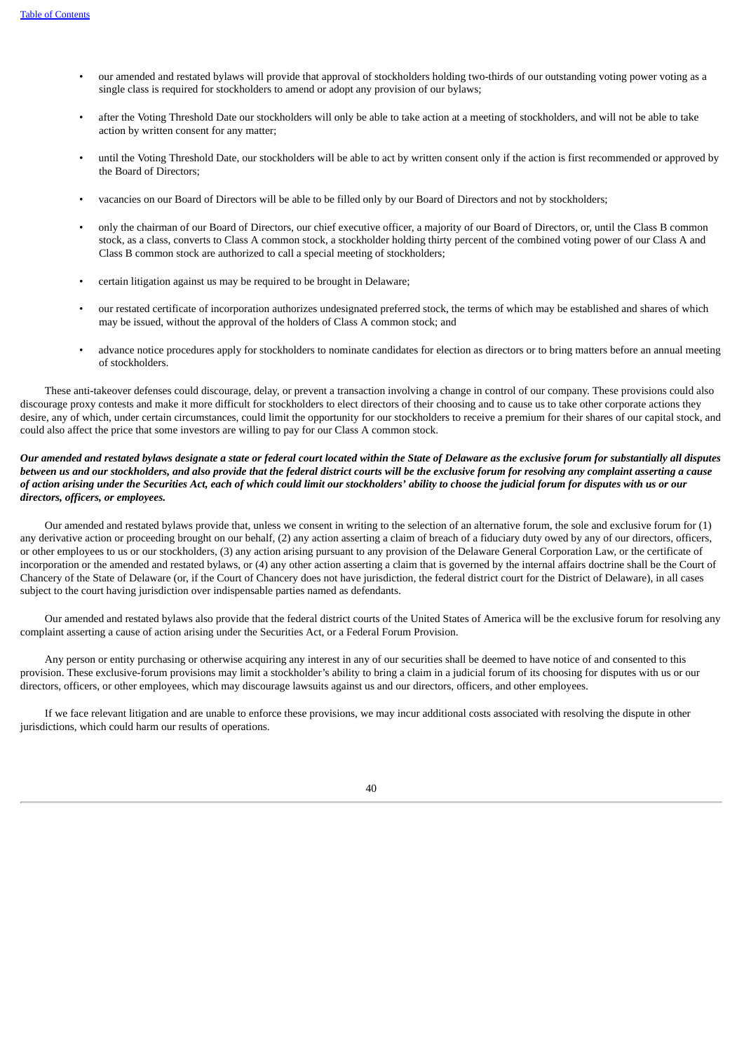- our amended and restated bylaws will provide that approval of stockholders holding two-thirds of our outstanding voting power voting as a single class is required for stockholders to amend or adopt any provision of our bylaws;
- after the Voting Threshold Date our stockholders will only be able to take action at a meeting of stockholders, and will not be able to take action by written consent for any matter;
- until the Voting Threshold Date, our stockholders will be able to act by written consent only if the action is first recommended or approved by the Board of Directors;
- vacancies on our Board of Directors will be able to be filled only by our Board of Directors and not by stockholders;
- only the chairman of our Board of Directors, our chief executive officer, a majority of our Board of Directors, or, until the Class B common stock, as a class, converts to Class A common stock, a stockholder holding thirty percent of the combined voting power of our Class A and Class B common stock are authorized to call a special meeting of stockholders;
- certain litigation against us may be required to be brought in Delaware;
- our restated certificate of incorporation authorizes undesignated preferred stock, the terms of which may be established and shares of which may be issued, without the approval of the holders of Class A common stock; and
- advance notice procedures apply for stockholders to nominate candidates for election as directors or to bring matters before an annual meeting of stockholders.

These anti-takeover defenses could discourage, delay, or prevent a transaction involving a change in control of our company. These provisions could also discourage proxy contests and make it more difficult for stockholders to elect directors of their choosing and to cause us to take other corporate actions they desire, any of which, under certain circumstances, could limit the opportunity for our stockholders to receive a premium for their shares of our capital stock, and could also affect the price that some investors are willing to pay for our Class A common stock.

## Our amended and restated bylaws designate a state or federal court located within the State of Delaware as the exclusive forum for substantially all disputes between us and our stockholders, and also provide that the federal district courts will be the exclusive forum for resolving any complaint asserting a cause of action arising under the Securities Act, each of which could limit our stockholders' ability to choose the judicial forum for disputes with us or our *directors, officers, or employees.*

Our amended and restated bylaws provide that, unless we consent in writing to the selection of an alternative forum, the sole and exclusive forum for (1) any derivative action or proceeding brought on our behalf, (2) any action asserting a claim of breach of a fiduciary duty owed by any of our directors, officers, or other employees to us or our stockholders, (3) any action arising pursuant to any provision of the Delaware General Corporation Law, or the certificate of incorporation or the amended and restated bylaws, or (4) any other action asserting a claim that is governed by the internal affairs doctrine shall be the Court of Chancery of the State of Delaware (or, if the Court of Chancery does not have jurisdiction, the federal district court for the District of Delaware), in all cases subject to the court having jurisdiction over indispensable parties named as defendants.

Our amended and restated bylaws also provide that the federal district courts of the United States of America will be the exclusive forum for resolving any complaint asserting a cause of action arising under the Securities Act, or a Federal Forum Provision.

Any person or entity purchasing or otherwise acquiring any interest in any of our securities shall be deemed to have notice of and consented to this provision. These exclusive-forum provisions may limit a stockholder's ability to bring a claim in a judicial forum of its choosing for disputes with us or our directors, officers, or other employees, which may discourage lawsuits against us and our directors, officers, and other employees.

If we face relevant litigation and are unable to enforce these provisions, we may incur additional costs associated with resolving the dispute in other jurisdictions, which could harm our results of operations.

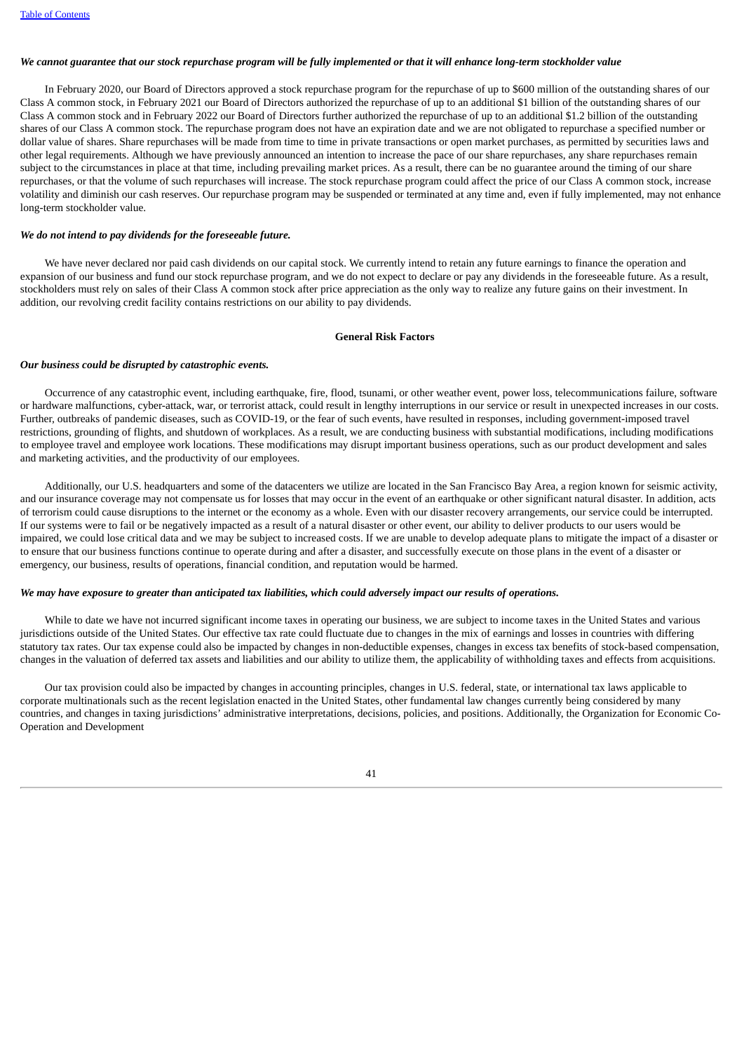### We cannot guarantee that our stock repurchase program will be fully implemented or that it will enhance long-term stockholder value

In February 2020, our Board of Directors approved a stock repurchase program for the repurchase of up to \$600 million of the outstanding shares of our Class A common stock, in February 2021 our Board of Directors authorized the repurchase of up to an additional \$1 billion of the outstanding shares of our Class A common stock and in February 2022 our Board of Directors further authorized the repurchase of up to an additional \$1.2 billion of the outstanding shares of our Class A common stock. The repurchase program does not have an expiration date and we are not obligated to repurchase a specified number or dollar value of shares. Share repurchases will be made from time to time in private transactions or open market purchases, as permitted by securities laws and other legal requirements. Although we have previously announced an intention to increase the pace of our share repurchases, any share repurchases remain subject to the circumstances in place at that time, including prevailing market prices. As a result, there can be no guarantee around the timing of our share repurchases, or that the volume of such repurchases will increase. The stock repurchase program could affect the price of our Class A common stock, increase volatility and diminish our cash reserves. Our repurchase program may be suspended or terminated at any time and, even if fully implemented, may not enhance long-term stockholder value.

#### *We do not intend to pay dividends for the foreseeable future.*

We have never declared nor paid cash dividends on our capital stock. We currently intend to retain any future earnings to finance the operation and expansion of our business and fund our stock repurchase program, and we do not expect to declare or pay any dividends in the foreseeable future. As a result, stockholders must rely on sales of their Class A common stock after price appreciation as the only way to realize any future gains on their investment. In addition, our revolving credit facility contains restrictions on our ability to pay dividends.

### **General Risk Factors**

### *Our business could be disrupted by catastrophic events.*

Occurrence of any catastrophic event, including earthquake, fire, flood, tsunami, or other weather event, power loss, telecommunications failure, software or hardware malfunctions, cyber-attack, war, or terrorist attack, could result in lengthy interruptions in our service or result in unexpected increases in our costs. Further, outbreaks of pandemic diseases, such as COVID-19, or the fear of such events, have resulted in responses, including government-imposed travel restrictions, grounding of flights, and shutdown of workplaces. As a result, we are conducting business with substantial modifications, including modifications to employee travel and employee work locations. These modifications may disrupt important business operations, such as our product development and sales and marketing activities, and the productivity of our employees.

Additionally, our U.S. headquarters and some of the datacenters we utilize are located in the San Francisco Bay Area, a region known for seismic activity, and our insurance coverage may not compensate us for losses that may occur in the event of an earthquake or other significant natural disaster. In addition, acts of terrorism could cause disruptions to the internet or the economy as a whole. Even with our disaster recovery arrangements, our service could be interrupted. If our systems were to fail or be negatively impacted as a result of a natural disaster or other event, our ability to deliver products to our users would be impaired, we could lose critical data and we may be subject to increased costs. If we are unable to develop adequate plans to mitigate the impact of a disaster or to ensure that our business functions continue to operate during and after a disaster, and successfully execute on those plans in the event of a disaster or emergency, our business, results of operations, financial condition, and reputation would be harmed.

#### We may have exposure to greater than anticipated tax liabilities, which could adversely impact our results of operations.

While to date we have not incurred significant income taxes in operating our business, we are subject to income taxes in the United States and various jurisdictions outside of the United States. Our effective tax rate could fluctuate due to changes in the mix of earnings and losses in countries with differing statutory tax rates. Our tax expense could also be impacted by changes in non-deductible expenses, changes in excess tax benefits of stock-based compensation, changes in the valuation of deferred tax assets and liabilities and our ability to utilize them, the applicability of withholding taxes and effects from acquisitions.

Our tax provision could also be impacted by changes in accounting principles, changes in U.S. federal, state, or international tax laws applicable to corporate multinationals such as the recent legislation enacted in the United States, other fundamental law changes currently being considered by many countries, and changes in taxing jurisdictions' administrative interpretations, decisions, policies, and positions. Additionally, the Organization for Economic Co-Operation and Development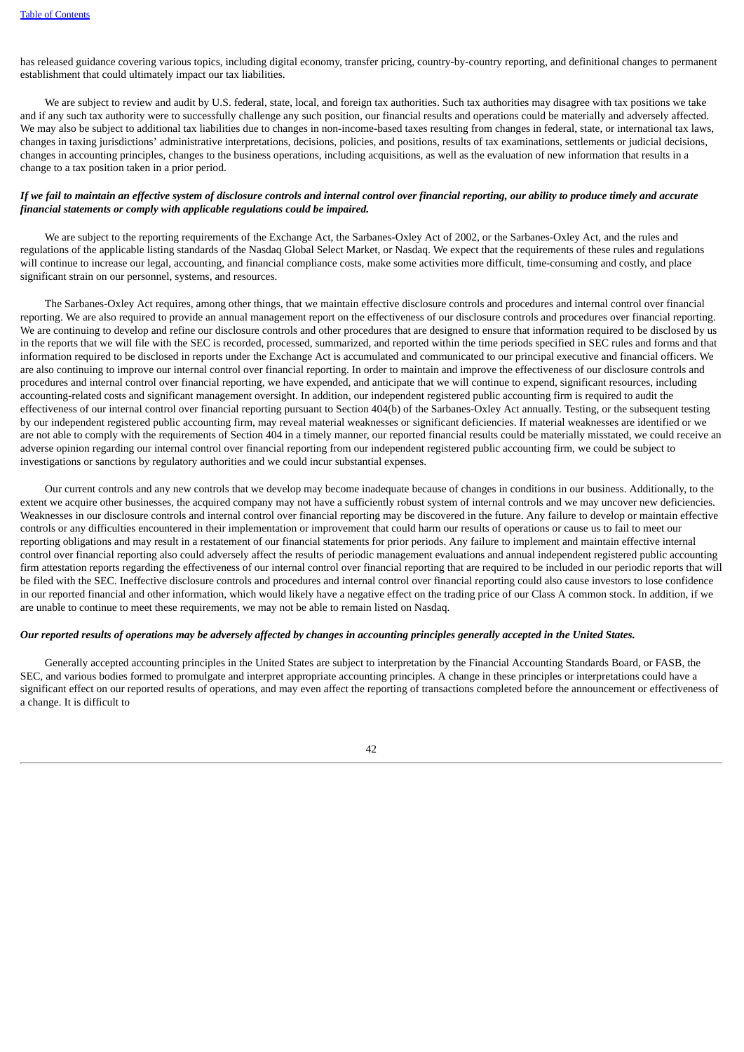has released guidance covering various topics, including digital economy, transfer pricing, country-by-country reporting, and definitional changes to permanent establishment that could ultimately impact our tax liabilities.

We are subject to review and audit by U.S. federal, state, local, and foreign tax authorities. Such tax authorities may disagree with tax positions we take and if any such tax authority were to successfully challenge any such position, our financial results and operations could be materially and adversely affected. We may also be subject to additional tax liabilities due to changes in non-income-based taxes resulting from changes in federal, state, or international tax laws, changes in taxing jurisdictions' administrative interpretations, decisions, policies, and positions, results of tax examinations, settlements or judicial decisions, changes in accounting principles, changes to the business operations, including acquisitions, as well as the evaluation of new information that results in a change to a tax position taken in a prior period.

### If we fail to maintain an effective system of disclosure controls and internal control over financial reporting, our ability to produce timely and accurate *financial statements or comply with applicable regulations could be impaired.*

We are subject to the reporting requirements of the Exchange Act, the Sarbanes-Oxley Act of 2002, or the Sarbanes-Oxley Act, and the rules and regulations of the applicable listing standards of the Nasdaq Global Select Market, or Nasdaq. We expect that the requirements of these rules and regulations will continue to increase our legal, accounting, and financial compliance costs, make some activities more difficult, time-consuming and costly, and place significant strain on our personnel, systems, and resources.

The Sarbanes-Oxley Act requires, among other things, that we maintain effective disclosure controls and procedures and internal control over financial reporting. We are also required to provide an annual management report on the effectiveness of our disclosure controls and procedures over financial reporting. We are continuing to develop and refine our disclosure controls and other procedures that are designed to ensure that information required to be disclosed by us in the reports that we will file with the SEC is recorded, processed, summarized, and reported within the time periods specified in SEC rules and forms and that information required to be disclosed in reports under the Exchange Act is accumulated and communicated to our principal executive and financial officers. We are also continuing to improve our internal control over financial reporting. In order to maintain and improve the effectiveness of our disclosure controls and procedures and internal control over financial reporting, we have expended, and anticipate that we will continue to expend, significant resources, including accounting-related costs and significant management oversight. In addition, our independent registered public accounting firm is required to audit the effectiveness of our internal control over financial reporting pursuant to Section 404(b) of the Sarbanes-Oxley Act annually. Testing, or the subsequent testing by our independent registered public accounting firm, may reveal material weaknesses or significant deficiencies. If material weaknesses are identified or we are not able to comply with the requirements of Section 404 in a timely manner, our reported financial results could be materially misstated, we could receive an adverse opinion regarding our internal control over financial reporting from our independent registered public accounting firm, we could be subject to investigations or sanctions by regulatory authorities and we could incur substantial expenses.

Our current controls and any new controls that we develop may become inadequate because of changes in conditions in our business. Additionally, to the extent we acquire other businesses, the acquired company may not have a sufficiently robust system of internal controls and we may uncover new deficiencies. Weaknesses in our disclosure controls and internal control over financial reporting may be discovered in the future. Any failure to develop or maintain effective controls or any difficulties encountered in their implementation or improvement that could harm our results of operations or cause us to fail to meet our reporting obligations and may result in a restatement of our financial statements for prior periods. Any failure to implement and maintain effective internal control over financial reporting also could adversely affect the results of periodic management evaluations and annual independent registered public accounting firm attestation reports regarding the effectiveness of our internal control over financial reporting that are required to be included in our periodic reports that will be filed with the SEC. Ineffective disclosure controls and procedures and internal control over financial reporting could also cause investors to lose confidence in our reported financial and other information, which would likely have a negative effect on the trading price of our Class A common stock. In addition, if we are unable to continue to meet these requirements, we may not be able to remain listed on Nasdaq.

### Our reported results of operations may be adversely affected by changes in accounting principles generally accepted in the United States.

Generally accepted accounting principles in the United States are subject to interpretation by the Financial Accounting Standards Board, or FASB, the SEC, and various bodies formed to promulgate and interpret appropriate accounting principles. A change in these principles or interpretations could have a significant effect on our reported results of operations, and may even affect the reporting of transactions completed before the announcement or effectiveness of a change. It is difficult to

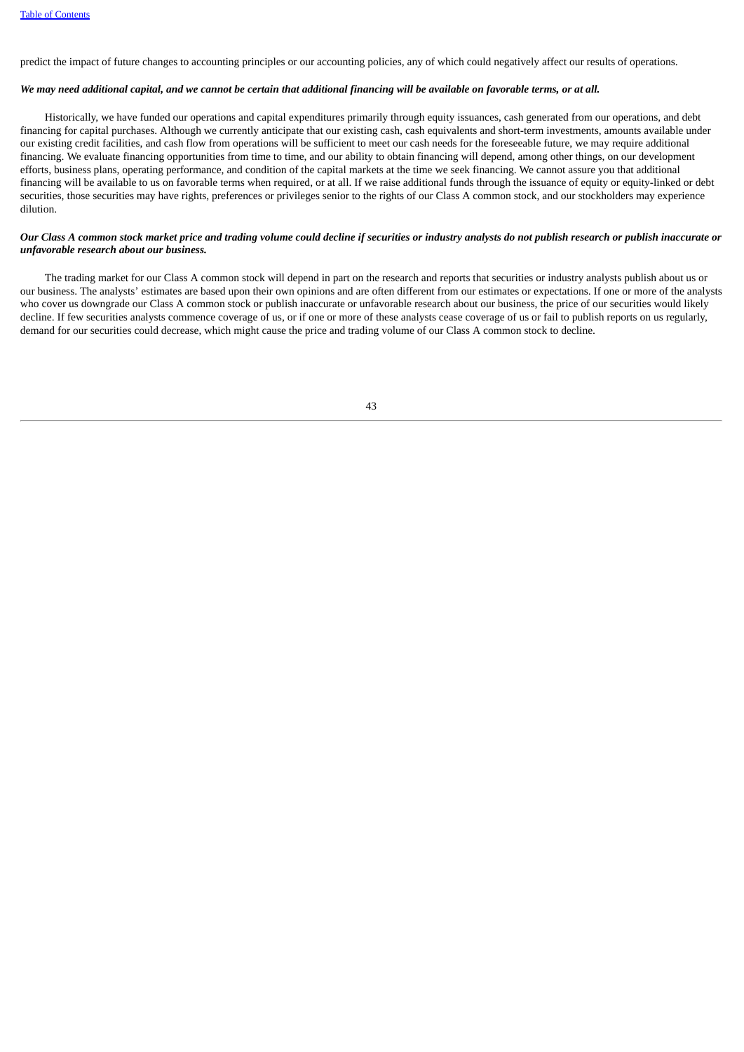predict the impact of future changes to accounting principles or our accounting policies, any of which could negatively affect our results of operations.

#### We may need additional capital, and we cannot be certain that additional financing will be available on favorable terms, or at all.

Historically, we have funded our operations and capital expenditures primarily through equity issuances, cash generated from our operations, and debt financing for capital purchases. Although we currently anticipate that our existing cash, cash equivalents and short-term investments, amounts available under our existing credit facilities, and cash flow from operations will be sufficient to meet our cash needs for the foreseeable future, we may require additional financing. We evaluate financing opportunities from time to time, and our ability to obtain financing will depend, among other things, on our development efforts, business plans, operating performance, and condition of the capital markets at the time we seek financing. We cannot assure you that additional financing will be available to us on favorable terms when required, or at all. If we raise additional funds through the issuance of equity or equity-linked or debt securities, those securities may have rights, preferences or privileges senior to the rights of our Class A common stock, and our stockholders may experience dilution.

## Our Class A common stock market price and trading volume could decline if securities or industry analysts do not publish research or publish inaccurate or *unfavorable research about our business.*

The trading market for our Class A common stock will depend in part on the research and reports that securities or industry analysts publish about us or our business. The analysts' estimates are based upon their own opinions and are often different from our estimates or expectations. If one or more of the analysts who cover us downgrade our Class A common stock or publish inaccurate or unfavorable research about our business, the price of our securities would likely decline. If few securities analysts commence coverage of us, or if one or more of these analysts cease coverage of us or fail to publish reports on us regularly, demand for our securities could decrease, which might cause the price and trading volume of our Class A common stock to decline.

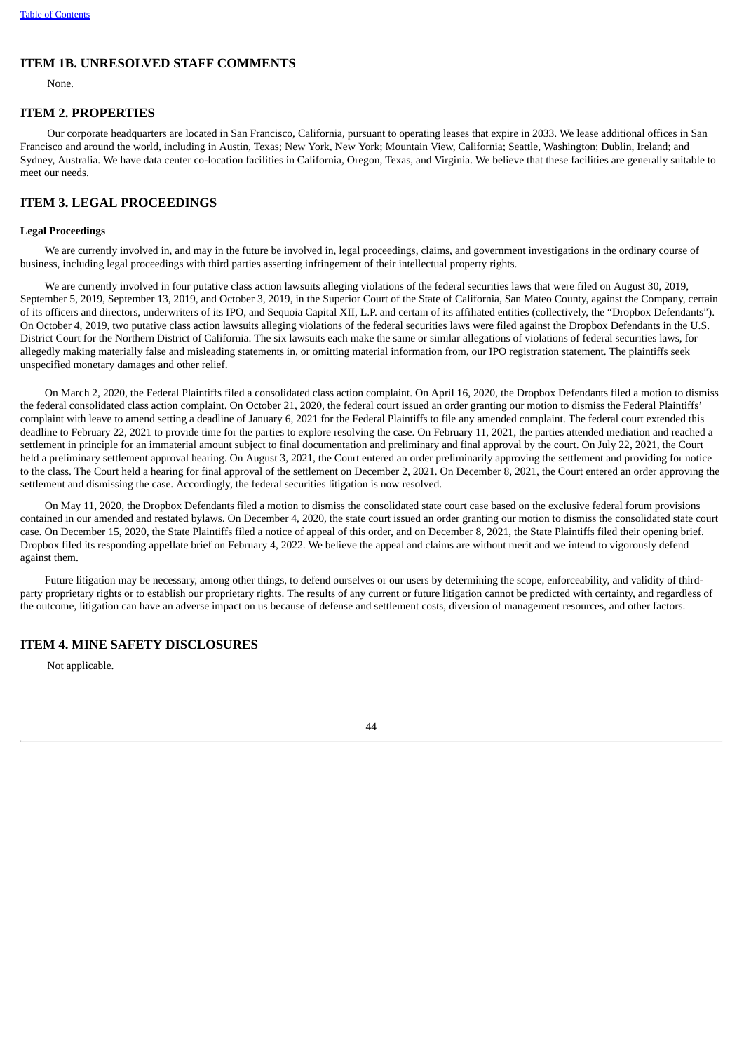## **ITEM 1B. UNRESOLVED STAFF COMMENTS**

None.

## **ITEM 2. PROPERTIES**

Our corporate headquarters are located in San Francisco, California, pursuant to operating leases that expire in 2033. We lease additional offices in San Francisco and around the world, including in Austin, Texas; New York, New York; Mountain View, California; Seattle, Washington; Dublin, Ireland; and Sydney, Australia. We have data center co-location facilities in California, Oregon, Texas, and Virginia. We believe that these facilities are generally suitable to meet our needs.

## **ITEM 3. LEGAL PROCEEDINGS**

#### **Legal Proceedings**

We are currently involved in, and may in the future be involved in, legal proceedings, claims, and government investigations in the ordinary course of business, including legal proceedings with third parties asserting infringement of their intellectual property rights.

We are currently involved in four putative class action lawsuits alleging violations of the federal securities laws that were filed on August 30, 2019, September 5, 2019, September 13, 2019, and October 3, 2019, in the Superior Court of the State of California, San Mateo County, against the Company, certain of its officers and directors, underwriters of its IPO, and Sequoia Capital XII, L.P. and certain of its affiliated entities (collectively, the "Dropbox Defendants"). On October 4, 2019, two putative class action lawsuits alleging violations of the federal securities laws were filed against the Dropbox Defendants in the U.S. District Court for the Northern District of California. The six lawsuits each make the same or similar allegations of violations of federal securities laws, for allegedly making materially false and misleading statements in, or omitting material information from, our IPO registration statement. The plaintiffs seek unspecified monetary damages and other relief.

On March 2, 2020, the Federal Plaintiffs filed a consolidated class action complaint. On April 16, 2020, the Dropbox Defendants filed a motion to dismiss the federal consolidated class action complaint. On October 21, 2020, the federal court issued an order granting our motion to dismiss the Federal Plaintiffs' complaint with leave to amend setting a deadline of January 6, 2021 for the Federal Plaintiffs to file any amended complaint. The federal court extended this deadline to February 22, 2021 to provide time for the parties to explore resolving the case. On February 11, 2021, the parties attended mediation and reached a settlement in principle for an immaterial amount subject to final documentation and preliminary and final approval by the court. On July 22, 2021, the Court held a preliminary settlement approval hearing. On August 3, 2021, the Court entered an order preliminarily approving the settlement and providing for notice to the class. The Court held a hearing for final approval of the settlement on December 2, 2021. On December 8, 2021, the Court entered an order approving the settlement and dismissing the case. Accordingly, the federal securities litigation is now resolved.

On May 11, 2020, the Dropbox Defendants filed a motion to dismiss the consolidated state court case based on the exclusive federal forum provisions contained in our amended and restated bylaws. On December 4, 2020, the state court issued an order granting our motion to dismiss the consolidated state court case. On December 15, 2020, the State Plaintiffs filed a notice of appeal of this order, and on December 8, 2021, the State Plaintiffs filed their opening brief. Dropbox filed its responding appellate brief on February 4, 2022. We believe the appeal and claims are without merit and we intend to vigorously defend against them.

Future litigation may be necessary, among other things, to defend ourselves or our users by determining the scope, enforceability, and validity of thirdparty proprietary rights or to establish our proprietary rights. The results of any current or future litigation cannot be predicted with certainty, and regardless of the outcome, litigation can have an adverse impact on us because of defense and settlement costs, diversion of management resources, and other factors.

## **ITEM 4. MINE SAFETY DISCLOSURES**

Not applicable.

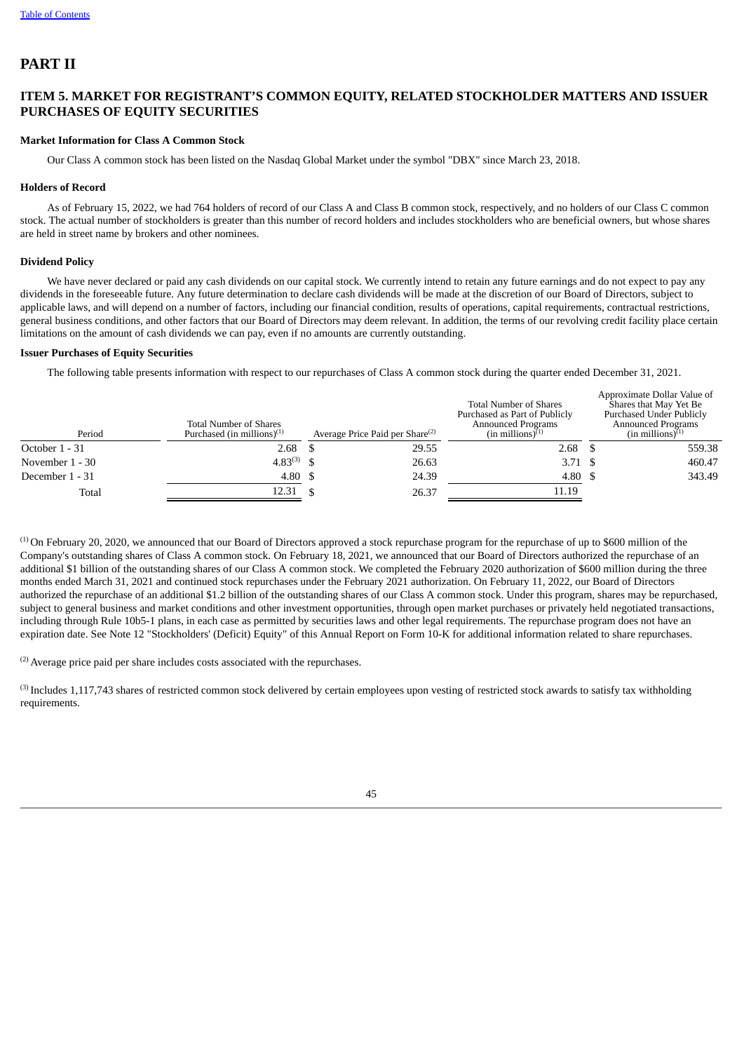# **PART II**

## **ITEM 5. MARKET FOR REGISTRANT'S COMMON EQUITY, RELATED STOCKHOLDER MATTERS AND ISSUER PURCHASES OF EQUITY SECURITIES**

### **Market Information for Class A Common Stock**

Our Class A common stock has been listed on the Nasdaq Global Market under the symbol "DBX" since March 23, 2018.

#### **Holders of Record**

As of February 15, 2022, we had 764 holders of record of our Class A and Class B common stock, respectively, and no holders of our Class C common stock. The actual number of stockholders is greater than this number of record holders and includes stockholders who are beneficial owners, but whose shares are held in street name by brokers and other nominees.

## **Dividend Policy**

We have never declared or paid any cash dividends on our capital stock. We currently intend to retain any future earnings and do not expect to pay any dividends in the foreseeable future. Any future determination to declare cash dividends will be made at the discretion of our Board of Directors, subject to applicable laws, and will depend on a number of factors, including our financial condition, results of operations, capital requirements, contractual restrictions, general business conditions, and other factors that our Board of Directors may deem relevant. In addition, the terms of our revolving credit facility place certain limitations on the amount of cash dividends we can pay, even if no amounts are currently outstanding.

## **Issuer Purchases of Equity Securities**

The following table presents information with respect to our repurchases of Class A common stock during the quarter ended December 31, 2021.

Approximate Dollar Value of

| <b>Total Number of Shares</b><br>Period<br>Purchased (in millions) $(1)$ |                   | Average Price Paid per Share <sup>(2)</sup> | <b>Total Number of Shares</b><br>Purchased as Part of Publicly<br><b>Announced Programs</b><br>$(in$ millions) <sup>(1)</sup> | Approximate Donar value of<br>Shares that May Yet Be<br>Purchased Under Publicly<br><b>Announced Programs</b><br>$(in$ millions) <sup>(1)</sup> |        |  |
|--------------------------------------------------------------------------|-------------------|---------------------------------------------|-------------------------------------------------------------------------------------------------------------------------------|-------------------------------------------------------------------------------------------------------------------------------------------------|--------|--|
| October 1 - 31                                                           | 2.68              | 29.55                                       | 2.68                                                                                                                          |                                                                                                                                                 | 559.38 |  |
| November 1 - 30                                                          | $4.83^{(3)}$ \$   | 26.63                                       | 3.71 <sup>5</sup>                                                                                                             |                                                                                                                                                 | 460.47 |  |
| December 1 - 31                                                          | 4.80 <sup>5</sup> | 24.39                                       | 4.80 <sup>5</sup>                                                                                                             |                                                                                                                                                 | 343.49 |  |
| Total                                                                    | 12.31             | 26.37                                       | 11.19                                                                                                                         |                                                                                                                                                 |        |  |

 $^{(1)}$  On February 20, 2020, we announced that our Board of Directors approved a stock repurchase program for the repurchase of up to \$600 million of the Company's outstanding shares of Class A common stock. On February 18, 2021, we announced that our Board of Directors authorized the repurchase of an additional \$1 billion of the outstanding shares of our Class A common stock. We completed the February 2020 authorization of \$600 million during the three months ended March 31, 2021 and continued stock repurchases under the February 2021 authorization. On February 11, 2022, our Board of Directors authorized the repurchase of an additional \$1.2 billion of the outstanding shares of our Class A common stock. Under this program, shares may be repurchased, subject to general business and market conditions and other investment opportunities, through open market purchases or privately held negotiated transactions, including through Rule 10b5-1 plans, in each case as permitted by securities laws and other legal requirements. The repurchase program does not have an expiration date. See Note 12 "Stockholders' (Deficit) Equity" of this Annual Report on Form 10-K for additional information related to share repurchases.

 $^{(2)}$  Average price paid per share includes costs associated with the repurchases.

 $^{(3)}$  Includes 1,117,743 shares of restricted common stock delivered by certain employees upon vesting of restricted stock awards to satisfy tax withholding requirements.

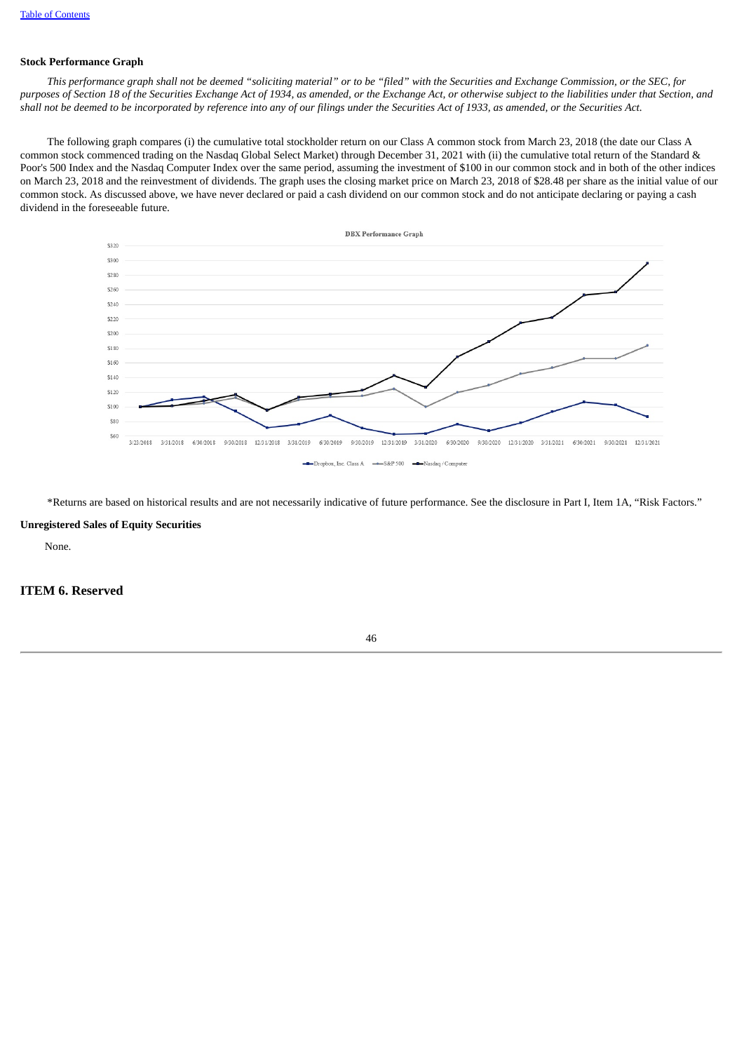## **Stock Performance Graph**

This performance graph shall not be deemed "soliciting material" or to be "filed" with the Securities and Exchange Commission, or the SEC, for purposes of Section 18 of the Securities Exchange Act of 1934, as amended, or the Exchange Act, or otherwise subject to the liabilities under that Section, and shall not be deemed to be incorporated by reference into any of our filings under the Securities Act of 1933, as amended, or the Securities Act.

The following graph compares (i) the cumulative total stockholder return on our Class A common stock from March 23, 2018 (the date our Class A common stock commenced trading on the Nasdaq Global Select Market) through December 31, 2021 with (ii) the cumulative total return of the Standard & Poor's 500 Index and the Nasdaq Computer Index over the same period, assuming the investment of \$100 in our common stock and in both of the other indices on March 23, 2018 and the reinvestment of dividends. The graph uses the closing market price on March 23, 2018 of \$28.48 per share as the initial value of our common stock. As discussed above, we have never declared or paid a cash dividend on our common stock and do not anticipate declaring or paying a cash dividend in the foreseeable future.



\*Returns are based on historical results and are not necessarily indicative of future performance. See the disclosure in Part I, Item 1A, "Risk Factors."

## **Unregistered Sales of Equity Securities**

None.

## **ITEM 6. Reserved**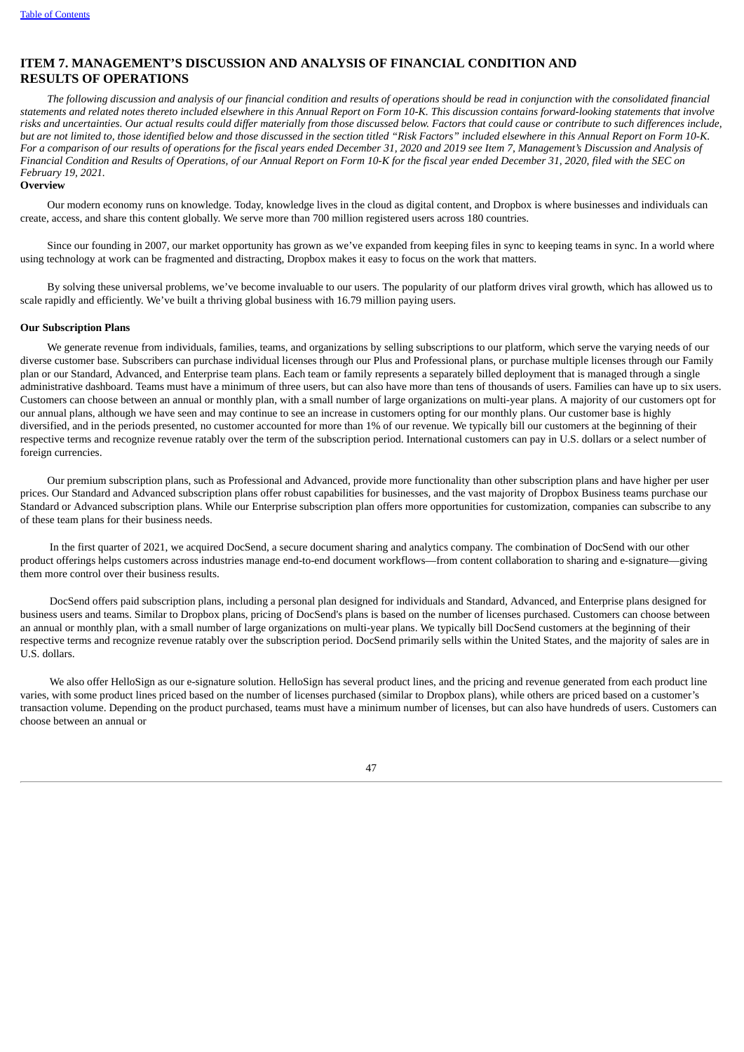# **ITEM 7. MANAGEMENT'S DISCUSSION AND ANALYSIS OF FINANCIAL CONDITION AND RESULTS OF OPERATIONS**

The following discussion and analysis of our financial condition and results of operations should be read in conjunction with the consolidated financial statements and related notes thereto included elsewhere in this Annual Report on Form 10-K. This discussion contains forward-looking statements that involve risks and uncertainties. Our actual results could differ materially from those discussed below. Factors that could cause or contribute to such differences include, but are not limited to, those identified below and those discussed in the section titled "Risk Factors" included elsewhere in this Annual Report on Form 10-K. For a comparison of our results of operations for the fiscal years ended December 31, 2020 and 2019 see Item 7, Management's Discussion and Analysis of Financial Condition and Results of Operations, of our Annual Report on Form 10-K for the fiscal year ended December 31, 2020, filed with the SEC on *February 19, 2021.*

## **Overview**

Our modern economy runs on knowledge. Today, knowledge lives in the cloud as digital content, and Dropbox is where businesses and individuals can create, access, and share this content globally. We serve more than 700 million registered users across 180 countries.

Since our founding in 2007, our market opportunity has grown as we've expanded from keeping files in sync to keeping teams in sync. In a world where using technology at work can be fragmented and distracting, Dropbox makes it easy to focus on the work that matters.

By solving these universal problems, we've become invaluable to our users. The popularity of our platform drives viral growth, which has allowed us to scale rapidly and efficiently. We've built a thriving global business with 16.79 million paying users.

#### **Our Subscription Plans**

We generate revenue from individuals, families, teams, and organizations by selling subscriptions to our platform, which serve the varying needs of our diverse customer base. Subscribers can purchase individual licenses through our Plus and Professional plans, or purchase multiple licenses through our Family plan or our Standard, Advanced, and Enterprise team plans. Each team or family represents a separately billed deployment that is managed through a single administrative dashboard. Teams must have a minimum of three users, but can also have more than tens of thousands of users. Families can have up to six users. Customers can choose between an annual or monthly plan, with a small number of large organizations on multi-year plans. A majority of our customers opt for our annual plans, although we have seen and may continue to see an increase in customers opting for our monthly plans. Our customer base is highly diversified, and in the periods presented, no customer accounted for more than 1% of our revenue. We typically bill our customers at the beginning of their respective terms and recognize revenue ratably over the term of the subscription period. International customers can pay in U.S. dollars or a select number of foreign currencies.

Our premium subscription plans, such as Professional and Advanced, provide more functionality than other subscription plans and have higher per user prices. Our Standard and Advanced subscription plans offer robust capabilities for businesses, and the vast majority of Dropbox Business teams purchase our Standard or Advanced subscription plans. While our Enterprise subscription plan offers more opportunities for customization, companies can subscribe to any of these team plans for their business needs.

In the first quarter of 2021, we acquired DocSend, a secure document sharing and analytics company. The combination of DocSend with our other product offerings helps customers across industries manage end-to-end document workflows—from content collaboration to sharing and e-signature—giving them more control over their business results.

DocSend offers paid subscription plans, including a personal plan designed for individuals and Standard, Advanced, and Enterprise plans designed for business users and teams. Similar to Dropbox plans, pricing of DocSend's plans is based on the number of licenses purchased. Customers can choose between an annual or monthly plan, with a small number of large organizations on multi-year plans. We typically bill DocSend customers at the beginning of their respective terms and recognize revenue ratably over the subscription period. DocSend primarily sells within the United States, and the majority of sales are in U.S. dollars.

We also offer HelloSign as our e-signature solution. HelloSign has several product lines, and the pricing and revenue generated from each product line varies, with some product lines priced based on the number of licenses purchased (similar to Dropbox plans), while others are priced based on a customer's transaction volume. Depending on the product purchased, teams must have a minimum number of licenses, but can also have hundreds of users. Customers can choose between an annual or

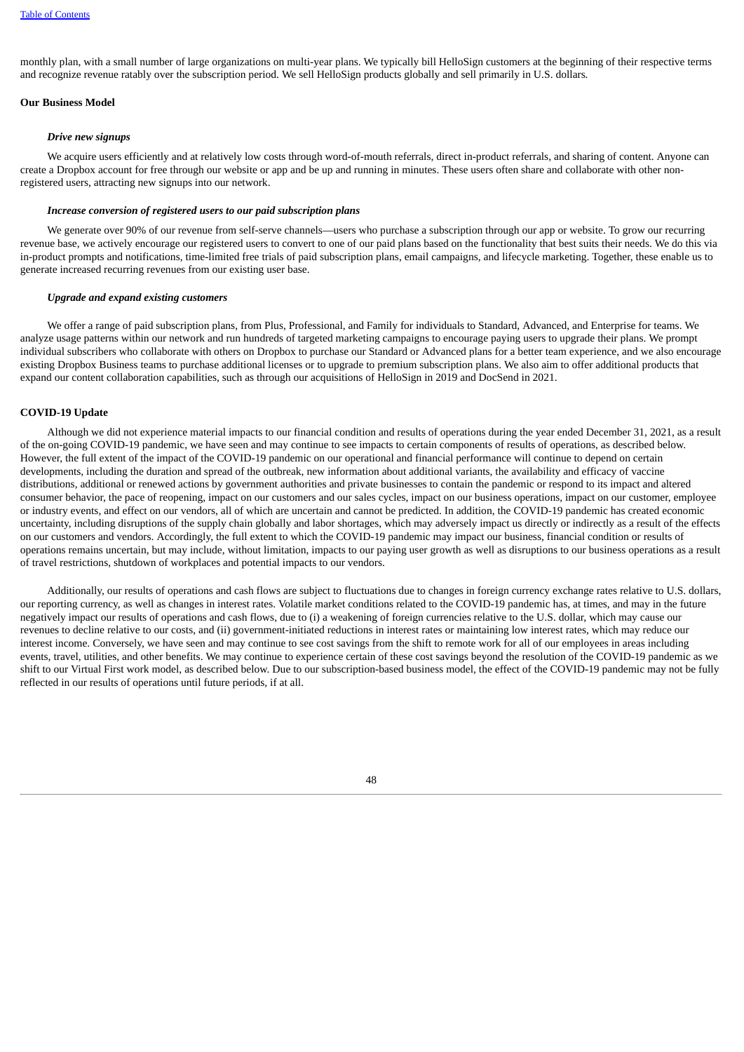monthly plan, with a small number of large organizations on multi-year plans. We typically bill HelloSign customers at the beginning of their respective terms and recognize revenue ratably over the subscription period. We sell HelloSign products globally and sell primarily in U.S. dollars*.*

### **Our Business Model**

#### *Drive new signups*

We acquire users efficiently and at relatively low costs through word-of-mouth referrals, direct in-product referrals, and sharing of content. Anyone can create a Dropbox account for free through our website or app and be up and running in minutes. These users often share and collaborate with other nonregistered users, attracting new signups into our network.

## *Increase conversion of registered users to our paid subscription plans*

We generate over 90% of our revenue from self-serve channels—users who purchase a subscription through our app or website. To grow our recurring revenue base, we actively encourage our registered users to convert to one of our paid plans based on the functionality that best suits their needs. We do this via in-product prompts and notifications, time-limited free trials of paid subscription plans, email campaigns, and lifecycle marketing. Together, these enable us to generate increased recurring revenues from our existing user base.

#### *Upgrade and expand existing customers*

We offer a range of paid subscription plans, from Plus, Professional, and Family for individuals to Standard, Advanced, and Enterprise for teams. We analyze usage patterns within our network and run hundreds of targeted marketing campaigns to encourage paying users to upgrade their plans. We prompt individual subscribers who collaborate with others on Dropbox to purchase our Standard or Advanced plans for a better team experience, and we also encourage existing Dropbox Business teams to purchase additional licenses or to upgrade to premium subscription plans. We also aim to offer additional products that expand our content collaboration capabilities, such as through our acquisitions of HelloSign in 2019 and DocSend in 2021.

#### **COVID-19 Update**

Although we did not experience material impacts to our financial condition and results of operations during the year ended December 31, 2021, as a result of the on-going COVID-19 pandemic, we have seen and may continue to see impacts to certain components of results of operations, as described below. However, the full extent of the impact of the COVID-19 pandemic on our operational and financial performance will continue to depend on certain developments, including the duration and spread of the outbreak, new information about additional variants, the availability and efficacy of vaccine distributions, additional or renewed actions by government authorities and private businesses to contain the pandemic or respond to its impact and altered consumer behavior, the pace of reopening, impact on our customers and our sales cycles, impact on our business operations, impact on our customer, employee or industry events, and effect on our vendors, all of which are uncertain and cannot be predicted. In addition, the COVID-19 pandemic has created economic uncertainty, including disruptions of the supply chain globally and labor shortages, which may adversely impact us directly or indirectly as a result of the effects on our customers and vendors. Accordingly, the full extent to which the COVID-19 pandemic may impact our business, financial condition or results of operations remains uncertain, but may include, without limitation, impacts to our paying user growth as well as disruptions to our business operations as a result of travel restrictions, shutdown of workplaces and potential impacts to our vendors.

Additionally, our results of operations and cash flows are subject to fluctuations due to changes in foreign currency exchange rates relative to U.S. dollars, our reporting currency, as well as changes in interest rates. Volatile market conditions related to the COVID-19 pandemic has, at times, and may in the future negatively impact our results of operations and cash flows, due to (i) a weakening of foreign currencies relative to the U.S. dollar, which may cause our revenues to decline relative to our costs, and (ii) government-initiated reductions in interest rates or maintaining low interest rates, which may reduce our interest income. Conversely, we have seen and may continue to see cost savings from the shift to remote work for all of our employees in areas including events, travel, utilities, and other benefits. We may continue to experience certain of these cost savings beyond the resolution of the COVID-19 pandemic as we shift to our Virtual First work model, as described below. Due to our subscription-based business model, the effect of the COVID-19 pandemic may not be fully reflected in our results of operations until future periods, if at all.

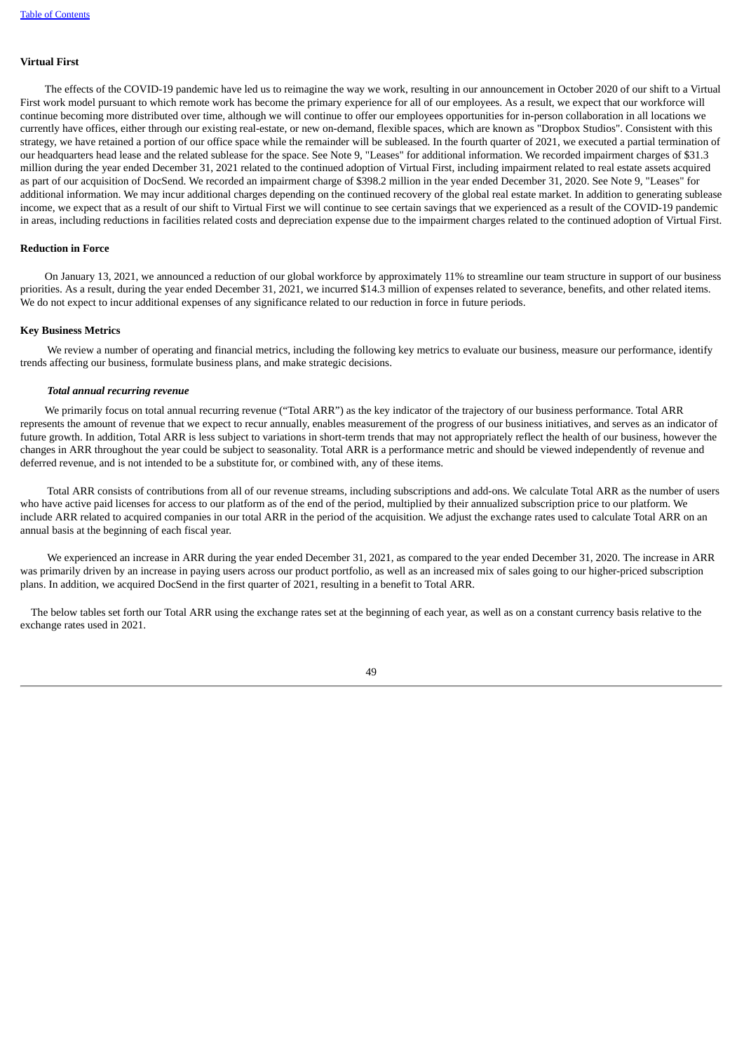#### **Virtual First**

The effects of the COVID-19 pandemic have led us to reimagine the way we work, resulting in our announcement in October 2020 of our shift to a Virtual First work model pursuant to which remote work has become the primary experience for all of our employees. As a result, we expect that our workforce will continue becoming more distributed over time, although we will continue to offer our employees opportunities for in-person collaboration in all locations we currently have offices, either through our existing real-estate, or new on-demand, flexible spaces, which are known as "Dropbox Studios". Consistent with this strategy, we have retained a portion of our office space while the remainder will be subleased. In the fourth quarter of 2021, we executed a partial termination of our headquarters head lease and the related sublease for the space. See Note 9, "Leases" for additional information. We recorded impairment charges of \$31.3 million during the year ended December 31, 2021 related to the continued adoption of Virtual First, including impairment related to real estate assets acquired as part of our acquisition of DocSend. We recorded an impairment charge of \$398.2 million in the year ended December 31, 2020. See Note 9, "Leases" for additional information. We may incur additional charges depending on the continued recovery of the global real estate market. In addition to generating sublease income, we expect that as a result of our shift to Virtual First we will continue to see certain savings that we experienced as a result of the COVID-19 pandemic in areas, including reductions in facilities related costs and depreciation expense due to the impairment charges related to the continued adoption of Virtual First.

#### **Reduction in Force**

On January 13, 2021, we announced a reduction of our global workforce by approximately 11% to streamline our team structure in support of our business priorities. As a result, during the year ended December 31, 2021, we incurred \$14.3 million of expenses related to severance, benefits, and other related items. We do not expect to incur additional expenses of any significance related to our reduction in force in future periods.

#### **Key Business Metrics**

We review a number of operating and financial metrics, including the following key metrics to evaluate our business, measure our performance, identify trends affecting our business, formulate business plans, and make strategic decisions.

#### *Total annual recurring revenue*

We primarily focus on total annual recurring revenue ("Total ARR") as the key indicator of the trajectory of our business performance. Total ARR represents the amount of revenue that we expect to recur annually, enables measurement of the progress of our business initiatives, and serves as an indicator of future growth. In addition, Total ARR is less subject to variations in short-term trends that may not appropriately reflect the health of our business, however the changes in ARR throughout the year could be subject to seasonality. Total ARR is a performance metric and should be viewed independently of revenue and deferred revenue, and is not intended to be a substitute for, or combined with, any of these items.

Total ARR consists of contributions from all of our revenue streams, including subscriptions and add-ons. We calculate Total ARR as the number of users who have active paid licenses for access to our platform as of the end of the period, multiplied by their annualized subscription price to our platform. We include ARR related to acquired companies in our total ARR in the period of the acquisition. We adjust the exchange rates used to calculate Total ARR on an annual basis at the beginning of each fiscal year.

We experienced an increase in ARR during the year ended December 31, 2021, as compared to the year ended December 31, 2020. The increase in ARR was primarily driven by an increase in paying users across our product portfolio, as well as an increased mix of sales going to our higher-priced subscription plans. In addition, we acquired DocSend in the first quarter of 2021, resulting in a benefit to Total ARR.

The below tables set forth our Total ARR using the exchange rates set at the beginning of each year, as well as on a constant currency basis relative to the exchange rates used in 2021.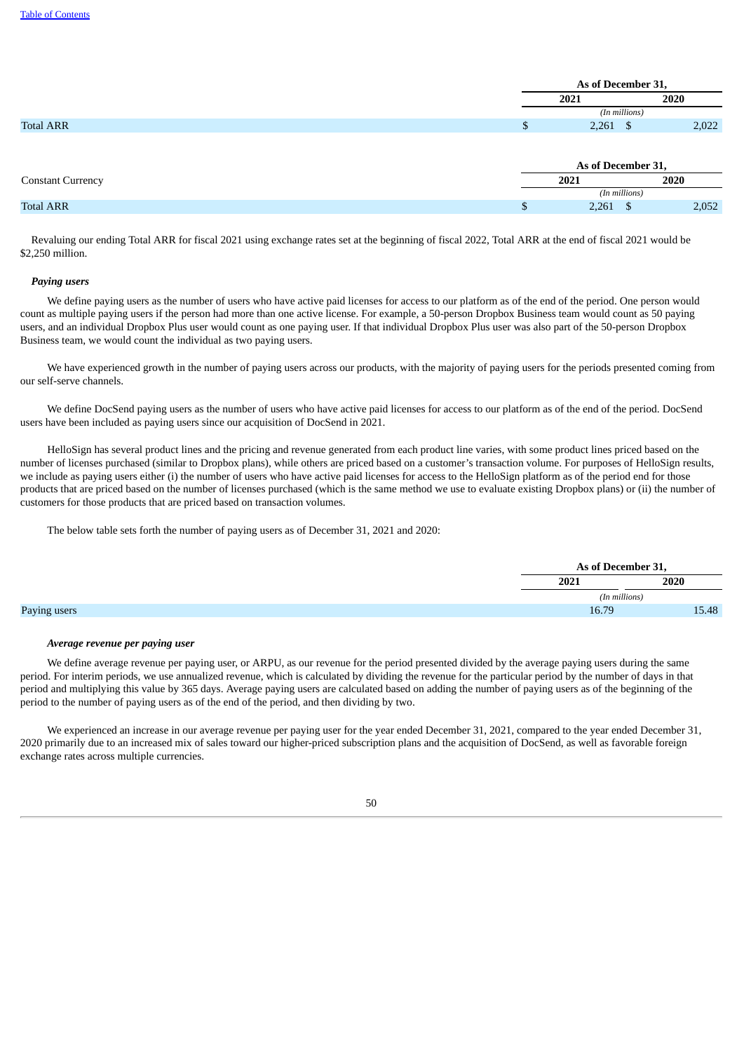|                          | As of December 31, |               |       |  |
|--------------------------|--------------------|---------------|-------|--|
|                          | 2021               |               | 2020  |  |
|                          |                    | (In millions) |       |  |
| <b>Total ARR</b>         | \$<br>$2,261$ \$   |               | 2,022 |  |
|                          | As of December 31, |               |       |  |
| <b>Constant Currency</b> | 2021               |               | 2020  |  |
|                          |                    | (In millions) |       |  |
| <b>Total ARR</b>         | \$<br>$2,261$ \$   |               | 2,052 |  |

Revaluing our ending Total ARR for fiscal 2021 using exchange rates set at the beginning of fiscal 2022, Total ARR at the end of fiscal 2021 would be \$2,250 million.

### *Paying users*

We define paying users as the number of users who have active paid licenses for access to our platform as of the end of the period. One person would count as multiple paying users if the person had more than one active license. For example, a 50-person Dropbox Business team would count as 50 paying users, and an individual Dropbox Plus user would count as one paying user. If that individual Dropbox Plus user was also part of the 50-person Dropbox Business team, we would count the individual as two paying users.

We have experienced growth in the number of paying users across our products, with the majority of paying users for the periods presented coming from our self-serve channels.

We define DocSend paying users as the number of users who have active paid licenses for access to our platform as of the end of the period. DocSend users have been included as paying users since our acquisition of DocSend in 2021.

HelloSign has several product lines and the pricing and revenue generated from each product line varies, with some product lines priced based on the number of licenses purchased (similar to Dropbox plans), while others are priced based on a customer's transaction volume. For purposes of HelloSign results, we include as paying users either (i) the number of users who have active paid licenses for access to the HelloSign platform as of the period end for those products that are priced based on the number of licenses purchased (which is the same method we use to evaluate existing Dropbox plans) or (ii) the number of customers for those products that are priced based on transaction volumes.

The below table sets forth the number of paying users as of December 31, 2021 and 2020:

| As of December 31, |  |  |
|--------------------|--|--|
| 2020<br>2021       |  |  |
| (In millions)      |  |  |
| 15.48<br>16.79     |  |  |
|                    |  |  |

#### *Average revenue per paying user*

We define average revenue per paying user, or ARPU, as our revenue for the period presented divided by the average paying users during the same period. For interim periods, we use annualized revenue, which is calculated by dividing the revenue for the particular period by the number of days in that period and multiplying this value by 365 days. Average paying users are calculated based on adding the number of paying users as of the beginning of the period to the number of paying users as of the end of the period, and then dividing by two.

We experienced an increase in our average revenue per paying user for the year ended December 31, 2021, compared to the year ended December 31, 2020 primarily due to an increased mix of sales toward our higher-priced subscription plans and the acquisition of DocSend, as well as favorable foreign exchange rates across multiple currencies.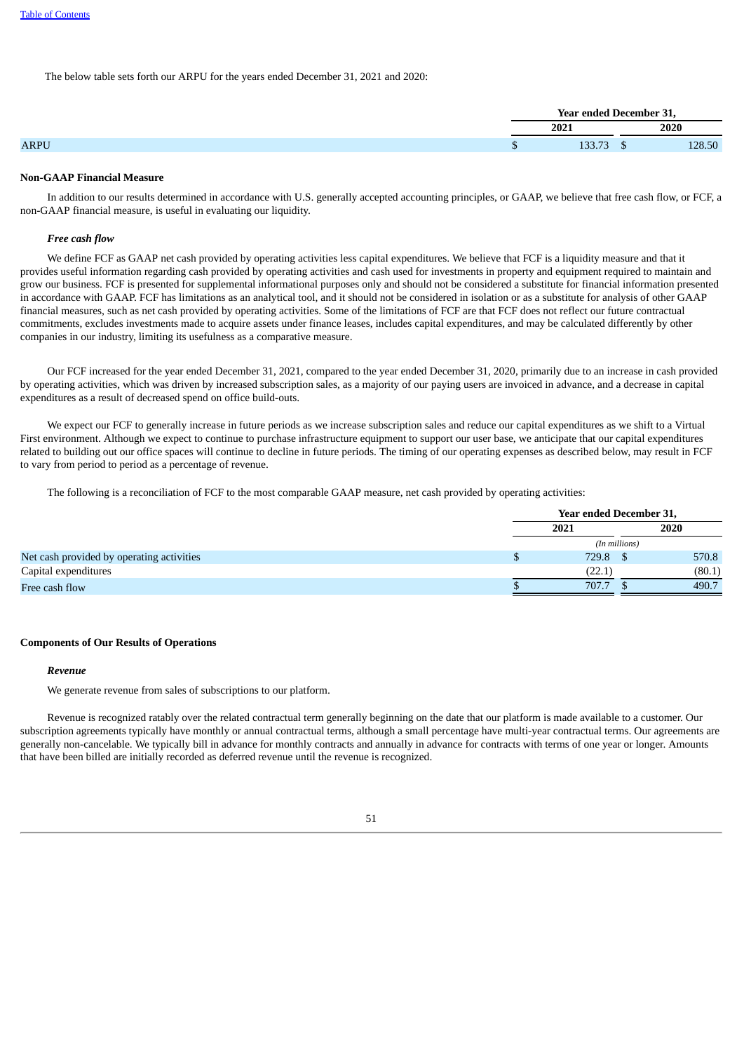The below table sets forth our ARPU for the years ended December 31, 2021 and 2020:

|             |     | <b>Year ended December 31,</b> |  |        |  |
|-------------|-----|--------------------------------|--|--------|--|
|             |     | 2021                           |  | 2020   |  |
| <b>ARPU</b> | . . | 133.73                         |  | 128.50 |  |

#### **Non-GAAP Financial Measure**

In addition to our results determined in accordance with U.S. generally accepted accounting principles, or GAAP, we believe that free cash flow, or FCF, a non-GAAP financial measure, is useful in evaluating our liquidity.

## *Free cash flow*

We define FCF as GAAP net cash provided by operating activities less capital expenditures. We believe that FCF is a liquidity measure and that it provides useful information regarding cash provided by operating activities and cash used for investments in property and equipment required to maintain and grow our business. FCF is presented for supplemental informational purposes only and should not be considered a substitute for financial information presented in accordance with GAAP. FCF has limitations as an analytical tool, and it should not be considered in isolation or as a substitute for analysis of other GAAP financial measures, such as net cash provided by operating activities. Some of the limitations of FCF are that FCF does not reflect our future contractual commitments, excludes investments made to acquire assets under finance leases, includes capital expenditures, and may be calculated differently by other companies in our industry, limiting its usefulness as a comparative measure.

Our FCF increased for the year ended December 31, 2021, compared to the year ended December 31, 2020, primarily due to an increase in cash provided by operating activities, which was driven by increased subscription sales, as a majority of our paying users are invoiced in advance, and a decrease in capital expenditures as a result of decreased spend on office build-outs.

We expect our FCF to generally increase in future periods as we increase subscription sales and reduce our capital expenditures as we shift to a Virtual First environment. Although we expect to continue to purchase infrastructure equipment to support our user base, we anticipate that our capital expenditures related to building out our office spaces will continue to decline in future periods. The timing of our operating expenses as described below, may result in FCF to vary from period to period as a percentage of revenue.

The following is a reconciliation of FCF to the most comparable GAAP measure, net cash provided by operating activities:

|                                           | <b>Year ended December 31,</b> |               |        |  |
|-------------------------------------------|--------------------------------|---------------|--------|--|
|                                           | 2021                           |               | 2020   |  |
|                                           |                                | (In millions) |        |  |
| Net cash provided by operating activities | 729.8                          |               | 570.8  |  |
| Capital expenditures                      | (22.1)                         |               | (80.1) |  |
| Free cash flow                            | 707.7                          |               | 490.7  |  |

### **Components of Our Results of Operations**

#### *Revenue*

We generate revenue from sales of subscriptions to our platform.

Revenue is recognized ratably over the related contractual term generally beginning on the date that our platform is made available to a customer. Our subscription agreements typically have monthly or annual contractual terms, although a small percentage have multi-year contractual terms. Our agreements are generally non-cancelable. We typically bill in advance for monthly contracts and annually in advance for contracts with terms of one year or longer. Amounts that have been billed are initially recorded as deferred revenue until the revenue is recognized.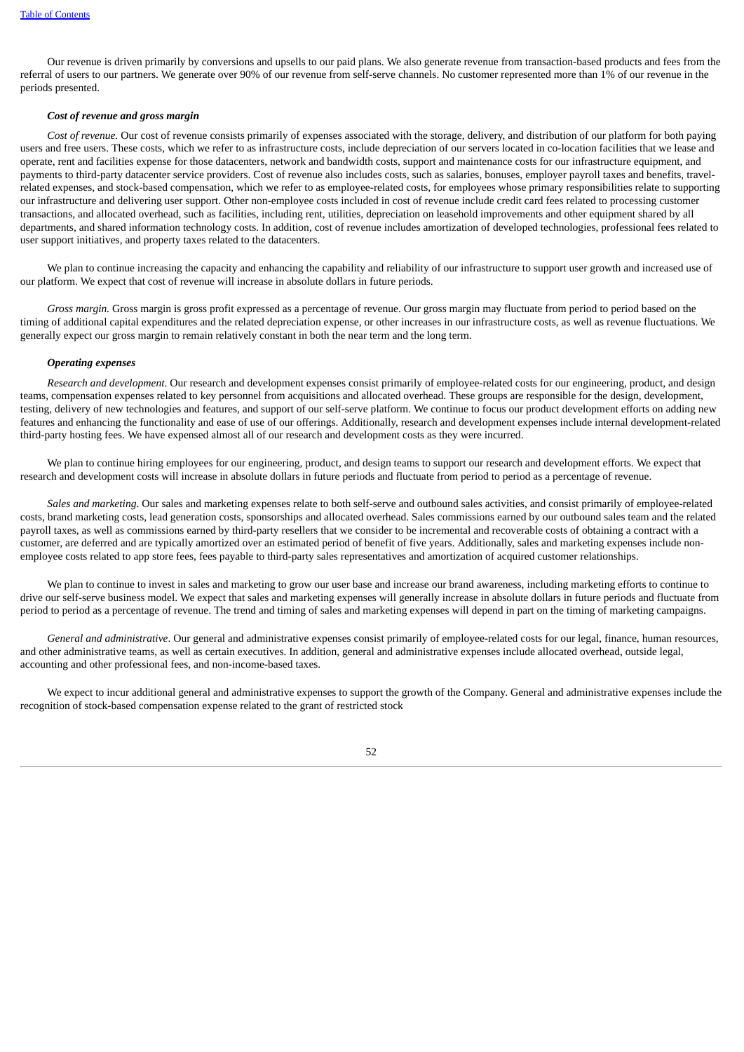Our revenue is driven primarily by conversions and upsells to our paid plans. We also generate revenue from transaction-based products and fees from the referral of users to our partners. We generate over 90% of our revenue from self-serve channels. No customer represented more than 1% of our revenue in the periods presented.

## *Cost of revenue and gross margin*

*Cost of revenue.* Our cost of revenue consists primarily of expenses associated with the storage, delivery, and distribution of our platform for both paying users and free users. These costs, which we refer to as infrastructure costs, include depreciation of our servers located in co-location facilities that we lease and operate, rent and facilities expense for those datacenters, network and bandwidth costs, support and maintenance costs for our infrastructure equipment, and payments to third-party datacenter service providers. Cost of revenue also includes costs, such as salaries, bonuses, employer payroll taxes and benefits, travelrelated expenses, and stock-based compensation, which we refer to as employee-related costs, for employees whose primary responsibilities relate to supporting our infrastructure and delivering user support. Other non-employee costs included in cost of revenue include credit card fees related to processing customer transactions, and allocated overhead, such as facilities, including rent, utilities, depreciation on leasehold improvements and other equipment shared by all departments, and shared information technology costs. In addition, cost of revenue includes amortization of developed technologies, professional fees related to user support initiatives, and property taxes related to the datacenters.

We plan to continue increasing the capacity and enhancing the capability and reliability of our infrastructure to support user growth and increased use of our platform. We expect that cost of revenue will increase in absolute dollars in future periods.

*Gross margin.* Gross margin is gross profit expressed as a percentage of revenue. Our gross margin may fluctuate from period to period based on the timing of additional capital expenditures and the related depreciation expense, or other increases in our infrastructure costs, as well as revenue fluctuations. We generally expect our gross margin to remain relatively constant in both the near term and the long term.

#### *Operating expenses*

*Research and development*. Our research and development expenses consist primarily of employee-related costs for our engineering, product, and design teams, compensation expenses related to key personnel from acquisitions and allocated overhead. These groups are responsible for the design, development, testing, delivery of new technologies and features, and support of our self-serve platform. We continue to focus our product development efforts on adding new features and enhancing the functionality and ease of use of our offerings. Additionally, research and development expenses include internal development-related third-party hosting fees. We have expensed almost all of our research and development costs as they were incurred.

We plan to continue hiring employees for our engineering, product, and design teams to support our research and development efforts. We expect that research and development costs will increase in absolute dollars in future periods and fluctuate from period to period as a percentage of revenue.

*Sales and marketing*. Our sales and marketing expenses relate to both self-serve and outbound sales activities, and consist primarily of employee-related costs, brand marketing costs, lead generation costs, sponsorships and allocated overhead. Sales commissions earned by our outbound sales team and the related payroll taxes, as well as commissions earned by third-party resellers that we consider to be incremental and recoverable costs of obtaining a contract with a customer, are deferred and are typically amortized over an estimated period of benefit of five years. Additionally, sales and marketing expenses include nonemployee costs related to app store fees, fees payable to third-party sales representatives and amortization of acquired customer relationships.

We plan to continue to invest in sales and marketing to grow our user base and increase our brand awareness, including marketing efforts to continue to drive our self-serve business model. We expect that sales and marketing expenses will generally increase in absolute dollars in future periods and fluctuate from period to period as a percentage of revenue. The trend and timing of sales and marketing expenses will depend in part on the timing of marketing campaigns.

*General and administrative*. Our general and administrative expenses consist primarily of employee-related costs for our legal, finance, human resources, and other administrative teams, as well as certain executives. In addition, general and administrative expenses include allocated overhead, outside legal, accounting and other professional fees, and non-income-based taxes.

We expect to incur additional general and administrative expenses to support the growth of the Company. General and administrative expenses include the recognition of stock-based compensation expense related to the grant of restricted stock

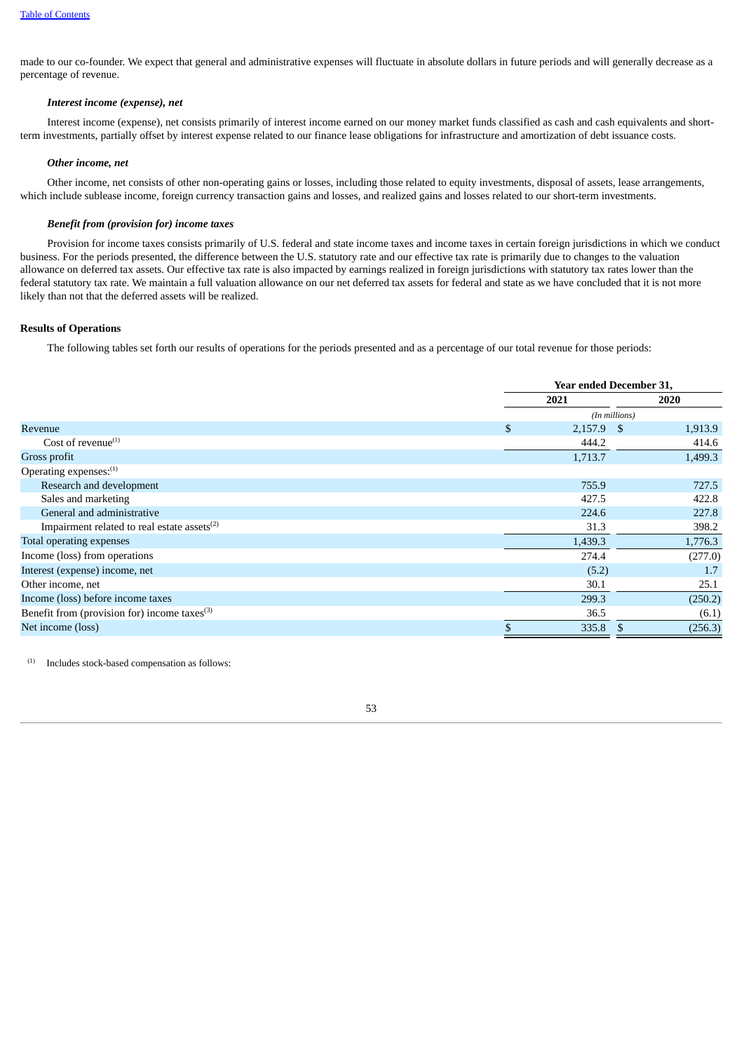made to our co-founder. We expect that general and administrative expenses will fluctuate in absolute dollars in future periods and will generally decrease as a percentage of revenue.

## *Interest income (expense), net*

Interest income (expense), net consists primarily of interest income earned on our money market funds classified as cash and cash equivalents and shortterm investments, partially offset by interest expense related to our finance lease obligations for infrastructure and amortization of debt issuance costs.

#### *Other income, net*

Other income, net consists of other non-operating gains or losses, including those related to equity investments, disposal of assets, lease arrangements, which include sublease income, foreign currency transaction gains and losses, and realized gains and losses related to our short-term investments.

### *Benefit from (provision for) income taxes*

Provision for income taxes consists primarily of U.S. federal and state income taxes and income taxes in certain foreign jurisdictions in which we conduct business. For the periods presented, the difference between the U.S. statutory rate and our effective tax rate is primarily due to changes to the valuation allowance on deferred tax assets. Our effective tax rate is also impacted by earnings realized in foreign jurisdictions with statutory tax rates lower than the federal statutory tax rate. We maintain a full valuation allowance on our net deferred tax assets for federal and state as we have concluded that it is not more likely than not that the deferred assets will be realized.

#### **Results of Operations**

The following tables set forth our results of operations for the periods presented and as a percentage of our total revenue for those periods:

|                                                    | <b>Year ended December 31,</b> |              |               |         |
|----------------------------------------------------|--------------------------------|--------------|---------------|---------|
|                                                    | 2021                           |              |               | 2020    |
|                                                    |                                |              | (In millions) |         |
| Revenue                                            | \$                             | $2,157.9$ \$ |               | 1,913.9 |
| Cost of revenue <sup><math>(1)</math></sup>        |                                | 444.2        |               | 414.6   |
| Gross profit                                       |                                | 1,713.7      |               | 1,499.3 |
| Operating expenses: $(1)$                          |                                |              |               |         |
| Research and development                           |                                | 755.9        |               | 727.5   |
| Sales and marketing                                |                                | 427.5        |               | 422.8   |
| General and administrative                         |                                | 224.6        |               | 227.8   |
| Impairment related to real estate assets $^{(2)}$  |                                | 31.3         |               | 398.2   |
| Total operating expenses                           |                                | 1,439.3      |               | 1,776.3 |
| Income (loss) from operations                      |                                | 274.4        |               | (277.0) |
| Interest (expense) income, net                     |                                | (5.2)        |               | 1.7     |
| Other income, net                                  |                                | 30.1         |               | 25.1    |
| Income (loss) before income taxes                  |                                | 299.3        |               | (250.2) |
| Benefit from (provision for) income taxes $^{(3)}$ |                                | 36.5         |               | (6.1)   |
| Net income (loss)                                  |                                | 335.8        |               | (256.3) |

Includes stock-based compensation as follows: (1)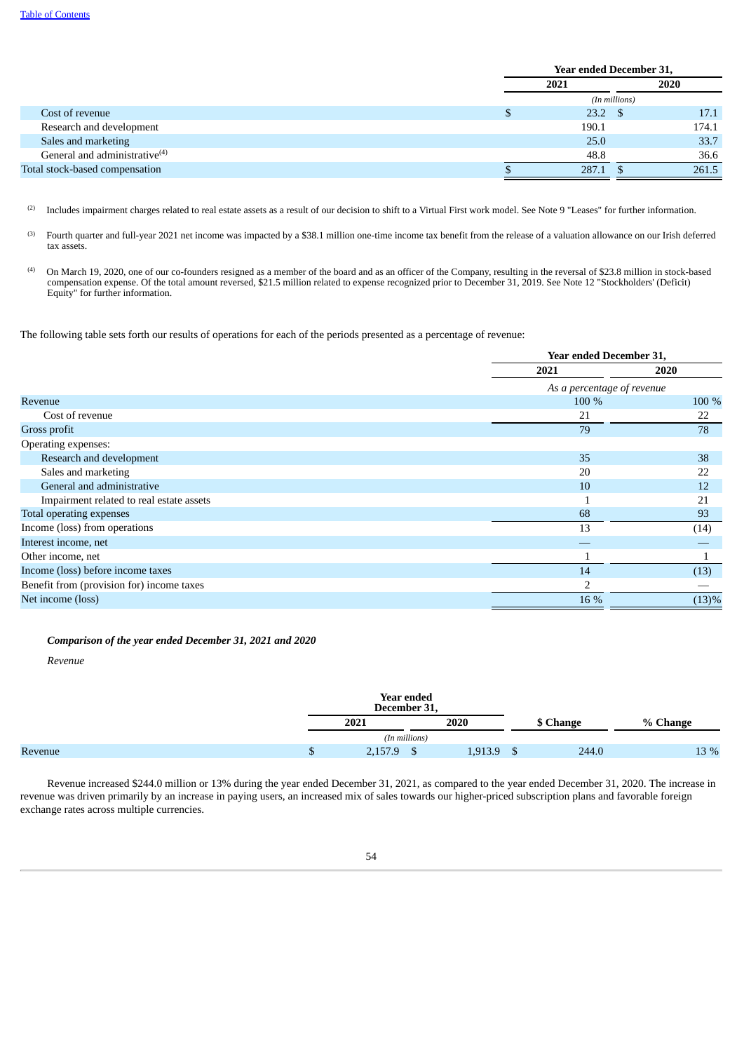|                                           |      | <b>Year ended December 31,</b> |  |  |  |
|-------------------------------------------|------|--------------------------------|--|--|--|
|                                           | 2021 | 2020                           |  |  |  |
|                                           |      | (In millions)                  |  |  |  |
| Cost of revenue                           |      | 23.2 <sup>5</sup><br>17.1      |  |  |  |
| Research and development                  |      | 190.1<br>174.1                 |  |  |  |
| Sales and marketing                       |      | 33.7<br>25.0                   |  |  |  |
| General and administrative <sup>(4)</sup> |      | 36.6<br>48.8                   |  |  |  |
| Total stock-based compensation            |      | 261.5<br>287.1                 |  |  |  |
|                                           |      |                                |  |  |  |

Includes impairment charges related to real estate assets as a result of our decision to shift to a Virtual First work model. See Note 9 "Leases" for further information. (2)

- Fourth quarter and full-year 2021 net income was impacted by a \$38.1 million one-time income tax benefit from the release of a valuation allowance on our Irish deferred tax assets. (3)
- On March 19, 2020, one of our co-founders resigned as a member of the board and as an officer of the Company, resulting in the reversal of \$23.8 million in stock-based compensation expense. Of the total amount reversed, \$21.5 million related to expense recognized prior to December 31, 2019. See Note 12 "Stockholders' (Deficit) Equity" for further information. (4)

The following table sets forth our results of operations for each of the periods presented as a percentage of revenue:

|                                           | <b>Year ended December 31,</b> |       |
|-------------------------------------------|--------------------------------|-------|
|                                           | 2021                           | 2020  |
|                                           | As a percentage of revenue     |       |
| Revenue                                   | 100 %                          | 100 % |
| Cost of revenue                           | 21                             | 22    |
| Gross profit                              | 79                             | 78    |
| Operating expenses:                       |                                |       |
| Research and development                  | 35                             | 38    |
| Sales and marketing                       | 20                             | 22    |
| General and administrative                | 10                             | 12    |
| Impairment related to real estate assets  |                                | 21    |
| Total operating expenses                  | 68                             | 93    |
| Income (loss) from operations             | 13                             | (14)  |
| Interest income, net                      |                                |       |
| Other income, net                         |                                |       |
| Income (loss) before income taxes         | 14                             | (13)  |
| Benefit from (provision for) income taxes | $\overline{2}$                 |       |
| Net income (loss)                         | 16 %                           | (13)% |

### *Comparison of the year ended December 31, 2021 and 2020*

*Revenue*

|         | Year ended<br>December 31, |               |         |  |           |          |  |
|---------|----------------------------|---------------|---------|--|-----------|----------|--|
|         | 2021                       |               | 2020    |  | \$ Change | % Change |  |
|         |                            | (In millions) |         |  |           |          |  |
| Revenue | 2,157.9                    |               | 1,913.9 |  | 244.0     | 13 %     |  |

Revenue increased \$244.0 million or 13% during the year ended December 31, 2021, as compared to the year ended December 31, 2020. The increase in revenue was driven primarily by an increase in paying users, an increased mix of sales towards our higher-priced subscription plans and favorable foreign exchange rates across multiple currencies.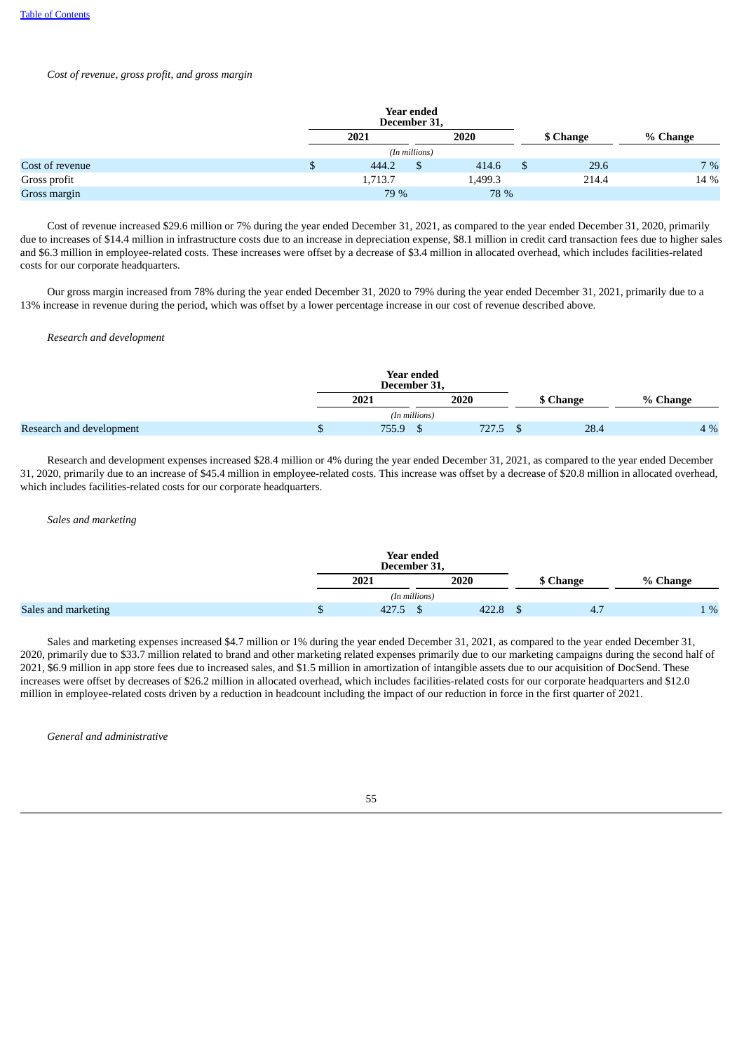## *Cost of revenue, gross profit, and gross margin*

|                 |         | Year ended<br>December 31, |         |           |       |          |
|-----------------|---------|----------------------------|---------|-----------|-------|----------|
|                 | 2021    |                            | 2020    | \$ Change |       | % Change |
|                 |         | (In millions)              |         |           |       |          |
| Cost of revenue | 444.2   |                            | 414.6   |           | 29.6  | 7 %      |
| Gross profit    | 1,713.7 |                            | 1,499.3 |           | 214.4 | 14 %     |
| Gross margin    | 79 %    |                            | 78 %    |           |       |          |

Cost of revenue increased \$29.6 million or 7% during the year ended December 31, 2021, as compared to the year ended December 31, 2020, primarily due to increases of \$14.4 million in infrastructure costs due to an increase in depreciation expense, \$8.1 million in credit card transaction fees due to higher sales and \$6.3 million in employee-related costs. These increases were offset by a decrease of \$3.4 million in allocated overhead, which includes facilities-related costs for our corporate headquarters.

Our gross margin increased from 78% during the year ended December 31, 2020 to 79% during the year ended December 31, 2021, primarily due to a 13% increase in revenue during the period, which was offset by a lower percentage increase in our cost of revenue described above.

#### *Research and development*

|                          | Year ended<br>December 31, |               |       |           |          |  |
|--------------------------|----------------------------|---------------|-------|-----------|----------|--|
|                          | 2021                       |               | 2020  | \$ Change | % Change |  |
|                          |                            | (In millions) |       |           |          |  |
| Research and development | 755.9                      |               | 727.5 | 28.4      | $4\%$    |  |

Research and development expenses increased \$28.4 million or 4% during the year ended December 31, 2021, as compared to the year ended December 31, 2020, primarily due to an increase of \$45.4 million in employee-related costs. This increase was offset by a decrease of \$20.8 million in allocated overhead, which includes facilities-related costs for our corporate headquarters.

### *Sales and marketing*

|                     | Year ended<br>December 31, |               |       |           |     |               |  |
|---------------------|----------------------------|---------------|-------|-----------|-----|---------------|--|
|                     | 2021                       |               | 2020  | \$ Change |     | % Change      |  |
|                     |                            | (In millions) |       |           |     |               |  |
| Sales and marketing | 427.5                      |               | 422.8 |           | 4.7 | $\frac{0}{0}$ |  |

Sales and marketing expenses increased \$4.7 million or 1% during the year ended December 31, 2021, as compared to the year ended December 31, 2020, primarily due to \$33.7 million related to brand and other marketing related expenses primarily due to our marketing campaigns during the second half of 2021, \$6.9 million in app store fees due to increased sales, and \$1.5 million in amortization of intangible assets due to our acquisition of DocSend. These increases were offset by decreases of \$26.2 million in allocated overhead, which includes facilities-related costs for our corporate headquarters and \$12.0 million in employee-related costs driven by a reduction in headcount including the impact of our reduction in force in the first quarter of 2021.

### *General and administrative*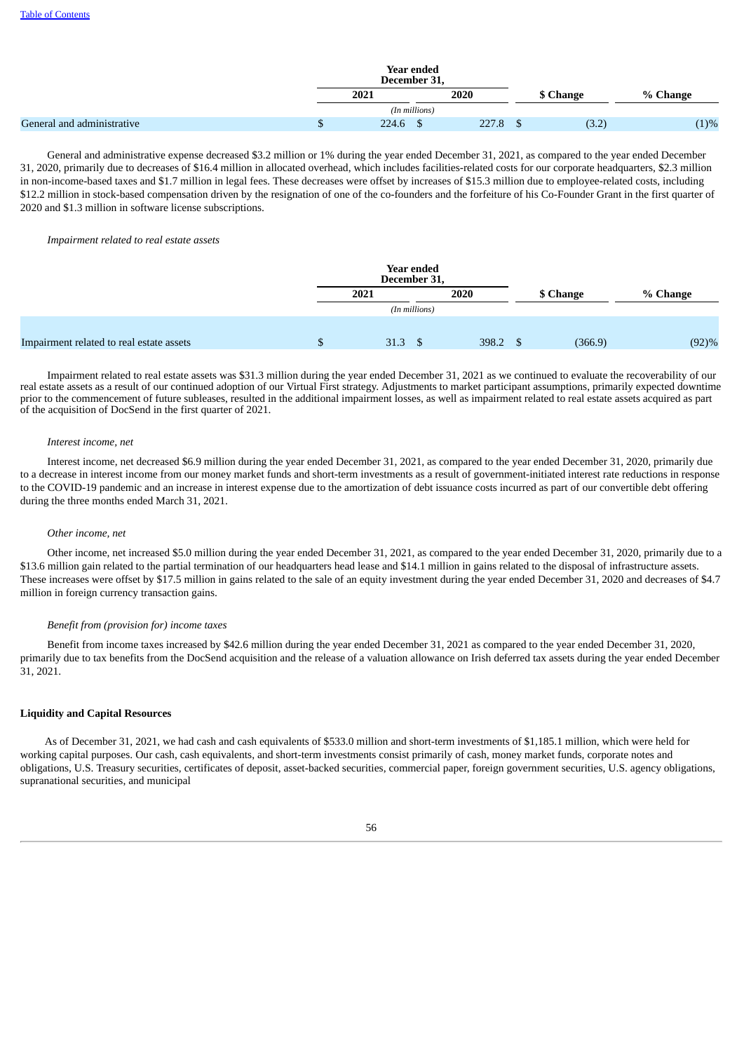|                            | December 31,  | <b>Year ended</b> |       |  |           |          |
|----------------------------|---------------|-------------------|-------|--|-----------|----------|
|                            | 2021          |                   | 2020  |  | \$ Change | % Change |
|                            | (In millions) |                   |       |  |           |          |
| General and administrative | 224.6         |                   | 227.8 |  | (3.2)     | (1)%     |

General and administrative expense decreased \$3.2 million or 1% during the year ended December 31, 2021, as compared to the year ended December 31, 2020, primarily due to decreases of \$16.4 million in allocated overhead, which includes facilities-related costs for our corporate headquarters, \$2.3 million in non-income-based taxes and \$1.7 million in legal fees. These decreases were offset by increases of \$15.3 million due to employee-related costs, including \$12.2 million in stock-based compensation driven by the resignation of one of the co-founders and the forfeiture of his Co-Founder Grant in the first quarter of 2020 and \$1.3 million in software license subscriptions.

*Impairment related to real estate assets*

|                                          | December 31,  | Year ended |       |           |          |  |
|------------------------------------------|---------------|------------|-------|-----------|----------|--|
|                                          | 2021          |            | 2020  | \$ Change | % Change |  |
|                                          | (In millions) |            |       |           |          |  |
| Impairment related to real estate assets | 31.3          |            | 398.2 | (366.9)   | (92)%    |  |

Impairment related to real estate assets was \$31.3 million during the year ended December 31, 2021 as we continued to evaluate the recoverability of our real estate assets as a result of our continued adoption of our Virtual First strategy. Adjustments to market participant assumptions, primarily expected downtime prior to the commencement of future subleases, resulted in the additional impairment losses, as well as impairment related to real estate assets acquired as part of the acquisition of DocSend in the first quarter of 2021.

#### *Interest income, net*

Interest income, net decreased \$6.9 million during the year ended December 31, 2021, as compared to the year ended December 31, 2020, primarily due to a decrease in interest income from our money market funds and short-term investments as a result of government-initiated interest rate reductions in response to the COVID-19 pandemic and an increase in interest expense due to the amortization of debt issuance costs incurred as part of our convertible debt offering during the three months ended March 31, 2021.

#### *Other income, net*

Other income, net increased \$5.0 million during the year ended December 31, 2021, as compared to the year ended December 31, 2020, primarily due to a \$13.6 million gain related to the partial termination of our headquarters head lease and \$14.1 million in gains related to the disposal of infrastructure assets. These increases were offset by \$17.5 million in gains related to the sale of an equity investment during the year ended December 31, 2020 and decreases of \$4.7 million in foreign currency transaction gains.

### *Benefit from (provision for) income taxes*

Benefit from income taxes increased by \$42.6 million during the year ended December 31, 2021 as compared to the year ended December 31, 2020, primarily due to tax benefits from the DocSend acquisition and the release of a valuation allowance on Irish deferred tax assets during the year ended December 31, 2021.

#### **Liquidity and Capital Resources**

As of December 31, 2021, we had cash and cash equivalents of \$533.0 million and short-term investments of \$1,185.1 million, which were held for working capital purposes. Our cash, cash equivalents, and short-term investments consist primarily of cash, money market funds, corporate notes and obligations, U.S. Treasury securities, certificates of deposit, asset-backed securities, commercial paper, foreign government securities, U.S. agency obligations, supranational securities, and municipal

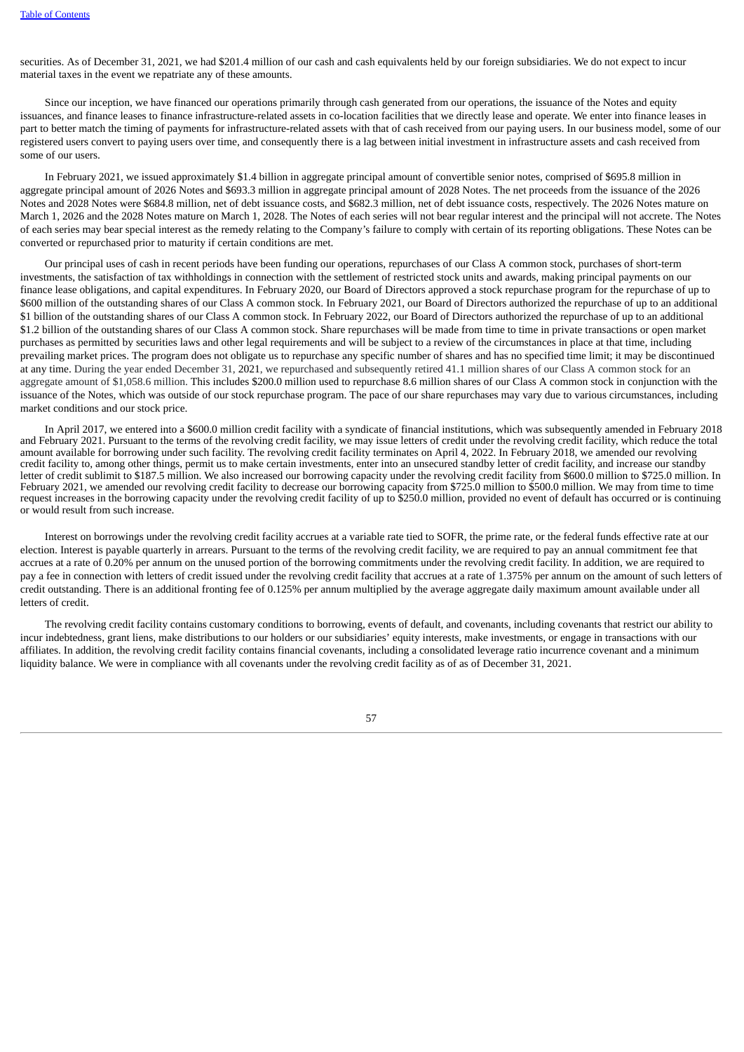securities. As of December 31, 2021, we had \$201.4 million of our cash and cash equivalents held by our foreign subsidiaries. We do not expect to incur material taxes in the event we repatriate any of these amounts.

Since our inception, we have financed our operations primarily through cash generated from our operations, the issuance of the Notes and equity issuances, and finance leases to finance infrastructure-related assets in co-location facilities that we directly lease and operate. We enter into finance leases in part to better match the timing of payments for infrastructure-related assets with that of cash received from our paying users. In our business model, some of our registered users convert to paying users over time, and consequently there is a lag between initial investment in infrastructure assets and cash received from some of our users.

In February 2021, we issued approximately \$1.4 billion in aggregate principal amount of convertible senior notes, comprised of \$695.8 million in aggregate principal amount of 2026 Notes and \$693.3 million in aggregate principal amount of 2028 Notes. The net proceeds from the issuance of the 2026 Notes and 2028 Notes were \$684.8 million, net of debt issuance costs, and \$682.3 million, net of debt issuance costs, respectively. The 2026 Notes mature on March 1, 2026 and the 2028 Notes mature on March 1, 2028. The Notes of each series will not bear regular interest and the principal will not accrete. The Notes of each series may bear special interest as the remedy relating to the Company's failure to comply with certain of its reporting obligations. These Notes can be converted or repurchased prior to maturity if certain conditions are met.

Our principal uses of cash in recent periods have been funding our operations, repurchases of our Class A common stock, purchases of short-term investments, the satisfaction of tax withholdings in connection with the settlement of restricted stock units and awards, making principal payments on our finance lease obligations, and capital expenditures. In February 2020, our Board of Directors approved a stock repurchase program for the repurchase of up to \$600 million of the outstanding shares of our Class A common stock. In February 2021, our Board of Directors authorized the repurchase of up to an additional \$1 billion of the outstanding shares of our Class A common stock. In February 2022, our Board of Directors authorized the repurchase of up to an additional \$1.2 billion of the outstanding shares of our Class A common stock. Share repurchases will be made from time to time in private transactions or open market purchases as permitted by securities laws and other legal requirements and will be subject to a review of the circumstances in place at that time, including prevailing market prices. The program does not obligate us to repurchase any specific number of shares and has no specified time limit; it may be discontinued at any time. During the year ended December 31, 2021, we repurchased and subsequently retired 41.1 million shares of our Class A common stock for an aggregate amount of \$1,058.6 million. This includes \$200.0 million used to repurchase 8.6 million shares of our Class A common stock in conjunction with the issuance of the Notes, which was outside of our stock repurchase program. The pace of our share repurchases may vary due to various circumstances, including market conditions and our stock price.

In April 2017, we entered into a \$600.0 million credit facility with a syndicate of financial institutions, which was subsequently amended in February 2018 and February 2021. Pursuant to the terms of the revolving credit facility, we may issue letters of credit under the revolving credit facility, which reduce the total amount available for borrowing under such facility. The revolving credit facility terminates on April 4, 2022. In February 2018, we amended our revolving credit facility to, among other things, permit us to make certain investments, enter into an unsecured standby letter of credit facility, and increase our standby letter of credit sublimit to \$187.5 million. We also increased our borrowing capacity under the revolving credit facility from \$600.0 million to \$725.0 million. In February 2021, we amended our revolving credit facility to decrease our borrowing capacity from \$725.0 million to \$500.0 million. We may from time to time request increases in the borrowing capacity under the revolving credit facility of up to \$250.0 million, provided no event of default has occurred or is continuing or would result from such increase.

Interest on borrowings under the revolving credit facility accrues at a variable rate tied to SOFR, the prime rate, or the federal funds effective rate at our election. Interest is payable quarterly in arrears. Pursuant to the terms of the revolving credit facility, we are required to pay an annual commitment fee that accrues at a rate of 0.20% per annum on the unused portion of the borrowing commitments under the revolving credit facility. In addition, we are required to pay a fee in connection with letters of credit issued under the revolving credit facility that accrues at a rate of 1.375% per annum on the amount of such letters of credit outstanding. There is an additional fronting fee of 0.125% per annum multiplied by the average aggregate daily maximum amount available under all letters of credit.

The revolving credit facility contains customary conditions to borrowing, events of default, and covenants, including covenants that restrict our ability to incur indebtedness, grant liens, make distributions to our holders or our subsidiaries' equity interests, make investments, or engage in transactions with our affiliates. In addition, the revolving credit facility contains financial covenants, including a consolidated leverage ratio incurrence covenant and a minimum liquidity balance. We were in compliance with all covenants under the revolving credit facility as of as of December 31, 2021.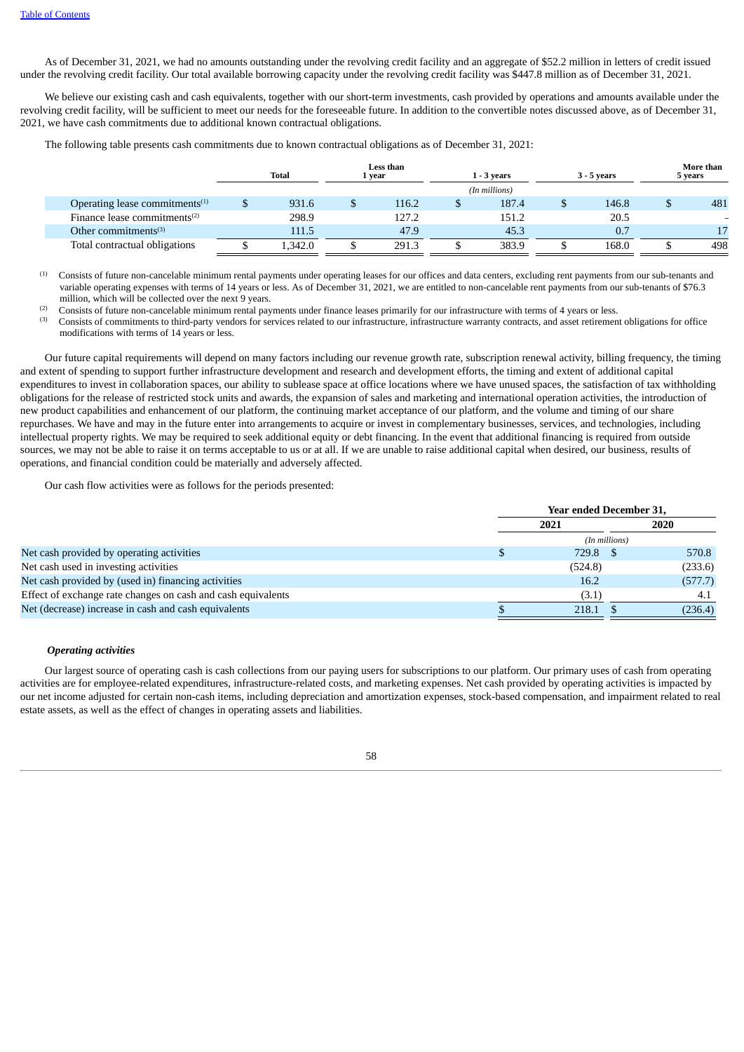As of December 31, 2021, we had no amounts outstanding under the revolving credit facility and an aggregate of \$52.2 million in letters of credit issued under the revolving credit facility. Our total available borrowing capacity under the revolving credit facility was \$447.8 million as of December 31, 2021.

We believe our existing cash and cash equivalents, together with our short-term investments, cash provided by operations and amounts available under the revolving credit facility, will be sufficient to meet our needs for the foreseeable future. In addition to the convertible notes discussed above, as of December 31, 2021, we have cash commitments due to additional known contractual obligations.

The following table presents cash commitments due to known contractual obligations as of December 31, 2021:

|                                            | <b>Total</b> | <b>Less than</b><br>1 vear |   | $1 - 3$ years | $3 - 5$ years | 5 years | <b>More than</b> |
|--------------------------------------------|--------------|----------------------------|---|---------------|---------------|---------|------------------|
|                                            |              |                            |   | (In millions) |               |         |                  |
| Operating lease commitments <sup>(1)</sup> | 931.6        | 116.2                      | Ф | 187.4         | 146.8         |         | 481              |
| Finance lease commitments <sup>(2)</sup>   | 298.9        | 127.2                      |   | 151.2         | 20.5          |         |                  |
| Other commitments $(3)$                    | 111.5        | 47.9                       |   | 45.3          | 0.7           |         |                  |
| Total contractual obligations              | L.342.0      | 291.3                      |   | 383.9         | 168.0         |         | 498              |

Consists of future non-cancelable minimum rental payments under operating leases for our offices and data centers, excluding rent payments from our sub-tenants and variable operating expenses with terms of 14 years or less. As of December 31, 2021, we are entitled to non-cancelable rent payments from our sub-tenants of \$76.3 million, which will be collected over the next 9 years. (1)

Consists of future non-cancelable minimum rental payments under finance leases primarily for our infrastructure with terms of 4 years or less. (2)

Consists of commitments to third-party vendors for services related to our infrastructure, infrastructure warranty contracts, and asset retirement obligations for office modifications with terms of 14 years or less. (3)

Our future capital requirements will depend on many factors including our revenue growth rate, subscription renewal activity, billing frequency, the timing and extent of spending to support further infrastructure development and research and development efforts, the timing and extent of additional capital expenditures to invest in collaboration spaces, our ability to sublease space at office locations where we have unused spaces, the satisfaction of tax withholding obligations for the release of restricted stock units and awards, the expansion of sales and marketing and international operation activities, the introduction of new product capabilities and enhancement of our platform, the continuing market acceptance of our platform, and the volume and timing of our share repurchases. We have and may in the future enter into arrangements to acquire or invest in complementary businesses, services, and technologies, including intellectual property rights. We may be required to seek additional equity or debt financing. In the event that additional financing is required from outside sources, we may not be able to raise it on terms acceptable to us or at all. If we are unable to raise additional capital when desired, our business, results of operations, and financial condition could be materially and adversely affected.

Our cash flow activities were as follows for the periods presented:

|                                                              | <b>Year ended December 31,</b> |               |  |         |  |
|--------------------------------------------------------------|--------------------------------|---------------|--|---------|--|
|                                                              | 2020<br>2021                   |               |  |         |  |
|                                                              |                                | (In millions) |  |         |  |
| Net cash provided by operating activities                    |                                | 729.8 \$      |  | 570.8   |  |
| Net cash used in investing activities                        |                                | (524.8)       |  | (233.6) |  |
| Net cash provided by (used in) financing activities          |                                | 16.2          |  | (577.7) |  |
| Effect of exchange rate changes on cash and cash equivalents |                                | (3.1)         |  | 4.1     |  |
| Net (decrease) increase in cash and cash equivalents         |                                | 218.1         |  | (236.4) |  |

#### *Operating activities*

Our largest source of operating cash is cash collections from our paying users for subscriptions to our platform. Our primary uses of cash from operating activities are for employee-related expenditures, infrastructure-related costs, and marketing expenses. Net cash provided by operating activities is impacted by our net income adjusted for certain non-cash items, including depreciation and amortization expenses, stock-based compensation, and impairment related to real estate assets, as well as the effect of changes in operating assets and liabilities.

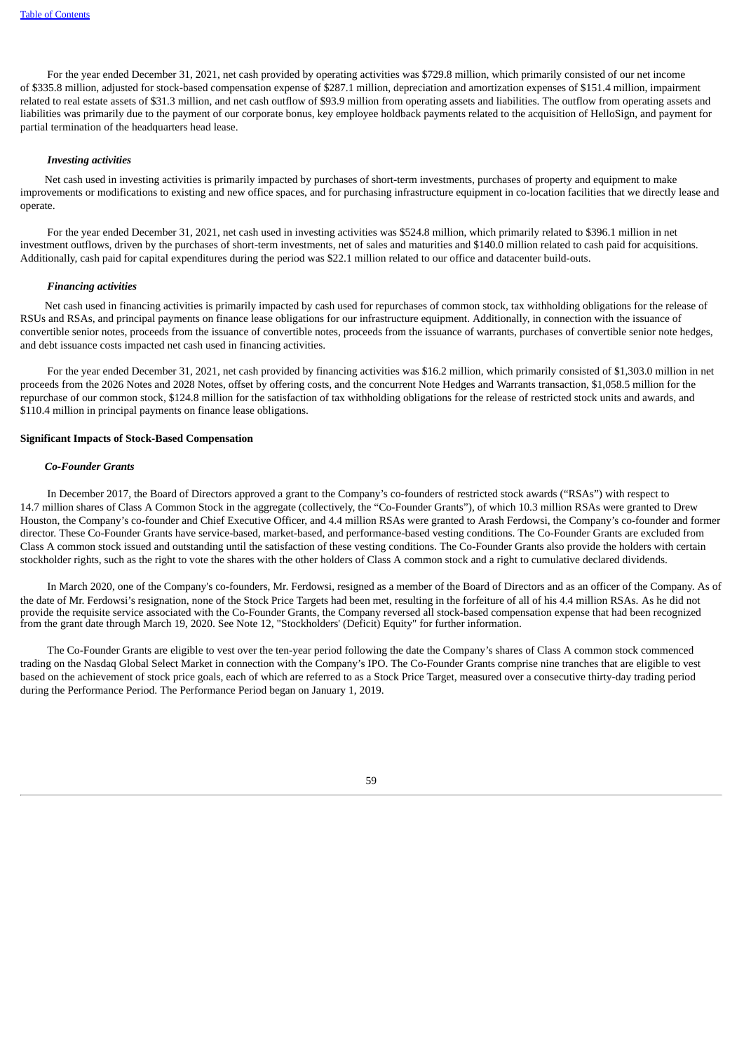For the year ended December 31, 2021, net cash provided by operating activities was \$729.8 million, which primarily consisted of our net income of \$335.8 million, adjusted for stock-based compensation expense of \$287.1 million, depreciation and amortization expenses of \$151.4 million, impairment related to real estate assets of \$31.3 million, and net cash outflow of \$93.9 million from operating assets and liabilities. The outflow from operating assets and liabilities was primarily due to the payment of our corporate bonus, key employee holdback payments related to the acquisition of HelloSign, and payment for partial termination of the headquarters head lease.

#### *Investing activities*

Net cash used in investing activities is primarily impacted by purchases of short-term investments, purchases of property and equipment to make improvements or modifications to existing and new office spaces, and for purchasing infrastructure equipment in co-location facilities that we directly lease and operate.

For the year ended December 31, 2021, net cash used in investing activities was \$524.8 million, which primarily related to \$396.1 million in net investment outflows, driven by the purchases of short-term investments, net of sales and maturities and \$140.0 million related to cash paid for acquisitions. Additionally, cash paid for capital expenditures during the period was \$22.1 million related to our office and datacenter build-outs.

#### *Financing activities*

Net cash used in financing activities is primarily impacted by cash used for repurchases of common stock, tax withholding obligations for the release of RSUs and RSAs, and principal payments on finance lease obligations for our infrastructure equipment. Additionally, in connection with the issuance of convertible senior notes, proceeds from the issuance of convertible notes, proceeds from the issuance of warrants, purchases of convertible senior note hedges, and debt issuance costs impacted net cash used in financing activities.

For the year ended December 31, 2021, net cash provided by financing activities was \$16.2 million, which primarily consisted of \$1,303.0 million in net proceeds from the 2026 Notes and 2028 Notes, offset by offering costs, and the concurrent Note Hedges and Warrants transaction, \$1,058.5 million for the repurchase of our common stock, \$124.8 million for the satisfaction of tax withholding obligations for the release of restricted stock units and awards, and \$110.4 million in principal payments on finance lease obligations.

#### **Significant Impacts of Stock-Based Compensation**

#### *Co-Founder Grants*

In December 2017, the Board of Directors approved a grant to the Company's co-founders of restricted stock awards ("RSAs") with respect to 14.7 million shares of Class A Common Stock in the aggregate (collectively, the "Co-Founder Grants"), of which 10.3 million RSAs were granted to Drew Houston, the Company's co-founder and Chief Executive Officer, and 4.4 million RSAs were granted to Arash Ferdowsi, the Company's co-founder and former director. These Co-Founder Grants have service-based, market-based, and performance-based vesting conditions. The Co-Founder Grants are excluded from Class A common stock issued and outstanding until the satisfaction of these vesting conditions. The Co-Founder Grants also provide the holders with certain stockholder rights, such as the right to vote the shares with the other holders of Class A common stock and a right to cumulative declared dividends.

In March 2020, one of the Company's co-founders, Mr. Ferdowsi, resigned as a member of the Board of Directors and as an officer of the Company. As of the date of Mr. Ferdowsi's resignation, none of the Stock Price Targets had been met, resulting in the forfeiture of all of his 4.4 million RSAs. As he did not provide the requisite service associated with the Co-Founder Grants, the Company reversed all stock-based compensation expense that had been recognized from the grant date through March 19, 2020. See Note 12, "Stockholders' (Deficit) Equity" for further information.

The Co-Founder Grants are eligible to vest over the ten-year period following the date the Company's shares of Class A common stock commenced trading on the Nasdaq Global Select Market in connection with the Company's IPO. The Co-Founder Grants comprise nine tranches that are eligible to vest based on the achievement of stock price goals, each of which are referred to as a Stock Price Target, measured over a consecutive thirty-day trading period during the Performance Period. The Performance Period began on January 1, 2019.

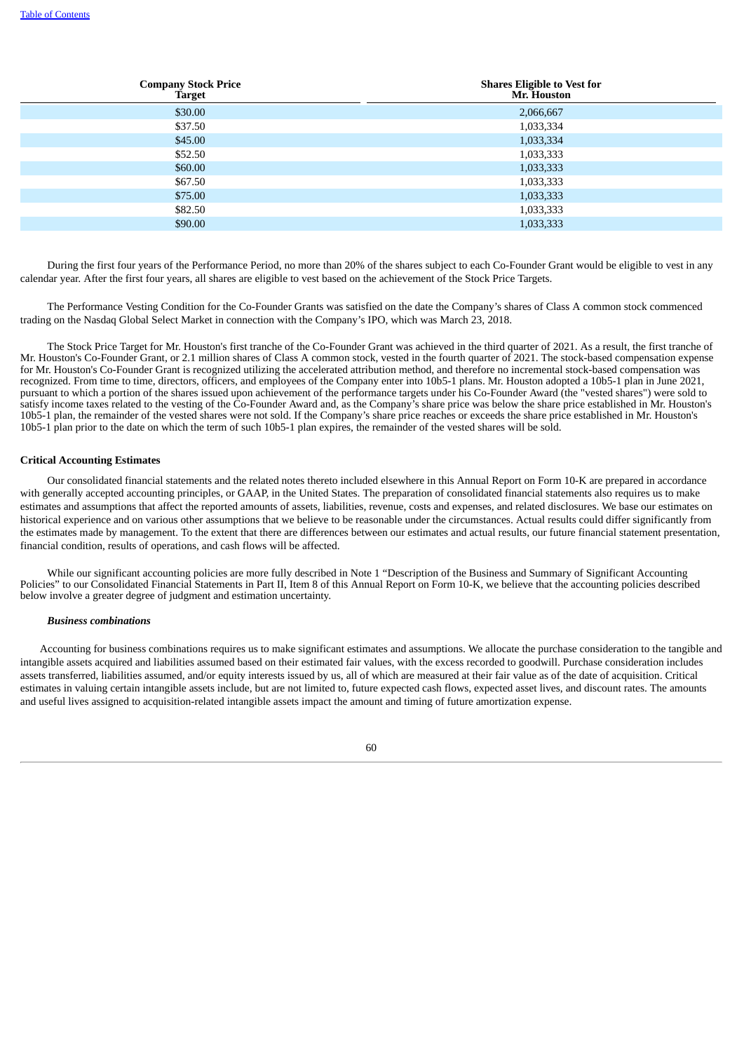| <b>Company Stock Price</b><br><b>Target</b> | <b>Shares Eligible to Vest for</b><br>Mr. Houston |
|---------------------------------------------|---------------------------------------------------|
| \$30.00                                     | 2,066,667                                         |
| \$37.50                                     | 1,033,334                                         |
| \$45.00                                     | 1,033,334                                         |
| \$52.50                                     | 1,033,333                                         |
| \$60.00                                     | 1,033,333                                         |
| \$67.50                                     | 1,033,333                                         |
| \$75.00                                     | 1,033,333                                         |
| \$82.50                                     | 1,033,333                                         |
| \$90.00                                     | 1,033,333                                         |
|                                             |                                                   |

During the first four years of the Performance Period, no more than 20% of the shares subject to each Co-Founder Grant would be eligible to vest in any calendar year. After the first four years, all shares are eligible to vest based on the achievement of the Stock Price Targets.

The Performance Vesting Condition for the Co-Founder Grants was satisfied on the date the Company's shares of Class A common stock commenced trading on the Nasdaq Global Select Market in connection with the Company's IPO, which was March 23, 2018.

The Stock Price Target for Mr. Houston's first tranche of the Co-Founder Grant was achieved in the third quarter of 2021. As a result, the first tranche of Mr. Houston's Co-Founder Grant, or 2.1 million shares of Class A common stock, vested in the fourth quarter of 2021. The stock-based compensation expense for Mr. Houston's Co-Founder Grant is recognized utilizing the accelerated attribution method, and therefore no incremental stock-based compensation was recognized. From time to time, directors, officers, and employees of the Company enter into 10b5-1 plans. Mr. Houston adopted a 10b5-1 plan in June 2021, pursuant to which a portion of the shares issued upon achievement of the performance targets under his Co-Founder Award (the "vested shares") were sold to satisfy income taxes related to the vesting of the Co-Founder Award and, as the Company's share price was below the share price established in Mr. Houston's 10b5-1 plan, the remainder of the vested shares were not sold. If the Company's share price reaches or exceeds the share price established in Mr. Houston's 10b5-1 plan prior to the date on which the term of such 10b5-1 plan expires, the remainder of the vested shares will be sold.

#### **Critical Accounting Estimates**

Our consolidated financial statements and the related notes thereto included elsewhere in this Annual Report on Form 10-K are prepared in accordance with generally accepted accounting principles, or GAAP, in the United States. The preparation of consolidated financial statements also requires us to make estimates and assumptions that affect the reported amounts of assets, liabilities, revenue, costs and expenses, and related disclosures. We base our estimates on historical experience and on various other assumptions that we believe to be reasonable under the circumstances. Actual results could differ significantly from the estimates made by management. To the extent that there are differences between our estimates and actual results, our future financial statement presentation, financial condition, results of operations, and cash flows will be affected.

While our significant accounting policies are more fully described in Note 1 "Description of the Business and Summarv of Significant Accounting Policies" to our Consolidated Financial Statements in Part II, Item 8 of this Annual Report on Form 10-K, we believe that the accounting policies described below involve a greater degree of judgment and estimation uncertainty.

#### *Business combinations*

Accounting for business combinations requires us to make significant estimates and assumptions. We allocate the purchase consideration to the tangible and intangible assets acquired and liabilities assumed based on their estimated fair values, with the excess recorded to goodwill. Purchase consideration includes assets transferred, liabilities assumed, and/or equity interests issued by us, all of which are measured at their fair value as of the date of acquisition. Critical estimates in valuing certain intangible assets include, but are not limited to, future expected cash flows, expected asset lives, and discount rates. The amounts and useful lives assigned to acquisition-related intangible assets impact the amount and timing of future amortization expense.

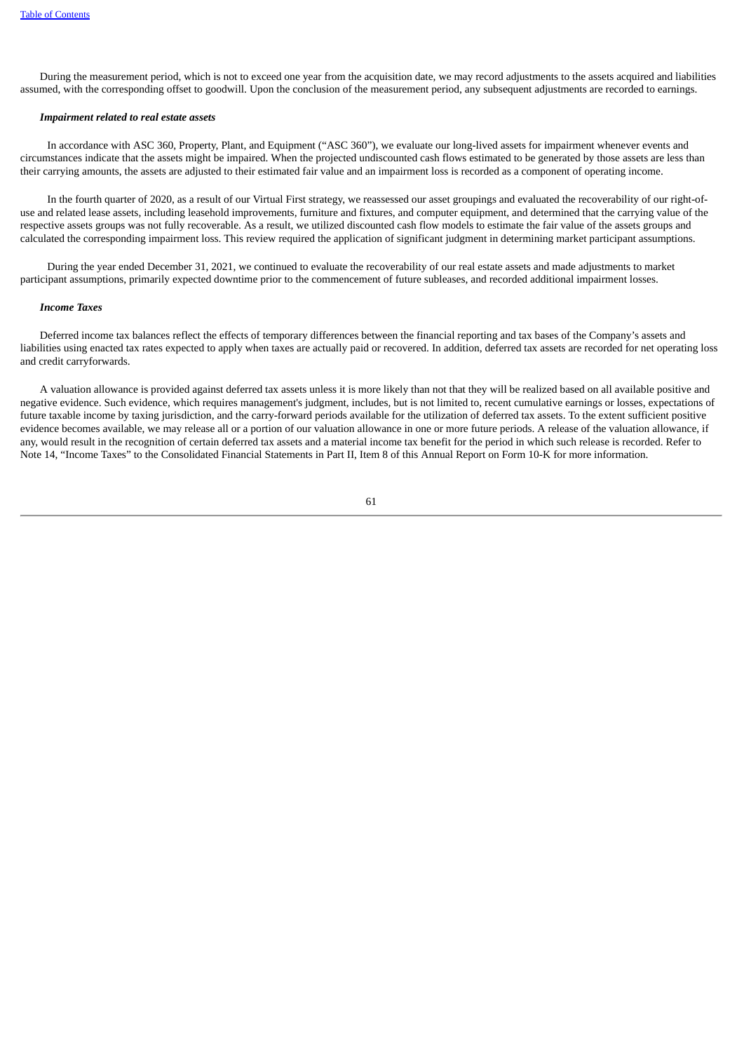During the measurement period, which is not to exceed one year from the acquisition date, we may record adjustments to the assets acquired and liabilities assumed, with the corresponding offset to goodwill. Upon the conclusion of the measurement period, any subsequent adjustments are recorded to earnings.

#### *Impairment related to real estate assets*

In accordance with ASC 360, Property, Plant, and Equipment ("ASC 360"), we evaluate our long-lived assets for impairment whenever events and circumstances indicate that the assets might be impaired. When the projected undiscounted cash flows estimated to be generated by those assets are less than their carrying amounts, the assets are adjusted to their estimated fair value and an impairment loss is recorded as a component of operating income.

In the fourth quarter of 2020, as a result of our Virtual First strategy, we reassessed our asset groupings and evaluated the recoverability of our right-ofuse and related lease assets, including leasehold improvements, furniture and fixtures, and computer equipment, and determined that the carrying value of the respective assets groups was not fully recoverable. As a result, we utilized discounted cash flow models to estimate the fair value of the assets groups and calculated the corresponding impairment loss. This review required the application of significant judgment in determining market participant assumptions.

During the year ended December 31, 2021, we continued to evaluate the recoverability of our real estate assets and made adjustments to market participant assumptions, primarily expected downtime prior to the commencement of future subleases, and recorded additional impairment losses.

#### *Income Taxes*

Deferred income tax balances reflect the effects of temporary differences between the financial reporting and tax bases of the Company's assets and liabilities using enacted tax rates expected to apply when taxes are actually paid or recovered. In addition, deferred tax assets are recorded for net operating loss and credit carryforwards.

A valuation allowance is provided against deferred tax assets unless it is more likely than not that they will be realized based on all available positive and negative evidence. Such evidence, which requires management's judgment, includes, but is not limited to, recent cumulative earnings or losses, expectations of future taxable income by taxing jurisdiction, and the carry-forward periods available for the utilization of deferred tax assets. To the extent sufficient positive evidence becomes available, we may release all or a portion of our valuation allowance in one or more future periods. A release of the valuation allowance, if any, would result in the recognition of certain deferred tax assets and a material income tax benefit for the period in which such release is recorded. Refer to Note 14, "Income Taxes" to the Consolidated Financial Statements in Part II, Item 8 of this Annual Report on Form 10-K for more information.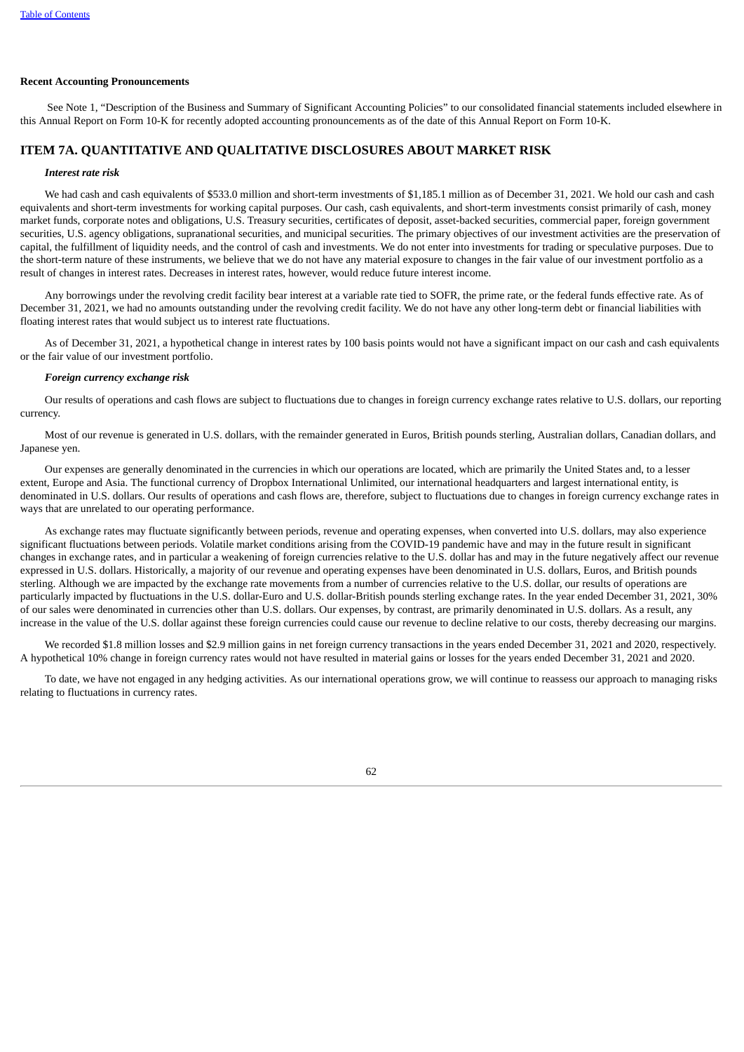#### **Recent Accounting Pronouncements**

See Note 1, "Description of the Business and Summary of Significant Accounting Policies" to our consolidated financial statements included elsewhere in this Annual Report on Form 10-K for recently adopted accounting pronouncements as of the date of this Annual Report on Form 10-K.

## **ITEM 7A. QUANTITATIVE AND QUALITATIVE DISCLOSURES ABOUT MARKET RISK**

#### *Interest rate risk*

We had cash and cash equivalents of \$533.0 million and short-term investments of \$1,185.1 million as of December 31, 2021. We hold our cash and cash equivalents and short-term investments for working capital purposes. Our cash, cash equivalents, and short-term investments consist primarily of cash, money market funds, corporate notes and obligations, U.S. Treasury securities, certificates of deposit, asset-backed securities, commercial paper, foreign government securities, U.S. agency obligations, supranational securities, and municipal securities. The primary objectives of our investment activities are the preservation of capital, the fulfillment of liquidity needs, and the control of cash and investments. We do not enter into investments for trading or speculative purposes. Due to the short-term nature of these instruments, we believe that we do not have any material exposure to changes in the fair value of our investment portfolio as a result of changes in interest rates. Decreases in interest rates, however, would reduce future interest income.

Any borrowings under the revolving credit facility bear interest at a variable rate tied to SOFR, the prime rate, or the federal funds effective rate. As of December 31, 2021, we had no amounts outstanding under the revolving credit facility. We do not have any other long-term debt or financial liabilities with floating interest rates that would subject us to interest rate fluctuations.

As of December 31, 2021, a hypothetical change in interest rates by 100 basis points would not have a significant impact on our cash and cash equivalents or the fair value of our investment portfolio.

#### *Foreign currency exchange risk*

Our results of operations and cash flows are subject to fluctuations due to changes in foreign currency exchange rates relative to U.S. dollars, our reporting currency.

Most of our revenue is generated in U.S. dollars, with the remainder generated in Euros, British pounds sterling, Australian dollars, Canadian dollars, and Japanese yen.

Our expenses are generally denominated in the currencies in which our operations are located, which are primarily the United States and, to a lesser extent, Europe and Asia. The functional currency of Dropbox International Unlimited, our international headquarters and largest international entity, is denominated in U.S. dollars. Our results of operations and cash flows are, therefore, subject to fluctuations due to changes in foreign currency exchange rates in ways that are unrelated to our operating performance.

As exchange rates may fluctuate significantly between periods, revenue and operating expenses, when converted into U.S. dollars, may also experience significant fluctuations between periods. Volatile market conditions arising from the COVID-19 pandemic have and may in the future result in significant changes in exchange rates, and in particular a weakening of foreign currencies relative to the U.S. dollar has and may in the future negatively affect our revenue expressed in U.S. dollars. Historically, a majority of our revenue and operating expenses have been denominated in U.S. dollars, Euros, and British pounds sterling. Although we are impacted by the exchange rate movements from a number of currencies relative to the U.S. dollar, our results of operations are particularly impacted by fluctuations in the U.S. dollar-Euro and U.S. dollar-British pounds sterling exchange rates. In the year ended December 31, 2021, 30% of our sales were denominated in currencies other than U.S. dollars. Our expenses, by contrast, are primarily denominated in U.S. dollars. As a result, any increase in the value of the U.S. dollar against these foreign currencies could cause our revenue to decline relative to our costs, thereby decreasing our margins.

We recorded \$1.8 million losses and \$2.9 million gains in net foreign currency transactions in the years ended December 31, 2021 and 2020, respectively. A hypothetical 10% change in foreign currency rates would not have resulted in material gains or losses for the years ended December 31, 2021 and 2020.

To date, we have not engaged in any hedging activities. As our international operations grow, we will continue to reassess our approach to managing risks relating to fluctuations in currency rates.

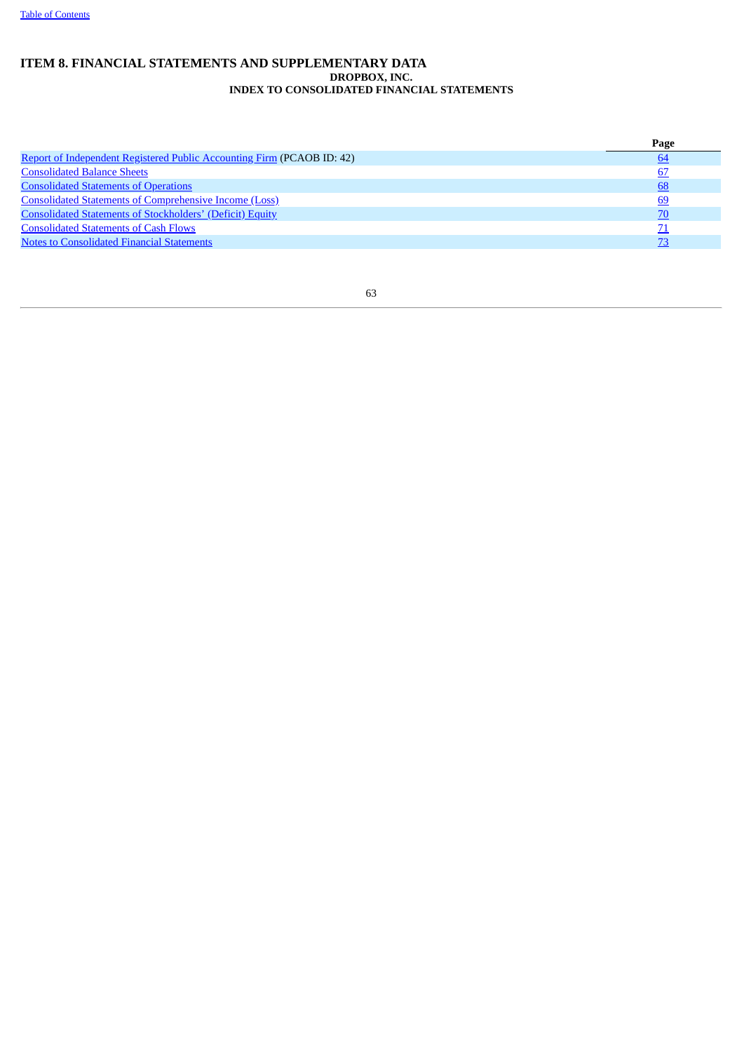## **ITEM 8. FINANCIAL STATEMENTS AND SUPPLEMENTARY DATA DROPBOX, INC. INDEX TO CONSOLIDATED FINANCIAL STATEMENTS**

<span id="page-63-0"></span>

|                                                                        | Page      |
|------------------------------------------------------------------------|-----------|
| Report of Independent Registered Public Accounting Firm (PCAOB ID: 42) | <u>64</u> |
| <b>Consolidated Balance Sheets</b>                                     | 67        |
| <b>Consolidated Statements of Operations</b>                           | 68        |
| <b>Consolidated Statements of Comprehensive Income (Loss)</b>          | 69        |
| <b>Consolidated Statements of Stockholders' (Deficit) Equity</b>       | 70        |
| <b>Consolidated Statements of Cash Flows</b>                           |           |
| <b>Notes to Consolidated Financial Statements</b>                      |           |
|                                                                        |           |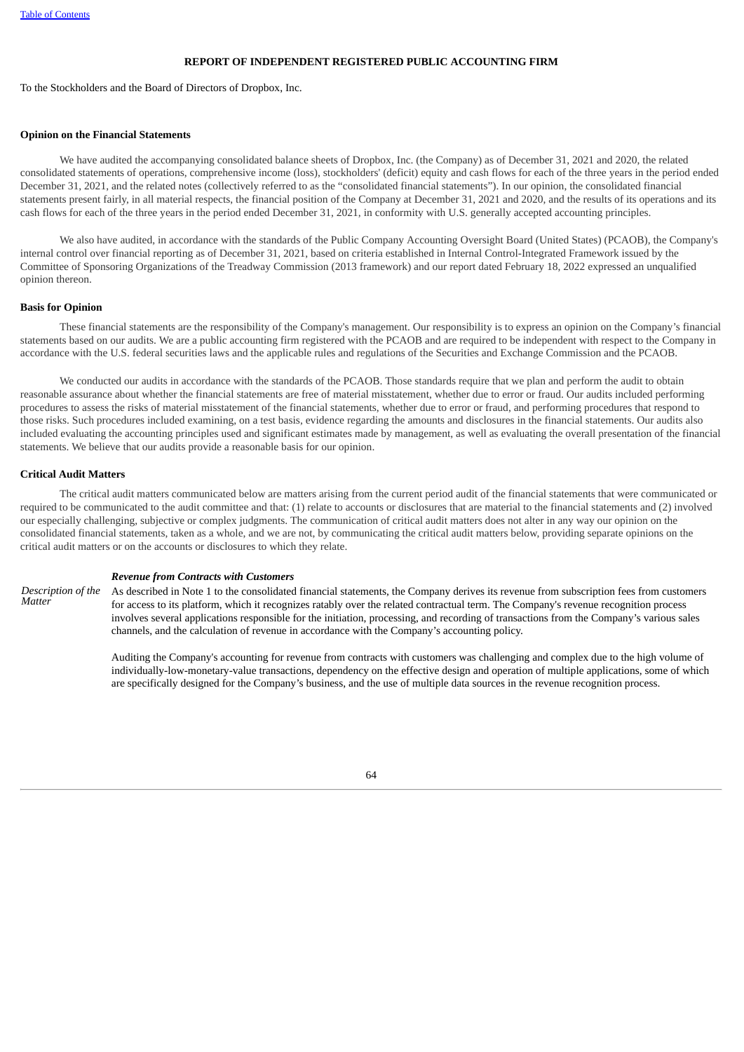## **REPORT OF INDEPENDENT REGISTERED PUBLIC ACCOUNTING FIRM**

To the Stockholders and the Board of Directors of Dropbox, Inc.

#### **Opinion on the Financial Statements**

We have audited the accompanying consolidated balance sheets of Dropbox, Inc. (the Company) as of December 31, 2021 and 2020, the related consolidated statements of operations, comprehensive income (loss), stockholders' (deficit) equity and cash flows for each of the three years in the period ended December 31, 2021, and the related notes (collectively referred to as the "consolidated financial statements"). In our opinion, the consolidated financial statements present fairly, in all material respects, the financial position of the Company at December 31, 2021 and 2020, and the results of its operations and its cash flows for each of the three years in the period ended December 31, 2021, in conformity with U.S. generally accepted accounting principles.

We also have audited, in accordance with the standards of the Public Company Accounting Oversight Board (United States) (PCAOB), the Company's internal control over financial reporting as of December 31, 2021, based on criteria established in Internal Control-Integrated Framework issued by the Committee of Sponsoring Organizations of the Treadway Commission (2013 framework) and our report dated February 18, 2022 expressed an unqualified opinion thereon.

#### **Basis for Opinion**

These financial statements are the responsibility of the Company's management. Our responsibility is to express an opinion on the Company's financial statements based on our audits. We are a public accounting firm registered with the PCAOB and are required to be independent with respect to the Company in accordance with the U.S. federal securities laws and the applicable rules and regulations of the Securities and Exchange Commission and the PCAOB.

We conducted our audits in accordance with the standards of the PCAOB. Those standards require that we plan and perform the audit to obtain reasonable assurance about whether the financial statements are free of material misstatement, whether due to error or fraud. Our audits included performing procedures to assess the risks of material misstatement of the financial statements, whether due to error or fraud, and performing procedures that respond to those risks. Such procedures included examining, on a test basis, evidence regarding the amounts and disclosures in the financial statements. Our audits also included evaluating the accounting principles used and significant estimates made by management, as well as evaluating the overall presentation of the financial statements. We believe that our audits provide a reasonable basis for our opinion.

## **Critical Audit Matters**

The critical audit matters communicated below are matters arising from the current period audit of the financial statements that were communicated or required to be communicated to the audit committee and that: (1) relate to accounts or disclosures that are material to the financial statements and (2) involved our especially challenging, subjective or complex judgments. The communication of critical audit matters does not alter in any way our opinion on the consolidated financial statements, taken as a whole, and we are not, by communicating the critical audit matters below, providing separate opinions on the critical audit matters or on the accounts or disclosures to which they relate.

#### *Revenue from Contracts with Customers*

*Description of the Matter* As described in Note 1 to the consolidated financial statements, the Company derives its revenue from subscription fees from customers for access to its platform, which it recognizes ratably over the related contractual term. The Company's revenue recognition process involves several applications responsible for the initiation, processing, and recording of transactions from the Company's various sales channels, and the calculation of revenue in accordance with the Company's accounting policy.

> Auditing the Company's accounting for revenue from contracts with customers was challenging and complex due to the high volume of individually-low-monetary-value transactions, dependency on the effective design and operation of multiple applications, some of which are specifically designed for the Company's business, and the use of multiple data sources in the revenue recognition process.

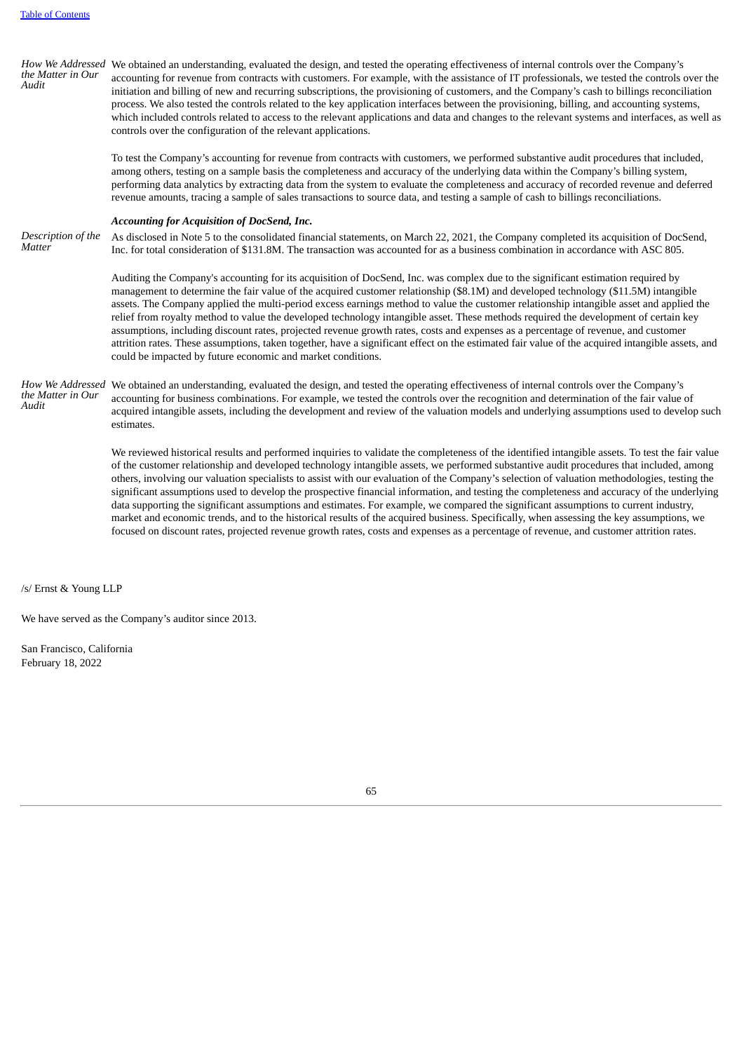How We Addressed We obtained an understanding, evaluated the design, and tested the operating effectiveness of internal controls over the Company's *the Matter in Our Audit* accounting for revenue from contracts with customers. For example, with the assistance of IT professionals, we tested the controls over the initiation and billing of new and recurring subscriptions, the provisioning of customers, and the Company's cash to billings reconciliation process. We also tested the controls related to the key application interfaces between the provisioning, billing, and accounting systems, which included controls related to access to the relevant applications and data and changes to the relevant systems and interfaces, as well as controls over the configuration of the relevant applications.

> To test the Company's accounting for revenue from contracts with customers, we performed substantive audit procedures that included, among others, testing on a sample basis the completeness and accuracy of the underlying data within the Company's billing system, performing data analytics by extracting data from the system to evaluate the completeness and accuracy of recorded revenue and deferred revenue amounts, tracing a sample of sales transactions to source data, and testing a sample of cash to billings reconciliations.

#### *Accounting for Acquisition of DocSend, Inc.*

*Description of the Matter* As disclosed in Note 5 to the consolidated financial statements, on March 22, 2021, the Company completed its acquisition of DocSend, Inc. for total consideration of \$131.8M. The transaction was accounted for as a business combination in accordance with ASC 805.

> Auditing the Company's accounting for its acquisition of DocSend, Inc. was complex due to the significant estimation required by management to determine the fair value of the acquired customer relationship (\$8.1M) and developed technology (\$11.5M) intangible assets. The Company applied the multi-period excess earnings method to value the customer relationship intangible asset and applied the relief from royalty method to value the developed technology intangible asset. These methods required the development of certain key assumptions, including discount rates, projected revenue growth rates, costs and expenses as a percentage of revenue, and customer attrition rates. These assumptions, taken together, have a significant effect on the estimated fair value of the acquired intangible assets, and could be impacted by future economic and market conditions.

How We Addressed We obtained an understanding, evaluated the design, and tested the operating effectiveness of internal controls over the Company's *the Matter in Our Audit* accounting for business combinations. For example, we tested the controls over the recognition and determination of the fair value of acquired intangible assets, including the development and review of the valuation models and underlying assumptions used to develop such estimates.

> We reviewed historical results and performed inquiries to validate the completeness of the identified intangible assets. To test the fair value of the customer relationship and developed technology intangible assets, we performed substantive audit procedures that included, among others, involving our valuation specialists to assist with our evaluation of the Company's selection of valuation methodologies, testing the significant assumptions used to develop the prospective financial information, and testing the completeness and accuracy of the underlying data supporting the significant assumptions and estimates. For example, we compared the significant assumptions to current industry, market and economic trends, and to the historical results of the acquired business. Specifically, when assessing the key assumptions, we focused on discount rates, projected revenue growth rates, costs and expenses as a percentage of revenue, and customer attrition rates.

/s/ Ernst & Young LLP

We have served as the Company's auditor since 2013.

San Francisco, California February 18, 2022

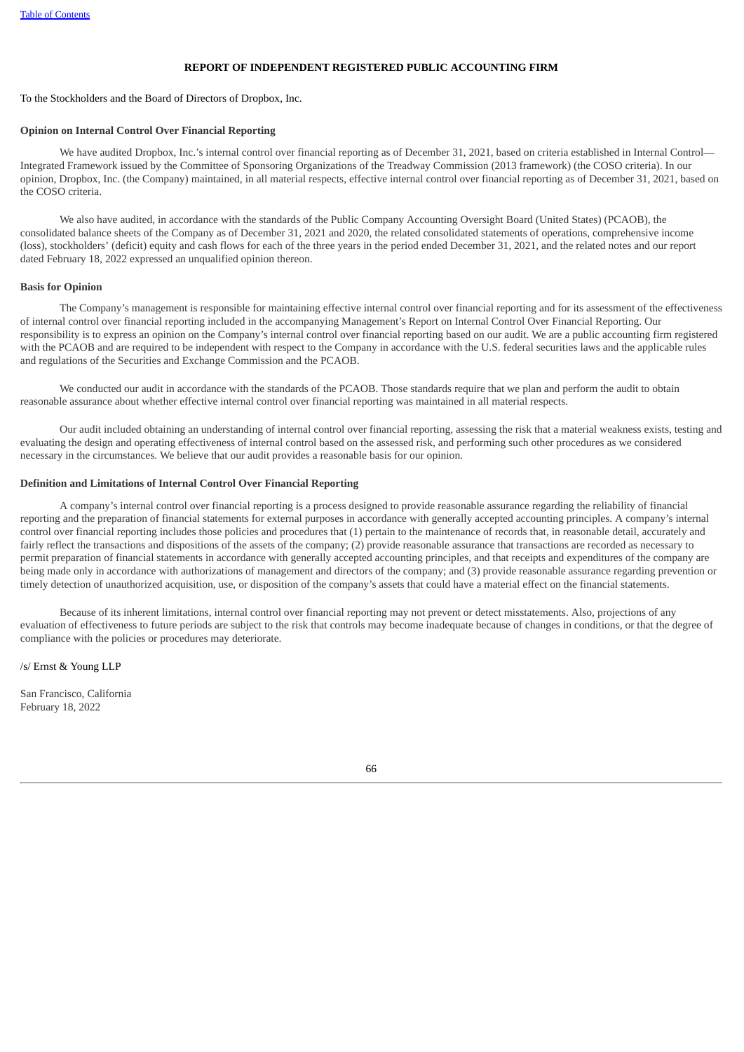### **REPORT OF INDEPENDENT REGISTERED PUBLIC ACCOUNTING FIRM**

To the Stockholders and the Board of Directors of Dropbox, Inc.

## **Opinion on Internal Control Over Financial Reporting**

We have audited Dropbox, Inc.'s internal control over financial reporting as of December 31, 2021, based on criteria established in Internal Control— Integrated Framework issued by the Committee of Sponsoring Organizations of the Treadway Commission (2013 framework) (the COSO criteria). In our opinion, Dropbox, Inc. (the Company) maintained, in all material respects, effective internal control over financial reporting as of December 31, 2021, based on the COSO criteria.

We also have audited, in accordance with the standards of the Public Company Accounting Oversight Board (United States) (PCAOB), the consolidated balance sheets of the Company as of December 31, 2021 and 2020, the related consolidated statements of operations, comprehensive income (loss), stockholders' (deficit) equity and cash flows for each of the three years in the period ended December 31, 2021, and the related notes and our report dated February 18, 2022 expressed an unqualified opinion thereon.

#### **Basis for Opinion**

The Company's management is responsible for maintaining effective internal control over financial reporting and for its assessment of the effectiveness of internal control over financial reporting included in the accompanying Management's Report on Internal Control Over Financial Reporting. Our responsibility is to express an opinion on the Company's internal control over financial reporting based on our audit. We are a public accounting firm registered with the PCAOB and are required to be independent with respect to the Company in accordance with the U.S. federal securities laws and the applicable rules and regulations of the Securities and Exchange Commission and the PCAOB.

We conducted our audit in accordance with the standards of the PCAOB. Those standards require that we plan and perform the audit to obtain reasonable assurance about whether effective internal control over financial reporting was maintained in all material respects.

Our audit included obtaining an understanding of internal control over financial reporting, assessing the risk that a material weakness exists, testing and evaluating the design and operating effectiveness of internal control based on the assessed risk, and performing such other procedures as we considered necessary in the circumstances. We believe that our audit provides a reasonable basis for our opinion.

## **Definition and Limitations of Internal Control Over Financial Reporting**

A company's internal control over financial reporting is a process designed to provide reasonable assurance regarding the reliability of financial reporting and the preparation of financial statements for external purposes in accordance with generally accepted accounting principles. A company's internal control over financial reporting includes those policies and procedures that (1) pertain to the maintenance of records that, in reasonable detail, accurately and fairly reflect the transactions and dispositions of the assets of the company; (2) provide reasonable assurance that transactions are recorded as necessary to permit preparation of financial statements in accordance with generally accepted accounting principles, and that receipts and expenditures of the company are being made only in accordance with authorizations of management and directors of the company; and (3) provide reasonable assurance regarding prevention or timely detection of unauthorized acquisition, use, or disposition of the company's assets that could have a material effect on the financial statements.

Because of its inherent limitations, internal control over financial reporting may not prevent or detect misstatements. Also, projections of any evaluation of effectiveness to future periods are subject to the risk that controls may become inadequate because of changes in conditions, or that the degree of compliance with the policies or procedures may deteriorate.

/s/ Ernst & Young LLP

<span id="page-66-0"></span>San Francisco, California February 18, 2022

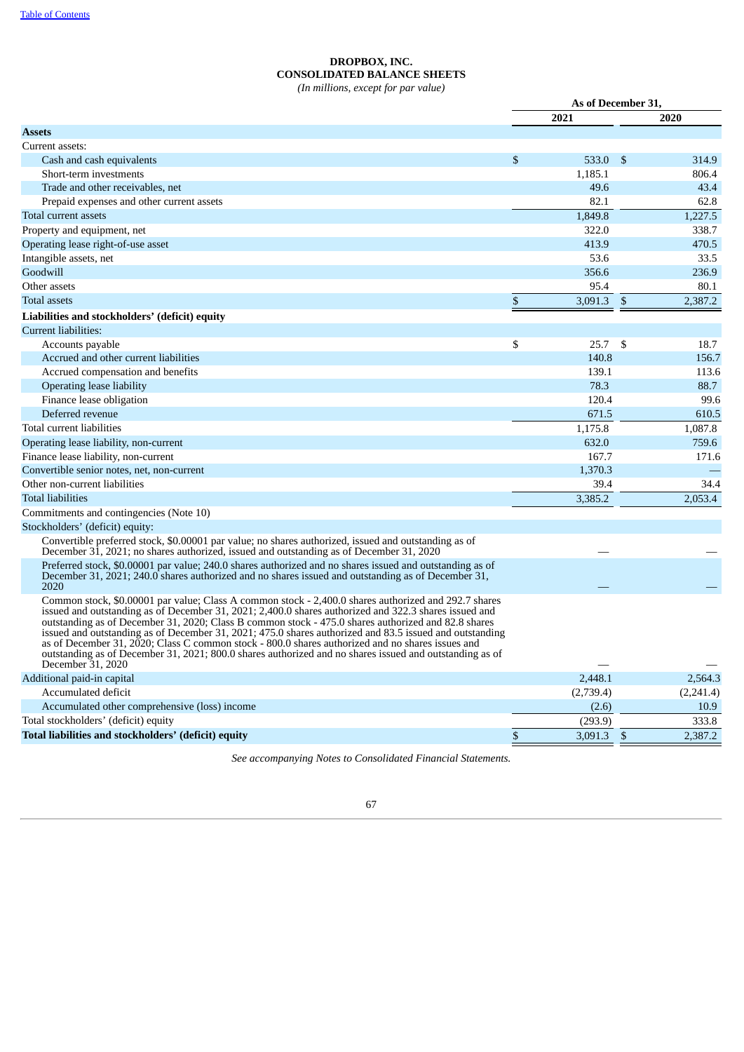# **DROPBOX, INC. CONSOLIDATED BALANCE SHEETS**

*(In millions, except for par value)*

|                                                                                                                                                                                                                                                                                                                                                                                                                                                                                                                                                                                                                                                                     |      | As of December 31, |              |           |
|---------------------------------------------------------------------------------------------------------------------------------------------------------------------------------------------------------------------------------------------------------------------------------------------------------------------------------------------------------------------------------------------------------------------------------------------------------------------------------------------------------------------------------------------------------------------------------------------------------------------------------------------------------------------|------|--------------------|--------------|-----------|
|                                                                                                                                                                                                                                                                                                                                                                                                                                                                                                                                                                                                                                                                     |      | 2021               |              | 2020      |
| Assets                                                                                                                                                                                                                                                                                                                                                                                                                                                                                                                                                                                                                                                              |      |                    |              |           |
| Current assets:                                                                                                                                                                                                                                                                                                                                                                                                                                                                                                                                                                                                                                                     |      |                    |              |           |
| Cash and cash equivalents                                                                                                                                                                                                                                                                                                                                                                                                                                                                                                                                                                                                                                           | \$   | 533.0              | $^{\circ}$   | 314.9     |
| Short-term investments                                                                                                                                                                                                                                                                                                                                                                                                                                                                                                                                                                                                                                              |      | 1,185.1            |              | 806.4     |
| Trade and other receivables, net                                                                                                                                                                                                                                                                                                                                                                                                                                                                                                                                                                                                                                    |      | 49.6               |              | 43.4      |
| Prepaid expenses and other current assets                                                                                                                                                                                                                                                                                                                                                                                                                                                                                                                                                                                                                           |      | 82.1               |              | 62.8      |
| Total current assets                                                                                                                                                                                                                                                                                                                                                                                                                                                                                                                                                                                                                                                |      | 1,849.8            |              | 1,227.5   |
| Property and equipment, net                                                                                                                                                                                                                                                                                                                                                                                                                                                                                                                                                                                                                                         |      | 322.0              |              | 338.7     |
| Operating lease right-of-use asset                                                                                                                                                                                                                                                                                                                                                                                                                                                                                                                                                                                                                                  |      | 413.9              |              | 470.5     |
| Intangible assets, net                                                                                                                                                                                                                                                                                                                                                                                                                                                                                                                                                                                                                                              |      | 53.6               |              | 33.5      |
| Goodwill                                                                                                                                                                                                                                                                                                                                                                                                                                                                                                                                                                                                                                                            |      | 356.6              |              | 236.9     |
| Other assets                                                                                                                                                                                                                                                                                                                                                                                                                                                                                                                                                                                                                                                        |      | 95.4               |              | 80.1      |
| Total assets                                                                                                                                                                                                                                                                                                                                                                                                                                                                                                                                                                                                                                                        | \$   | 3,091.3            | \$           | 2,387.2   |
| Liabilities and stockholders' (deficit) equity                                                                                                                                                                                                                                                                                                                                                                                                                                                                                                                                                                                                                      |      |                    |              |           |
| Current liabilities:                                                                                                                                                                                                                                                                                                                                                                                                                                                                                                                                                                                                                                                |      |                    |              |           |
| Accounts payable                                                                                                                                                                                                                                                                                                                                                                                                                                                                                                                                                                                                                                                    | \$   | 25.7               | - \$         | 18.7      |
| Accrued and other current liabilities                                                                                                                                                                                                                                                                                                                                                                                                                                                                                                                                                                                                                               |      | 140.8              |              | 156.7     |
| Accrued compensation and benefits                                                                                                                                                                                                                                                                                                                                                                                                                                                                                                                                                                                                                                   |      | 139.1              |              | 113.6     |
| Operating lease liability                                                                                                                                                                                                                                                                                                                                                                                                                                                                                                                                                                                                                                           |      | 78.3               |              | 88.7      |
| Finance lease obligation                                                                                                                                                                                                                                                                                                                                                                                                                                                                                                                                                                                                                                            |      | 120.4              |              | 99.6      |
| Deferred revenue                                                                                                                                                                                                                                                                                                                                                                                                                                                                                                                                                                                                                                                    |      | 671.5              |              | 610.5     |
| Total current liabilities                                                                                                                                                                                                                                                                                                                                                                                                                                                                                                                                                                                                                                           |      | 1,175.8            |              | 1,087.8   |
| Operating lease liability, non-current                                                                                                                                                                                                                                                                                                                                                                                                                                                                                                                                                                                                                              |      | 632.0              |              | 759.6     |
| Finance lease liability, non-current                                                                                                                                                                                                                                                                                                                                                                                                                                                                                                                                                                                                                                |      | 167.7              |              | 171.6     |
| Convertible senior notes, net, non-current                                                                                                                                                                                                                                                                                                                                                                                                                                                                                                                                                                                                                          |      | 1,370.3            |              |           |
| Other non-current liabilities                                                                                                                                                                                                                                                                                                                                                                                                                                                                                                                                                                                                                                       |      | 39.4               |              | 34.4      |
| <b>Total liabilities</b>                                                                                                                                                                                                                                                                                                                                                                                                                                                                                                                                                                                                                                            |      | 3,385.2            |              | 2,053.4   |
| Commitments and contingencies (Note 10)                                                                                                                                                                                                                                                                                                                                                                                                                                                                                                                                                                                                                             |      |                    |              |           |
| Stockholders' (deficit) equity:                                                                                                                                                                                                                                                                                                                                                                                                                                                                                                                                                                                                                                     |      |                    |              |           |
|                                                                                                                                                                                                                                                                                                                                                                                                                                                                                                                                                                                                                                                                     |      |                    |              |           |
| Convertible preferred stock, \$0,00001 par value; no shares authorized, issued and outstanding as of<br>December 31, 2021; no shares authorized, issued and outstanding as of December 31, 2020                                                                                                                                                                                                                                                                                                                                                                                                                                                                     |      |                    |              |           |
| Preferred stock, \$0.00001 par value; 240.0 shares authorized and no shares issued and outstanding as of<br>December 31, 2021; 240.0 shares authorized and no shares issued and outstanding as of December 31,<br>2020                                                                                                                                                                                                                                                                                                                                                                                                                                              |      |                    |              |           |
| Common stock, \$0.00001 par value; Class A common stock - 2,400.0 shares authorized and 292.7 shares<br>issued and outstanding as of December 31, 2021; 2,400.0 shares authorized and 322.3 shares issued and<br>outstanding as of December 31, 2020; Class B common stock - 475.0 shares authorized and 82.8 shares<br>issued and outstanding as of December 31, 2021; 475.0 shares authorized and 83.5 issued and outstanding<br>as of December 31, 2020; Class C common stock - 800.0 shares authorized and no shares issues and<br>outstanding as of December 31, 2021; 800.0 shares authorized and no shares issued and outstanding as of<br>December 31, 2020 |      |                    |              |           |
| Additional paid-in capital                                                                                                                                                                                                                                                                                                                                                                                                                                                                                                                                                                                                                                          |      | 2,448.1            |              | 2,564.3   |
| Accumulated deficit                                                                                                                                                                                                                                                                                                                                                                                                                                                                                                                                                                                                                                                 |      | (2,739.4)          |              | (2,241.4) |
| Accumulated other comprehensive (loss) income                                                                                                                                                                                                                                                                                                                                                                                                                                                                                                                                                                                                                       |      | (2.6)              |              | 10.9      |
| Total stockholders' (deficit) equity                                                                                                                                                                                                                                                                                                                                                                                                                                                                                                                                                                                                                                |      | (293.9)            |              | 333.8     |
| Total liabilities and stockholders' (deficit) equity                                                                                                                                                                                                                                                                                                                                                                                                                                                                                                                                                                                                                | $\$$ | 3,091.3            | $\mathbb{S}$ | 2,387.2   |
|                                                                                                                                                                                                                                                                                                                                                                                                                                                                                                                                                                                                                                                                     |      |                    |              |           |

<span id="page-67-0"></span>*See accompanying Notes to Consolidated Financial Statements.*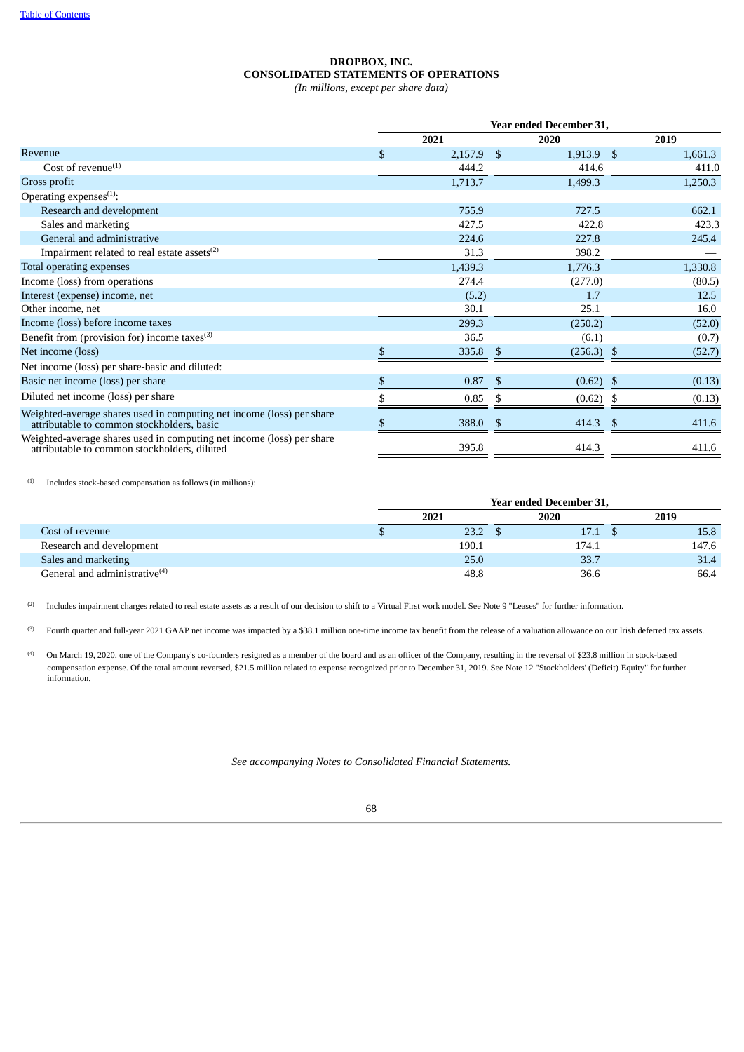## **DROPBOX, INC. CONSOLIDATED STATEMENTS OF OPERATIONS** *(In millions, except per share data)*

|                                                                                                                       | Year ended December 31, |              |     |              |    |         |  |
|-----------------------------------------------------------------------------------------------------------------------|-------------------------|--------------|-----|--------------|----|---------|--|
|                                                                                                                       |                         | 2021         |     | 2020         |    | 2019    |  |
| Revenue                                                                                                               | \$                      | $2,157.9$ \$ |     | $1,913.9$ \$ |    | 1,661.3 |  |
| Cost of revenue <sup><math>(1)</math></sup>                                                                           |                         | 444.2        |     | 414.6        |    | 411.0   |  |
| Gross profit                                                                                                          |                         | 1,713.7      |     | 1,499.3      |    | 1,250.3 |  |
| Operating expenses $(1)$ :                                                                                            |                         |              |     |              |    |         |  |
| Research and development                                                                                              |                         | 755.9        |     | 727.5        |    | 662.1   |  |
| Sales and marketing                                                                                                   |                         | 427.5        |     | 422.8        |    | 423.3   |  |
| General and administrative                                                                                            |                         | 224.6        |     | 227.8        |    | 245.4   |  |
| Impairment related to real estate assets $^{(2)}$                                                                     |                         | 31.3         |     | 398.2        |    |         |  |
| Total operating expenses                                                                                              |                         | 1,439.3      |     | 1,776.3      |    | 1,330.8 |  |
| Income (loss) from operations                                                                                         |                         | 274.4        |     | (277.0)      |    | (80.5)  |  |
| Interest (expense) income, net                                                                                        |                         | (5.2)        |     | 1.7          |    | 12.5    |  |
| Other income, net                                                                                                     |                         | 30.1         |     | 25.1         |    | 16.0    |  |
| Income (loss) before income taxes                                                                                     |                         | 299.3        |     | (250.2)      |    | (52.0)  |  |
| Benefit from (provision for) income taxes $^{(3)}$                                                                    |                         | 36.5         |     | (6.1)        |    | (0.7)   |  |
| Net income (loss)                                                                                                     |                         | 335.8        | \$  | (256.3)      | -S | (52.7)  |  |
| Net income (loss) per share-basic and diluted:                                                                        |                         |              |     |              |    |         |  |
| Basic net income (loss) per share                                                                                     |                         | 0.87         | \$. | (0.62)       |    | (0.13)  |  |
| Diluted net income (loss) per share                                                                                   |                         | 0.85         |     | (0.62)       |    | (0.13)  |  |
| Weighted-average shares used in computing net income (loss) per share<br>attributable to common stockholders, basic   | S                       | 388.0        | \$  | 414.3        | -S | 411.6   |  |
| Weighted-average shares used in computing net income (loss) per share<br>attributable to common stockholders, diluted |                         | 395.8        |     | 414.3        |    | 411.6   |  |

Includes stock-based compensation as follows (in millions): (1)

|                                           |           | Year ended December 31, |       |  |  |  |  |  |  |  |
|-------------------------------------------|-----------|-------------------------|-------|--|--|--|--|--|--|--|
|                                           | 2021      | 2020                    | 2019  |  |  |  |  |  |  |  |
| Cost of revenue                           | 23.2<br>D | 17.1                    | 15.8  |  |  |  |  |  |  |  |
| Research and development                  | 190.1     | 174.1                   | 147.6 |  |  |  |  |  |  |  |
| Sales and marketing                       | 25.0      | 33.7                    | 31.4  |  |  |  |  |  |  |  |
| General and administrative <sup>(4)</sup> | 48.8      | 36.6                    | 66.4  |  |  |  |  |  |  |  |

Includes impairment charges related to real estate assets as a result of our decision to shift to a Virtual First work model. See Note 9 "Leases" for further information. (2)

Fourth quarter and full-year 2021 GAAP net income was impacted by a \$38.1 million one-time income tax benefit from the release of a valuation allowance on our Irish deferred tax assets. (3)

<span id="page-68-0"></span>On March 19, 2020, one of the Company's co-founders resigned as a member of the board and as an officer of the Company, resulting in the reversal of \$23.8 million in stock-based compensation expense. Of the total amount reversed, \$21.5 million related to expense recognized prior to December 31, 2019. See Note 12 "Stockholders' (Deficit) Equity" for further information. (4)

*See accompanying Notes to Consolidated Financial Statements.*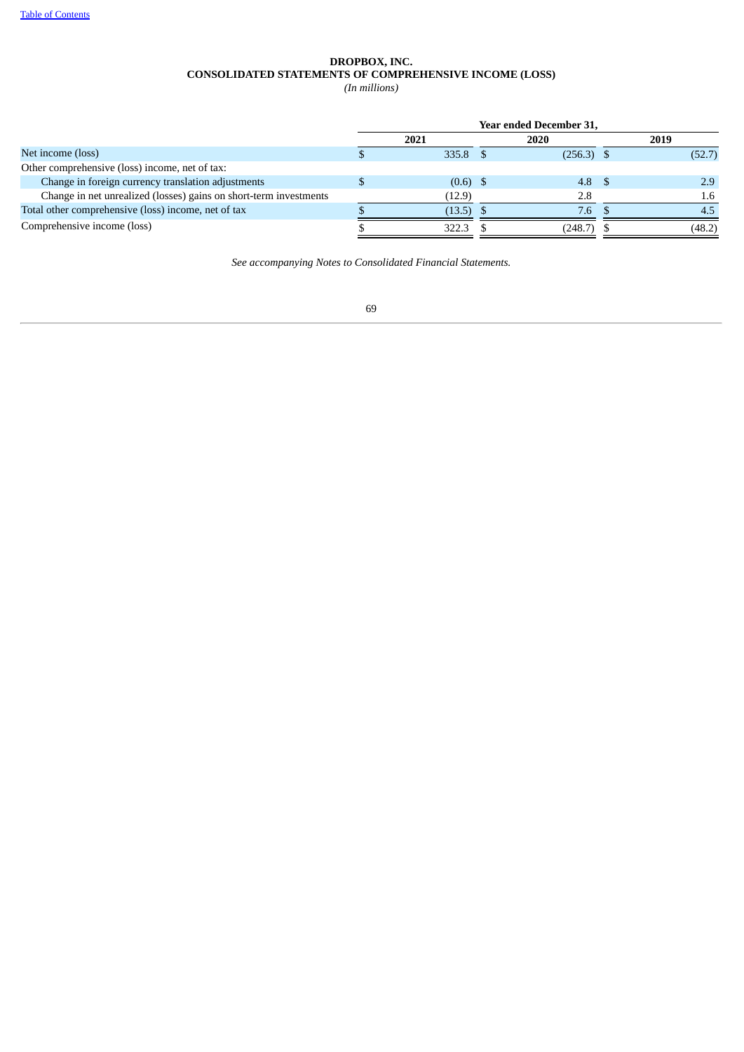## **DROPBOX, INC. CONSOLIDATED STATEMENTS OF COMPREHENSIVE INCOME (LOSS)** *(In millions)*

<span id="page-69-0"></span>

|                                                                   |            | <b>Year ended December 31,</b> |        |
|-------------------------------------------------------------------|------------|--------------------------------|--------|
|                                                                   | 2021       | 2020                           | 2019   |
| Net income (loss)                                                 | $335.8$ \$ | $(256.3)$ \$                   | (52.7) |
| Other comprehensive (loss) income, net of tax:                    |            |                                |        |
| Change in foreign currency translation adjustments                | $(0.6)$ \$ | 4.8                            | 2.9    |
| Change in net unrealized (losses) gains on short-term investments | (12.9)     | 2.8                            | 1.6    |
| Total other comprehensive (loss) income, net of tax               | (13.5)     | 7.6                            | 4.5    |
| Comprehensive income (loss)                                       | 322.3      | (248.7)                        | (48.2) |

*See accompanying Notes to Consolidated Financial Statements.*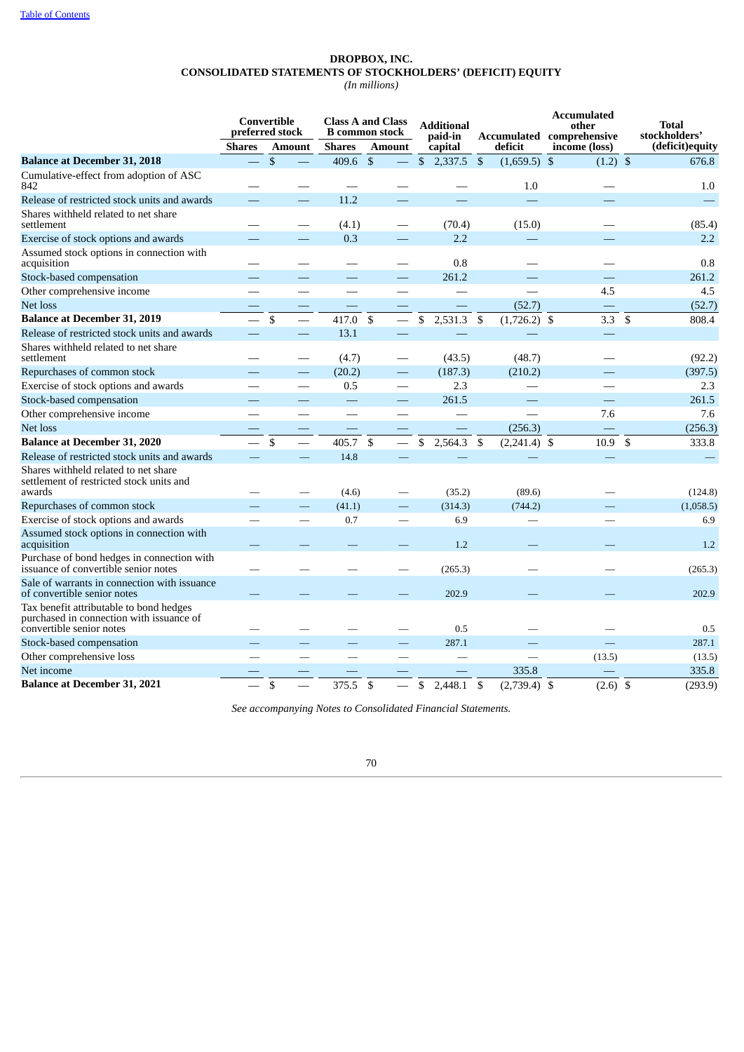## **DROPBOX, INC. CONSOLIDATED STATEMENTS OF STOCKHOLDERS' (DEFICIT) EQUITY** *(In millions)*

|                                                                                                                 | Convertible<br>preferred stock |                          | <b>Class A and Class</b><br><b>B</b> common stock |                |                               |                | <b>Additional</b><br>paid-in |                |                |  | <b>Accumulated</b><br>other<br>Accumulated comprehensive |    | <b>Total</b><br>stockholders' |
|-----------------------------------------------------------------------------------------------------------------|--------------------------------|--------------------------|---------------------------------------------------|----------------|-------------------------------|----------------|------------------------------|----------------|----------------|--|----------------------------------------------------------|----|-------------------------------|
|                                                                                                                 | <b>Shares</b>                  | <b>Amount</b>            | <b>Shares</b>                                     |                | <b>Amount</b>                 |                | capital                      |                | deficit        |  | income (loss)                                            |    | (deficit) equity              |
| <b>Balance at December 31, 2018</b>                                                                             |                                | \$                       | 409.6                                             | $\mathfrak{s}$ |                               | $\mathfrak{S}$ | $2,337.5$ \$                 |                | $(1,659.5)$ \$ |  | $(1.2)$ \$                                               |    | 676.8                         |
| Cumulative-effect from adoption of ASC<br>842                                                                   |                                |                          |                                                   |                |                               |                |                              |                | 1.0            |  |                                                          |    | 1.0                           |
| Release of restricted stock units and awards                                                                    |                                |                          | 11.2                                              |                |                               |                |                              |                |                |  |                                                          |    |                               |
| Shares withheld related to net share<br>settlement                                                              |                                |                          | (4.1)                                             |                |                               |                | (70.4)                       |                | (15.0)         |  |                                                          |    | (85.4)                        |
| Exercise of stock options and awards                                                                            |                                |                          | 0.3                                               |                |                               |                | 2.2                          |                |                |  |                                                          |    | 2.2                           |
| Assumed stock options in connection with<br>acquisition                                                         |                                |                          |                                                   |                |                               |                | 0.8                          |                |                |  |                                                          |    | 0.8                           |
| Stock-based compensation                                                                                        |                                |                          |                                                   |                |                               |                | 261.2                        |                |                |  |                                                          |    | 261.2                         |
| Other comprehensive income                                                                                      |                                |                          |                                                   |                |                               |                |                              |                |                |  | 4.5                                                      |    | 4.5                           |
| Net loss                                                                                                        |                                |                          |                                                   |                |                               |                |                              |                | (52.7)         |  |                                                          |    | (52.7)                        |
| <b>Balance at December 31, 2019</b>                                                                             |                                | \$                       | 417.0                                             | \$             | $\overbrace{\phantom{aaaaa}}$ | \$             | 2,531.3                      | \$             | $(1,726.2)$ \$ |  | 3.3                                                      | \$ | 808.4                         |
| Release of restricted stock units and awards                                                                    |                                |                          | 13.1                                              |                |                               |                |                              |                |                |  |                                                          |    |                               |
| Shares withheld related to net share<br>settlement                                                              |                                | $\overline{\phantom{0}}$ | (4.7)                                             |                |                               |                | (43.5)                       |                | (48.7)         |  |                                                          |    | (92.2)                        |
| Repurchases of common stock                                                                                     |                                |                          | (20.2)                                            |                |                               |                | (187.3)                      |                | (210.2)        |  |                                                          |    | (397.5)                       |
| Exercise of stock options and awards                                                                            |                                |                          | 0.5                                               |                |                               |                | 2.3                          |                |                |  |                                                          |    | 2.3                           |
| Stock-based compensation                                                                                        |                                |                          |                                                   |                |                               |                | 261.5                        |                |                |  |                                                          |    | 261.5                         |
| Other comprehensive income                                                                                      |                                |                          |                                                   |                |                               |                |                              |                |                |  | 7.6                                                      |    | 7.6                           |
| Net loss                                                                                                        |                                |                          |                                                   |                |                               |                |                              |                | (256.3)        |  |                                                          |    | (256.3)                       |
| <b>Balance at December 31, 2020</b>                                                                             |                                | \$<br>$\equiv$           | 405.7                                             | \$             |                               | \$             | 2,564.3                      | $\mathcal{S}$  | $(2,241.4)$ \$ |  | 10.9                                                     | \$ | 333.8                         |
| Release of restricted stock units and awards                                                                    |                                |                          | 14.8                                              |                |                               |                |                              |                |                |  |                                                          |    |                               |
| Shares withheld related to net share<br>settlement of restricted stock units and<br>awards                      |                                |                          | (4.6)                                             |                |                               |                | (35.2)                       |                | (89.6)         |  |                                                          |    | (124.8)                       |
| Repurchases of common stock                                                                                     |                                |                          | (41.1)                                            |                |                               |                | (314.3)                      |                | (744.2)        |  |                                                          |    | (1,058.5)                     |
| Exercise of stock options and awards                                                                            |                                |                          | 0.7                                               |                |                               |                | 6.9                          |                |                |  |                                                          |    | 6.9                           |
| Assumed stock options in connection with<br>acquisition                                                         |                                |                          |                                                   |                |                               |                | 1.2                          |                |                |  |                                                          |    | 1.2                           |
| Purchase of bond hedges in connection with<br>issuance of convertible senior notes                              |                                |                          |                                                   |                |                               |                | (265.3)                      |                |                |  |                                                          |    | (265.3)                       |
| Sale of warrants in connection with issuance<br>of convertible senior notes                                     |                                |                          |                                                   |                |                               |                | 202.9                        |                |                |  |                                                          |    | 202.9                         |
| Tax benefit attributable to bond hedges<br>purchased in connection with issuance of<br>convertible senior notes |                                |                          |                                                   |                |                               |                | 0.5                          |                |                |  |                                                          |    | 0.5                           |
| Stock-based compensation                                                                                        |                                |                          |                                                   |                |                               |                | 287.1                        |                |                |  |                                                          |    | 287.1                         |
| Other comprehensive loss                                                                                        |                                |                          |                                                   |                |                               |                |                              |                |                |  | (13.5)                                                   |    | (13.5)                        |
| Net income                                                                                                      |                                |                          |                                                   |                |                               |                |                              |                | 335.8          |  |                                                          |    | 335.8                         |
| <b>Balance at December 31, 2021</b>                                                                             |                                | \$                       | 375.5                                             | \$             |                               | $\mathbb{S}$   | 2.448.1                      | $\mathfrak{s}$ | $(2,739.4)$ \$ |  | $(2.6)$ \$                                               |    | (293.9)                       |

<span id="page-70-0"></span>*See accompanying Notes to Consolidated Financial Statements.*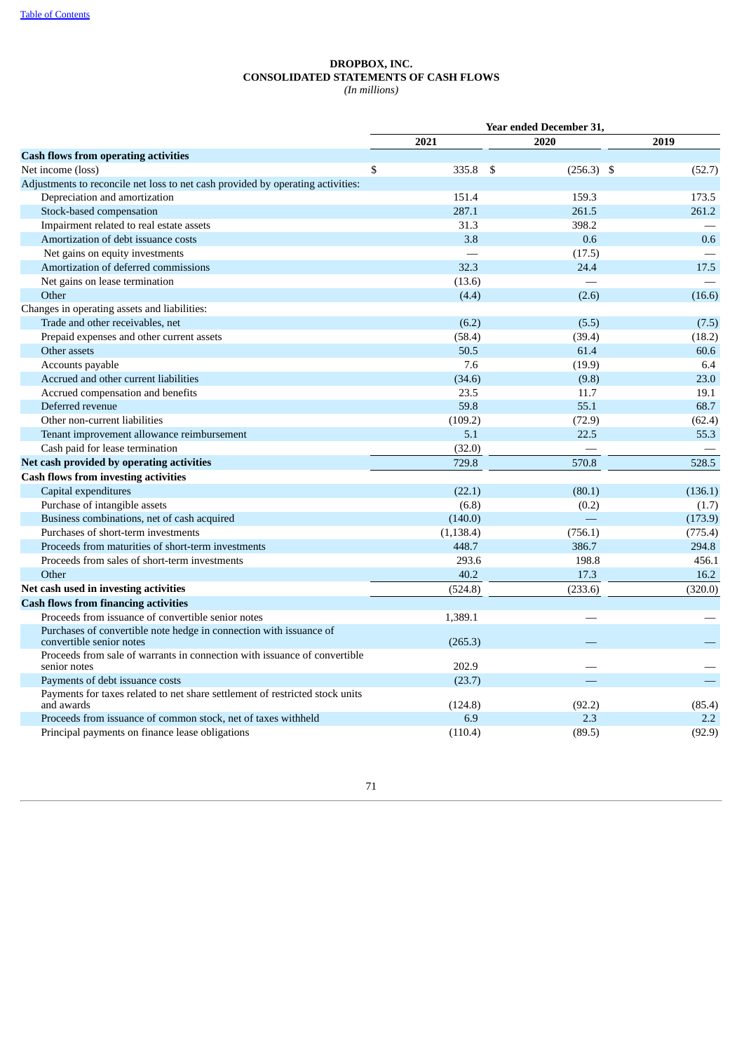## **DROPBOX, INC. CONSOLIDATED STATEMENTS OF CASH FLOWS** *(In millions)*

|                                                                                                |            | Year ended December 31, |         |
|------------------------------------------------------------------------------------------------|------------|-------------------------|---------|
|                                                                                                | 2021       | 2020                    | 2019    |
| <b>Cash flows from operating activities</b>                                                    |            |                         |         |
| Net income (loss)                                                                              | 335.8      | \$<br>$(256.3)$ \$      | (52.7)  |
| Adjustments to reconcile net loss to net cash provided by operating activities:                |            |                         |         |
| Depreciation and amortization                                                                  | 151.4      | 159.3                   | 173.5   |
| Stock-based compensation                                                                       | 287.1      | 261.5                   | 261.2   |
| Impairment related to real estate assets                                                       | 31.3       | 398.2                   |         |
| Amortization of debt issuance costs                                                            | 3.8        | 0.6                     | 0.6     |
| Net gains on equity investments                                                                |            | (17.5)                  |         |
| Amortization of deferred commissions                                                           | 32.3       | 24.4                    | 17.5    |
| Net gains on lease termination                                                                 | (13.6)     |                         |         |
| Other                                                                                          | (4.4)      | (2.6)                   | (16.6)  |
| Changes in operating assets and liabilities:                                                   |            |                         |         |
| Trade and other receivables, net                                                               | (6.2)      | (5.5)                   | (7.5)   |
| Prepaid expenses and other current assets                                                      | (58.4)     | (39.4)                  | (18.2)  |
| Other assets                                                                                   | 50.5       | 61.4                    | 60.6    |
| Accounts payable                                                                               | 7.6        | (19.9)                  | 6.4     |
| Accrued and other current liabilities                                                          | (34.6)     | (9.8)                   | 23.0    |
| Accrued compensation and benefits                                                              | 23.5       | 11.7                    | 19.1    |
| Deferred revenue                                                                               | 59.8       | 55.1                    | 68.7    |
| Other non-current liabilities                                                                  | (109.2)    | (72.9)                  | (62.4)  |
| Tenant improvement allowance reimbursement                                                     | 5.1        | 22.5                    | 55.3    |
| Cash paid for lease termination                                                                | (32.0)     |                         |         |
| Net cash provided by operating activities                                                      | 729.8      | 570.8                   | 528.5   |
| <b>Cash flows from investing activities</b>                                                    |            |                         |         |
| Capital expenditures                                                                           | (22.1)     | (80.1)                  | (136.1) |
| Purchase of intangible assets                                                                  | (6.8)      | (0.2)                   | (1.7)   |
| Business combinations, net of cash acquired                                                    | (140.0)    | $\equiv$                | (173.9) |
| Purchases of short-term investments                                                            | (1, 138.4) | (756.1)                 | (775.4) |
| Proceeds from maturities of short-term investments                                             | 448.7      | 386.7                   | 294.8   |
| Proceeds from sales of short-term investments                                                  | 293.6      | 198.8                   | 456.1   |
| Other                                                                                          | 40.2       | 17.3                    | 16.2    |
| Net cash used in investing activities                                                          | (524.8)    | (233.6)                 | (320.0) |
| <b>Cash flows from financing activities</b>                                                    |            |                         |         |
| Proceeds from issuance of convertible senior notes                                             | 1,389.1    |                         |         |
| Purchases of convertible note hedge in connection with issuance of<br>convertible senior notes | (265.3)    |                         |         |
| Proceeds from sale of warrants in connection with issuance of convertible<br>senior notes      | 202.9      |                         |         |
| Payments of debt issuance costs                                                                | (23.7)     |                         |         |
| Payments for taxes related to net share settlement of restricted stock units<br>and awards     | (124.8)    | (92.2)                  | (85.4)  |
| Proceeds from issuance of common stock, net of taxes withheld                                  | 6.9        | 2.3                     | 2.2     |
| Principal payments on finance lease obligations                                                | (110.4)    | (89.5)                  | (92.9)  |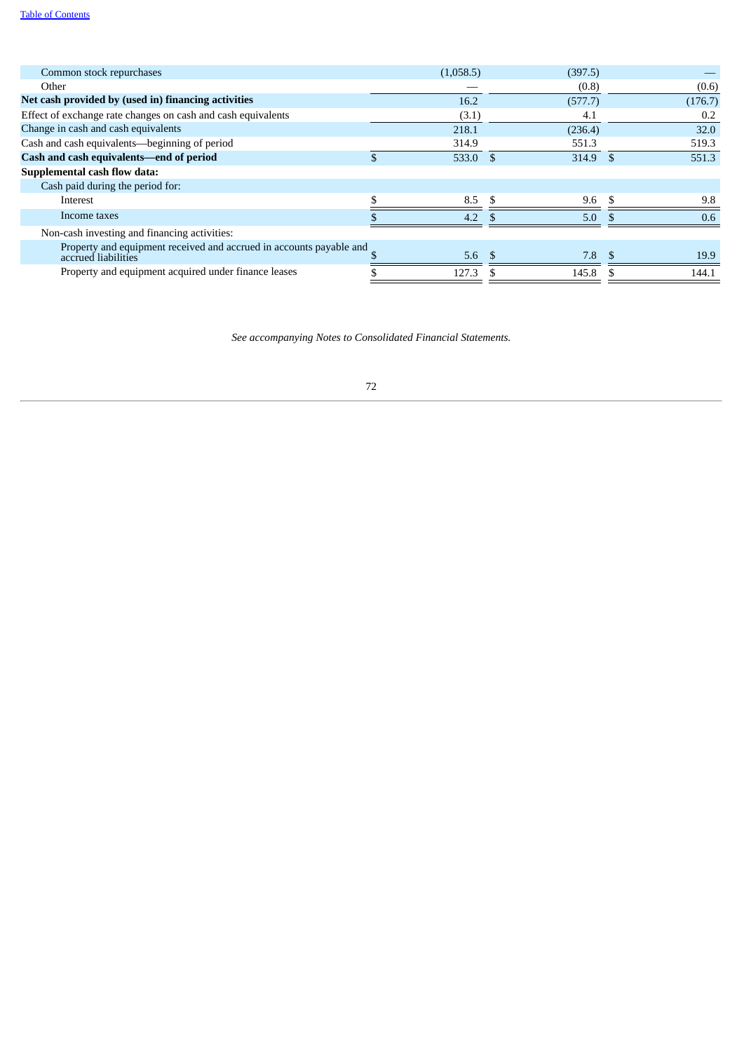| Common stock repurchases                                                                   | (1,058.5)  |     | (397.5)          |     |         |
|--------------------------------------------------------------------------------------------|------------|-----|------------------|-----|---------|
| Other                                                                                      |            |     | (0.8)            |     | (0.6)   |
| Net cash provided by (used in) financing activities                                        | 16.2       |     | (577.7)          |     | (176.7) |
| Effect of exchange rate changes on cash and cash equivalents                               | (3.1)      |     | 4.1              |     | 0.2     |
| Change in cash and cash equivalents                                                        | 218.1      |     | (236.4)          |     | 32.0    |
| Cash and cash equivalents—beginning of period                                              | 314.9      |     | 551.3            |     | 519.3   |
| Cash and cash equivalents-end of period                                                    | $533.0$ \$ |     | 314.9 \$         |     | 551.3   |
| Supplemental cash flow data:                                                               |            |     |                  |     |         |
| Cash paid during the period for:                                                           |            |     |                  |     |         |
| Interest                                                                                   | 8.5        | \$. | 9.6              | -\$ | 9.8     |
| Income taxes                                                                               | 4.2        |     | 5.0              |     | 0.6     |
| Non-cash investing and financing activities:                                               |            |     |                  |     |         |
| Property and equipment received and accrued in accounts payable and<br>accrued liabilities | 5.6        | -\$ | 7.8 <sup>5</sup> |     | 19.9    |
| Property and equipment acquired under finance leases                                       | 127.3      |     | 145.8            |     | 144.1   |

*See accompanying Notes to Consolidated Financial Statements.*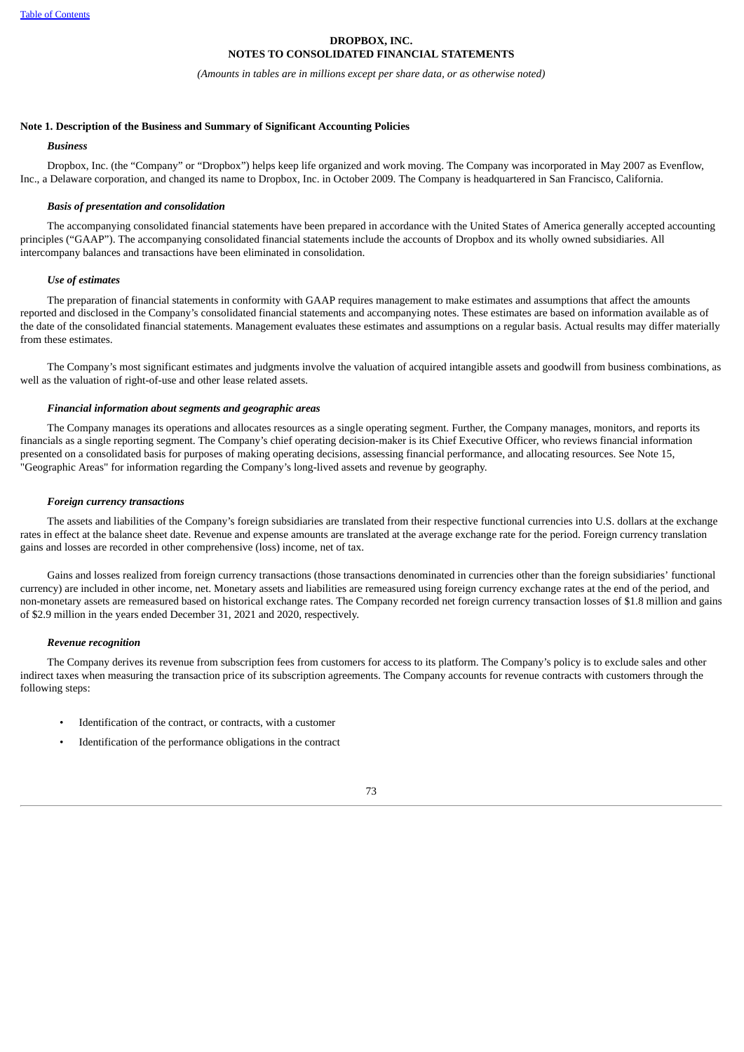*(Amounts in tables are in millions except per share data, or as otherwise noted)*

### **Note 1. Description of the Business and Summary of Significant Accounting Policies**

### *Business*

Dropbox, Inc. (the "Company" or "Dropbox") helps keep life organized and work moving. The Company was incorporated in May 2007 as Evenflow, Inc., a Delaware corporation, and changed its name to Dropbox, Inc. in October 2009. The Company is headquartered in San Francisco, California.

### *Basis of presentation and consolidation*

The accompanying consolidated financial statements have been prepared in accordance with the United States of America generally accepted accounting principles ("GAAP"). The accompanying consolidated financial statements include the accounts of Dropbox and its wholly owned subsidiaries. All intercompany balances and transactions have been eliminated in consolidation.

### *Use of estimates*

The preparation of financial statements in conformity with GAAP requires management to make estimates and assumptions that affect the amounts reported and disclosed in the Company's consolidated financial statements and accompanying notes. These estimates are based on information available as of the date of the consolidated financial statements. Management evaluates these estimates and assumptions on a regular basis. Actual results may differ materially from these estimates.

The Company's most significant estimates and judgments involve the valuation of acquired intangible assets and goodwill from business combinations, as well as the valuation of right-of-use and other lease related assets.

### *Financial information about segments and geographic areas*

The Company manages its operations and allocates resources as a single operating segment. Further, the Company manages, monitors, and reports its financials as a single reporting segment. The Company's chief operating decision-maker is its Chief Executive Officer, who reviews financial information presented on a consolidated basis for purposes of making operating decisions, assessing financial performance, and allocating resources. See Note 15, "Geographic Areas" for information regarding the Company's long-lived assets and revenue by geography.

#### *Foreign currency transactions*

The assets and liabilities of the Company's foreign subsidiaries are translated from their respective functional currencies into U.S. dollars at the exchange rates in effect at the balance sheet date. Revenue and expense amounts are translated at the average exchange rate for the period. Foreign currency translation gains and losses are recorded in other comprehensive (loss) income, net of tax.

Gains and losses realized from foreign currency transactions (those transactions denominated in currencies other than the foreign subsidiaries' functional currency) are included in other income, net. Monetary assets and liabilities are remeasured using foreign currency exchange rates at the end of the period, and non-monetary assets are remeasured based on historical exchange rates. The Company recorded net foreign currency transaction losses of \$1.8 million and gains of \$2.9 million in the years ended December 31, 2021 and 2020, respectively.

### *Revenue recognition*

The Company derives its revenue from subscription fees from customers for access to its platform. The Company's policy is to exclude sales and other indirect taxes when measuring the transaction price of its subscription agreements. The Company accounts for revenue contracts with customers through the following steps:

- Identification of the contract, or contracts, with a customer
- Identification of the performance obligations in the contract

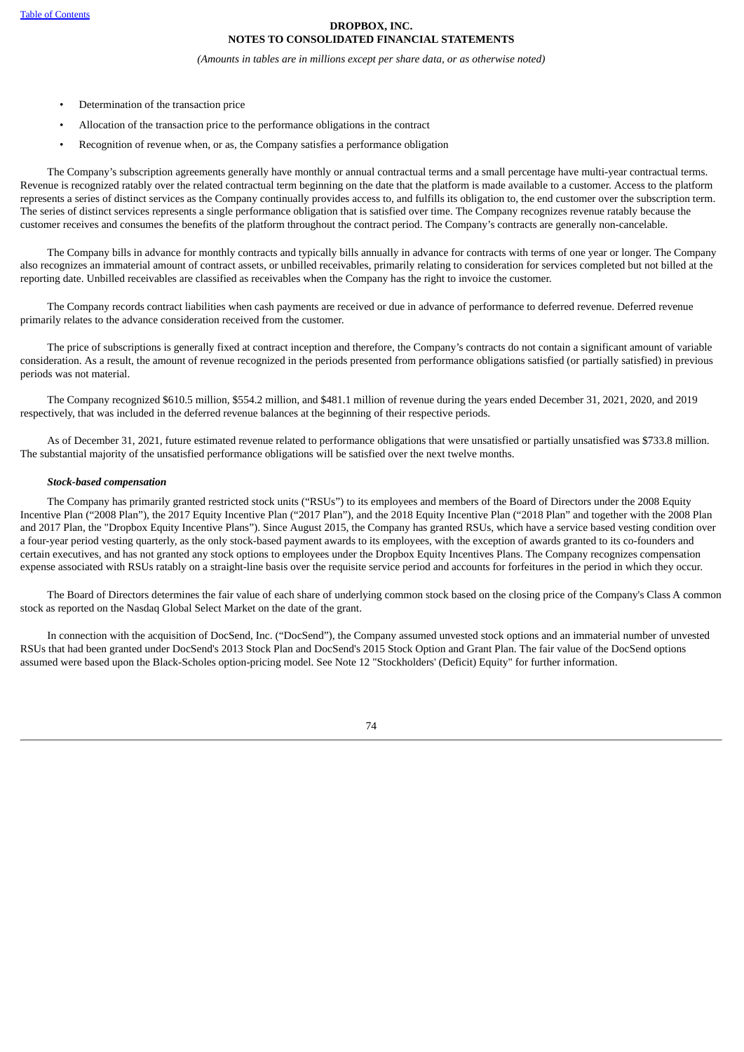*(Amounts in tables are in millions except per share data, or as otherwise noted)*

- Determination of the transaction price
- Allocation of the transaction price to the performance obligations in the contract
- Recognition of revenue when, or as, the Company satisfies a performance obligation

The Company's subscription agreements generally have monthly or annual contractual terms and a small percentage have multi-year contractual terms. Revenue is recognized ratably over the related contractual term beginning on the date that the platform is made available to a customer. Access to the platform represents a series of distinct services as the Company continually provides access to, and fulfills its obligation to, the end customer over the subscription term. The series of distinct services represents a single performance obligation that is satisfied over time. The Company recognizes revenue ratably because the customer receives and consumes the benefits of the platform throughout the contract period. The Company's contracts are generally non-cancelable.

The Company bills in advance for monthly contracts and typically bills annually in advance for contracts with terms of one year or longer. The Company also recognizes an immaterial amount of contract assets, or unbilled receivables, primarily relating to consideration for services completed but not billed at the reporting date. Unbilled receivables are classified as receivables when the Company has the right to invoice the customer.

The Company records contract liabilities when cash payments are received or due in advance of performance to deferred revenue. Deferred revenue primarily relates to the advance consideration received from the customer.

The price of subscriptions is generally fixed at contract inception and therefore, the Company's contracts do not contain a significant amount of variable consideration. As a result, the amount of revenue recognized in the periods presented from performance obligations satisfied (or partially satisfied) in previous periods was not material.

The Company recognized \$610.5 million, \$554.2 million, and \$481.1 million of revenue during the years ended December 31, 2021, 2020, and 2019 respectively, that was included in the deferred revenue balances at the beginning of their respective periods.

As of December 31, 2021, future estimated revenue related to performance obligations that were unsatisfied or partially unsatisfied was \$733.8 million. The substantial majority of the unsatisfied performance obligations will be satisfied over the next twelve months.

#### *Stock-based compensation*

The Company has primarily granted restricted stock units ("RSUs") to its employees and members of the Board of Directors under the 2008 Equity Incentive Plan ("2008 Plan"), the 2017 Equity Incentive Plan ("2017 Plan"), and the 2018 Equity Incentive Plan ("2018 Plan" and together with the 2008 Plan and 2017 Plan, the "Dropbox Equity Incentive Plans"). Since August 2015, the Company has granted RSUs, which have a service based vesting condition over a four-year period vesting quarterly, as the only stock-based payment awards to its employees, with the exception of awards granted to its co-founders and certain executives, and has not granted any stock options to employees under the Dropbox Equity Incentives Plans. The Company recognizes compensation expense associated with RSUs ratably on a straight-line basis over the requisite service period and accounts for forfeitures in the period in which they occur.

The Board of Directors determines the fair value of each share of underlying common stock based on the closing price of the Company's Class A common stock as reported on the Nasdaq Global Select Market on the date of the grant.

In connection with the acquisition of DocSend, Inc. ("DocSend"), the Company assumed unvested stock options and an immaterial number of unvested RSUs that had been granted under DocSend's 2013 Stock Plan and DocSend's 2015 Stock Option and Grant Plan. The fair value of the DocSend options assumed were based upon the Black-Scholes option-pricing model. See Note 12 "Stockholders' (Deficit) Equity" for further information.

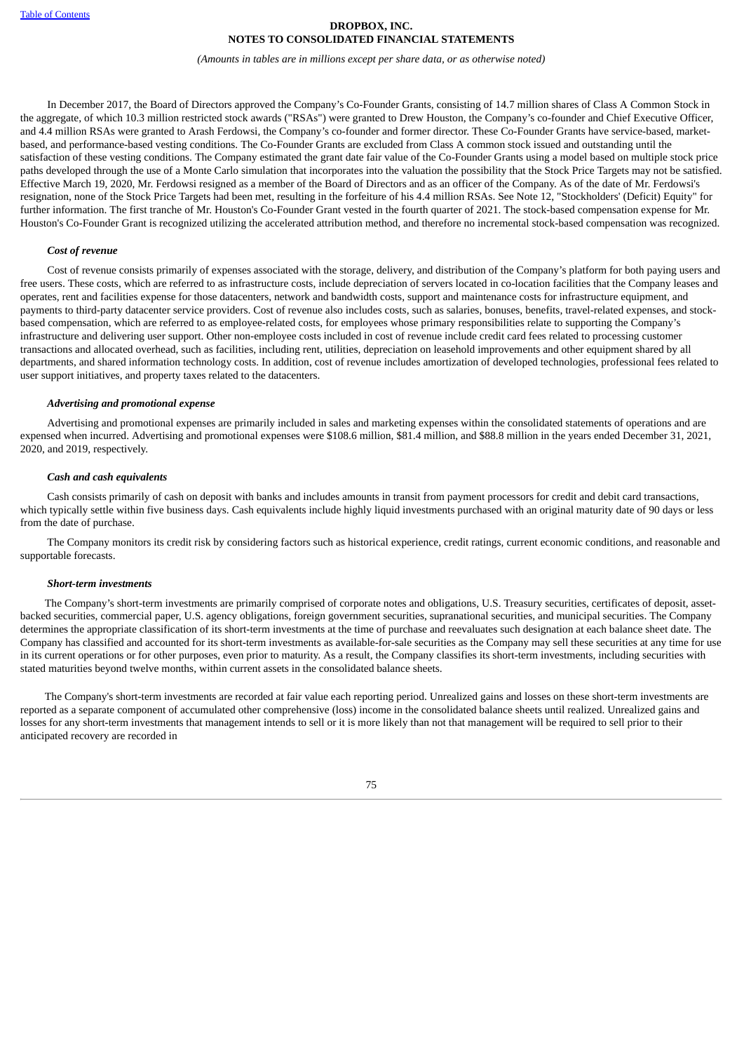*(Amounts in tables are in millions except per share data, or as otherwise noted)*

In December 2017, the Board of Directors approved the Company's Co-Founder Grants, consisting of 14.7 million shares of Class A Common Stock in the aggregate, of which 10.3 million restricted stock awards ("RSAs") were granted to Drew Houston, the Company's co-founder and Chief Executive Officer, and 4.4 million RSAs were granted to Arash Ferdowsi, the Company's co-founder and former director. These Co-Founder Grants have service-based, marketbased, and performance-based vesting conditions. The Co-Founder Grants are excluded from Class A common stock issued and outstanding until the satisfaction of these vesting conditions. The Company estimated the grant date fair value of the Co-Founder Grants using a model based on multiple stock price paths developed through the use of a Monte Carlo simulation that incorporates into the valuation the possibility that the Stock Price Targets may not be satisfied. Effective March 19, 2020, Mr. Ferdowsi resigned as a member of the Board of Directors and as an officer of the Company. As of the date of Mr. Ferdowsi's resignation, none of the Stock Price Targets had been met, resulting in the forfeiture of his 4.4 million RSAs. See Note 12, "Stockholders' (Deficit) Equity" for further information. The first tranche of Mr. Houston's Co-Founder Grant vested in the fourth quarter of 2021. The stock-based compensation expense for Mr. Houston's Co-Founder Grant is recognized utilizing the accelerated attribution method, and therefore no incremental stock-based compensation was recognized.

### *Cost of revenue*

Cost of revenue consists primarily of expenses associated with the storage, delivery, and distribution of the Company's platform for both paying users and free users. These costs, which are referred to as infrastructure costs, include depreciation of servers located in co-location facilities that the Company leases and operates, rent and facilities expense for those datacenters, network and bandwidth costs, support and maintenance costs for infrastructure equipment, and payments to third-party datacenter service providers. Cost of revenue also includes costs, such as salaries, bonuses, benefits, travel-related expenses, and stockbased compensation, which are referred to as employee-related costs, for employees whose primary responsibilities relate to supporting the Company's infrastructure and delivering user support. Other non-employee costs included in cost of revenue include credit card fees related to processing customer transactions and allocated overhead, such as facilities, including rent, utilities, depreciation on leasehold improvements and other equipment shared by all departments, and shared information technology costs. In addition, cost of revenue includes amortization of developed technologies, professional fees related to user support initiatives, and property taxes related to the datacenters.

### *Advertising and promotional expense*

Advertising and promotional expenses are primarily included in sales and marketing expenses within the consolidated statements of operations and are expensed when incurred. Advertising and promotional expenses were \$108.6 million, \$81.4 million, and \$88.8 million in the years ended December 31, 2021, 2020, and 2019, respectively.

#### *Cash and cash equivalents*

Cash consists primarily of cash on deposit with banks and includes amounts in transit from payment processors for credit and debit card transactions, which typically settle within five business days. Cash equivalents include highly liquid investments purchased with an original maturity date of 90 days or less from the date of purchase.

The Company monitors its credit risk by considering factors such as historical experience, credit ratings, current economic conditions, and reasonable and supportable forecasts.

#### *Short-term investments*

The Company's short-term investments are primarily comprised of corporate notes and obligations, U.S. Treasury securities, certificates of deposit, assetbacked securities, commercial paper, U.S. agency obligations, foreign government securities, supranational securities, and municipal securities. The Company determines the appropriate classification of its short-term investments at the time of purchase and reevaluates such designation at each balance sheet date. The Company has classified and accounted for its short-term investments as available-for-sale securities as the Company may sell these securities at any time for use in its current operations or for other purposes, even prior to maturity. As a result, the Company classifies its short-term investments, including securities with stated maturities beyond twelve months, within current assets in the consolidated balance sheets.

The Company's short-term investments are recorded at fair value each reporting period. Unrealized gains and losses on these short-term investments are reported as a separate component of accumulated other comprehensive (loss) income in the consolidated balance sheets until realized. Unrealized gains and losses for any short-term investments that management intends to sell or it is more likely than not that management will be required to sell prior to their anticipated recovery are recorded in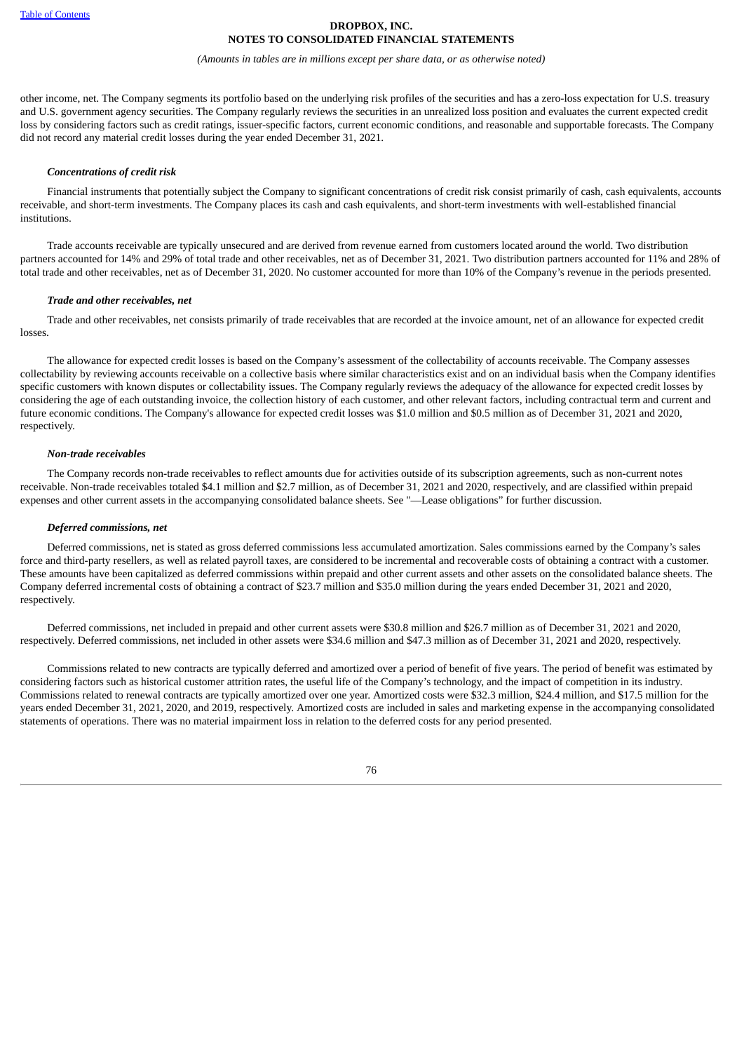*(Amounts in tables are in millions except per share data, or as otherwise noted)*

other income, net. The Company segments its portfolio based on the underlying risk profiles of the securities and has a zero-loss expectation for U.S. treasury and U.S. government agency securities. The Company regularly reviews the securities in an unrealized loss position and evaluates the current expected credit loss by considering factors such as credit ratings, issuer-specific factors, current economic conditions, and reasonable and supportable forecasts. The Company did not record any material credit losses during the year ended December 31, 2021.

### *Concentrations of credit risk*

Financial instruments that potentially subject the Company to significant concentrations of credit risk consist primarily of cash, cash equivalents, accounts receivable, and short-term investments. The Company places its cash and cash equivalents, and short-term investments with well-established financial institutions.

Trade accounts receivable are typically unsecured and are derived from revenue earned from customers located around the world. Two distribution partners accounted for 14% and 29% of total trade and other receivables, net as of December 31, 2021. Two distribution partners accounted for 11% and 28% of total trade and other receivables, net as of December 31, 2020. No customer accounted for more than 10% of the Company's revenue in the periods presented.

### *Trade and other receivables, net*

Trade and other receivables, net consists primarily of trade receivables that are recorded at the invoice amount, net of an allowance for expected credit losses.

The allowance for expected credit losses is based on the Company's assessment of the collectability of accounts receivable. The Company assesses collectability by reviewing accounts receivable on a collective basis where similar characteristics exist and on an individual basis when the Company identifies specific customers with known disputes or collectability issues. The Company regularly reviews the adequacy of the allowance for expected credit losses by considering the age of each outstanding invoice, the collection history of each customer, and other relevant factors, including contractual term and current and future economic conditions. The Company's allowance for expected credit losses was \$1.0 million and \$0.5 million as of December 31, 2021 and 2020, respectively.

### *Non-trade receivables*

The Company records non-trade receivables to reflect amounts due for activities outside of its subscription agreements, such as non-current notes receivable. Non-trade receivables totaled \$4.1 million and \$2.7 million, as of December 31, 2021 and 2020, respectively, and are classified within prepaid expenses and other current assets in the accompanying consolidated balance sheets. See "—Lease obligations" for further discussion.

#### *Deferred commissions, net*

Deferred commissions, net is stated as gross deferred commissions less accumulated amortization. Sales commissions earned by the Company's sales force and third-party resellers, as well as related payroll taxes, are considered to be incremental and recoverable costs of obtaining a contract with a customer. These amounts have been capitalized as deferred commissions within prepaid and other current assets and other assets on the consolidated balance sheets. The Company deferred incremental costs of obtaining a contract of \$23.7 million and \$35.0 million during the years ended December 31, 2021 and 2020, respectively.

Deferred commissions, net included in prepaid and other current assets were \$30.8 million and \$26.7 million as of December 31, 2021 and 2020, respectively. Deferred commissions, net included in other assets were \$34.6 million and \$47.3 million as of December 31, 2021 and 2020, respectively.

Commissions related to new contracts are typically deferred and amortized over a period of benefit of five years. The period of benefit was estimated by considering factors such as historical customer attrition rates, the useful life of the Company's technology, and the impact of competition in its industry. Commissions related to renewal contracts are typically amortized over one year. Amortized costs were \$32.3 million, \$24.4 million, and \$17.5 million for the years ended December 31, 2021, 2020, and 2019, respectively. Amortized costs are included in sales and marketing expense in the accompanying consolidated statements of operations. There was no material impairment loss in relation to the deferred costs for any period presented.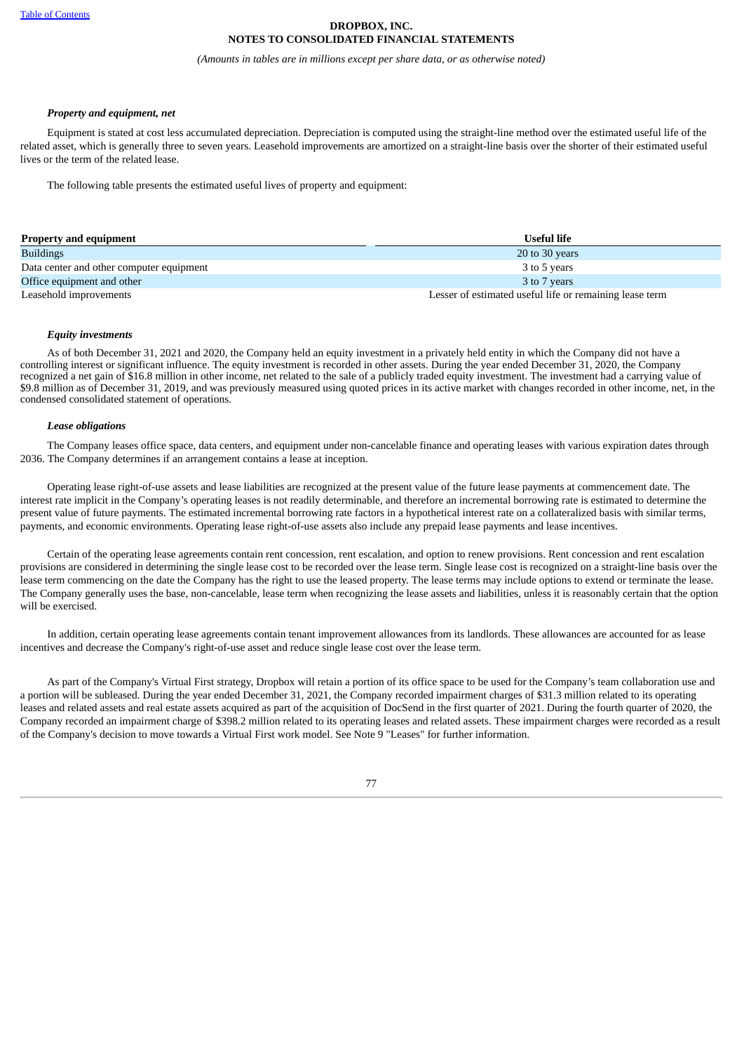*(Amounts in tables are in millions except per share data, or as otherwise noted)*

### *Property and equipment, net*

Equipment is stated at cost less accumulated depreciation. Depreciation is computed using the straight-line method over the estimated useful life of the related asset, which is generally three to seven years. Leasehold improvements are amortized on a straight-line basis over the shorter of their estimated useful lives or the term of the related lease.

The following table presents the estimated useful lives of property and equipment:

| Property and equipment                   | Useful life                                             |
|------------------------------------------|---------------------------------------------------------|
| <b>Buildings</b>                         | 20 to 30 years                                          |
| Data center and other computer equipment | 3 to 5 years                                            |
| Office equipment and other               | 3 to 7 years                                            |
| Leasehold improvements                   | Lesser of estimated useful life or remaining lease term |

#### *Equity investments*

As of both December 31, 2021 and 2020, the Company held an equity investment in a privately held entity in which the Company did not have a controlling interest or significant influence. The equity investment is recorded in other assets. During the year ended December 31, 2020, the Company recognized a net gain of \$16.8 million in other income, net related to the sale of a publicly traded equity investment. The investment had a carrying value of \$9.8 million as of December 31, 2019, and was previously measured using quoted prices in its active market with changes recorded in other income, net, in the condensed consolidated statement of operations.

#### *Lease obligations*

The Company leases office space, data centers, and equipment under non-cancelable finance and operating leases with various expiration dates through 2036. The Company determines if an arrangement contains a lease at inception.

Operating lease right-of-use assets and lease liabilities are recognized at the present value of the future lease payments at commencement date. The interest rate implicit in the Company's operating leases is not readily determinable, and therefore an incremental borrowing rate is estimated to determine the present value of future payments. The estimated incremental borrowing rate factors in a hypothetical interest rate on a collateralized basis with similar terms, payments, and economic environments. Operating lease right-of-use assets also include any prepaid lease payments and lease incentives.

Certain of the operating lease agreements contain rent concession, rent escalation, and option to renew provisions. Rent concession and rent escalation provisions are considered in determining the single lease cost to be recorded over the lease term. Single lease cost is recognized on a straight-line basis over the lease term commencing on the date the Company has the right to use the leased property. The lease terms may include options to extend or terminate the lease. The Company generally uses the base, non-cancelable, lease term when recognizing the lease assets and liabilities, unless it is reasonably certain that the option will be exercised.

In addition, certain operating lease agreements contain tenant improvement allowances from its landlords. These allowances are accounted for as lease incentives and decrease the Company's right-of-use asset and reduce single lease cost over the lease term.

As part of the Company's Virtual First strategy, Dropbox will retain a portion of its office space to be used for the Company's team collaboration use and a portion will be subleased. During the year ended December 31, 2021, the Company recorded impairment charges of \$31.3 million related to its operating leases and related assets and real estate assets acquired as part of the acquisition of DocSend in the first quarter of 2021. During the fourth quarter of 2020, the Company recorded an impairment charge of \$398.2 million related to its operating leases and related assets. These impairment charges were recorded as a result of the Company's decision to move towards a Virtual First work model. See Note 9 "Leases" for further information.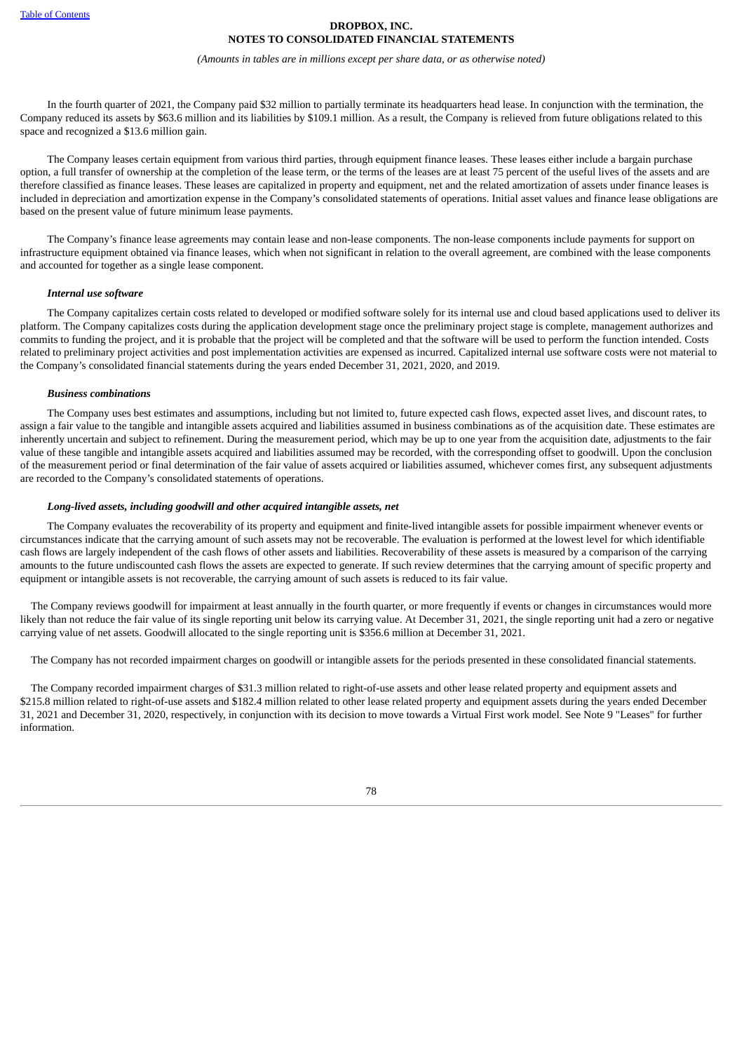*(Amounts in tables are in millions except per share data, or as otherwise noted)*

In the fourth quarter of 2021, the Company paid \$32 million to partially terminate its headquarters head lease. In conjunction with the termination, the Company reduced its assets by \$63.6 million and its liabilities by \$109.1 million. As a result, the Company is relieved from future obligations related to this space and recognized a \$13.6 million gain.

The Company leases certain equipment from various third parties, through equipment finance leases. These leases either include a bargain purchase option, a full transfer of ownership at the completion of the lease term, or the terms of the leases are at least 75 percent of the useful lives of the assets and are therefore classified as finance leases. These leases are capitalized in property and equipment, net and the related amortization of assets under finance leases is included in depreciation and amortization expense in the Company's consolidated statements of operations. Initial asset values and finance lease obligations are based on the present value of future minimum lease payments.

The Company's finance lease agreements may contain lease and non-lease components. The non-lease components include payments for support on infrastructure equipment obtained via finance leases, which when not significant in relation to the overall agreement, are combined with the lease components and accounted for together as a single lease component.

### *Internal use software*

The Company capitalizes certain costs related to developed or modified software solely for its internal use and cloud based applications used to deliver its platform. The Company capitalizes costs during the application development stage once the preliminary project stage is complete, management authorizes and commits to funding the project, and it is probable that the project will be completed and that the software will be used to perform the function intended. Costs related to preliminary project activities and post implementation activities are expensed as incurred. Capitalized internal use software costs were not material to the Company's consolidated financial statements during the years ended December 31, 2021, 2020, and 2019.

#### *Business combinations*

The Company uses best estimates and assumptions, including but not limited to, future expected cash flows, expected asset lives, and discount rates, to assign a fair value to the tangible and intangible assets acquired and liabilities assumed in business combinations as of the acquisition date. These estimates are inherently uncertain and subject to refinement. During the measurement period, which may be up to one year from the acquisition date, adjustments to the fair value of these tangible and intangible assets acquired and liabilities assumed may be recorded, with the corresponding offset to goodwill. Upon the conclusion of the measurement period or final determination of the fair value of assets acquired or liabilities assumed, whichever comes first, any subsequent adjustments are recorded to the Company's consolidated statements of operations.

#### *Long-lived assets, including goodwill and other acquired intangible assets, net*

The Company evaluates the recoverability of its property and equipment and finite-lived intangible assets for possible impairment whenever events or circumstances indicate that the carrying amount of such assets may not be recoverable. The evaluation is performed at the lowest level for which identifiable cash flows are largely independent of the cash flows of other assets and liabilities. Recoverability of these assets is measured by a comparison of the carrying amounts to the future undiscounted cash flows the assets are expected to generate. If such review determines that the carrying amount of specific property and equipment or intangible assets is not recoverable, the carrying amount of such assets is reduced to its fair value.

The Company reviews goodwill for impairment at least annually in the fourth quarter, or more frequently if events or changes in circumstances would more likely than not reduce the fair value of its single reporting unit below its carrying value. At December 31, 2021, the single reporting unit had a zero or negative carrying value of net assets. Goodwill allocated to the single reporting unit is \$356.6 million at December 31, 2021.

The Company has not recorded impairment charges on goodwill or intangible assets for the periods presented in these consolidated financial statements.

The Company recorded impairment charges of \$31.3 million related to right-of-use assets and other lease related property and equipment assets and \$215.8 million related to right-of-use assets and \$182.4 million related to other lease related property and equipment assets during the years ended December 31, 2021 and December 31, 2020, respectively, in conjunction with its decision to move towards a Virtual First work model. See Note 9 "Leases" for further information.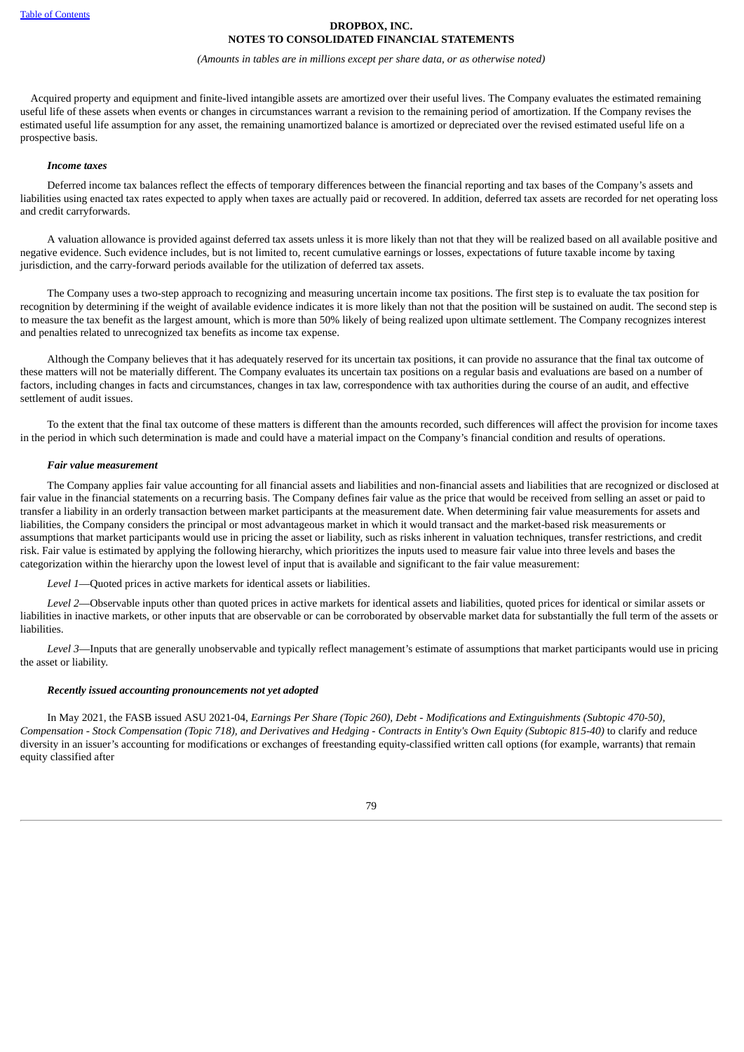*(Amounts in tables are in millions except per share data, or as otherwise noted)*

Acquired property and equipment and finite-lived intangible assets are amortized over their useful lives. The Company evaluates the estimated remaining useful life of these assets when events or changes in circumstances warrant a revision to the remaining period of amortization. If the Company revises the estimated useful life assumption for any asset, the remaining unamortized balance is amortized or depreciated over the revised estimated useful life on a prospective basis.

### *Income taxes*

Deferred income tax balances reflect the effects of temporary differences between the financial reporting and tax bases of the Company's assets and liabilities using enacted tax rates expected to apply when taxes are actually paid or recovered. In addition, deferred tax assets are recorded for net operating loss and credit carryforwards.

A valuation allowance is provided against deferred tax assets unless it is more likely than not that they will be realized based on all available positive and negative evidence. Such evidence includes, but is not limited to, recent cumulative earnings or losses, expectations of future taxable income by taxing jurisdiction, and the carry-forward periods available for the utilization of deferred tax assets.

The Company uses a two-step approach to recognizing and measuring uncertain income tax positions. The first step is to evaluate the tax position for recognition by determining if the weight of available evidence indicates it is more likely than not that the position will be sustained on audit. The second step is to measure the tax benefit as the largest amount, which is more than 50% likely of being realized upon ultimate settlement. The Company recognizes interest and penalties related to unrecognized tax benefits as income tax expense.

Although the Company believes that it has adequately reserved for its uncertain tax positions, it can provide no assurance that the final tax outcome of these matters will not be materially different. The Company evaluates its uncertain tax positions on a regular basis and evaluations are based on a number of factors, including changes in facts and circumstances, changes in tax law, correspondence with tax authorities during the course of an audit, and effective settlement of audit issues.

To the extent that the final tax outcome of these matters is different than the amounts recorded, such differences will affect the provision for income taxes in the period in which such determination is made and could have a material impact on the Company's financial condition and results of operations.

### *Fair value measurement*

The Company applies fair value accounting for all financial assets and liabilities and non-financial assets and liabilities that are recognized or disclosed at fair value in the financial statements on a recurring basis. The Company defines fair value as the price that would be received from selling an asset or paid to transfer a liability in an orderly transaction between market participants at the measurement date. When determining fair value measurements for assets and liabilities, the Company considers the principal or most advantageous market in which it would transact and the market-based risk measurements or assumptions that market participants would use in pricing the asset or liability, such as risks inherent in valuation techniques, transfer restrictions, and credit risk. Fair value is estimated by applying the following hierarchy, which prioritizes the inputs used to measure fair value into three levels and bases the categorization within the hierarchy upon the lowest level of input that is available and significant to the fair value measurement:

*Level 1*—Quoted prices in active markets for identical assets or liabilities.

*Level 2*—Observable inputs other than quoted prices in active markets for identical assets and liabilities, quoted prices for identical or similar assets or liabilities in inactive markets, or other inputs that are observable or can be corroborated by observable market data for substantially the full term of the assets or liabilities.

*Level 3*—Inputs that are generally unobservable and typically reflect management's estimate of assumptions that market participants would use in pricing the asset or liability.

#### *Recently issued accounting pronouncements not yet adopted*

In May 2021, the FASB issued ASU 2021-04, *Earnings Per Share (Topic 260), Debt - Modifications and Extinguishments (Subtopic 470-50),* Compensation - Stock Compensation (Topic 718), and Derivatives and Hedging - Contracts in Entity's Own Equity (Subtopic 815-40) to clarify and reduce diversity in an issuer's accounting for modifications or exchanges of freestanding equity-classified written call options (for example, warrants) that remain equity classified after

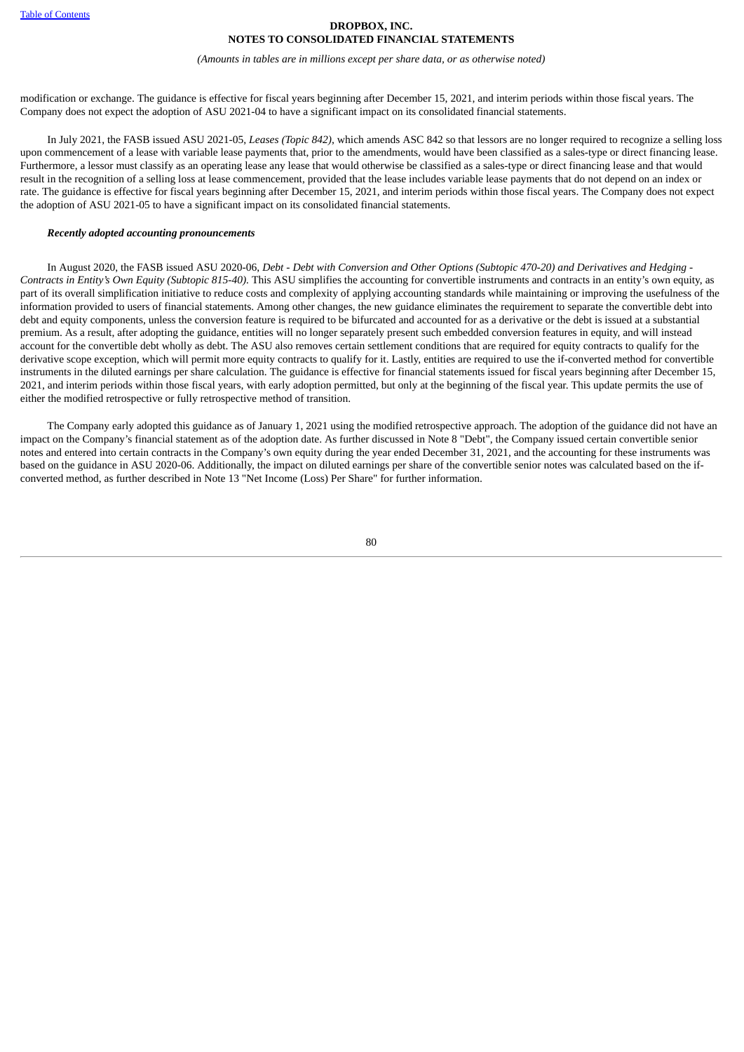### *(Amounts in tables are in millions except per share data, or as otherwise noted)*

modification or exchange. The guidance is effective for fiscal years beginning after December 15, 2021, and interim periods within those fiscal years. The Company does not expect the adoption of ASU 2021-04 to have a significant impact on its consolidated financial statements.

In July 2021, the FASB issued ASU 2021-05, *Leases (Topic 842)*, which amends ASC 842 so that lessors are no longer required to recognize a selling loss upon commencement of a lease with variable lease payments that, prior to the amendments, would have been classified as a sales-type or direct financing lease. Furthermore, a lessor must classify as an operating lease any lease that would otherwise be classified as a sales-type or direct financing lease and that would result in the recognition of a selling loss at lease commencement, provided that the lease includes variable lease payments that do not depend on an index or rate. The guidance is effective for fiscal years beginning after December 15, 2021, and interim periods within those fiscal years. The Company does not expect the adoption of ASU 2021-05 to have a significant impact on its consolidated financial statements.

### *Recently adopted accounting pronouncements*

In August 2020, the FASB issued ASU 2020-06, Debt - Debt with Conversion and Other Options (Subtopic 470-20) and Derivatives and Hedging -*Contracts in Entity's Own Equity (Subtopic 815-40).* This ASU simplifies the accounting for convertible instruments and contracts in an entity's own equity, as part of its overall simplification initiative to reduce costs and complexity of applying accounting standards while maintaining or improving the usefulness of the information provided to users of financial statements. Among other changes, the new guidance eliminates the requirement to separate the convertible debt into debt and equity components, unless the conversion feature is required to be bifurcated and accounted for as a derivative or the debt is issued at a substantial premium. As a result, after adopting the guidance, entities will no longer separately present such embedded conversion features in equity, and will instead account for the convertible debt wholly as debt. The ASU also removes certain settlement conditions that are required for equity contracts to qualify for the derivative scope exception, which will permit more equity contracts to qualify for it. Lastly, entities are required to use the if-converted method for convertible instruments in the diluted earnings per share calculation. The guidance is effective for financial statements issued for fiscal years beginning after December 15, 2021, and interim periods within those fiscal years, with early adoption permitted, but only at the beginning of the fiscal year. This update permits the use of either the modified retrospective or fully retrospective method of transition.

The Company early adopted this guidance as of January 1, 2021 using the modified retrospective approach. The adoption of the guidance did not have an impact on the Company's financial statement as of the adoption date. As further discussed in Note 8 "Debt", the Company issued certain convertible senior notes and entered into certain contracts in the Company's own equity during the year ended December 31, 2021, and the accounting for these instruments was based on the guidance in ASU 2020-06. Additionally, the impact on diluted earnings per share of the convertible senior notes was calculated based on the ifconverted method, as further described in Note 13 "Net Income (Loss) Per Share" for further information.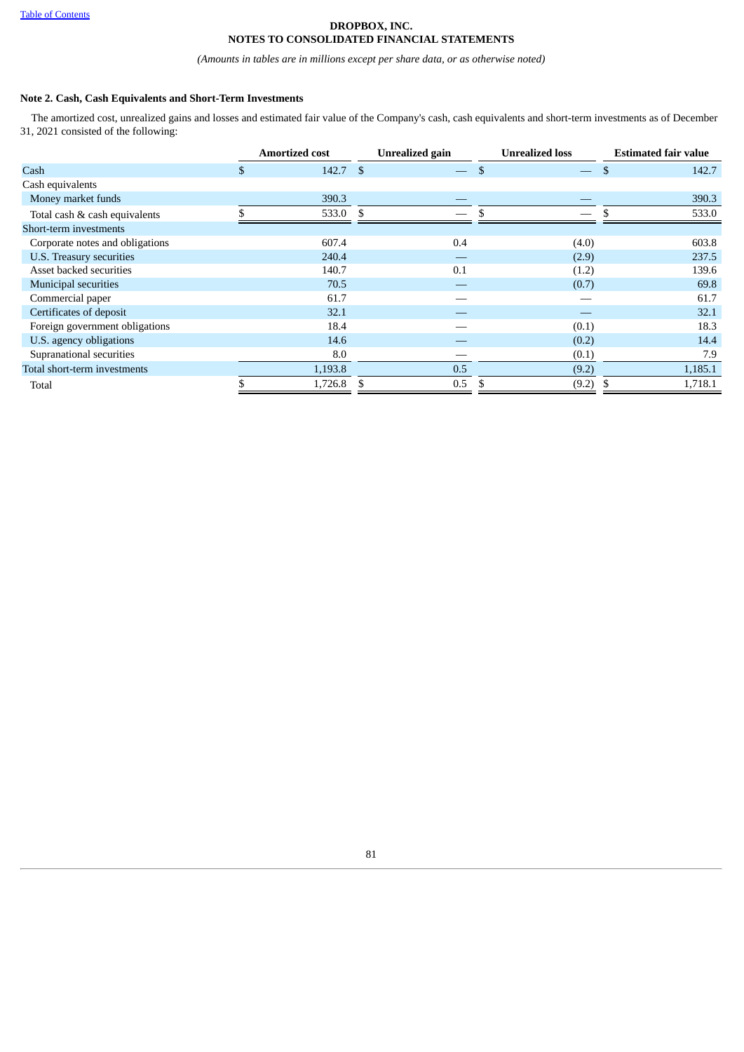*(Amounts in tables are in millions except per share data, or as otherwise noted)*

# **Note 2. Cash, Cash Equivalents and Short-Term Investments**

The amortized cost, unrealized gains and losses and estimated fair value of the Company's cash, cash equivalents and short-term investments as of December 31, 2021 consisted of the following:

|                                 | <b>Amortized cost</b> |      | Unrealized gain |  | <b>Unrealized loss</b>   |    |         |  | <b>Estimated fair value</b> |
|---------------------------------|-----------------------|------|-----------------|--|--------------------------|----|---------|--|-----------------------------|
| Cash                            | $142.7$ \$            |      |                 |  | $\overline{\phantom{0}}$ | \$ | 142.7   |  |                             |
| Cash equivalents                |                       |      |                 |  |                          |    |         |  |                             |
| Money market funds              | 390.3                 |      |                 |  |                          |    | 390.3   |  |                             |
| Total cash & cash equivalents   | 533.0                 | - \$ |                 |  |                          |    | 533.0   |  |                             |
| Short-term investments          |                       |      |                 |  |                          |    |         |  |                             |
| Corporate notes and obligations | 607.4                 |      | 0.4             |  | (4.0)                    |    | 603.8   |  |                             |
| U.S. Treasury securities        | 240.4                 |      |                 |  | (2.9)                    |    | 237.5   |  |                             |
| Asset backed securities         | 140.7                 |      | 0.1             |  | (1.2)                    |    | 139.6   |  |                             |
| Municipal securities            | 70.5                  |      |                 |  | (0.7)                    |    | 69.8    |  |                             |
| Commercial paper                | 61.7                  |      |                 |  |                          |    | 61.7    |  |                             |
| Certificates of deposit         | 32.1                  |      |                 |  |                          |    | 32.1    |  |                             |
| Foreign government obligations  | 18.4                  |      |                 |  | (0.1)                    |    | 18.3    |  |                             |
| U.S. agency obligations         | 14.6                  |      |                 |  | (0.2)                    |    | 14.4    |  |                             |
| Supranational securities        | 8.0                   |      |                 |  | (0.1)                    |    | 7.9     |  |                             |
| Total short-term investments    | 1,193.8               |      | 0.5             |  | (9.2)                    |    | 1,185.1 |  |                             |
| Total                           | 1,726.8               |      | 0.5             |  | (9.2)                    |    | 1,718.1 |  |                             |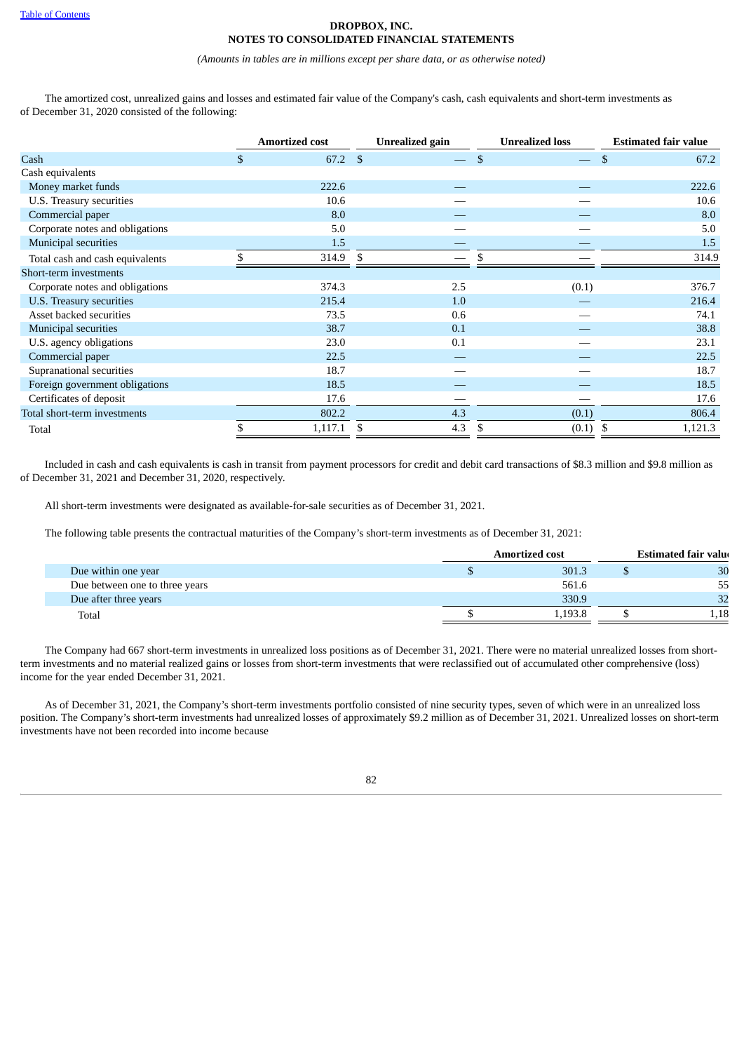*(Amounts in tables are in millions except per share data, or as otherwise noted)*

The amortized cost, unrealized gains and losses and estimated fair value of the Company's cash, cash equivalents and short-term investments as of December 31, 2020 consisted of the following:

|                                 | <b>Amortized cost</b> |    | <b>Unrealized gain</b> | <b>Unrealized loss</b> |     | <b>Estimated fair value</b> |
|---------------------------------|-----------------------|----|------------------------|------------------------|-----|-----------------------------|
| Cash                            | \$<br>67.2 \$         |    |                        | \$                     | \$. | 67.2                        |
| Cash equivalents                |                       |    |                        |                        |     |                             |
| Money market funds              | 222.6                 |    |                        |                        |     | 222.6                       |
| U.S. Treasury securities        | 10.6                  |    |                        |                        |     | 10.6                        |
| Commercial paper                | 8.0                   |    |                        |                        |     | 8.0                         |
| Corporate notes and obligations | 5.0                   |    |                        |                        |     | 5.0                         |
| Municipal securities            | 1.5                   |    |                        |                        |     | 1.5                         |
| Total cash and cash equivalents | 314.9                 | Ŝ. |                        |                        |     | 314.9                       |
| Short-term investments          |                       |    |                        |                        |     |                             |
| Corporate notes and obligations | 374.3                 |    | 2.5                    | (0.1)                  |     | 376.7                       |
| U.S. Treasury securities        | 215.4                 |    | 1.0                    |                        |     | 216.4                       |
| Asset backed securities         | 73.5                  |    | 0.6                    |                        |     | 74.1                        |
| Municipal securities            | 38.7                  |    | 0.1                    |                        |     | 38.8                        |
| U.S. agency obligations         | 23.0                  |    | 0.1                    |                        |     | 23.1                        |
| Commercial paper                | 22.5                  |    |                        |                        |     | 22.5                        |
| Supranational securities        | 18.7                  |    |                        |                        |     | 18.7                        |
| Foreign government obligations  | 18.5                  |    |                        |                        |     | 18.5                        |
| Certificates of deposit         | 17.6                  |    |                        |                        |     | 17.6                        |
| Total short-term investments    | 802.2                 |    | 4.3                    | (0.1)                  |     | 806.4                       |
| Total                           | 1,117.1               | Ŝ. | 4.3                    | (0.1)                  | Ŝ.  | 1,121.3                     |

Included in cash and cash equivalents is cash in transit from payment processors for credit and debit card transactions of \$8.3 million and \$9.8 million as of December 31, 2021 and December 31, 2020, respectively.

All short-term investments were designated as available-for-sale securities as of December 31, 2021.

The following table presents the contractual maturities of the Company's short-term investments as of December 31, 2021:

|                                | <b>Amortized cost</b> |  | Estimated fair value |
|--------------------------------|-----------------------|--|----------------------|
| Due within one year            | 301.3                 |  | 30                   |
| Due between one to three years | 561.6                 |  | 55                   |
| Due after three years          | 330.9                 |  | 32                   |
| Total                          | 1,193.8               |  | 1,18                 |

The Company had 667 short-term investments in unrealized loss positions as of December 31, 2021. There were no material unrealized losses from shortterm investments and no material realized gains or losses from short-term investments that were reclassified out of accumulated other comprehensive (loss) income for the year ended December 31, 2021.

As of December 31, 2021, the Company's short-term investments portfolio consisted of nine security types, seven of which were in an unrealized loss position. The Company's short-term investments had unrealized losses of approximately \$9.2 million as of December 31, 2021. Unrealized losses on short-term investments have not been recorded into income because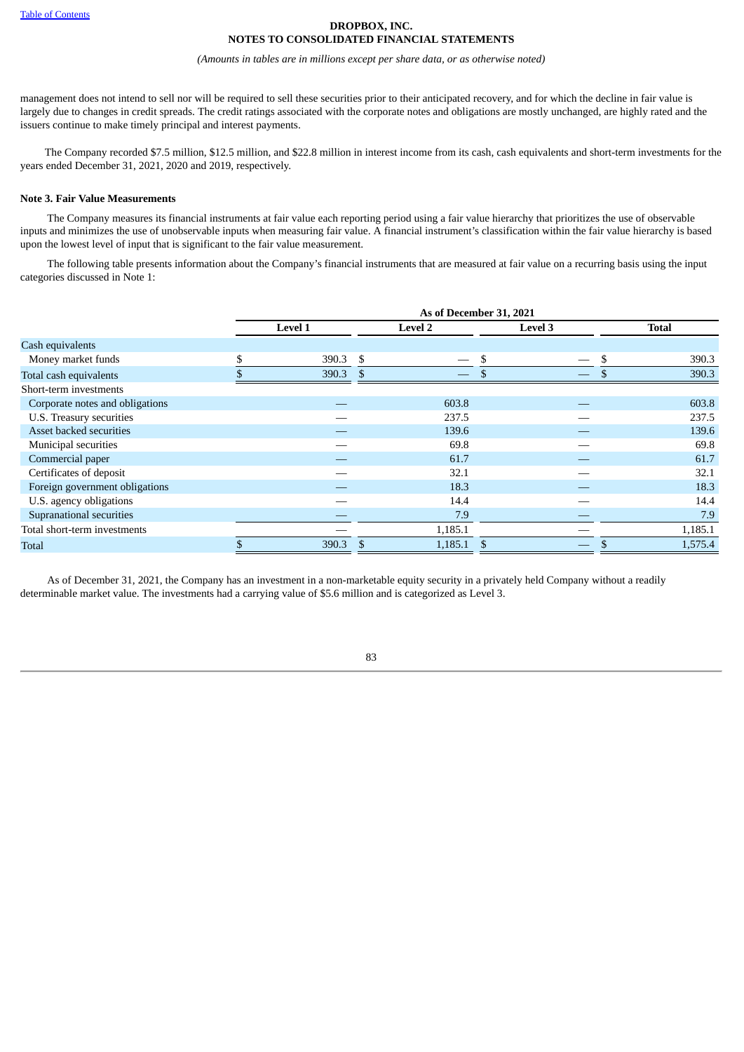*(Amounts in tables are in millions except per share data, or as otherwise noted)*

management does not intend to sell nor will be required to sell these securities prior to their anticipated recovery, and for which the decline in fair value is largely due to changes in credit spreads. The credit ratings associated with the corporate notes and obligations are mostly unchanged, are highly rated and the issuers continue to make timely principal and interest payments.

The Company recorded \$7.5 million, \$12.5 million, and \$22.8 million in interest income from its cash, cash equivalents and short-term investments for the years ended December 31, 2021, 2020 and 2019, respectively.

## **Note 3. Fair Value Measurements**

The Company measures its financial instruments at fair value each reporting period using a fair value hierarchy that prioritizes the use of observable inputs and minimizes the use of unobservable inputs when measuring fair value. A financial instrument's classification within the fair value hierarchy is based upon the lowest level of input that is significant to the fair value measurement.

The following table presents information about the Company's financial instruments that are measured at fair value on a recurring basis using the input categories discussed in Note 1:

|                                 | As of December 31, 2021 |                |               |                |  |                |  |              |
|---------------------------------|-------------------------|----------------|---------------|----------------|--|----------------|--|--------------|
|                                 |                         | <b>Level 1</b> |               | <b>Level 2</b> |  | <b>Level 3</b> |  | <b>Total</b> |
| Cash equivalents                |                         |                |               |                |  |                |  |              |
| Money market funds              | \$                      | 390.3          | S.            |                |  |                |  | 390.3        |
| Total cash equivalents          |                         | 390.3          | <sup>\$</sup> |                |  |                |  | 390.3        |
| Short-term investments          |                         |                |               |                |  |                |  |              |
| Corporate notes and obligations |                         |                |               | 603.8          |  |                |  | 603.8        |
| U.S. Treasury securities        |                         |                |               | 237.5          |  |                |  | 237.5        |
| Asset backed securities         |                         |                |               | 139.6          |  |                |  | 139.6        |
| Municipal securities            |                         |                |               | 69.8           |  |                |  | 69.8         |
| Commercial paper                |                         |                |               | 61.7           |  |                |  | 61.7         |
| Certificates of deposit         |                         |                |               | 32.1           |  |                |  | 32.1         |
| Foreign government obligations  |                         |                |               | 18.3           |  |                |  | 18.3         |
| U.S. agency obligations         |                         |                |               | 14.4           |  |                |  | 14.4         |
| Supranational securities        |                         |                |               | 7.9            |  |                |  | 7.9          |
| Total short-term investments    |                         |                |               | 1,185.1        |  |                |  | 1,185.1      |
| Total                           |                         | 390.3          |               | 1,185.1        |  |                |  | 1,575.4      |

As of December 31, 2021, the Company has an investment in a non-marketable equity security in a privately held Company without a readily determinable market value. The investments had a carrying value of \$5.6 million and is categorized as Level 3.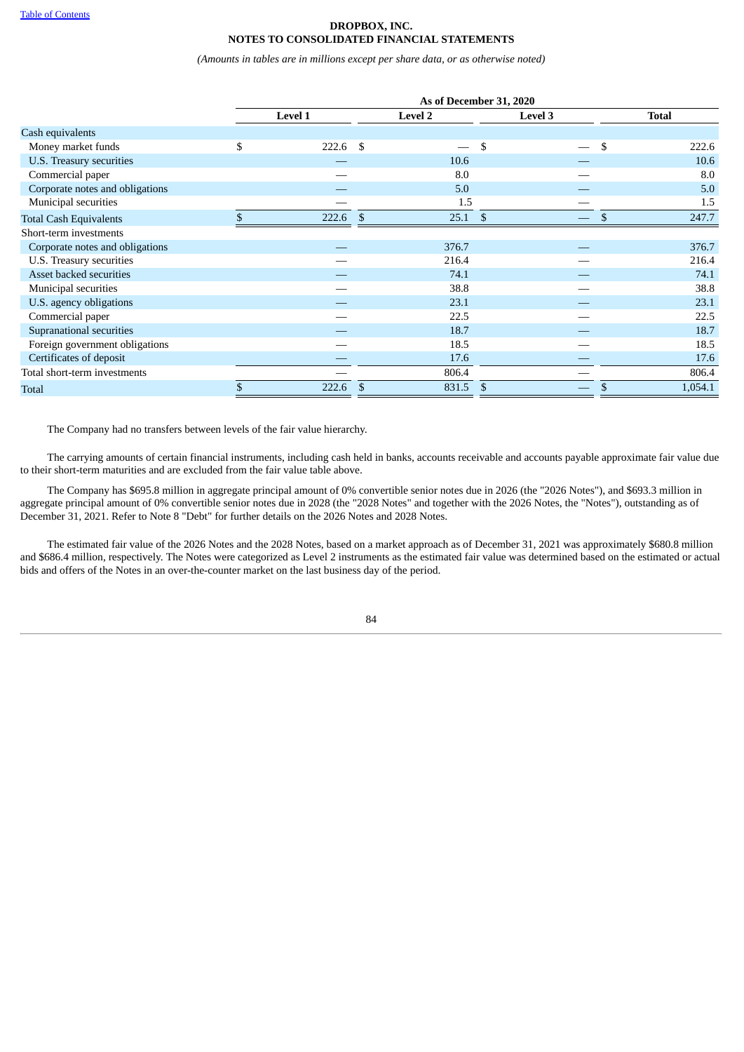*(Amounts in tables are in millions except per share data, or as otherwise noted)*

|                                 | As of December 31, 2020 |                |     |                |    |                |    |              |
|---------------------------------|-------------------------|----------------|-----|----------------|----|----------------|----|--------------|
|                                 |                         | <b>Level 1</b> |     | <b>Level 2</b> |    | <b>Level 3</b> |    | <b>Total</b> |
| Cash equivalents                |                         |                |     |                |    |                |    |              |
| Money market funds              | \$                      | 222.6          | -\$ |                | \$ |                | \$ | 222.6        |
| U.S. Treasury securities        |                         |                |     | 10.6           |    |                |    | 10.6         |
| Commercial paper                |                         |                |     | 8.0            |    |                |    | 8.0          |
| Corporate notes and obligations |                         |                |     | 5.0            |    |                |    | 5.0          |
| Municipal securities            |                         |                |     | 1.5            |    |                |    | 1.5          |
| <b>Total Cash Equivalents</b>   | \$.                     | 222.6          | \$  | 25.1           | -S |                |    | 247.7        |
| Short-term investments          |                         |                |     |                |    |                |    |              |
| Corporate notes and obligations |                         |                |     | 376.7          |    |                |    | 376.7        |
| U.S. Treasury securities        |                         |                |     | 216.4          |    |                |    | 216.4        |
| Asset backed securities         |                         |                |     | 74.1           |    |                |    | 74.1         |
| Municipal securities            |                         |                |     | 38.8           |    |                |    | 38.8         |
| U.S. agency obligations         |                         |                |     | 23.1           |    |                |    | 23.1         |
| Commercial paper                |                         |                |     | 22.5           |    |                |    | 22.5         |
| Supranational securities        |                         |                |     | 18.7           |    |                |    | 18.7         |
| Foreign government obligations  |                         |                |     | 18.5           |    |                |    | 18.5         |
| Certificates of deposit         |                         |                |     | 17.6           |    |                |    | 17.6         |
| Total short-term investments    |                         |                |     | 806.4          |    |                |    | 806.4        |
| <b>Total</b>                    |                         | 222.6          |     | 831.5          | S. |                |    | 1,054.1      |

The Company had no transfers between levels of the fair value hierarchy.

The carrying amounts of certain financial instruments, including cash held in banks, accounts receivable and accounts payable approximate fair value due to their short-term maturities and are excluded from the fair value table above.

The Company has \$695.8 million in aggregate principal amount of 0% convertible senior notes due in 2026 (the "2026 Notes"), and \$693.3 million in aggregate principal amount of 0% convertible senior notes due in 2028 (the "2028 Notes" and together with the 2026 Notes, the "Notes"), outstanding as of December 31, 2021. Refer to Note 8 "Debt" for further details on the 2026 Notes and 2028 Notes.

The estimated fair value of the 2026 Notes and the 2028 Notes, based on a market approach as of December 31, 2021 was approximately \$680.8 million and \$686.4 million, respectively. The Notes were categorized as Level 2 instruments as the estimated fair value was determined based on the estimated or actual bids and offers of the Notes in an over-the-counter market on the last business day of the period.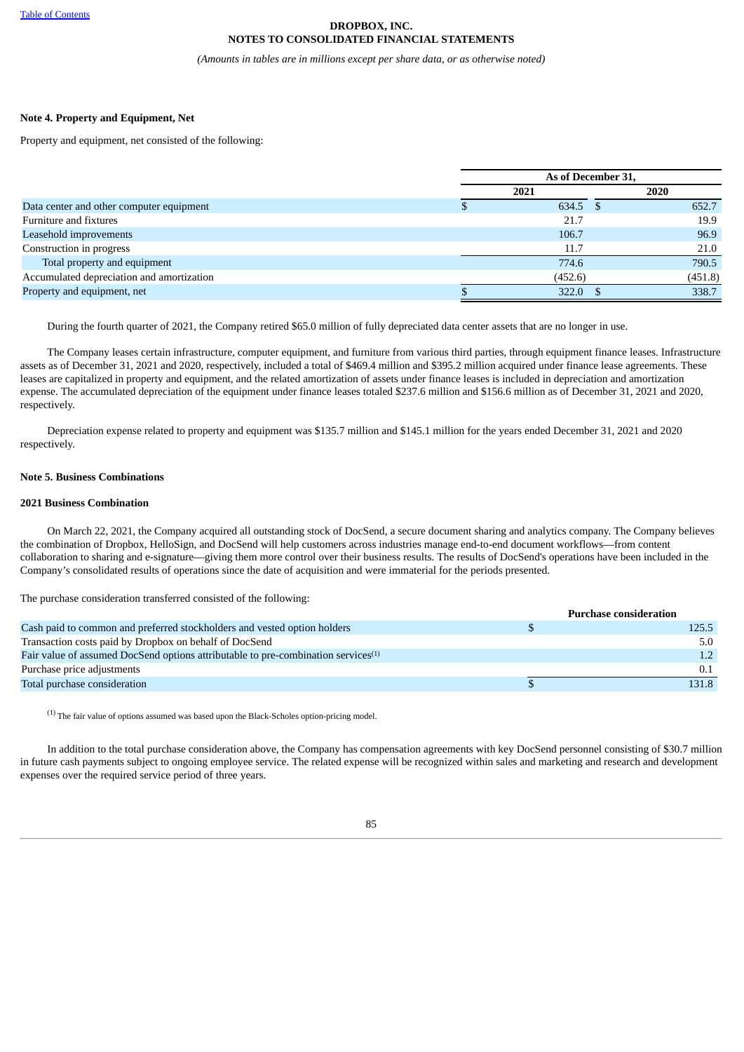*(Amounts in tables are in millions except per share data, or as otherwise noted)*

### **Note 4. Property and Equipment, Net**

Property and equipment, net consisted of the following:

|                                           | As of December 31, |          |  |         |  |
|-------------------------------------------|--------------------|----------|--|---------|--|
|                                           |                    | 2021     |  | 2020    |  |
| Data center and other computer equipment  |                    | 634.5 \$ |  | 652.7   |  |
| Furniture and fixtures                    |                    | 21.7     |  | 19.9    |  |
| Leasehold improvements                    |                    | 106.7    |  | 96.9    |  |
| Construction in progress                  |                    | 11.7     |  | 21.0    |  |
| Total property and equipment              |                    | 774.6    |  | 790.5   |  |
| Accumulated depreciation and amortization |                    | (452.6)  |  | (451.8) |  |
| Property and equipment, net               |                    | 322.0    |  | 338.7   |  |

During the fourth quarter of 2021, the Company retired \$65.0 million of fully depreciated data center assets that are no longer in use.

The Company leases certain infrastructure, computer equipment, and furniture from various third parties, through equipment finance leases. Infrastructure assets as of December 31, 2021 and 2020, respectively, included a total of \$469.4 million and \$395.2 million acquired under finance lease agreements. These leases are capitalized in property and equipment, and the related amortization of assets under finance leases is included in depreciation and amortization expense. The accumulated depreciation of the equipment under finance leases totaled \$237.6 million and \$156.6 million as of December 31, 2021 and 2020, respectively.

Depreciation expense related to property and equipment was \$135.7 million and \$145.1 million for the years ended December 31, 2021 and 2020 respectively.

### **Note 5. Business Combinations**

### **2021 Business Combination**

On March 22, 2021, the Company acquired all outstanding stock of DocSend, a secure document sharing and analytics company. The Company believes the combination of Dropbox, HelloSign, and DocSend will help customers across industries manage end-to-end document workflows—from content collaboration to sharing and e-signature—giving them more control over their business results. The results of DocSend's operations have been included in the Company's consolidated results of operations since the date of acquisition and were immaterial for the periods presented.

The purchase consideration transferred consisted of the following:

|                                                                                               | <b>Purchase consideration</b> |
|-----------------------------------------------------------------------------------------------|-------------------------------|
| Cash paid to common and preferred stockholders and vested option holders                      | 125.5                         |
| Transaction costs paid by Dropbox on behalf of DocSend                                        | 5.0                           |
| Fair value of assumed DocSend options attributable to pre-combination services <sup>(1)</sup> | 1.2                           |
| Purchase price adjustments                                                                    | 0.1                           |
| Total purchase consideration                                                                  | 131.8                         |

 $(1)$  The fair value of options assumed was based upon the Black-Scholes option-pricing model.

In addition to the total purchase consideration above, the Company has compensation agreements with key DocSend personnel consisting of \$30.7 million in future cash payments subject to ongoing employee service. The related expense will be recognized within sales and marketing and research and development expenses over the required service period of three years.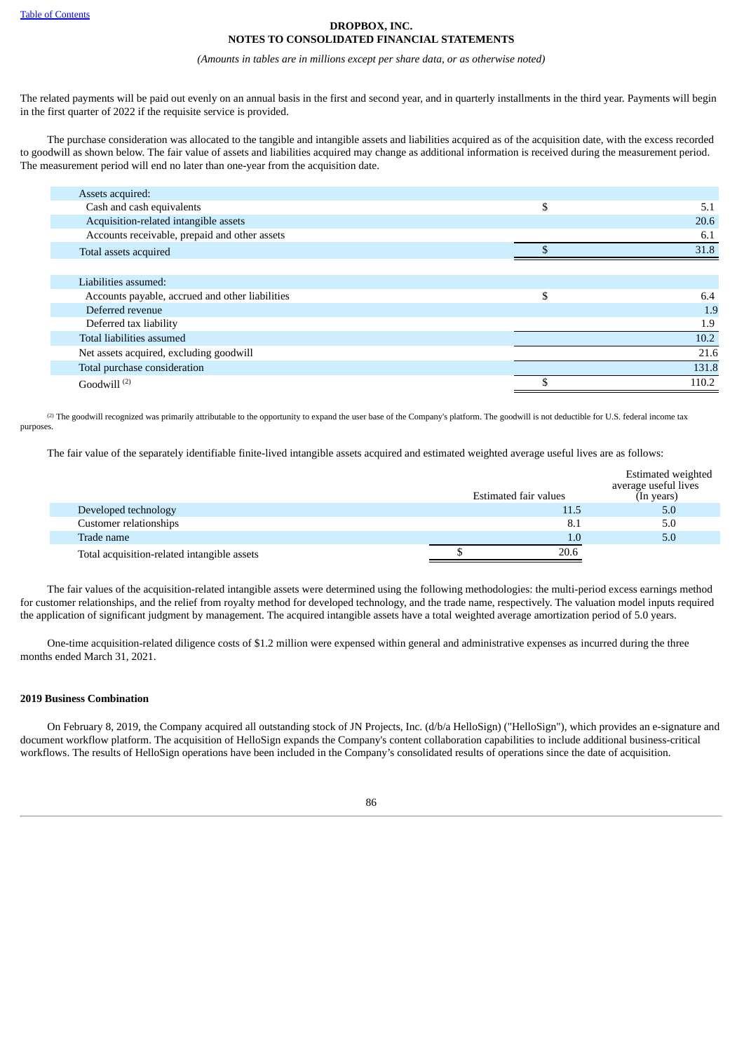*(Amounts in tables are in millions except per share data, or as otherwise noted)*

The related payments will be paid out evenly on an annual basis in the first and second year, and in quarterly installments in the third year. Payments will begin in the first quarter of 2022 if the requisite service is provided.

The purchase consideration was allocated to the tangible and intangible assets and liabilities acquired as of the acquisition date, with the excess recorded to goodwill as shown below. The fair value of assets and liabilities acquired may change as additional information is received during the measurement period. The measurement period will end no later than one-year from the acquisition date.

| Assets acquired:                                |           |
|-------------------------------------------------|-----------|
| Cash and cash equivalents                       | \$<br>5.1 |
| Acquisition-related intangible assets           | 20.6      |
| Accounts receivable, prepaid and other assets   | 6.1       |
| Total assets acquired                           | 31.8      |
|                                                 |           |
| Liabilities assumed:                            |           |
| Accounts payable, accrued and other liabilities | 6.4       |
| Deferred revenue                                | 1.9       |
| Deferred tax liability                          | 1.9       |
| Total liabilities assumed                       | 10.2      |
| Net assets acquired, excluding goodwill         | 21.6      |
| Total purchase consideration                    | 131.8     |
| Goodwill $(2)$                                  | 110.2     |

 $^{(2)}$  The goodwill recognized was primarily attributable to the opportunity to expand the user base of the Company's platform. The goodwill is not deductible for U.S. federal income tax purposes.

The fair value of the separately identifiable finite-lived intangible assets acquired and estimated weighted average useful lives are as follows:

|                                             | Estimated fair values | Estimated weighted<br>average useful lives<br>(In years) |
|---------------------------------------------|-----------------------|----------------------------------------------------------|
| Developed technology                        | 11.5                  | 5.0                                                      |
| Customer relationships                      | 8.1                   | 5.0                                                      |
| Trade name                                  | 1.0                   | 5.0                                                      |
| Total acquisition-related intangible assets | 20.6                  |                                                          |

The fair values of the acquisition-related intangible assets were determined using the following methodologies: the multi-period excess earnings method for customer relationships, and the relief from royalty method for developed technology, and the trade name, respectively. The valuation model inputs required the application of significant judgment by management. The acquired intangible assets have a total weighted average amortization period of 5.0 years.

One-time acquisition-related diligence costs of \$1.2 million were expensed within general and administrative expenses as incurred during the three months ended March 31, 2021.

# **2019 Business Combination**

On February 8, 2019, the Company acquired all outstanding stock of JN Projects, Inc. (d/b/a HelloSign) ("HelloSign"), which provides an e-signature and document workflow platform. The acquisition of HelloSign expands the Company's content collaboration capabilities to include additional business-critical workflows. The results of HelloSign operations have been included in the Company's consolidated results of operations since the date of acquisition.

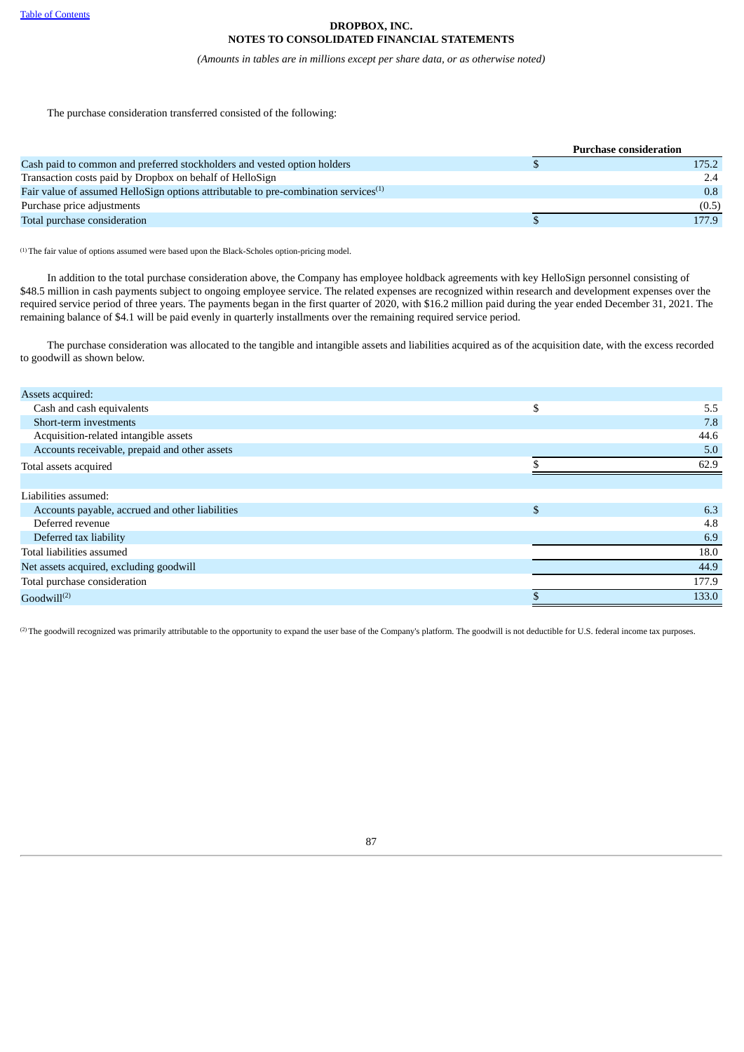*(Amounts in tables are in millions except per share data, or as otherwise noted)*

The purchase consideration transferred consisted of the following:

|                                                                                                 | <b>Purchase consideration</b> |
|-------------------------------------------------------------------------------------------------|-------------------------------|
| Cash paid to common and preferred stockholders and vested option holders                        | 175.2                         |
| Transaction costs paid by Dropbox on behalf of HelloSign                                        | 2.4                           |
| Fair value of assumed HelloSign options attributable to pre-combination services <sup>(1)</sup> | 0.8 <sub>0</sub>              |
| Purchase price adjustments                                                                      | (0.5)                         |
| Total purchase consideration                                                                    | 177.9                         |

 $<sup>(1)</sup>$  The fair value of options assumed were based upon the Black-Scholes option-pricing model.</sup>

In addition to the total purchase consideration above, the Company has employee holdback agreements with key HelloSign personnel consisting of \$48.5 million in cash payments subject to ongoing employee service. The related expenses are recognized within research and development expenses over the required service period of three years. The payments began in the first quarter of 2020, with \$16.2 million paid during the year ended December 31, 2021. The remaining balance of \$4.1 will be paid evenly in quarterly installments over the remaining required service period.

The purchase consideration was allocated to the tangible and intangible assets and liabilities acquired as of the acquisition date, with the excess recorded to goodwill as shown below.

| Assets acquired:                                |           |
|-------------------------------------------------|-----------|
| Cash and cash equivalents                       | \$<br>5.5 |
|                                                 |           |
| Short-term investments                          | 7.8       |
| Acquisition-related intangible assets           | 44.6      |
| Accounts receivable, prepaid and other assets   | 5.0       |
| Total assets acquired                           | 62.9      |
|                                                 |           |
| Liabilities assumed:                            |           |
| Accounts payable, accrued and other liabilities | \$<br>6.3 |
| Deferred revenue                                | 4.8       |
| Deferred tax liability                          | 6.9       |
| Total liabilities assumed                       | 18.0      |
| Net assets acquired, excluding goodwill         | 44.9      |
| Total purchase consideration                    | 177.9     |
| Goodwill <sup>(2)</sup>                         | 133.0     |

( $^{(2)}$  The goodwill recognized was primarily attributable to the opportunity to expand the user base of the Company's platform. The goodwill is not deductible for U.S. federal income tax purposes.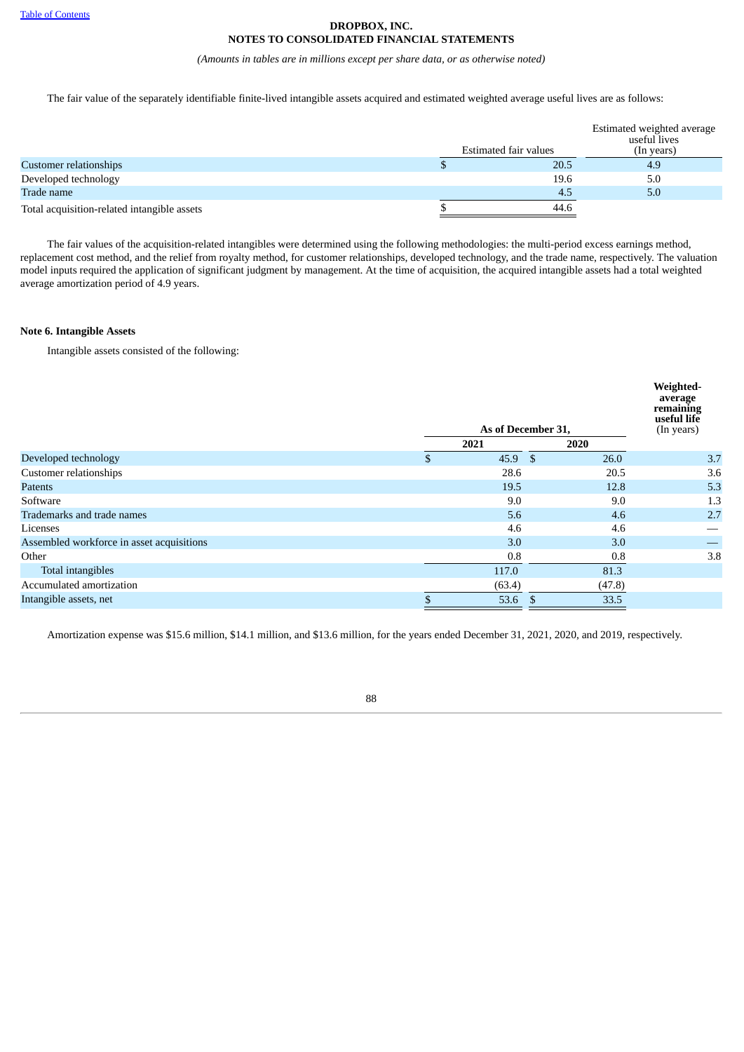## *(Amounts in tables are in millions except per share data, or as otherwise noted)*

The fair value of the separately identifiable finite-lived intangible assets acquired and estimated weighted average useful lives are as follows:

|                                             | Estimated fair values | Estimated weighted average<br>useful lives<br>(In years) |
|---------------------------------------------|-----------------------|----------------------------------------------------------|
| Customer relationships                      | 20.5                  | 4.9                                                      |
| Developed technology                        | 19.6                  | 5.0                                                      |
| Trade name                                  | 4.5                   | 5.0                                                      |
| Total acquisition-related intangible assets | 44.6                  |                                                          |

The fair values of the acquisition-related intangibles were determined using the following methodologies: the multi-period excess earnings method, replacement cost method, and the relief from royalty method, for customer relationships, developed technology, and the trade name, respectively. The valuation model inputs required the application of significant judgment by management. At the time of acquisition, the acquired intangible assets had a total weighted average amortization period of 4.9 years.

## **Note 6. Intangible Assets**

Intangible assets consisted of the following:

|                                           |   |                    |            | Weighted-<br>average<br>remaining<br>useful life |
|-------------------------------------------|---|--------------------|------------|--------------------------------------------------|
|                                           |   | As of December 31, |            | (In years)                                       |
|                                           |   | 2021               | 2020       |                                                  |
| Developed technology                      | S | 45.9 <sup>5</sup>  | 26.0       | 3.7                                              |
| Customer relationships                    |   | 28.6               | 20.5       | 3.6                                              |
| Patents                                   |   | 19.5               | 12.8       | 5.3                                              |
| Software                                  |   | 9.0                | 9.0        | 1.3                                              |
| Trademarks and trade names                |   | 5.6                | 4.6        | 2.7                                              |
| Licenses                                  |   | 4.6                | 4.6        |                                                  |
| Assembled workforce in asset acquisitions |   | 3.0                | 3.0        |                                                  |
| Other                                     |   | 0.8                | 0.8        | 3.8                                              |
| Total intangibles                         |   | 117.0              | 81.3       |                                                  |
| Accumulated amortization                  |   | (63.4)             | (47.8)     |                                                  |
| Intangible assets, net                    |   | 53.6               | 33.5<br>\$ |                                                  |

Amortization expense was \$15.6 million, \$14.1 million, and \$13.6 million, for the years ended December 31, 2021, 2020, and 2019, respectively.

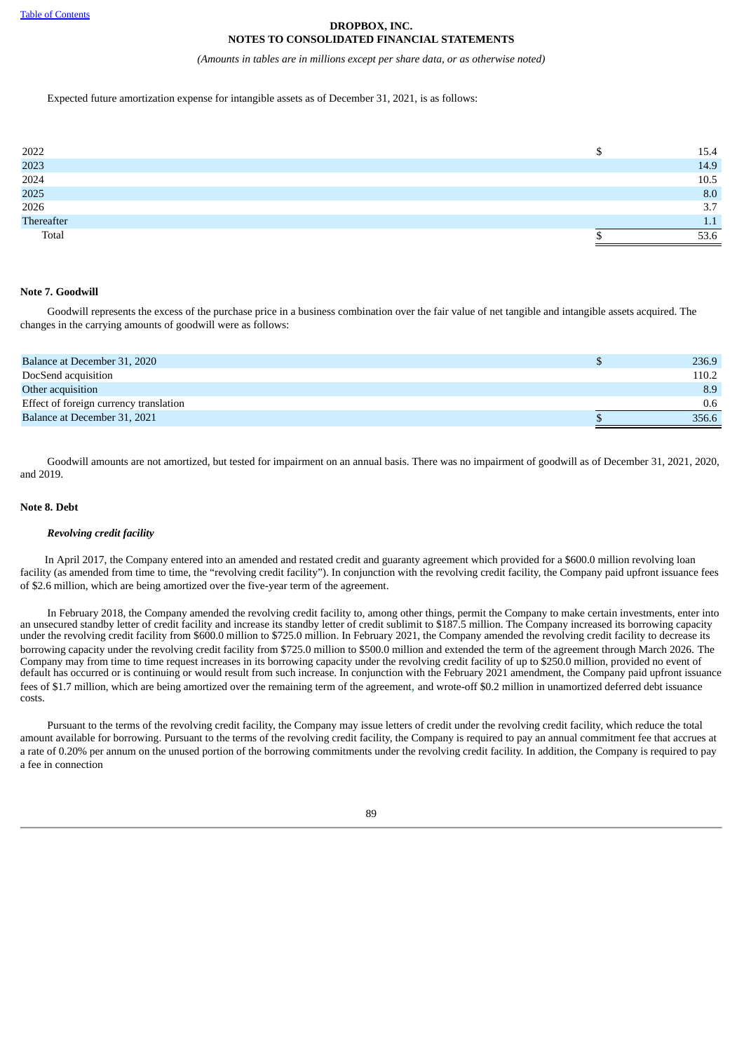*(Amounts in tables are in millions except per share data, or as otherwise noted)*

Expected future amortization expense for intangible assets as of December 31, 2021, is as follows:

| 2022       | w | 15.4 |
|------------|---|------|
| 2023       |   | 14.9 |
| 2024       |   | 10.5 |
| 2025       |   | 8.0  |
| 2026       |   | 3.7  |
| Thereafter |   | 1.1  |
| Total      |   | 53.6 |
|            |   |      |

### **Note 7. Goodwill**

Goodwill represents the excess of the purchase price in a business combination over the fair value of net tangible and intangible assets acquired. The changes in the carrying amounts of goodwill were as follows:

| Balance at December 31, 2020           | 236.9 |
|----------------------------------------|-------|
| DocSend acquisition                    | 110.2 |
| Other acquisition                      | 8.9   |
| Effect of foreign currency translation | 0.6   |
| Balance at December 31, 2021           | 356.6 |

Goodwill amounts are not amortized, but tested for impairment on an annual basis. There was no impairment of goodwill as of December 31, 2021, 2020, and 2019.

### **Note 8. Debt**

#### *Revolving credit facility*

In April 2017, the Company entered into an amended and restated credit and guaranty agreement which provided for a \$600.0 million revolving loan facility (as amended from time to time, the "revolving credit facility"). In conjunction with the revolving credit facility, the Company paid upfront issuance fees of \$2.6 million, which are being amortized over the five-year term of the agreement.

In February 2018, the Company amended the revolving credit facility to, among other things, permit the Company to make certain investments, enter into an unsecured standby letter of credit facility and increase its standby letter of credit sublimit to \$187.5 million. The Company increased its borrowing capacity under the revolving credit facility from \$600.0 million to \$725.0 million. In February 2021, the Company amended the revolving credit facility to decrease its borrowing capacity under the revolving credit facility from \$725.0 million to \$500.0 million and extended the term of the agreement through March 2026. The Company may from time to time request increases in its borrowing capacity under the revolving credit facility of up to \$250.0 million, provided no event of default has occurred or is continuing or would result from such increase. In conjunction with the February 2021 amendment, the Company paid upfront issuance fees of \$1.7 million, which are being amortized over the remaining term of the agreement, and wrote-off \$0.2 million in unamortized deferred debt issuance costs.

Pursuant to the terms of the revolving credit facility, the Company may issue letters of credit under the revolving credit facility, which reduce the total amount available for borrowing. Pursuant to the terms of the revolving credit facility, the Company is required to pay an annual commitment fee that accrues at a rate of 0.20% per annum on the unused portion of the borrowing commitments under the revolving credit facility. In addition, the Company is required to pay a fee in connection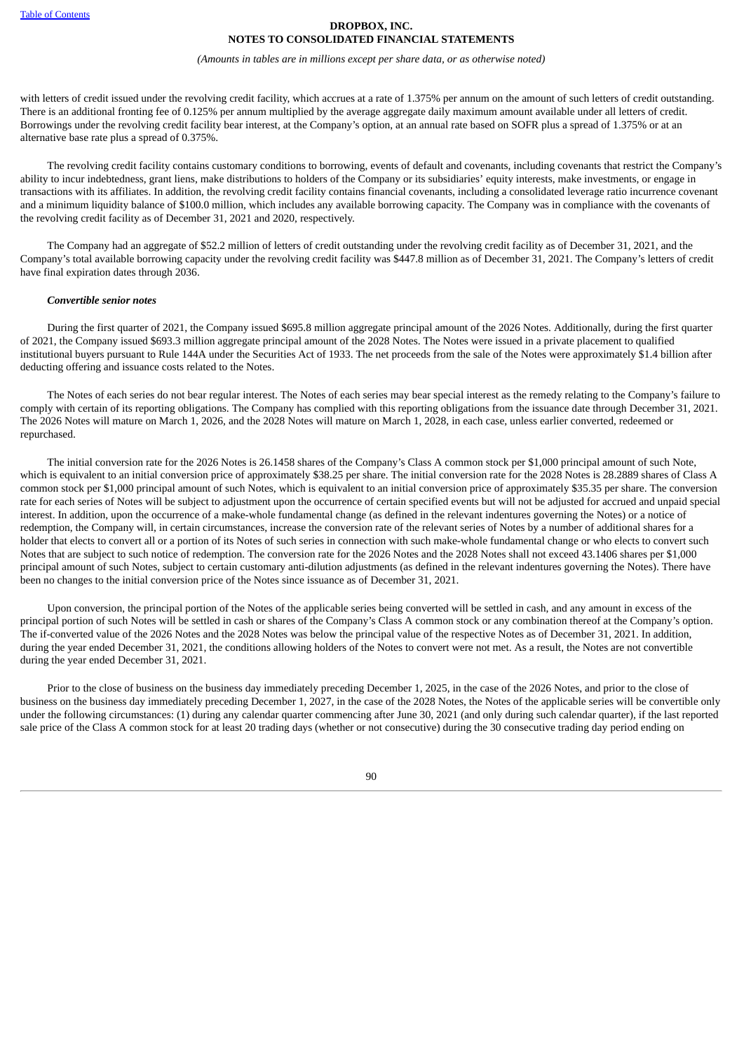*(Amounts in tables are in millions except per share data, or as otherwise noted)*

with letters of credit issued under the revolving credit facility, which accrues at a rate of 1.375% per annum on the amount of such letters of credit outstanding. There is an additional fronting fee of 0.125% per annum multiplied by the average aggregate daily maximum amount available under all letters of credit. Borrowings under the revolving credit facility bear interest, at the Company's option, at an annual rate based on SOFR plus a spread of 1.375% or at an alternative base rate plus a spread of 0.375%.

The revolving credit facility contains customary conditions to borrowing, events of default and covenants, including covenants that restrict the Company's ability to incur indebtedness, grant liens, make distributions to holders of the Company or its subsidiaries' equity interests, make investments, or engage in transactions with its affiliates. In addition, the revolving credit facility contains financial covenants, including a consolidated leverage ratio incurrence covenant and a minimum liquidity balance of \$100.0 million, which includes any available borrowing capacity. The Company was in compliance with the covenants of the revolving credit facility as of December 31, 2021 and 2020, respectively.

The Company had an aggregate of \$52.2 million of letters of credit outstanding under the revolving credit facility as of December 31, 2021, and the Company's total available borrowing capacity under the revolving credit facility was \$447.8 million as of December 31, 2021. The Company's letters of credit have final expiration dates through 2036.

### *Convertible senior notes*

During the first quarter of 2021, the Company issued \$695.8 million aggregate principal amount of the 2026 Notes. Additionally, during the first quarter of 2021, the Company issued \$693.3 million aggregate principal amount of the 2028 Notes. The Notes were issued in a private placement to qualified institutional buyers pursuant to Rule 144A under the Securities Act of 1933. The net proceeds from the sale of the Notes were approximately \$1.4 billion after deducting offering and issuance costs related to the Notes.

The Notes of each series do not bear regular interest. The Notes of each series may bear special interest as the remedy relating to the Company's failure to comply with certain of its reporting obligations. The Company has complied with this reporting obligations from the issuance date through December 31, 2021. The 2026 Notes will mature on March 1, 2026, and the 2028 Notes will mature on March 1, 2028, in each case, unless earlier converted, redeemed or repurchased.

The initial conversion rate for the 2026 Notes is 26.1458 shares of the Company's Class A common stock per \$1,000 principal amount of such Note, which is equivalent to an initial conversion price of approximately \$38.25 per share. The initial conversion rate for the 2028 Notes is 28.2889 shares of Class A common stock per \$1,000 principal amount of such Notes, which is equivalent to an initial conversion price of approximately \$35.35 per share. The conversion rate for each series of Notes will be subject to adjustment upon the occurrence of certain specified events but will not be adjusted for accrued and unpaid special interest. In addition, upon the occurrence of a make-whole fundamental change (as defined in the relevant indentures governing the Notes) or a notice of redemption, the Company will, in certain circumstances, increase the conversion rate of the relevant series of Notes by a number of additional shares for a holder that elects to convert all or a portion of its Notes of such series in connection with such make-whole fundamental change or who elects to convert such Notes that are subject to such notice of redemption. The conversion rate for the 2026 Notes and the 2028 Notes shall not exceed 43.1406 shares per \$1,000 principal amount of such Notes, subject to certain customary anti-dilution adjustments (as defined in the relevant indentures governing the Notes). There have been no changes to the initial conversion price of the Notes since issuance as of December 31, 2021.

Upon conversion, the principal portion of the Notes of the applicable series being converted will be settled in cash, and any amount in excess of the principal portion of such Notes will be settled in cash or shares of the Company's Class A common stock or any combination thereof at the Company's option. The if-converted value of the 2026 Notes and the 2028 Notes was below the principal value of the respective Notes as of December 31, 2021. In addition, during the year ended December 31, 2021, the conditions allowing holders of the Notes to convert were not met. As a result, the Notes are not convertible during the year ended December 31, 2021.

Prior to the close of business on the business day immediately preceding December 1, 2025, in the case of the 2026 Notes, and prior to the close of business on the business day immediately preceding December 1, 2027, in the case of the 2028 Notes, the Notes of the applicable series will be convertible only under the following circumstances: (1) during any calendar quarter commencing after June 30, 2021 (and only during such calendar quarter), if the last reported sale price of the Class A common stock for at least 20 trading days (whether or not consecutive) during the 30 consecutive trading day period ending on

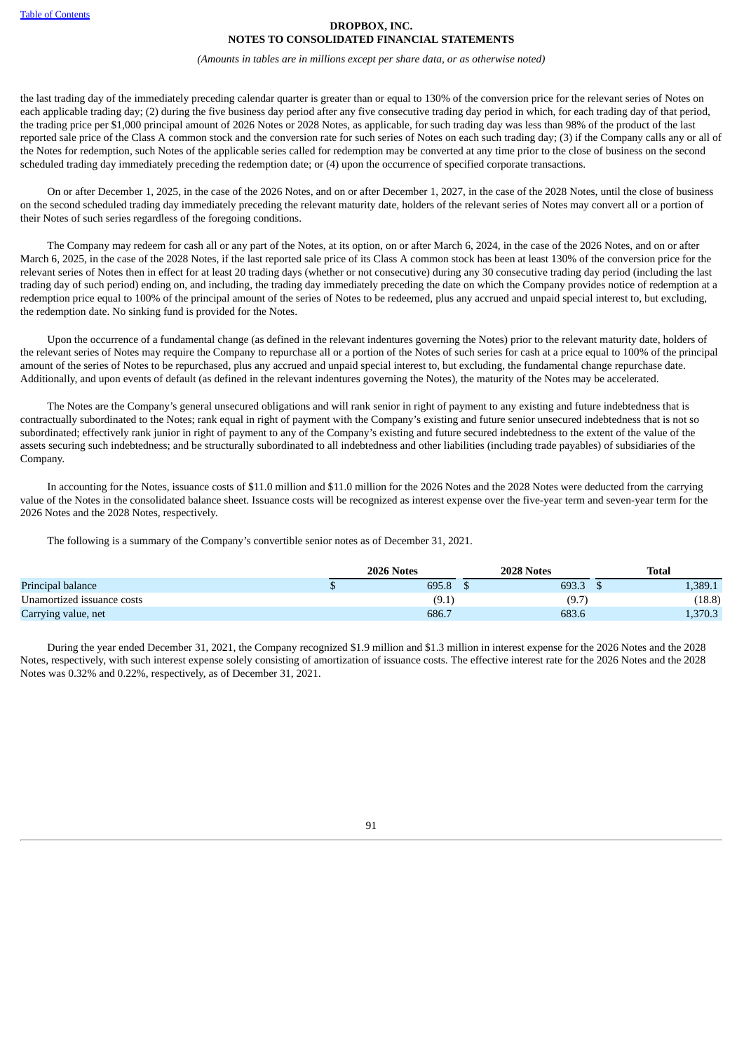*(Amounts in tables are in millions except per share data, or as otherwise noted)*

the last trading day of the immediately preceding calendar quarter is greater than or equal to 130% of the conversion price for the relevant series of Notes on each applicable trading day; (2) during the five business day period after any five consecutive trading day period in which, for each trading day of that period, the trading price per \$1,000 principal amount of 2026 Notes or 2028 Notes, as applicable, for such trading day was less than 98% of the product of the last reported sale price of the Class A common stock and the conversion rate for such series of Notes on each such trading day; (3) if the Company calls any or all of the Notes for redemption, such Notes of the applicable series called for redemption may be converted at any time prior to the close of business on the second scheduled trading day immediately preceding the redemption date; or (4) upon the occurrence of specified corporate transactions.

On or after December 1, 2025, in the case of the 2026 Notes, and on or after December 1, 2027, in the case of the 2028 Notes, until the close of business on the second scheduled trading day immediately preceding the relevant maturity date, holders of the relevant series of Notes may convert all or a portion of their Notes of such series regardless of the foregoing conditions.

The Company may redeem for cash all or any part of the Notes, at its option, on or after March 6, 2024, in the case of the 2026 Notes, and on or after March 6, 2025, in the case of the 2028 Notes, if the last reported sale price of its Class A common stock has been at least 130% of the conversion price for the relevant series of Notes then in effect for at least 20 trading days (whether or not consecutive) during any 30 consecutive trading day period (including the last trading day of such period) ending on, and including, the trading day immediately preceding the date on which the Company provides notice of redemption at a redemption price equal to 100% of the principal amount of the series of Notes to be redeemed, plus any accrued and unpaid special interest to, but excluding, the redemption date. No sinking fund is provided for the Notes.

Upon the occurrence of a fundamental change (as defined in the relevant indentures governing the Notes) prior to the relevant maturity date, holders of the relevant series of Notes may require the Company to repurchase all or a portion of the Notes of such series for cash at a price equal to 100% of the principal amount of the series of Notes to be repurchased, plus any accrued and unpaid special interest to, but excluding, the fundamental change repurchase date. Additionally, and upon events of default (as defined in the relevant indentures governing the Notes), the maturity of the Notes may be accelerated.

The Notes are the Company's general unsecured obligations and will rank senior in right of payment to any existing and future indebtedness that is contractually subordinated to the Notes; rank equal in right of payment with the Company's existing and future senior unsecured indebtedness that is not so subordinated; effectively rank junior in right of payment to any of the Company's existing and future secured indebtedness to the extent of the value of the assets securing such indebtedness; and be structurally subordinated to all indebtedness and other liabilities (including trade payables) of subsidiaries of the Company.

In accounting for the Notes, issuance costs of \$11.0 million and \$11.0 million for the 2026 Notes and the 2028 Notes were deducted from the carrying value of the Notes in the consolidated balance sheet. Issuance costs will be recognized as interest expense over the five-year term and seven-year term for the 2026 Notes and the 2028 Notes, respectively.

The following is a summary of the Company's convertible senior notes as of December 31, 2021.

|                            | 2026 Notes | 2028 Notes | <b>Total</b> |
|----------------------------|------------|------------|--------------|
| Principal balance          | 695.8      | 693.3      | 1.389.1      |
| Unamortized issuance costs | (9.1)      | (9.7       | (18.8)       |
| Carrying value, net        | 686.7      | 683.6      | 1,370.3      |

During the year ended December 31, 2021, the Company recognized \$1.9 million and \$1.3 million in interest expense for the 2026 Notes and the 2028 Notes, respectively, with such interest expense solely consisting of amortization of issuance costs. The effective interest rate for the 2026 Notes and the 2028 Notes was 0.32% and 0.22%, respectively, as of December 31, 2021.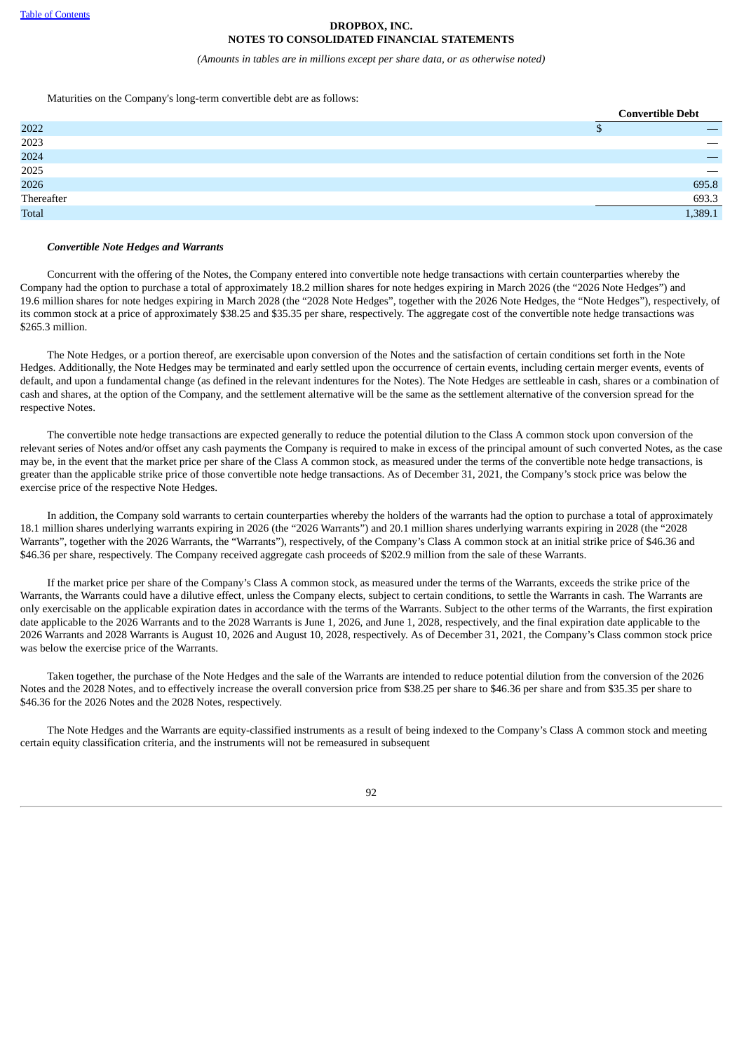*(Amounts in tables are in millions except per share data, or as otherwise noted)*

Maturities on the Company's long-term convertible debt are as follows:

|              |    | <b>Convertible Debt</b> |
|--------------|----|-------------------------|
| 2022         | τυ |                         |
| 2023         |    |                         |
| 2024         |    |                         |
| 2025         |    |                         |
| 2026         |    | 695.8                   |
| Thereafter   |    | 693.3                   |
| <b>Total</b> |    | 1,389.1                 |

#### *Convertible Note Hedges and Warrants*

Concurrent with the offering of the Notes, the Company entered into convertible note hedge transactions with certain counterparties whereby the Company had the option to purchase a total of approximately 18.2 million shares for note hedges expiring in March 2026 (the "2026 Note Hedges") and 19.6 million shares for note hedges expiring in March 2028 (the "2028 Note Hedges", together with the 2026 Note Hedges, the "Note Hedges"), respectively, of its common stock at a price of approximately \$38.25 and \$35.35 per share, respectively. The aggregate cost of the convertible note hedge transactions was \$265.3 million.

The Note Hedges, or a portion thereof, are exercisable upon conversion of the Notes and the satisfaction of certain conditions set forth in the Note Hedges. Additionally, the Note Hedges may be terminated and early settled upon the occurrence of certain events, including certain merger events, events of default, and upon a fundamental change (as defined in the relevant indentures for the Notes). The Note Hedges are settleable in cash, shares or a combination of cash and shares, at the option of the Company, and the settlement alternative will be the same as the settlement alternative of the conversion spread for the respective Notes.

The convertible note hedge transactions are expected generally to reduce the potential dilution to the Class A common stock upon conversion of the relevant series of Notes and/or offset any cash payments the Company is required to make in excess of the principal amount of such converted Notes, as the case may be, in the event that the market price per share of the Class A common stock, as measured under the terms of the convertible note hedge transactions, is greater than the applicable strike price of those convertible note hedge transactions. As of December 31, 2021, the Company's stock price was below the exercise price of the respective Note Hedges.

In addition, the Company sold warrants to certain counterparties whereby the holders of the warrants had the option to purchase a total of approximately 18.1 million shares underlying warrants expiring in 2026 (the "2026 Warrants") and 20.1 million shares underlying warrants expiring in 2028 (the "2028 Warrants", together with the 2026 Warrants, the "Warrants"), respectively, of the Company's Class A common stock at an initial strike price of \$46.36 and \$46.36 per share, respectively. The Company received aggregate cash proceeds of \$202.9 million from the sale of these Warrants.

If the market price per share of the Company's Class A common stock, as measured under the terms of the Warrants, exceeds the strike price of the Warrants, the Warrants could have a dilutive effect, unless the Company elects, subject to certain conditions, to settle the Warrants in cash. The Warrants are only exercisable on the applicable expiration dates in accordance with the terms of the Warrants. Subject to the other terms of the Warrants, the first expiration date applicable to the 2026 Warrants and to the 2028 Warrants is June 1, 2026, and June 1, 2028, respectively, and the final expiration date applicable to the 2026 Warrants and 2028 Warrants is August 10, 2026 and August 10, 2028, respectively. As of December 31, 2021, the Company's Class common stock price was below the exercise price of the Warrants.

Taken together, the purchase of the Note Hedges and the sale of the Warrants are intended to reduce potential dilution from the conversion of the 2026 Notes and the 2028 Notes, and to effectively increase the overall conversion price from \$38.25 per share to \$46.36 per share and from \$35.35 per share to \$46.36 for the 2026 Notes and the 2028 Notes, respectively.

The Note Hedges and the Warrants are equity-classified instruments as a result of being indexed to the Company's Class A common stock and meeting certain equity classification criteria, and the instruments will not be remeasured in subsequent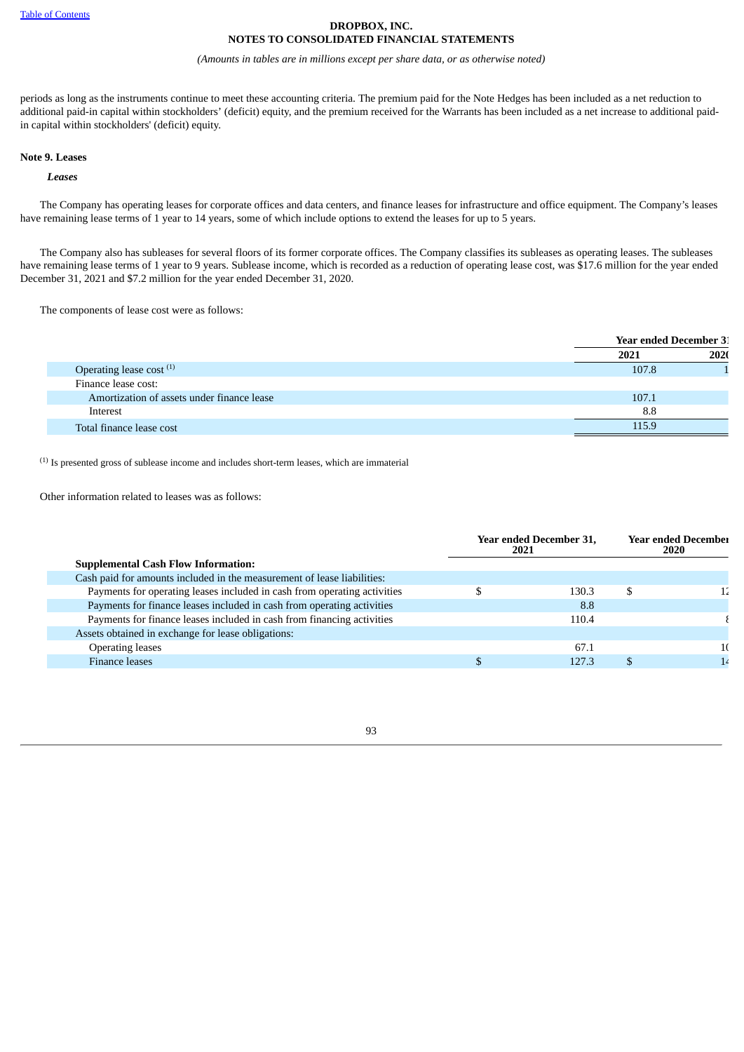*(Amounts in tables are in millions except per share data, or as otherwise noted)*

periods as long as the instruments continue to meet these accounting criteria. The premium paid for the Note Hedges has been included as a net reduction to additional paid-in capital within stockholders' (deficit) equity, and the premium received for the Warrants has been included as a net increase to additional paidin capital within stockholders' (deficit) equity.

### **Note 9. Leases**

### *Leases*

The Company has operating leases for corporate offices and data centers, and finance leases for infrastructure and office equipment. The Company's leases have remaining lease terms of 1 year to 14 years, some of which include options to extend the leases for up to 5 years.

The Company also has subleases for several floors of its former corporate offices. The Company classifies its subleases as operating leases. The subleases have remaining lease terms of 1 year to 9 years. Sublease income, which is recorded as a reduction of operating lease cost, was \$17.6 million for the year ended December 31, 2021 and \$7.2 million for the year ended December 31, 2020.

The components of lease cost were as follows:

|                                            | <b>Year ended December 31</b> |      |
|--------------------------------------------|-------------------------------|------|
|                                            | 2021                          | 2020 |
| Operating lease cost <sup>(1)</sup>        | 107.8                         |      |
| Finance lease cost:                        |                               |      |
| Amortization of assets under finance lease | 107.1                         |      |
| Interest                                   | 8.8                           |      |
| Total finance lease cost                   | 115.9                         |      |

 $(1)$  Is presented gross of sublease income and includes short-term leases, which are immaterial

Other information related to leases was as follows:

|                                                                          | <b>Year ended December 31,</b><br>2021 |       | <b>Year ended December</b><br>2020 |    |
|--------------------------------------------------------------------------|----------------------------------------|-------|------------------------------------|----|
| <b>Supplemental Cash Flow Information:</b>                               |                                        |       |                                    |    |
| Cash paid for amounts included in the measurement of lease liabilities:  |                                        |       |                                    |    |
| Payments for operating leases included in cash from operating activities |                                        | 130.3 |                                    |    |
| Payments for finance leases included in cash from operating activities   |                                        | 8.8   |                                    |    |
| Payments for finance leases included in cash from financing activities   |                                        | 110.4 |                                    |    |
| Assets obtained in exchange for lease obligations:                       |                                        |       |                                    |    |
| <b>Operating leases</b>                                                  |                                        | 67.1  |                                    |    |
| <b>Finance leases</b>                                                    |                                        | 127.3 |                                    | 14 |
|                                                                          |                                        |       |                                    |    |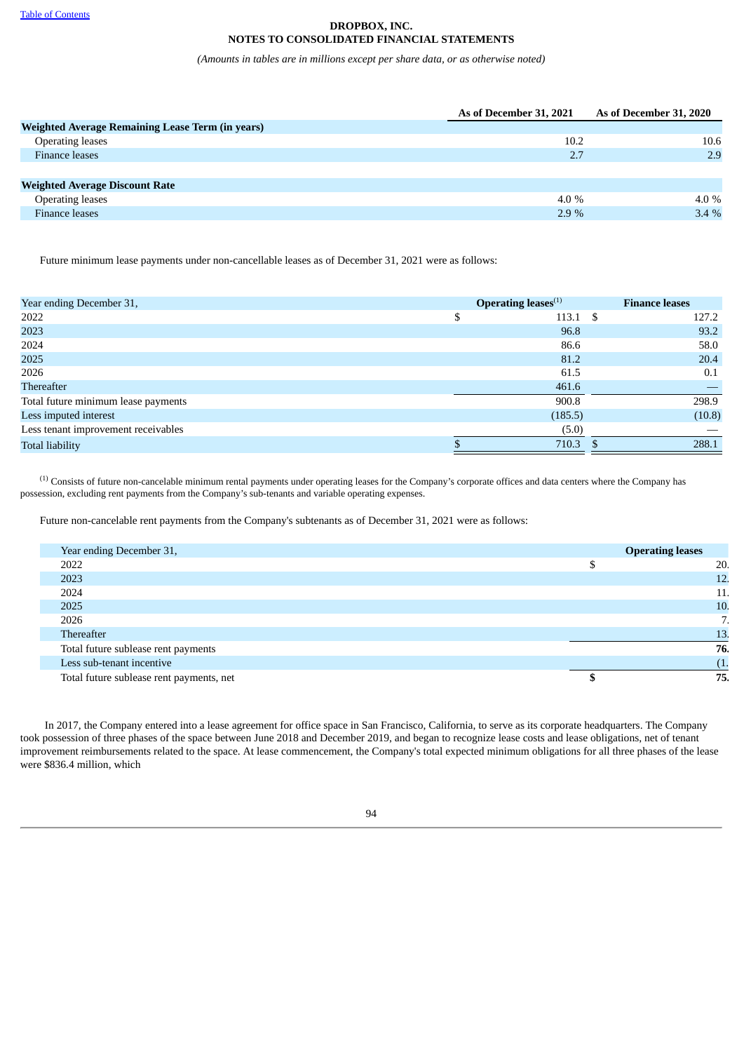## *(Amounts in tables are in millions except per share data, or as otherwise noted)*

| As of December 31, 2021 | As of December 31, 2020 |
|-------------------------|-------------------------|
|                         |                         |
| 10.2                    | 10.6                    |
| 2.7                     | 2.9                     |
|                         |                         |
|                         |                         |
| 4.0 %                   | $4.0\%$                 |
| 2.9%                    | $3.4\%$                 |
|                         |                         |

Future minimum lease payments under non-cancellable leases as of December 31, 2021 were as follows:

| Year ending December 31,            | Operating leases $(1)$ | <b>Finance leases</b> |
|-------------------------------------|------------------------|-----------------------|
| 2022                                | $113.1$ \$<br>\$       | 127.2                 |
| 2023                                | 96.8                   | 93.2                  |
| 2024                                | 86.6                   | 58.0                  |
| 2025                                | 81.2                   | 20.4                  |
| 2026                                | 61.5                   | 0.1                   |
| Thereafter                          | 461.6                  |                       |
| Total future minimum lease payments | 900.8                  | 298.9                 |
| Less imputed interest               | (185.5)                | (10.8)                |
| Less tenant improvement receivables | (5.0)                  |                       |
| <b>Total liability</b>              | 710.3                  | 288.1                 |

 $(1)$  Consists of future non-cancelable minimum rental payments under operating leases for the Company's corporate offices and data centers where the Company has possession, excluding rent payments from the Company's sub-tenants and variable operating expenses.

Future non-cancelable rent payments from the Company's subtenants as of December 31, 2021 were as follows:

| Year ending December 31,                 | <b>Operating leases</b> |
|------------------------------------------|-------------------------|
| 2022                                     | 20.                     |
| 2023                                     | 12.                     |
| 2024                                     | 11                      |
| 2025                                     | 10.                     |
| 2026                                     | 7.                      |
| Thereafter                               | 13                      |
| Total future sublease rent payments      | 76.                     |
| Less sub-tenant incentive                | (1.                     |
| Total future sublease rent payments, net | 75.                     |

In 2017, the Company entered into a lease agreement for office space in San Francisco, California, to serve as its corporate headquarters. The Company took possession of three phases of the space between June 2018 and December 2019, and began to recognize lease costs and lease obligations, net of tenant improvement reimbursements related to the space. At lease commencement, the Company's total expected minimum obligations for all three phases of the lease were \$836.4 million, which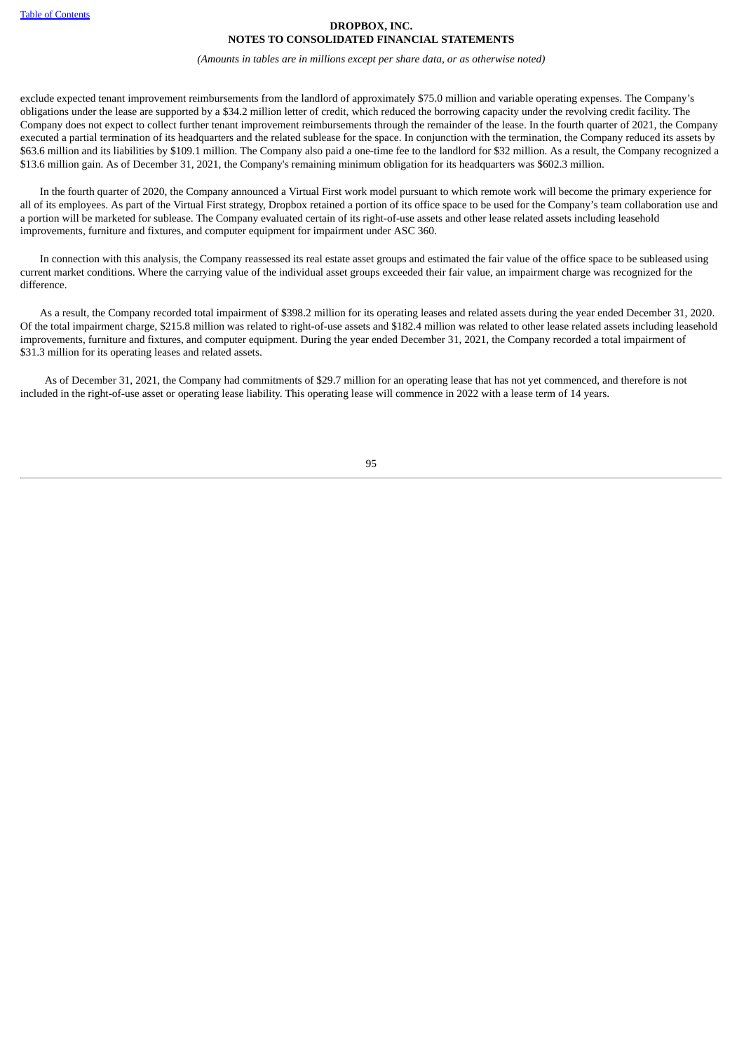*(Amounts in tables are in millions except per share data, or as otherwise noted)*

exclude expected tenant improvement reimbursements from the landlord of approximately \$75.0 million and variable operating expenses. The Company's obligations under the lease are supported by a \$34.2 million letter of credit, which reduced the borrowing capacity under the revolving credit facility. The Company does not expect to collect further tenant improvement reimbursements through the remainder of the lease. In the fourth quarter of 2021, the Company executed a partial termination of its headquarters and the related sublease for the space. In conjunction with the termination, the Company reduced its assets by \$63.6 million and its liabilities by \$109.1 million. The Company also paid a one-time fee to the landlord for \$32 million. As a result, the Company recognized a \$13.6 million gain. As of December 31, 2021, the Company's remaining minimum obligation for its headquarters was \$602.3 million.

In the fourth quarter of 2020, the Company announced a Virtual First work model pursuant to which remote work will become the primary experience for all of its employees. As part of the Virtual First strategy, Dropbox retained a portion of its office space to be used for the Company's team collaboration use and a portion will be marketed for sublease. The Company evaluated certain of its right-of-use assets and other lease related assets including leasehold improvements, furniture and fixtures, and computer equipment for impairment under ASC 360.

In connection with this analysis, the Company reassessed its real estate asset groups and estimated the fair value of the office space to be subleased using current market conditions. Where the carrying value of the individual asset groups exceeded their fair value, an impairment charge was recognized for the difference.

As a result, the Company recorded total impairment of \$398.2 million for its operating leases and related assets during the year ended December 31, 2020. Of the total impairment charge, \$215.8 million was related to right-of-use assets and \$182.4 million was related to other lease related assets including leasehold improvements, furniture and fixtures, and computer equipment. During the year ended December 31, 2021, the Company recorded a total impairment of \$31.3 million for its operating leases and related assets.

As of December 31, 2021, the Company had commitments of \$29.7 million for an operating lease that has not yet commenced, and therefore is not included in the right-of-use asset or operating lease liability. This operating lease will commence in 2022 with a lease term of 14 years.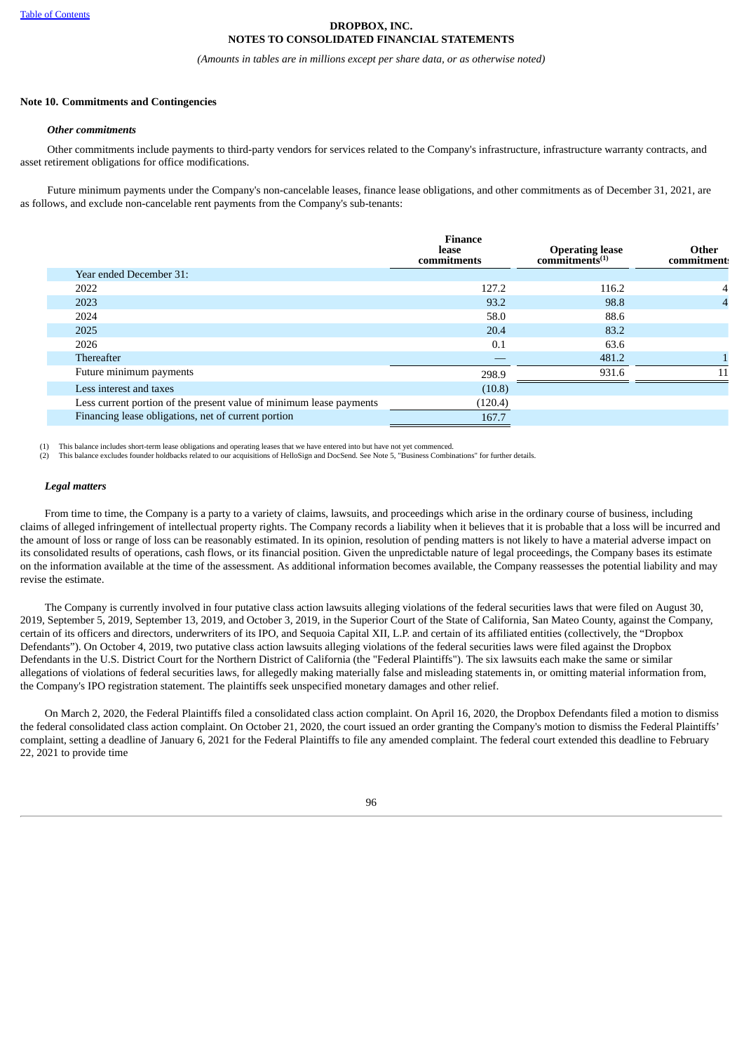*(Amounts in tables are in millions except per share data, or as otherwise noted)*

## **Note 10. Commitments and Contingencies**

### *Other commitments*

Other commitments include payments to third-party vendors for services related to the Company's infrastructure, infrastructure warranty contracts, and asset retirement obligations for office modifications.

Future minimum payments under the Company's non-cancelable leases, finance lease obligations, and other commitments as of December 31, 2021, are as follows, and exclude non-cancelable rent payments from the Company's sub-tenants:

|                                                                     | <b>Finance</b><br>lease<br>commitments | <b>Operating lease</b><br>commitments <sup>(1)</sup> | Other<br>commitment |
|---------------------------------------------------------------------|----------------------------------------|------------------------------------------------------|---------------------|
| Year ended December 31:                                             |                                        |                                                      |                     |
| 2022                                                                | 127.2                                  | 116.2                                                |                     |
| 2023                                                                | 93.2                                   | 98.8                                                 | $\overline{4}$      |
| 2024                                                                | 58.0                                   | 88.6                                                 |                     |
| 2025                                                                | 20.4                                   | 83.2                                                 |                     |
| 2026                                                                | 0.1                                    | 63.6                                                 |                     |
| Thereafter                                                          |                                        | 481.2                                                |                     |
| Future minimum payments                                             | 298.9                                  | 931.6                                                | 11                  |
| Less interest and taxes                                             | (10.8)                                 |                                                      |                     |
| Less current portion of the present value of minimum lease payments | (120.4)                                |                                                      |                     |
| Financing lease obligations, net of current portion                 | 167.7                                  |                                                      |                     |

This balance includes short-term lease obligations and operating leases that we have entered into but have not yet commenced

This balance excludes founder holdbacks related to our acquisitions of HelloSign and DocSend. See Note 5, "Business Combinations" for further details

### *Legal matters*

From time to time, the Company is a party to a variety of claims, lawsuits, and proceedings which arise in the ordinary course of business, including claims of alleged infringement of intellectual property rights. The Company records a liability when it believes that it is probable that a loss will be incurred and the amount of loss or range of loss can be reasonably estimated. In its opinion, resolution of pending matters is not likely to have a material adverse impact on its consolidated results of operations, cash flows, or its financial position. Given the unpredictable nature of legal proceedings, the Company bases its estimate on the information available at the time of the assessment. As additional information becomes available, the Company reassesses the potential liability and may revise the estimate.

The Company is currently involved in four putative class action lawsuits alleging violations of the federal securities laws that were filed on August 30, 2019, September 5, 2019, September 13, 2019, and October 3, 2019, in the Superior Court of the State of California, San Mateo County, against the Company, certain of its officers and directors, underwriters of its IPO, and Sequoia Capital XII, L.P. and certain of its affiliated entities (collectively, the "Dropbox Defendants"). On October 4, 2019, two putative class action lawsuits alleging violations of the federal securities laws were filed against the Dropbox Defendants in the U.S. District Court for the Northern District of California (the "Federal Plaintiffs"). The six lawsuits each make the same or similar allegations of violations of federal securities laws, for allegedly making materially false and misleading statements in, or omitting material information from, the Company's IPO registration statement. The plaintiffs seek unspecified monetary damages and other relief.

On March 2, 2020, the Federal Plaintiffs filed a consolidated class action complaint. On April 16, 2020, the Dropbox Defendants filed a motion to dismiss the federal consolidated class action complaint. On October 21, 2020, the court issued an order granting the Company's motion to dismiss the Federal Plaintiffs' complaint, setting a deadline of January 6, 2021 for the Federal Plaintiffs to file any amended complaint. The federal court extended this deadline to February 22, 2021 to provide time

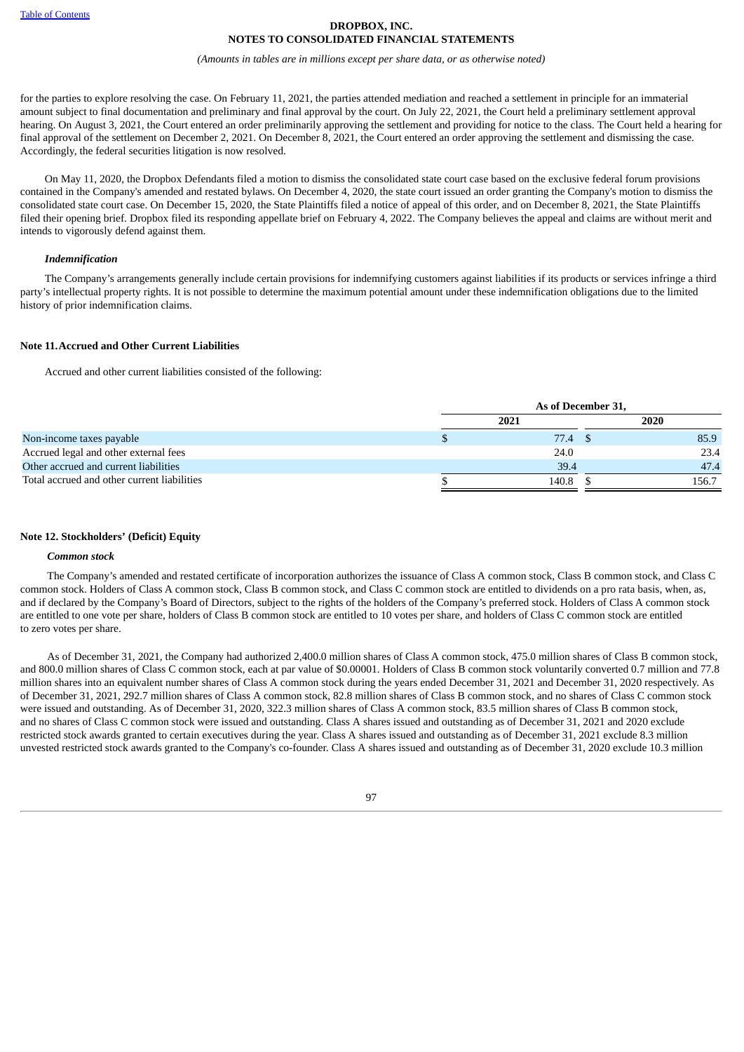*(Amounts in tables are in millions except per share data, or as otherwise noted)*

for the parties to explore resolving the case. On February 11, 2021, the parties attended mediation and reached a settlement in principle for an immaterial amount subject to final documentation and preliminary and final approval by the court. On July 22, 2021, the Court held a preliminary settlement approval hearing. On August 3, 2021, the Court entered an order preliminarily approving the settlement and providing for notice to the class. The Court held a hearing for final approval of the settlement on December 2, 2021. On December 8, 2021, the Court entered an order approving the settlement and dismissing the case. Accordingly, the federal securities litigation is now resolved.

On May 11, 2020, the Dropbox Defendants filed a motion to dismiss the consolidated state court case based on the exclusive federal forum provisions contained in the Company's amended and restated bylaws. On December 4, 2020, the state court issued an order granting the Company's motion to dismiss the consolidated state court case. On December 15, 2020, the State Plaintiffs filed a notice of appeal of this order, and on December 8, 2021, the State Plaintiffs filed their opening brief. Dropbox filed its responding appellate brief on February 4, 2022. The Company believes the appeal and claims are without merit and intends to vigorously defend against them.

### *Indemnification*

The Company's arrangements generally include certain provisions for indemnifying customers against liabilities if its products or services infringe a third party's intellectual property rights. It is not possible to determine the maximum potential amount under these indemnification obligations due to the limited history of prior indemnification claims.

### **Note 11.Accrued and Other Current Liabilities**

Accrued and other current liabilities consisted of the following:

|                                             | As of December 31, |       |  |       |  |  |
|---------------------------------------------|--------------------|-------|--|-------|--|--|
|                                             |                    | 2021  |  | 2020  |  |  |
| Non-income taxes payable                    |                    | 77.4  |  | 85.9  |  |  |
| Accrued legal and other external fees       |                    | 24.0  |  | 23.4  |  |  |
| Other accrued and current liabilities       |                    | 39.4  |  | 47.4  |  |  |
| Total accrued and other current liabilities |                    | 140.8 |  | 156.7 |  |  |

#### **Note 12. Stockholders' (Deficit) Equity**

#### *Common stock*

The Company's amended and restated certificate of incorporation authorizes the issuance of Class A common stock, Class B common stock, and Class C common stock. Holders of Class A common stock, Class B common stock, and Class C common stock are entitled to dividends on a pro rata basis, when, as, and if declared by the Company's Board of Directors, subject to the rights of the holders of the Company's preferred stock. Holders of Class A common stock are entitled to one vote per share, holders of Class B common stock are entitled to 10 votes per share, and holders of Class C common stock are entitled to zero votes per share.

As of December 31, 2021, the Company had authorized 2,400.0 million shares of Class A common stock, 475.0 million shares of Class B common stock, and 800.0 million shares of Class C common stock, each at par value of \$0.00001. Holders of Class B common stock voluntarily converted 0.7 million and 77.8 million shares into an equivalent number shares of Class A common stock during the years ended December 31, 2021 and December 31, 2020 respectively. As of December 31, 2021, 292.7 million shares of Class A common stock, 82.8 million shares of Class B common stock, and no shares of Class C common stock were issued and outstanding. As of December 31, 2020, 322.3 million shares of Class A common stock, 83.5 million shares of Class B common stock, and no shares of Class C common stock were issued and outstanding. Class A shares issued and outstanding as of December 31, 2021 and 2020 exclude restricted stock awards granted to certain executives during the year. Class A shares issued and outstanding as of December 31, 2021 exclude 8.3 million unvested restricted stock awards granted to the Company's co-founder. Class A shares issued and outstanding as of December 31, 2020 exclude 10.3 million

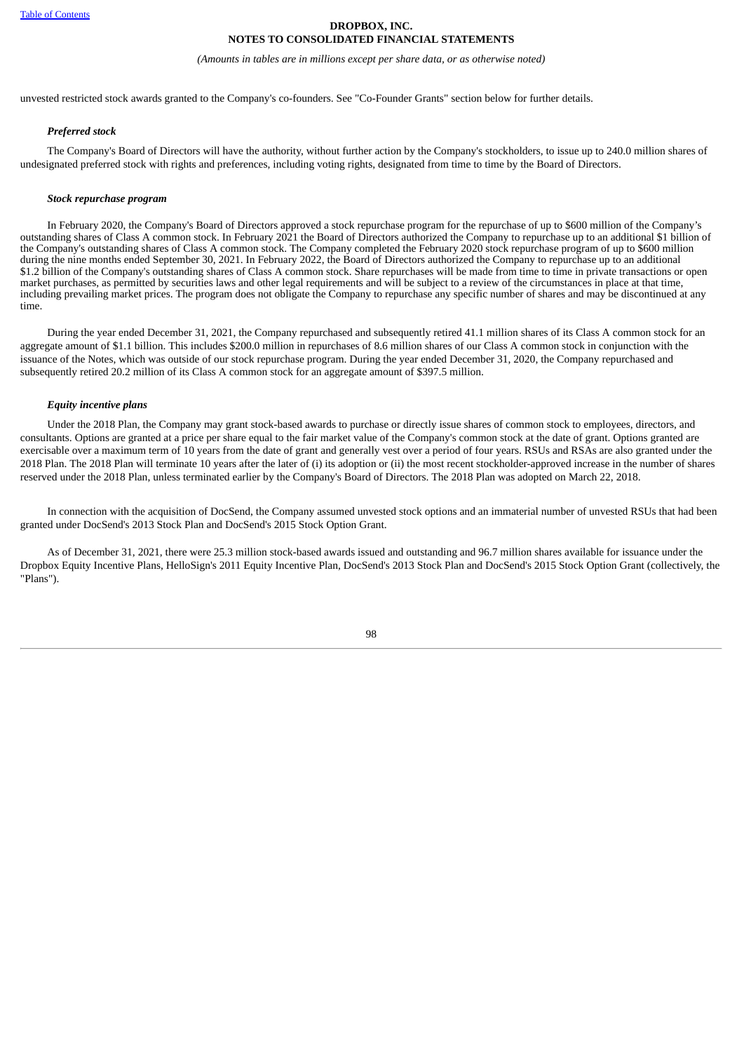*(Amounts in tables are in millions except per share data, or as otherwise noted)*

unvested restricted stock awards granted to the Company's co-founders. See "Co-Founder Grants" section below for further details.

### *Preferred stock*

The Company's Board of Directors will have the authority, without further action by the Company's stockholders, to issue up to 240.0 million shares of undesignated preferred stock with rights and preferences, including voting rights, designated from time to time by the Board of Directors.

#### *Stock repurchase program*

In February 2020, the Company's Board of Directors approved a stock repurchase program for the repurchase of up to \$600 million of the Company's outstanding shares of Class A common stock. In February 2021 the Board of Directors authorized the Company to repurchase up to an additional \$1 billion of the Company's outstanding shares of Class A common stock. The Company completed the February 2020 stock repurchase program of up to \$600 million during the nine months ended September 30, 2021. In February 2022, the Board of Directors authorized the Company to repurchase up to an additional \$1.2 billion of the Company's outstanding shares of Class A common stock. Share repurchases will be made from time to time in private transactions or open market purchases, as permitted by securities laws and other legal requirements and will be subject to a review of the circumstances in place at that time, including prevailing market prices. The program does not obligate the Company to repurchase any specific number of shares and may be discontinued at any time.

During the year ended December 31, 2021, the Company repurchased and subsequently retired 41.1 million shares of its Class A common stock for an aggregate amount of \$1.1 billion. This includes \$200.0 million in repurchases of 8.6 million shares of our Class A common stock in conjunction with the issuance of the Notes, which was outside of our stock repurchase program. During the year ended December 31, 2020, the Company repurchased and subsequently retired 20.2 million of its Class A common stock for an aggregate amount of \$397.5 million.

#### *Equity incentive plans*

Under the 2018 Plan, the Company may grant stock-based awards to purchase or directly issue shares of common stock to employees, directors, and consultants. Options are granted at a price per share equal to the fair market value of the Company's common stock at the date of grant. Options granted are exercisable over a maximum term of 10 years from the date of grant and generally vest over a period of four years. RSUs and RSAs are also granted under the 2018 Plan. The 2018 Plan will terminate 10 years after the later of (i) its adoption or (ii) the most recent stockholder-approved increase in the number of shares reserved under the 2018 Plan, unless terminated earlier by the Company's Board of Directors. The 2018 Plan was adopted on March 22, 2018.

In connection with the acquisition of DocSend, the Company assumed unvested stock options and an immaterial number of unvested RSUs that had been granted under DocSend's 2013 Stock Plan and DocSend's 2015 Stock Option Grant.

As of December 31, 2021, there were 25.3 million stock-based awards issued and outstanding and 96.7 million shares available for issuance under the Dropbox Equity Incentive Plans, HelloSign's 2011 Equity Incentive Plan, DocSend's 2013 Stock Plan and DocSend's 2015 Stock Option Grant (collectively, the "Plans").

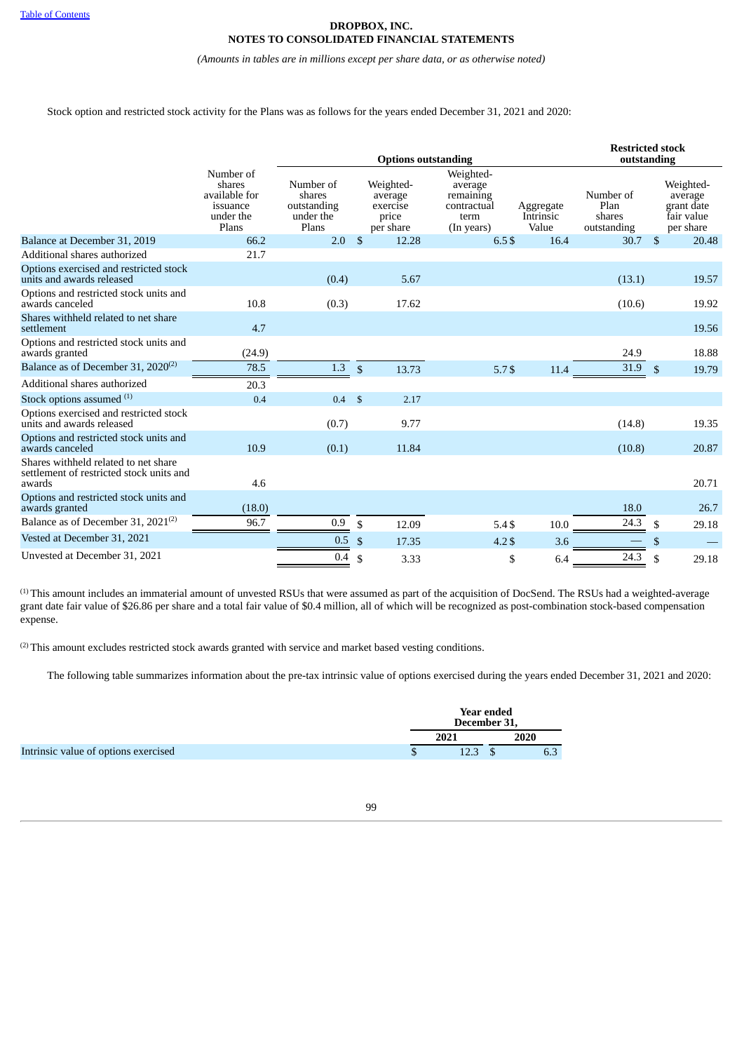### *(Amounts in tables are in millions except per share data, or as otherwise noted)*

Stock option and restricted stock activity for the Plans was as follows for the years ended December 31, 2021 and 2020:

|                                                                                            |                                                                        |                                                          |                                                        | <b>Options outstanding</b>                                             |                                 | <b>Restricted stock</b><br>outstanding     |                |                                                               |
|--------------------------------------------------------------------------------------------|------------------------------------------------------------------------|----------------------------------------------------------|--------------------------------------------------------|------------------------------------------------------------------------|---------------------------------|--------------------------------------------|----------------|---------------------------------------------------------------|
|                                                                                            | Number of<br>shares<br>available for<br>issuance<br>under the<br>Plans | Number of<br>shares<br>outstanding<br>under the<br>Plans | Weighted-<br>average<br>exercise<br>price<br>per share | Weighted-<br>average<br>remaining<br>contractual<br>term<br>(In years) | Aggregate<br>Intrinsic<br>Value | Number of<br>Plan<br>shares<br>outstanding |                | Weighted-<br>average<br>grant date<br>fair value<br>per share |
| Balance at December 31, 2019                                                               | 66.2                                                                   | 2.0                                                      | $\mathbf{s}$<br>12.28                                  | 6.5\$                                                                  | 16.4                            | 30.7                                       | -\$            | 20.48                                                         |
| Additional shares authorized                                                               | 21.7                                                                   |                                                          |                                                        |                                                                        |                                 |                                            |                |                                                               |
| Options exercised and restricted stock<br>units and awards released                        |                                                                        | (0.4)                                                    | 5.67                                                   |                                                                        |                                 | (13.1)                                     |                | 19.57                                                         |
| Options and restricted stock units and<br>awards canceled                                  | 10.8                                                                   | (0.3)                                                    | 17.62                                                  |                                                                        |                                 | (10.6)                                     |                | 19.92                                                         |
| Shares withheld related to net share<br>settlement                                         | 4.7                                                                    |                                                          |                                                        |                                                                        |                                 |                                            |                | 19.56                                                         |
| Options and restricted stock units and<br>awards granted                                   | (24.9)                                                                 |                                                          |                                                        |                                                                        |                                 | 24.9                                       |                | 18.88                                                         |
| Balance as of December 31, 2020 <sup>(2)</sup>                                             | 78.5                                                                   | 1.3                                                      | $\mathbf{\hat{S}}$<br>13.73                            | 5.7 <sup>5</sup>                                                       | 11.4                            | 31.9                                       | $\mathfrak{S}$ | 19.79                                                         |
| Additional shares authorized                                                               | 20.3                                                                   |                                                          |                                                        |                                                                        |                                 |                                            |                |                                                               |
| Stock options assumed (1)                                                                  | 0.4                                                                    | 0.4 <sup>5</sup>                                         | 2.17                                                   |                                                                        |                                 |                                            |                |                                                               |
| Options exercised and restricted stock<br>units and awards released                        |                                                                        | (0.7)                                                    | 9.77                                                   |                                                                        |                                 | (14.8)                                     |                | 19.35                                                         |
| Options and restricted stock units and<br>awards canceled                                  | 10.9                                                                   | (0.1)                                                    | 11.84                                                  |                                                                        |                                 | (10.8)                                     |                | 20.87                                                         |
| Shares withheld related to net share<br>settlement of restricted stock units and<br>awards | 4.6                                                                    |                                                          |                                                        |                                                                        |                                 |                                            |                | 20.71                                                         |
| Options and restricted stock units and<br>awards granted                                   | (18.0)                                                                 |                                                          |                                                        |                                                                        |                                 | 18.0                                       |                | 26.7                                                          |
| Balance as of December 31, 2021 <sup>(2)</sup>                                             | 96.7                                                                   | 0.9                                                      | \$<br>12.09                                            | 5.4 <sub>5</sub>                                                       | 10.0                            | 24.3                                       | \$             | 29.18                                                         |
| Vested at December 31, 2021                                                                |                                                                        | 0.5                                                      | $\mathbb{S}$<br>17.35                                  | 4.2 <sub>5</sub>                                                       | 3.6                             |                                            | \$             |                                                               |
| Unvested at December 31, 2021                                                              |                                                                        | 0.4                                                      | \$<br>3.33                                             | \$                                                                     | 6.4                             | 24.3                                       | \$             | 29.18                                                         |

 $^{(1)}$ This amount includes an immaterial amount of unvested RSUs that were assumed as part of the acquisition of DocSend. The RSUs had a weighted-average grant date fair value of \$26.86 per share and a total fair value of \$0.4 million, all of which will be recognized as post-combination stock-based compensation expense.

 $(2)$  This amount excludes restricted stock awards granted with service and market based vesting conditions.

The following table summarizes information about the pre-tax intrinsic value of options exercised during the years ended December 31, 2021 and 2020:

|                                      | Year ended<br>December 31, |  |      |  |  |
|--------------------------------------|----------------------------|--|------|--|--|
|                                      | 2021                       |  | 2020 |  |  |
| Intrinsic value of options exercised | 12.3                       |  | 6.3  |  |  |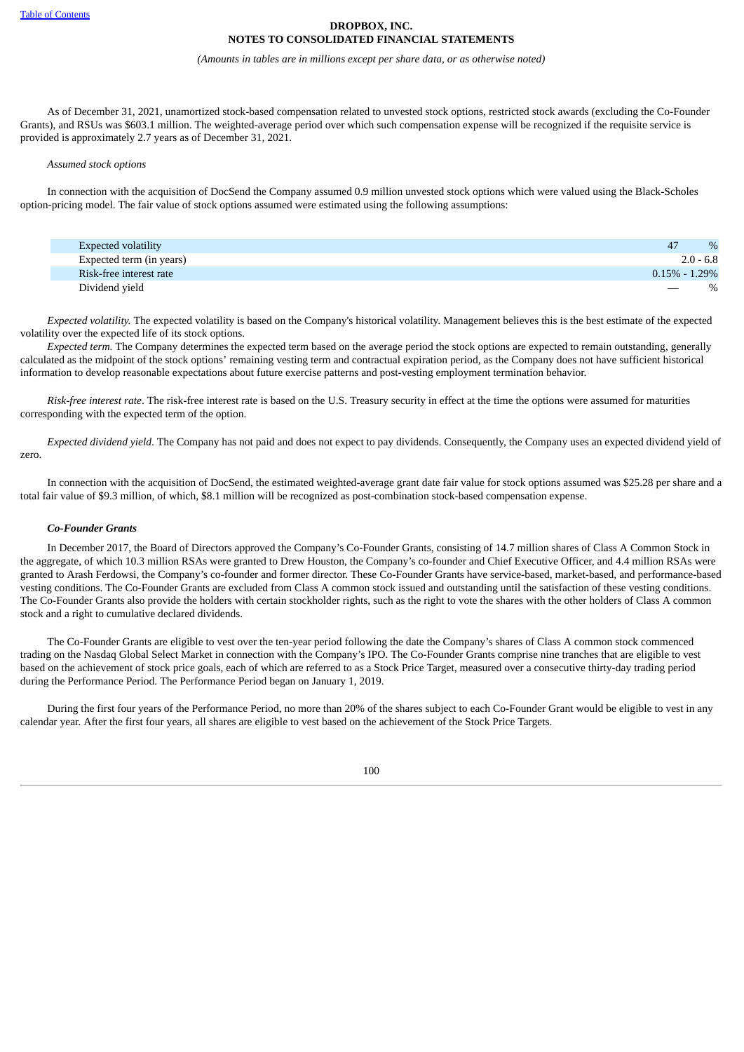*(Amounts in tables are in millions except per share data, or as otherwise noted)*

As of December 31, 2021, unamortized stock-based compensation related to unvested stock options, restricted stock awards (excluding the Co-Founder Grants), and RSUs was \$603.1 million. The weighted-average period over which such compensation expense will be recognized if the requisite service is provided is approximately 2.7 years as of December 31, 2021.

### *Assumed stock options*

In connection with the acquisition of DocSend the Company assumed 0.9 million unvested stock options which were valued using the Black-Scholes option-pricing model. The fair value of stock options assumed were estimated using the following assumptions:

| Expected volatility      | $\%$              |
|--------------------------|-------------------|
| Expected term (in years) | $2.0 - 6.8$       |
| Risk-free interest rate  | $0.15\% - 1.29\%$ |
| Dividend yield           | $\%$              |

*Expected volatility.* The expected volatility is based on the Company's historical volatility. Management believes this is the best estimate of the expected volatility over the expected life of its stock options.

*Expected term.* The Company determines the expected term based on the average period the stock options are expected to remain outstanding, generally calculated as the midpoint of the stock options' remaining vesting term and contractual expiration period, as the Company does not have sufficient historical information to develop reasonable expectations about future exercise patterns and post-vesting employment termination behavior.

*Risk-free interest rate*. The risk-free interest rate is based on the U.S. Treasury security in effect at the time the options were assumed for maturities corresponding with the expected term of the option.

*Expected dividend yield*. The Company has not paid and does not expect to pay dividends. Consequently, the Company uses an expected dividend yield of zero.

In connection with the acquisition of DocSend, the estimated weighted-average grant date fair value for stock options assumed was \$25.28 per share and a total fair value of \$9.3 million, of which, \$8.1 million will be recognized as post-combination stock-based compensation expense.

### *Co-Founder Grants*

In December 2017, the Board of Directors approved the Company's Co-Founder Grants, consisting of 14.7 million shares of Class A Common Stock in the aggregate, of which 10.3 million RSAs were granted to Drew Houston, the Company's co-founder and Chief Executive Officer, and 4.4 million RSAs were granted to Arash Ferdowsi, the Company's co-founder and former director. These Co-Founder Grants have service-based, market-based, and performance-based vesting conditions. The Co-Founder Grants are excluded from Class A common stock issued and outstanding until the satisfaction of these vesting conditions. The Co-Founder Grants also provide the holders with certain stockholder rights, such as the right to vote the shares with the other holders of Class A common stock and a right to cumulative declared dividends.

The Co-Founder Grants are eligible to vest over the ten-year period following the date the Company's shares of Class A common stock commenced trading on the Nasdaq Global Select Market in connection with the Company's IPO. The Co-Founder Grants comprise nine tranches that are eligible to vest based on the achievement of stock price goals, each of which are referred to as a Stock Price Target, measured over a consecutive thirty-day trading period during the Performance Period. The Performance Period began on January 1, 2019.

During the first four years of the Performance Period, no more than 20% of the shares subject to each Co-Founder Grant would be eligible to vest in any calendar year. After the first four years, all shares are eligible to vest based on the achievement of the Stock Price Targets.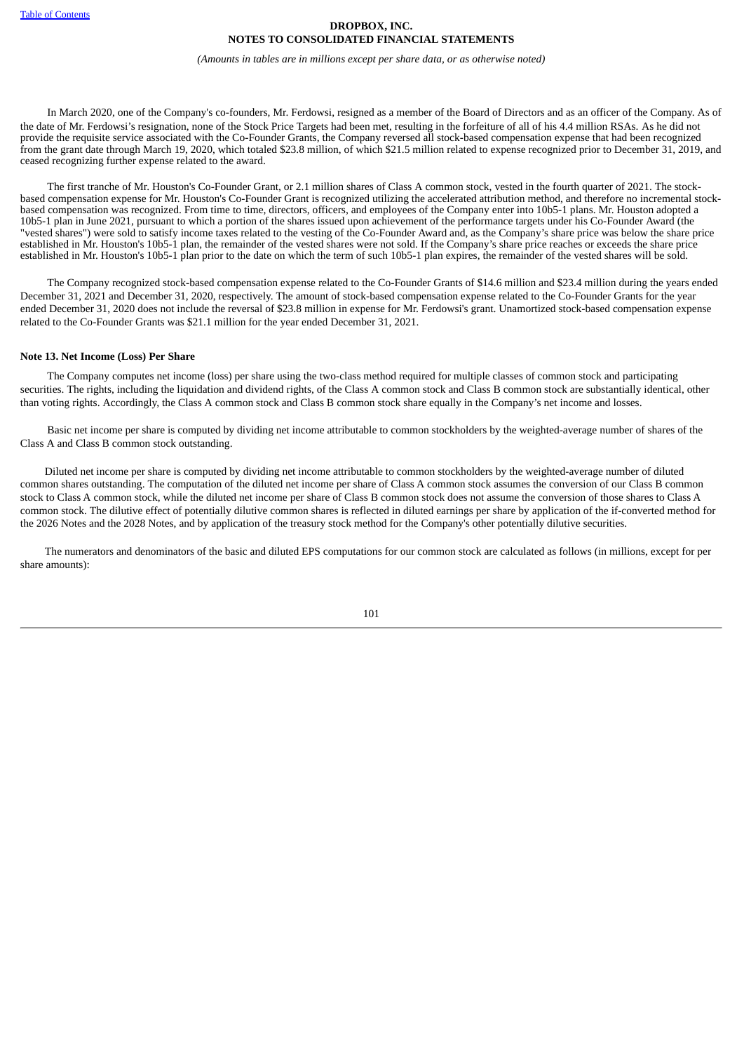### *(Amounts in tables are in millions except per share data, or as otherwise noted)*

In March 2020, one of the Company's co-founders, Mr. Ferdowsi, resigned as a member of the Board of Directors and as an officer of the Company. As of the date of Mr. Ferdowsi's resignation, none of the Stock Price Targets had been met, resulting in the forfeiture of all of his 4.4 million RSAs. As he did not provide the requisite service associated with the Co-Founder Grants, the Company reversed all stock-based compensation expense that had been recognized from the grant date through March 19, 2020, which totaled \$23.8 million, of which \$21.5 million related to expense recognized prior to December 31, 2019, and ceased recognizing further expense related to the award.

The first tranche of Mr. Houston's Co-Founder Grant, or 2.1 million shares of Class A common stock, vested in the fourth quarter of 2021. The stockbased compensation expense for Mr. Houston's Co-Founder Grant is recognized utilizing the accelerated attribution method, and therefore no incremental stockbased compensation was recognized. From time to time, directors, officers, and employees of the Company enter into 10b5-1 plans. Mr. Houston adopted a 10b5-1 plan in June 2021, pursuant to which a portion of the shares issued upon achievement of the performance targets under his Co-Founder Award (the "vested shares") were sold to satisfy income taxes related to the vesting of the Co-Founder Award and, as the Company's share price was below the share price established in Mr. Houston's 10b5-1 plan, the remainder of the vested shares were not sold. If the Company's share price reaches or exceeds the share price established in Mr. Houston's 10b5-1 plan prior to the date on which the term of such 10b5-1 plan expires, the remainder of the vested shares will be sold.

The Company recognized stock-based compensation expense related to the Co-Founder Grants of \$14.6 million and \$23.4 million during the years ended December 31, 2021 and December 31, 2020, respectively. The amount of stock-based compensation expense related to the Co-Founder Grants for the year ended December 31, 2020 does not include the reversal of \$23.8 million in expense for Mr. Ferdowsi's grant. Unamortized stock-based compensation expense related to the Co-Founder Grants was \$21.1 million for the year ended December 31, 2021.

### **Note 13. Net Income (Loss) Per Share**

The Company computes net income (loss) per share using the two-class method required for multiple classes of common stock and participating securities. The rights, including the liquidation and dividend rights, of the Class A common stock and Class B common stock are substantially identical, other than voting rights. Accordingly, the Class A common stock and Class B common stock share equally in the Company's net income and losses.

Basic net income per share is computed by dividing net income attributable to common stockholders by the weighted-average number of shares of the Class A and Class B common stock outstanding.

Diluted net income per share is computed by dividing net income attributable to common stockholders by the weighted-average number of diluted common shares outstanding. The computation of the diluted net income per share of Class A common stock assumes the conversion of our Class B common stock to Class A common stock, while the diluted net income per share of Class B common stock does not assume the conversion of those shares to Class A common stock. The dilutive effect of potentially dilutive common shares is reflected in diluted earnings per share by application of the if-converted method for the 2026 Notes and the 2028 Notes, and by application of the treasury stock method for the Company's other potentially dilutive securities.

The numerators and denominators of the basic and diluted EPS computations for our common stock are calculated as follows (in millions, except for per share amounts):

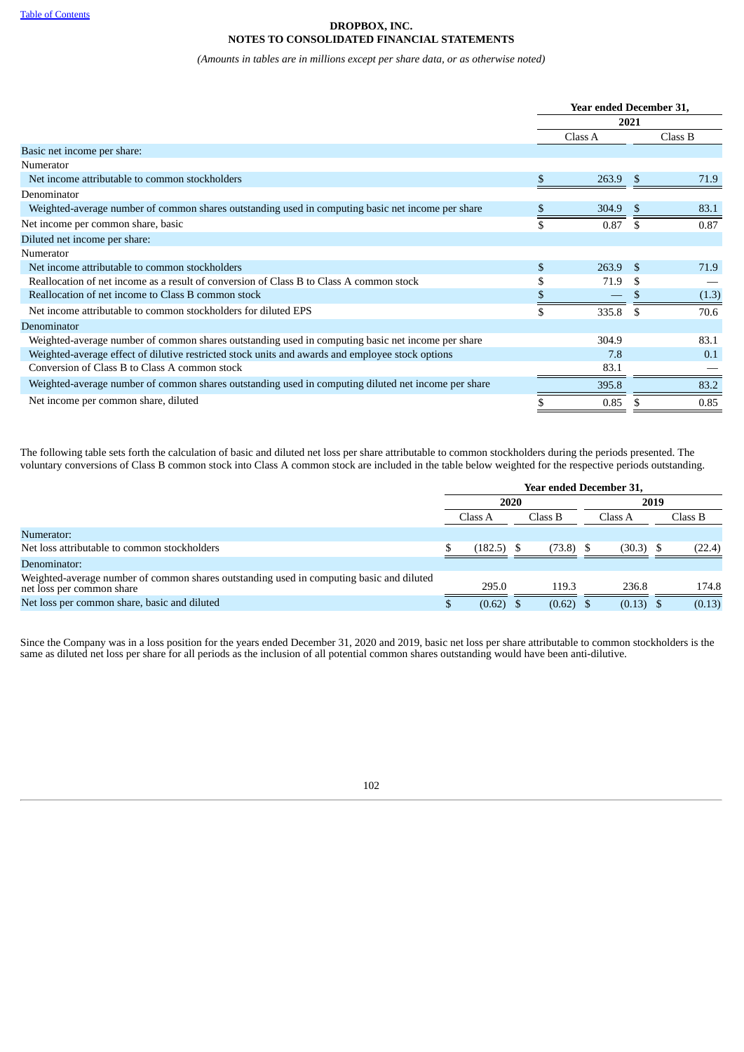## *(Amounts in tables are in millions except per share data, or as otherwise noted)*

|                                                                                                     | <b>Year ended December 31,</b> |         |      |         |
|-----------------------------------------------------------------------------------------------------|--------------------------------|---------|------|---------|
|                                                                                                     | 2021                           |         |      |         |
|                                                                                                     |                                | Class A |      | Class B |
| Basic net income per share:                                                                         |                                |         |      |         |
| Numerator                                                                                           |                                |         |      |         |
| Net income attributable to common stockholders                                                      |                                | 263.9   | - S  | 71.9    |
| Denominator                                                                                         |                                |         |      |         |
| Weighted-average number of common shares outstanding used in computing basic net income per share   |                                | 304.9   | -S   | 83.1    |
| Net income per common share, basic                                                                  |                                | 0.87    |      | 0.87    |
| Diluted net income per share:                                                                       |                                |         |      |         |
| Numerator                                                                                           |                                |         |      |         |
| Net income attributable to common stockholders                                                      | \$                             | 263.9   | - \$ | 71.9    |
| Reallocation of net income as a result of conversion of Class B to Class A common stock             |                                | 71.9    |      |         |
| Reallocation of net income to Class B common stock                                                  |                                |         |      | (1.3)   |
| Net income attributable to common stockholders for diluted EPS                                      |                                | 335.8   |      | 70.6    |
| Denominator                                                                                         |                                |         |      |         |
| Weighted-average number of common shares outstanding used in computing basic net income per share   |                                | 304.9   |      | 83.1    |
| Weighted-average effect of dilutive restricted stock units and awards and employee stock options    |                                | 7.8     |      | 0.1     |
| Conversion of Class B to Class A common stock                                                       |                                | 83.1    |      |         |
| Weighted-average number of common shares outstanding used in computing diluted net income per share |                                | 395.8   |      | 83.2    |
| Net income per common share, diluted                                                                |                                | 0.85    |      | 0.85    |

The following table sets forth the calculation of basic and diluted net loss per share attributable to common stockholders during the periods presented. The voluntary conversions of Class B common stock into Class A common stock are included in the table below weighted for the respective periods outstanding.

|                                                                                                                       | <b>Year ended December 31,</b> |         |      |         |      |             |  |         |
|-----------------------------------------------------------------------------------------------------------------------|--------------------------------|---------|------|---------|------|-------------|--|---------|
|                                                                                                                       |                                |         | 2020 |         | 2019 |             |  |         |
|                                                                                                                       |                                | Class A |      | Class B |      | Class A     |  | Class B |
| Numerator:                                                                                                            |                                |         |      |         |      |             |  |         |
| Net loss attributable to common stockholders                                                                          |                                | (182.5) |      | (73.8)  | - 56 | $(30.3)$ \$ |  | (22.4)  |
| Denominator:                                                                                                          |                                |         |      |         |      |             |  |         |
| Weighted-average number of common shares outstanding used in computing basic and diluted<br>net loss per common share |                                | 295.0   |      | 119.3   |      | 236.8       |  | 174.8   |
| Net loss per common share, basic and diluted                                                                          |                                | (0.62)  |      | (0.62)  |      | (0.13)      |  | (0.13)  |

Since the Company was in a loss position for the years ended December 31, 2020 and 2019, basic net loss per share attributable to common stockholders is the same as diluted net loss per share for all periods as the inclusion of all potential common shares outstanding would have been anti-dilutive.

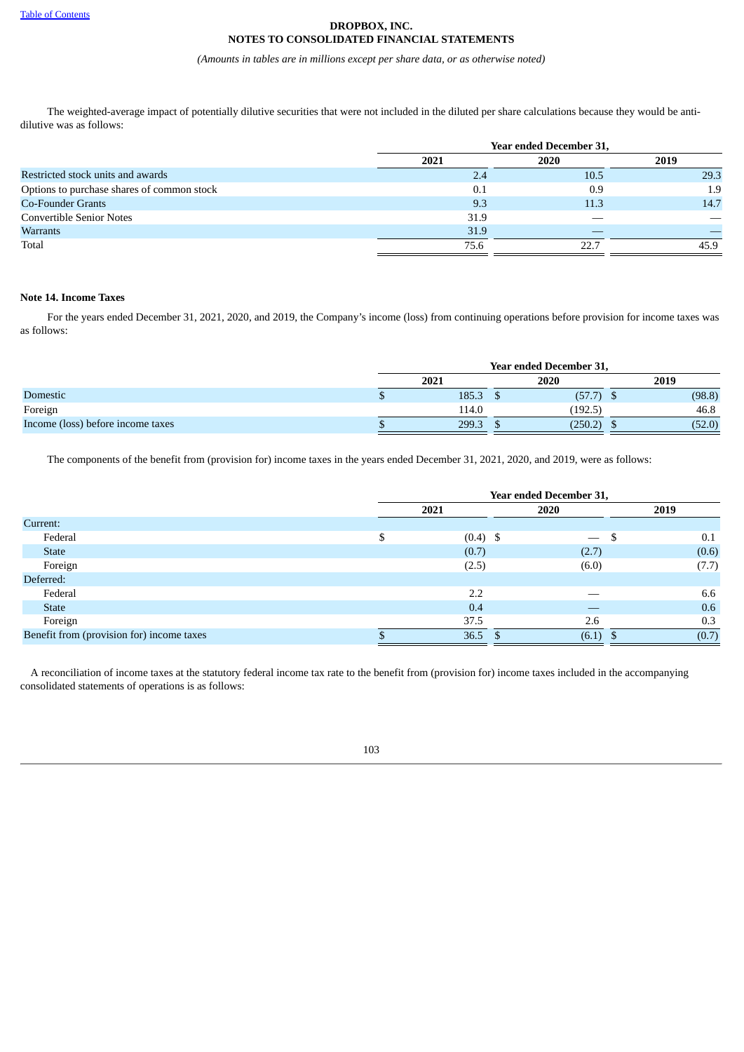*(Amounts in tables are in millions except per share data, or as otherwise noted)*

The weighted-average impact of potentially dilutive securities that were not included in the diluted per share calculations because they would be antidilutive was as follows:

|                                            | <b>Year ended December 31,</b> |      |      |  |  |  |
|--------------------------------------------|--------------------------------|------|------|--|--|--|
|                                            | 2021                           | 2020 | 2019 |  |  |  |
| Restricted stock units and awards          | 2.4                            | 10.5 | 29.3 |  |  |  |
| Options to purchase shares of common stock | 0.1                            | 0.9  | 1.9  |  |  |  |
| <b>Co-Founder Grants</b>                   | 9.3                            | 11.3 | 14.7 |  |  |  |
| <b>Convertible Senior Notes</b>            | 31.9                           |      |      |  |  |  |
| <b>Warrants</b>                            | 31.9                           |      |      |  |  |  |
| Total                                      | 75.6                           | 22.7 | 45.9 |  |  |  |

# **Note 14. Income Taxes**

For the years ended December 31, 2021, 2020, and 2019, the Company's income (loss) from continuing operations before provision for income taxes was as follows:

| <b>Year ended December 31,</b> |       |  |         |  |        |  |
|--------------------------------|-------|--|---------|--|--------|--|
|                                | 2021  |  | 2020    |  | 2019   |  |
|                                | 185.3 |  | (57.7)  |  | (98.8) |  |
|                                | 114.0 |  | (192.5) |  | 46.8   |  |
|                                | 299.3 |  | (250.2) |  | (52.0) |  |
|                                |       |  |         |  |        |  |

The components of the benefit from (provision for) income taxes in the years ended December 31, 2021, 2020, and 2019, were as follows:

|                                           | <b>Year ended December 31,</b> |            |  |                          |    |       |
|-------------------------------------------|--------------------------------|------------|--|--------------------------|----|-------|
|                                           |                                | 2021       |  | 2020                     |    | 2019  |
| Current:                                  |                                |            |  |                          |    |       |
| Federal                                   | Φ                              | $(0.4)$ \$ |  | $\overline{\phantom{0}}$ | \$ | 0.1   |
| <b>State</b>                              |                                | (0.7)      |  | (2.7)                    |    | (0.6) |
| Foreign                                   |                                | (2.5)      |  | (6.0)                    |    | (7.7) |
| Deferred:                                 |                                |            |  |                          |    |       |
| Federal                                   |                                | 2.2        |  |                          |    | 6.6   |
| <b>State</b>                              |                                | 0.4        |  |                          |    | 0.6   |
| Foreign                                   |                                | 37.5       |  | 2.6                      |    | 0.3   |
| Benefit from (provision for) income taxes |                                | 36.5       |  | (6.1)                    |    | (0.7) |

A reconciliation of income taxes at the statutory federal income tax rate to the benefit from (provision for) income taxes included in the accompanying consolidated statements of operations is as follows: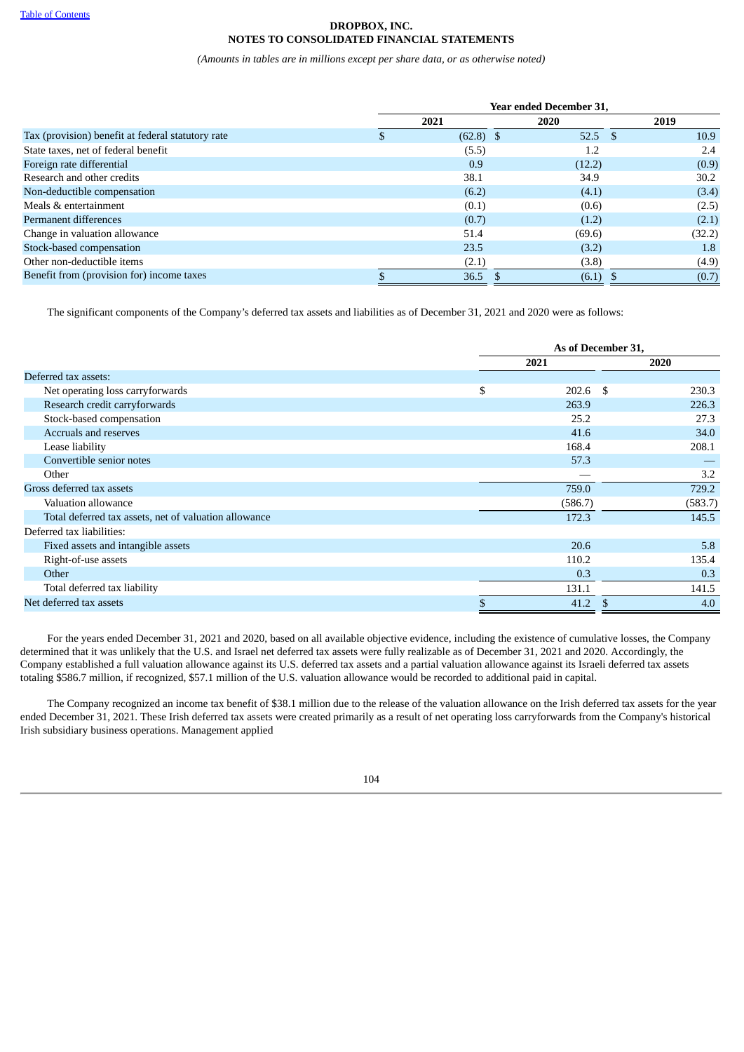*(Amounts in tables are in millions except per share data, or as otherwise noted)*

|                                                   | Year ended December 31, |             |        |              |  |
|---------------------------------------------------|-------------------------|-------------|--------|--------------|--|
|                                                   | 2021                    |             | 2020   | 2019         |  |
| Tax (provision) benefit at federal statutory rate |                         | $(62.8)$ \$ | 52.5   | 10.9<br>- \$ |  |
| State taxes, net of federal benefit               |                         | (5.5)       | 1.2    | 2.4          |  |
| Foreign rate differential                         |                         | 0.9         | (12.2) | (0.9)        |  |
| Research and other credits                        |                         | 38.1        | 34.9   | 30.2         |  |
| Non-deductible compensation                       |                         | (6.2)       | (4.1)  | (3.4)        |  |
| Meals & entertainment                             |                         | (0.1)       | (0.6)  | (2.5)        |  |
| Permanent differences                             |                         | (0.7)       | (1.2)  | (2.1)        |  |
| Change in valuation allowance                     |                         | 51.4        | (69.6) | (32.2)       |  |
| Stock-based compensation                          |                         | 23.5        | (3.2)  | 1.8          |  |
| Other non-deductible items                        |                         | (2.1)       | (3.8)  | (4.9)        |  |
| Benefit from (provision for) income taxes         |                         | 36.5        | (6.1)  | (0.7)        |  |

The significant components of the Company's deferred tax assets and liabilities as of December 31, 2021 and 2020 were as follows:

|                                                       | As of December 31, |              |  |  |
|-------------------------------------------------------|--------------------|--------------|--|--|
|                                                       | 2021               | 2020         |  |  |
| Deferred tax assets:                                  |                    |              |  |  |
| Net operating loss carryforwards                      | 202.6<br>\$        | 230.3<br>-\$ |  |  |
| Research credit carryforwards                         | 263.9              | 226.3        |  |  |
| Stock-based compensation                              | 25.2               | 27.3         |  |  |
| Accruals and reserves                                 | 41.6               | 34.0         |  |  |
| Lease liability                                       | 168.4              | 208.1        |  |  |
| Convertible senior notes                              | 57.3               |              |  |  |
| Other                                                 |                    | 3.2          |  |  |
| Gross deferred tax assets                             | 759.0              | 729.2        |  |  |
| Valuation allowance                                   | (586.7)            | (583.7)      |  |  |
| Total deferred tax assets, net of valuation allowance | 172.3              | 145.5        |  |  |
| Deferred tax liabilities:                             |                    |              |  |  |
| Fixed assets and intangible assets                    | 20.6               | 5.8          |  |  |
| Right-of-use assets                                   | 110.2              | 135.4        |  |  |
| Other                                                 | 0.3                | 0.3          |  |  |
| Total deferred tax liability                          | 131.1              | 141.5        |  |  |
| Net deferred tax assets                               | 41.2               | \$.<br>4.0   |  |  |

For the years ended December 31, 2021 and 2020, based on all available objective evidence, including the existence of cumulative losses, the Company determined that it was unlikely that the U.S. and Israel net deferred tax assets were fully realizable as of December 31, 2021 and 2020. Accordingly, the Company established a full valuation allowance against its U.S. deferred tax assets and a partial valuation allowance against its Israeli deferred tax assets totaling \$586.7 million, if recognized, \$57.1 million of the U.S. valuation allowance would be recorded to additional paid in capital.

The Company recognized an income tax benefit of \$38.1 million due to the release of the valuation allowance on the Irish deferred tax assets for the year ended December 31, 2021. These Irish deferred tax assets were created primarily as a result of net operating loss carryforwards from the Company's historical Irish subsidiary business operations. Management applied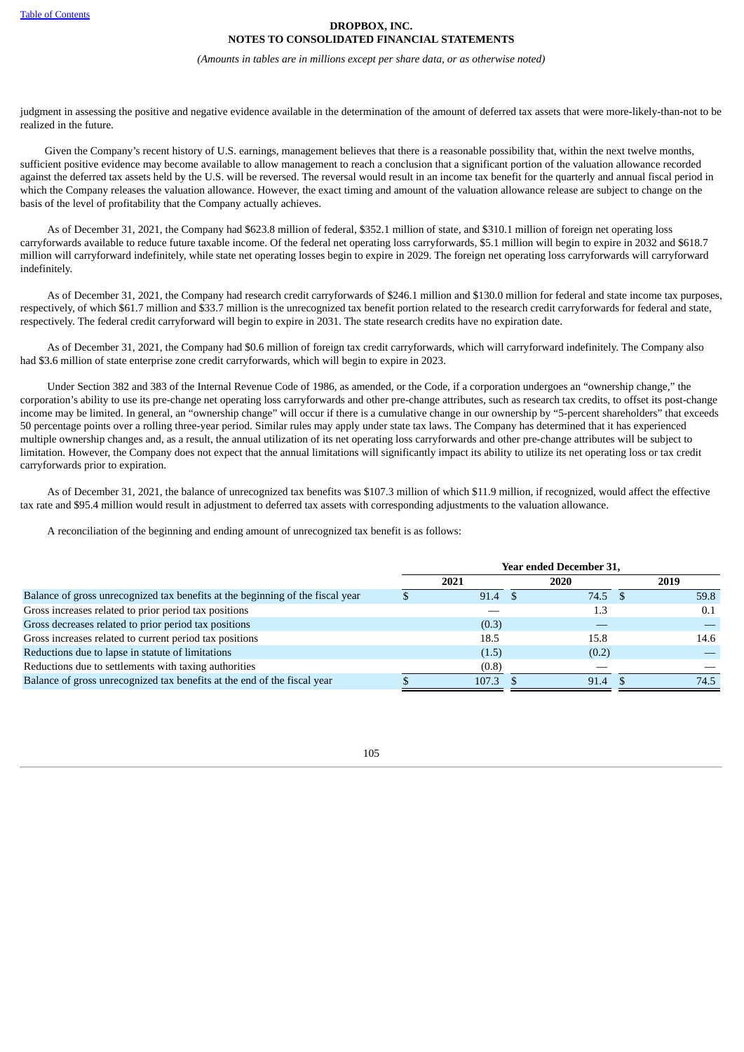*(Amounts in tables are in millions except per share data, or as otherwise noted)*

judgment in assessing the positive and negative evidence available in the determination of the amount of deferred tax assets that were more-likely-than-not to be realized in the future.

Given the Company's recent history of U.S. earnings, management believes that there is a reasonable possibility that, within the next twelve months, sufficient positive evidence may become available to allow management to reach a conclusion that a significant portion of the valuation allowance recorded against the deferred tax assets held by the U.S. will be reversed. The reversal would result in an income tax benefit for the quarterly and annual fiscal period in which the Company releases the valuation allowance. However, the exact timing and amount of the valuation allowance release are subject to change on the basis of the level of profitability that the Company actually achieves.

As of December 31, 2021, the Company had \$623.8 million of federal, \$352.1 million of state, and \$310.1 million of foreign net operating loss carryforwards available to reduce future taxable income. Of the federal net operating loss carryforwards, \$5.1 million will begin to expire in 2032 and \$618.7 million will carryforward indefinitely, while state net operating losses begin to expire in 2029. The foreign net operating loss carryforwards will carryforward indefinitely.

As of December 31, 2021, the Company had research credit carryforwards of \$246.1 million and \$130.0 million for federal and state income tax purposes, respectively, of which \$61.7 million and \$33.7 million is the unrecognized tax benefit portion related to the research credit carryforwards for federal and state, respectively. The federal credit carryforward will begin to expire in 2031. The state research credits have no expiration date.

As of December 31, 2021, the Company had \$0.6 million of foreign tax credit carryforwards, which will carryforward indefinitely. The Company also had \$3.6 million of state enterprise zone credit carryforwards, which will begin to expire in 2023.

Under Section 382 and 383 of the Internal Revenue Code of 1986, as amended, or the Code, if a corporation undergoes an "ownership change," the corporation's ability to use its pre-change net operating loss carryforwards and other pre-change attributes, such as research tax credits, to offset its post-change income may be limited. In general, an "ownership change" will occur if there is a cumulative change in our ownership by "5-percent shareholders" that exceeds 50 percentage points over a rolling three-year period. Similar rules may apply under state tax laws. The Company has determined that it has experienced multiple ownership changes and, as a result, the annual utilization of its net operating loss carryforwards and other pre-change attributes will be subject to limitation. However, the Company does not expect that the annual limitations will significantly impact its ability to utilize its net operating loss or tax credit carryforwards prior to expiration.

As of December 31, 2021, the balance of unrecognized tax benefits was \$107.3 million of which \$11.9 million, if recognized, would affect the effective tax rate and \$95.4 million would result in adjustment to deferred tax assets with corresponding adjustments to the valuation allowance.

A reconciliation of the beginning and ending amount of unrecognized tax benefit is as follows:

|                                                                                | <b>Year ended December 31,</b> |       |  |         |  |      |
|--------------------------------------------------------------------------------|--------------------------------|-------|--|---------|--|------|
|                                                                                |                                | 2021  |  | 2020    |  | 2019 |
| Balance of gross unrecognized tax benefits at the beginning of the fiscal year |                                | 91.4  |  | 74.5 \$ |  | 59.8 |
| Gross increases related to prior period tax positions                          |                                |       |  | 1.3     |  | 0.1  |
| Gross decreases related to prior period tax positions                          |                                | (0.3) |  |         |  |      |
| Gross increases related to current period tax positions                        |                                | 18.5  |  | 15.8    |  | 14.6 |
| Reductions due to lapse in statute of limitations                              |                                | (1.5) |  | (0.2)   |  |      |
| Reductions due to settlements with taxing authorities                          |                                | (0.8) |  |         |  |      |
| Balance of gross unrecognized tax benefits at the end of the fiscal year       |                                | 107.3 |  | 91.4    |  | 74.5 |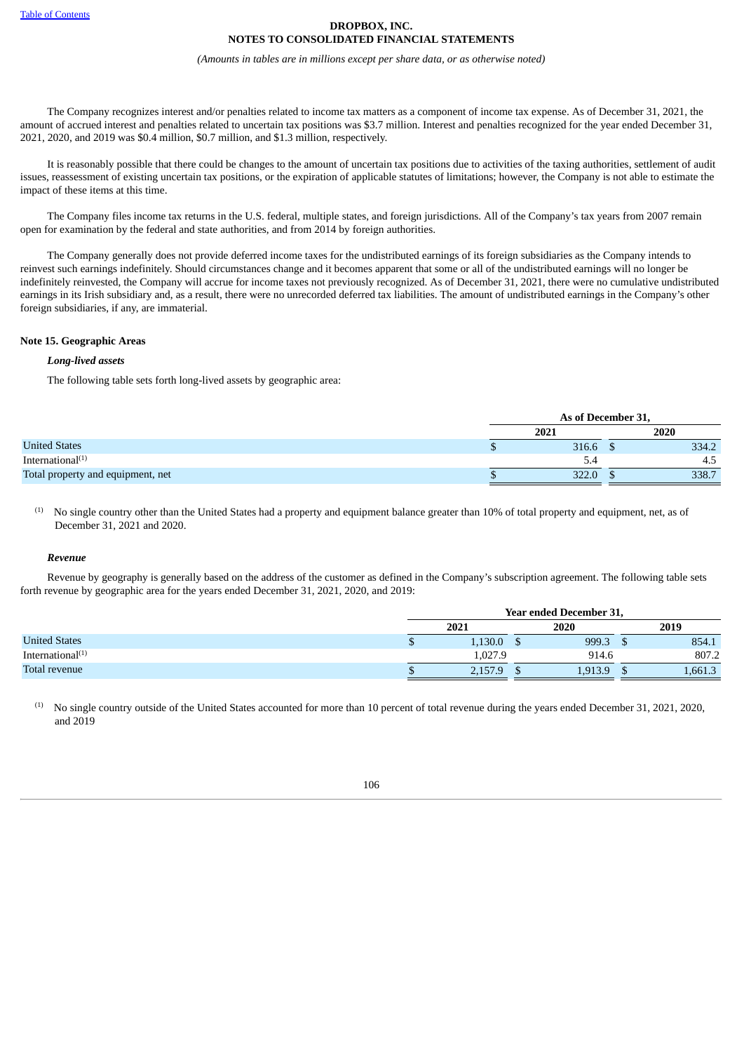*(Amounts in tables are in millions except per share data, or as otherwise noted)*

The Company recognizes interest and/or penalties related to income tax matters as a component of income tax expense. As of December 31, 2021, the amount of accrued interest and penalties related to uncertain tax positions was \$3.7 million. Interest and penalties recognized for the year ended December 31, 2021, 2020, and 2019 was \$0.4 million, \$0.7 million, and \$1.3 million, respectively.

It is reasonably possible that there could be changes to the amount of uncertain tax positions due to activities of the taxing authorities, settlement of audit issues, reassessment of existing uncertain tax positions, or the expiration of applicable statutes of limitations; however, the Company is not able to estimate the impact of these items at this time.

The Company files income tax returns in the U.S. federal, multiple states, and foreign jurisdictions. All of the Company's tax years from 2007 remain open for examination by the federal and state authorities, and from 2014 by foreign authorities.

The Company generally does not provide deferred income taxes for the undistributed earnings of its foreign subsidiaries as the Company intends to reinvest such earnings indefinitely. Should circumstances change and it becomes apparent that some or all of the undistributed earnings will no longer be indefinitely reinvested, the Company will accrue for income taxes not previously recognized. As of December 31, 2021, there were no cumulative undistributed earnings in its Irish subsidiary and, as a result, there were no unrecorded deferred tax liabilities. The amount of undistributed earnings in the Company's other foreign subsidiaries, if any, are immaterial.

## **Note 15. Geographic Areas**

## *Long-lived assets*

The following table sets forth long-lived assets by geographic area:

|                                   | As of December 31, |  |       |  |
|-----------------------------------|--------------------|--|-------|--|
|                                   | 2021               |  | 2020  |  |
| <b>United States</b>              | 316.6              |  | 334.2 |  |
| International $^{(1)}$            | 5.4                |  | 4.5   |  |
| Total property and equipment, net | 322.0              |  | 338.7 |  |

 $^{(1)}$  No single country other than the United States had a property and equipment balance greater than 10% of total property and equipment, net, as of December 31, 2021 and 2020.

### *Revenue*

Revenue by geography is generally based on the address of the customer as defined in the Company's subscription agreement. The following table sets forth revenue by geographic area for the years ended December 31, 2021, 2020, and 2019:

|                      | Year ended December 31, |  |         |  |         |
|----------------------|-------------------------|--|---------|--|---------|
|                      | 2021                    |  | 2020    |  | 2019    |
| <b>United States</b> | 1.130.0                 |  | 999.3   |  | 854.1   |
| International $(1)$  | 1,027.9                 |  | 914.6   |  | 807.2   |
| Total revenue        | 2,157.9                 |  | 1,913.9 |  | 1,661.3 |

No single country outside of the United States accounted for more than 10 percent of total revenue during the years ended December 31, 2021, 2020, and 2019 (1)

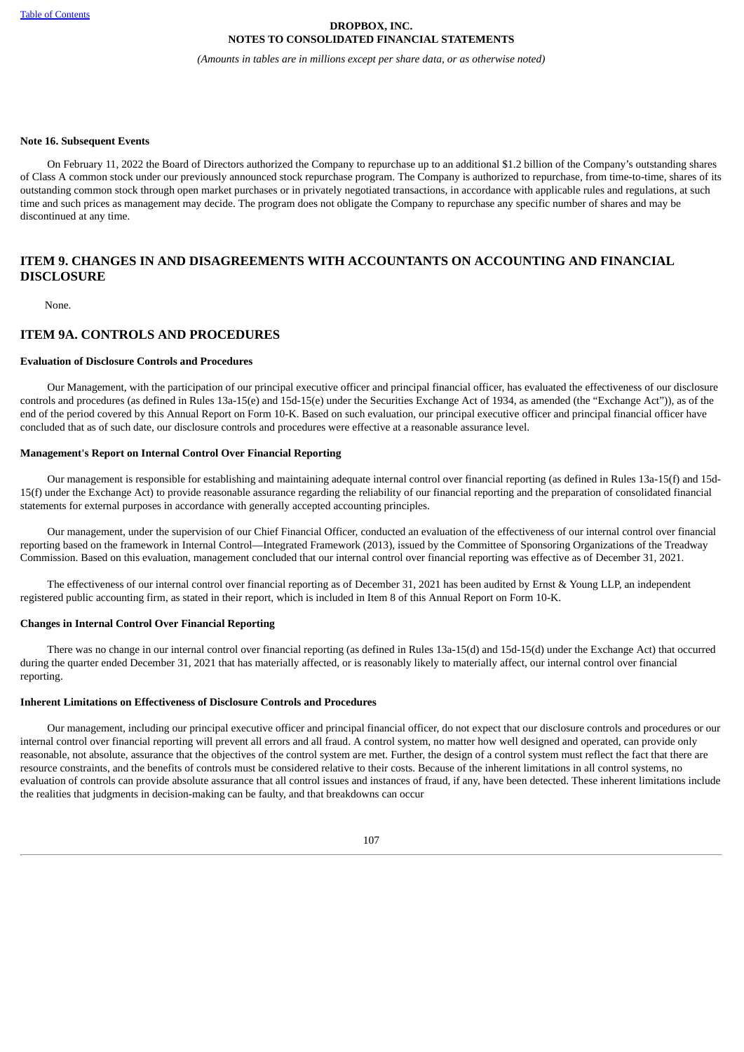*(Amounts in tables are in millions except per share data, or as otherwise noted)*

#### **Note 16. Subsequent Events**

On February 11, 2022 the Board of Directors authorized the Company to repurchase up to an additional \$1.2 billion of the Company's outstanding shares of Class A common stock under our previously announced stock repurchase program. The Company is authorized to repurchase, from time-to-time, shares of its outstanding common stock through open market purchases or in privately negotiated transactions, in accordance with applicable rules and regulations, at such time and such prices as management may decide. The program does not obligate the Company to repurchase any specific number of shares and may be discontinued at any time.

# **ITEM 9. CHANGES IN AND DISAGREEMENTS WITH ACCOUNTANTS ON ACCOUNTING AND FINANCIAL DISCLOSURE**

None.

# **ITEM 9A. CONTROLS AND PROCEDURES**

### **Evaluation of Disclosure Controls and Procedures**

Our Management, with the participation of our principal executive officer and principal financial officer, has evaluated the effectiveness of our disclosure controls and procedures (as defined in Rules 13a-15(e) and 15d-15(e) under the Securities Exchange Act of 1934, as amended (the "Exchange Act")), as of the end of the period covered by this Annual Report on Form 10-K. Based on such evaluation, our principal executive officer and principal financial officer have concluded that as of such date, our disclosure controls and procedures were effective at a reasonable assurance level.

### **Management's Report on Internal Control Over Financial Reporting**

Our management is responsible for establishing and maintaining adequate internal control over financial reporting (as defined in Rules 13a-15(f) and 15d-15(f) under the Exchange Act) to provide reasonable assurance regarding the reliability of our financial reporting and the preparation of consolidated financial statements for external purposes in accordance with generally accepted accounting principles.

Our management, under the supervision of our Chief Financial Officer, conducted an evaluation of the effectiveness of our internal control over financial reporting based on the framework in Internal Control—Integrated Framework (2013), issued by the Committee of Sponsoring Organizations of the Treadway Commission. Based on this evaluation, management concluded that our internal control over financial reporting was effective as of December 31, 2021.

The effectiveness of our internal control over financial reporting as of December 31, 2021 has been audited by Ernst & Young LLP, an independent registered public accounting firm, as stated in their report, which is included in Item 8 of this Annual Report on Form 10-K.

## **Changes in Internal Control Over Financial Reporting**

There was no change in our internal control over financial reporting (as defined in Rules 13a-15(d) and 15d-15(d) under the Exchange Act) that occurred during the quarter ended December 31, 2021 that has materially affected, or is reasonably likely to materially affect, our internal control over financial reporting.

## **Inherent Limitations on Effectiveness of Disclosure Controls and Procedures**

Our management, including our principal executive officer and principal financial officer, do not expect that our disclosure controls and procedures or our internal control over financial reporting will prevent all errors and all fraud. A control system, no matter how well designed and operated, can provide only reasonable, not absolute, assurance that the objectives of the control system are met. Further, the design of a control system must reflect the fact that there are resource constraints, and the benefits of controls must be considered relative to their costs. Because of the inherent limitations in all control systems, no evaluation of controls can provide absolute assurance that all control issues and instances of fraud, if any, have been detected. These inherent limitations include the realities that judgments in decision-making can be faulty, and that breakdowns can occur

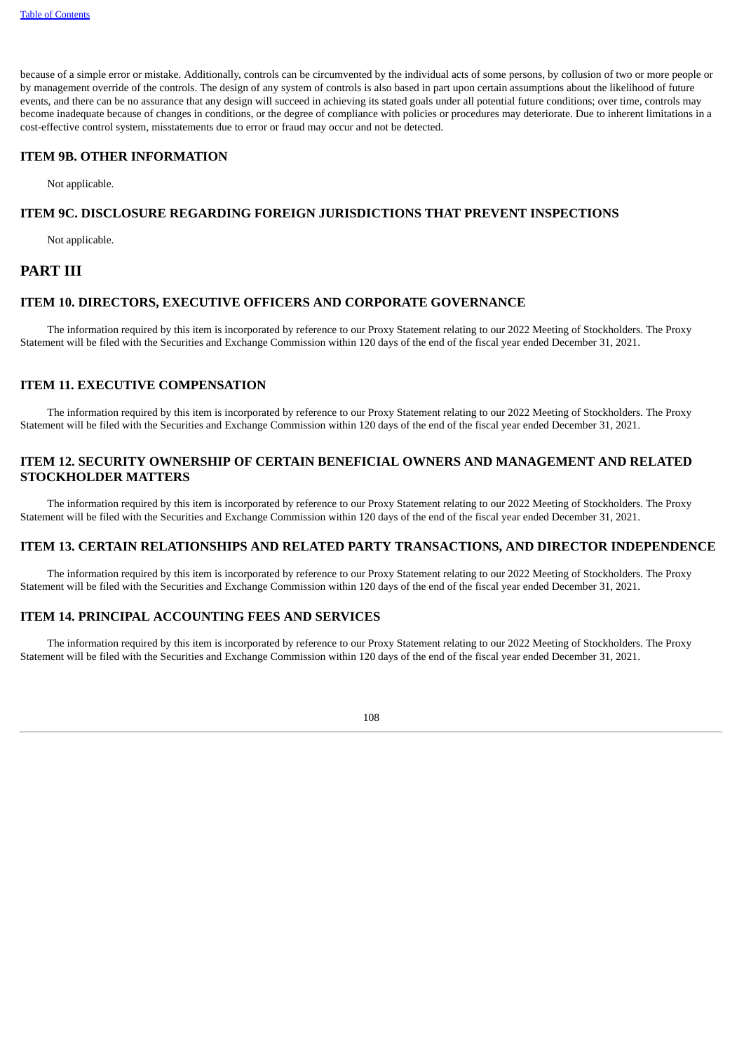because of a simple error or mistake. Additionally, controls can be circumvented by the individual acts of some persons, by collusion of two or more people or by management override of the controls. The design of any system of controls is also based in part upon certain assumptions about the likelihood of future events, and there can be no assurance that any design will succeed in achieving its stated goals under all potential future conditions; over time, controls may become inadequate because of changes in conditions, or the degree of compliance with policies or procedures may deteriorate. Due to inherent limitations in a cost-effective control system, misstatements due to error or fraud may occur and not be detected.

## **ITEM 9B. OTHER INFORMATION**

Not applicable.

# **ITEM 9C. DISCLOSURE REGARDING FOREIGN JURISDICTIONS THAT PREVENT INSPECTIONS**

Not applicable.

# **PART III**

## **ITEM 10. DIRECTORS, EXECUTIVE OFFICERS AND CORPORATE GOVERNANCE**

The information required by this item is incorporated by reference to our Proxy Statement relating to our 2022 Meeting of Stockholders. The Proxy Statement will be filed with the Securities and Exchange Commission within 120 days of the end of the fiscal year ended December 31, 2021.

# **ITEM 11. EXECUTIVE COMPENSATION**

The information required by this item is incorporated by reference to our Proxy Statement relating to our 2022 Meeting of Stockholders. The Proxy Statement will be filed with the Securities and Exchange Commission within 120 days of the end of the fiscal year ended December 31, 2021.

# **ITEM 12. SECURITY OWNERSHIP OF CERTAIN BENEFICIAL OWNERS AND MANAGEMENT AND RELATED STOCKHOLDER MATTERS**

The information required by this item is incorporated by reference to our Proxy Statement relating to our 2022 Meeting of Stockholders. The Proxy Statement will be filed with the Securities and Exchange Commission within 120 days of the end of the fiscal year ended December 31, 2021.

#### **ITEM 13. CERTAIN RELATIONSHIPS AND RELATED PARTY TRANSACTIONS, AND DIRECTOR INDEPENDENCE**

The information required by this item is incorporated by reference to our Proxy Statement relating to our 2022 Meeting of Stockholders. The Proxy Statement will be filed with the Securities and Exchange Commission within 120 days of the end of the fiscal year ended December 31, 2021.

# **ITEM 14. PRINCIPAL ACCOUNTING FEES AND SERVICES**

The information required by this item is incorporated by reference to our Proxy Statement relating to our 2022 Meeting of Stockholders. The Proxy Statement will be filed with the Securities and Exchange Commission within 120 days of the end of the fiscal year ended December 31, 2021.

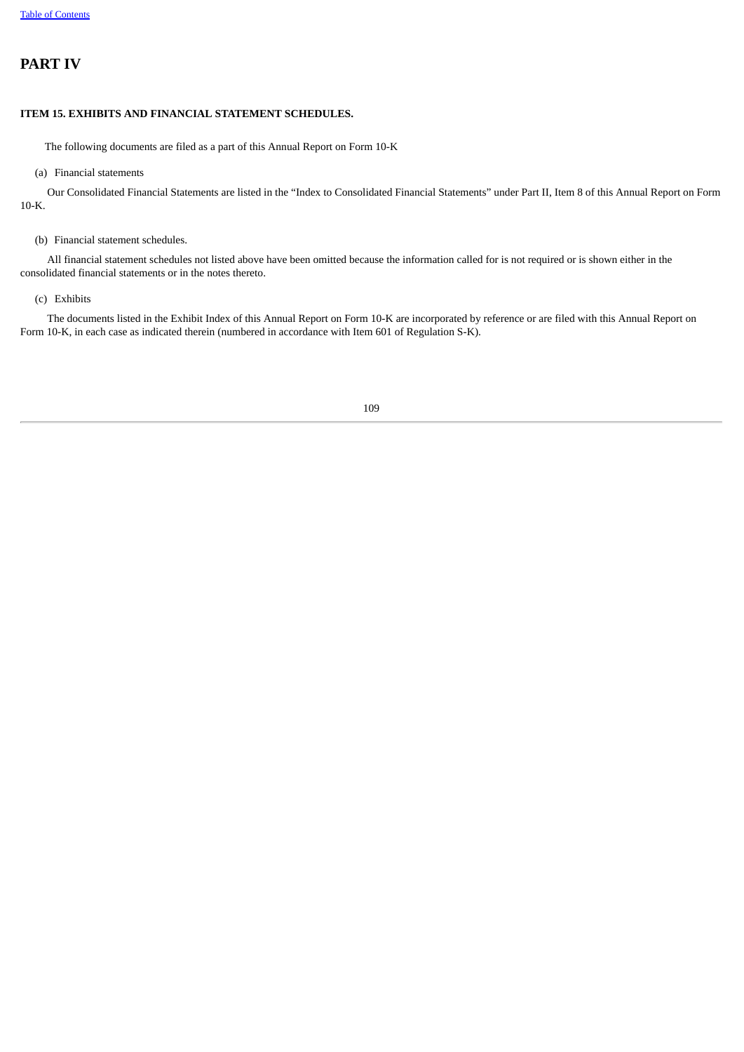# **PART IV**

#### **ITEM 15. EXHIBITS AND FINANCIAL STATEMENT SCHEDULES.**

The following documents are filed as a part of this Annual Report on Form 10-K

(a) Financial statements

Our Consolidated Financial Statements are listed in the "Index to Consolidated Financial Statements" under Part II, Item 8 of this Annual Report on Form 10-K.

(b) Financial statement schedules.

All financial statement schedules not listed above have been omitted because the information called for is not required or is shown either in the consolidated financial statements or in the notes thereto.

(c) Exhibits

The documents listed in the Exhibit Index of this Annual Report on Form 10-K are incorporated by reference or are filed with this Annual Report on Form 10-K, in each case as indicated therein (numbered in accordance with Item 601 of Regulation S-K).

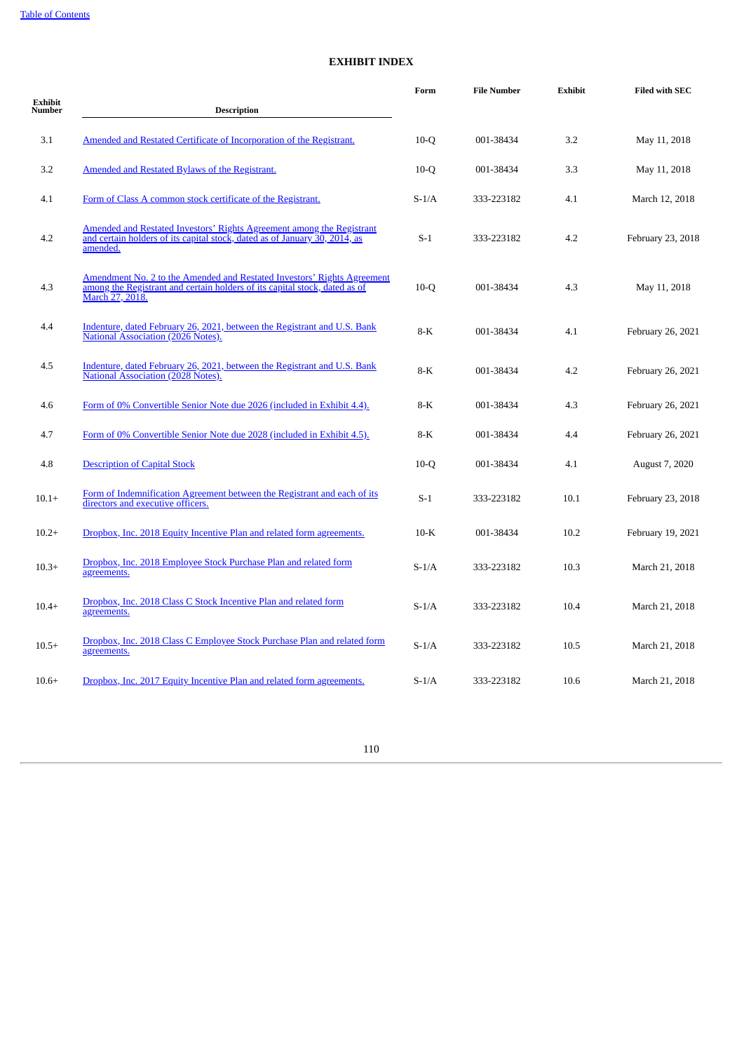# **EXHIBIT INDEX**

|                   |                                                                                                                                                                          | Form    | <b>File Number</b> | <b>Exhibit</b> | <b>Filed with SEC</b> |
|-------------------|--------------------------------------------------------------------------------------------------------------------------------------------------------------------------|---------|--------------------|----------------|-----------------------|
| Exhibit<br>Number | <b>Description</b>                                                                                                                                                       |         |                    |                |                       |
| 3.1               | Amended and Restated Certificate of Incorporation of the Registrant.                                                                                                     | $10-Q$  | 001-38434          | 3.2            | May 11, 2018          |
| 3.2               | Amended and Restated Bylaws of the Registrant.                                                                                                                           | $10-Q$  | 001-38434          | 3.3            | May 11, 2018          |
| 4.1               | Form of Class A common stock certificate of the Registrant.                                                                                                              | $S-1/A$ | 333-223182         | 4.1            | March 12, 2018        |
| 4.2               | <b>Amended and Restated Investors' Rights Agreement among the Registrant</b><br>and certain holders of its capital stock, dated as of January 30, 2014, as<br>amended.   | $S-1$   | 333-223182         | 4.2            | February 23, 2018     |
| 4.3               | Amendment No. 2 to the Amended and Restated Investors' Rights Agreement<br>among the Registrant and certain holders of its capital stock, dated as of<br>March 27, 2018. | $10-Q$  | 001-38434          | 4.3            | May 11, 2018          |
| 4.4               | Indenture, dated February 26, 2021, between the Registrant and U.S. Bank<br>National Association (2026 Notes).                                                           | $8-K$   | 001-38434          | 4.1            | February 26, 2021     |
| 4.5               | Indenture, dated February 26, 2021, between the Registrant and U.S. Bank<br>National Association (2028 Notes).                                                           | $8-K$   | 001-38434          | 4.2            | February 26, 2021     |
| 4.6               | Form of 0% Convertible Senior Note due 2026 (included in Exhibit 4.4).                                                                                                   | 8-K     | 001-38434          | 4.3            | February 26, 2021     |
| 4.7               | Form of 0% Convertible Senior Note due 2028 (included in Exhibit 4.5).                                                                                                   | $8-K$   | 001-38434          | 4.4            | February 26, 2021     |
| 4.8               | <b>Description of Capital Stock</b>                                                                                                                                      | $10-Q$  | 001-38434          | 4.1            | August 7, 2020        |
| $10.1+$           | Form of Indemnification Agreement between the Registrant and each of its<br>directors and executive officers.                                                            | $S-1$   | 333-223182         | 10.1           | February 23, 2018     |
| $10.2+$           | Dropbox, Inc. 2018 Equity Incentive Plan and related form agreements.                                                                                                    | $10-K$  | 001-38434          | 10.2           | February 19, 2021     |
| $10.3+$           | Dropbox, Inc. 2018 Employee Stock Purchase Plan and related form<br>agreements.                                                                                          | $S-1/A$ | 333-223182         | 10.3           | March 21, 2018        |
| $10.4+$           | Dropbox, Inc. 2018 Class C Stock Incentive Plan and related form<br>agreements.                                                                                          | $S-1/A$ | 333-223182         | 10.4           | March 21, 2018        |
| $10.5+$           | Dropbox, Inc. 2018 Class C Employee Stock Purchase Plan and related form<br>agreements.                                                                                  | $S-1/A$ | 333-223182         | 10.5           | March 21, 2018        |
| $10.6+$           | Dropbox, Inc. 2017 Equity Incentive Plan and related form agreements.                                                                                                    | $S-1/A$ | 333-223182         | 10.6           | March 21, 2018        |

110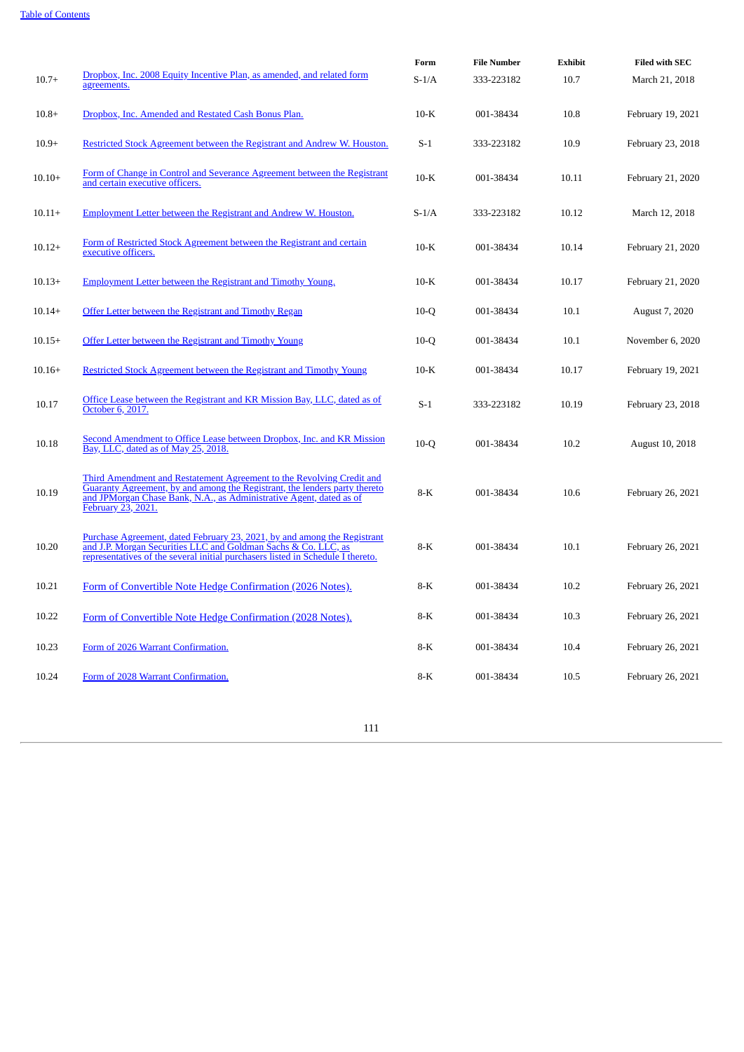# [Table of Contents](#page-1-0)

| $10.7+$  | Dropbox, Inc. 2008 Equity Incentive Plan, as amended, and related form<br>agreements.                                                                                                                                                            | Form<br>$S-1/A$ | <b>File Number</b><br>333-223182 | <b>Exhibit</b><br>10.7 | <b>Filed with SEC</b><br>March 21, 2018 |
|----------|--------------------------------------------------------------------------------------------------------------------------------------------------------------------------------------------------------------------------------------------------|-----------------|----------------------------------|------------------------|-----------------------------------------|
| $10.8+$  | Dropbox, Inc. Amended and Restated Cash Bonus Plan.                                                                                                                                                                                              | $10-K$          | 001-38434                        | 10.8                   | February 19, 2021                       |
| $10.9+$  | Restricted Stock Agreement between the Registrant and Andrew W. Houston.                                                                                                                                                                         | $S-1$           | 333-223182                       | 10.9                   | February 23, 2018                       |
| $10.10+$ | Form of Change in Control and Severance Agreement between the Registrant<br>and certain executive officers.                                                                                                                                      | $10-K$          | 001-38434                        | 10.11                  | February 21, 2020                       |
| $10.11+$ | Employment Letter between the Registrant and Andrew W. Houston.                                                                                                                                                                                  | $S-1/A$         | 333-223182                       | 10.12                  | March 12, 2018                          |
| $10.12+$ | Form of Restricted Stock Agreement between the Registrant and certain<br>executive officers.                                                                                                                                                     | $10-K$          | 001-38434                        | 10.14                  | February 21, 2020                       |
| $10.13+$ | <b>Employment Letter between the Registrant and Timothy Young.</b>                                                                                                                                                                               | $10-K$          | 001-38434                        | 10.17                  | February 21, 2020                       |
| $10.14+$ | Offer Letter between the Registrant and Timothy Regan                                                                                                                                                                                            | $10-Q$          | 001-38434                        | 10.1                   | August 7, 2020                          |
| $10.15+$ | Offer Letter between the Registrant and Timothy Young                                                                                                                                                                                            | $10-Q$          | 001-38434                        | 10.1                   | November 6, 2020                        |
| $10.16+$ | Restricted Stock Agreement between the Registrant and Timothy Young                                                                                                                                                                              | $10-K$          | 001-38434                        | 10.17                  | February 19, 2021                       |
| 10.17    | Office Lease between the Registrant and KR Mission Bay, LLC, dated as of<br>October 6, 2017.                                                                                                                                                     | $S-1$           | 333-223182                       | 10.19                  | February 23, 2018                       |
| 10.18    | Second Amendment to Office Lease between Dropbox, Inc. and KR Mission<br>Bay, LLC, dated as of May 25, 2018.                                                                                                                                     | $10-O$          | 001-38434                        | 10.2                   | August 10, 2018                         |
| 10.19    | Third Amendment and Restatement Agreement to the Revolving Credit and<br>Guaranty Agreement, by and among the Registrant, the lenders party thereto<br>and JPMorgan Chase Bank, N.A., as Administrative Agent, dated as of<br>February 23, 2021. | $8-K$           | 001-38434                        | 10.6                   | February 26, 2021                       |
| 10.20    | Purchase Agreement, dated February 23, 2021, by and among the Registrant and J.P. Morgan Securities LLC and Goldman Sachs & Co. LLC, as<br>representatives of the several initial purchasers listed in Schedule I thereto.                       | $8-K$           | 001-38434                        | 10.1                   | February 26, 2021                       |
| 10.21    | Form of Convertible Note Hedge Confirmation (2026 Notes).                                                                                                                                                                                        | $8-K$           | 001-38434                        | 10.2                   | February 26, 2021                       |
| 10.22    | Form of Convertible Note Hedge Confirmation (2028 Notes).                                                                                                                                                                                        | $8-K$           | 001-38434                        | 10.3                   | February 26, 2021                       |
| 10.23    | Form of 2026 Warrant Confirmation.                                                                                                                                                                                                               | $8-K$           | 001-38434                        | 10.4                   | February 26, 2021                       |
| 10.24    | Form of 2028 Warrant Confirmation.                                                                                                                                                                                                               | 8-K             | 001-38434                        | 10.5                   | February 26, 2021                       |

111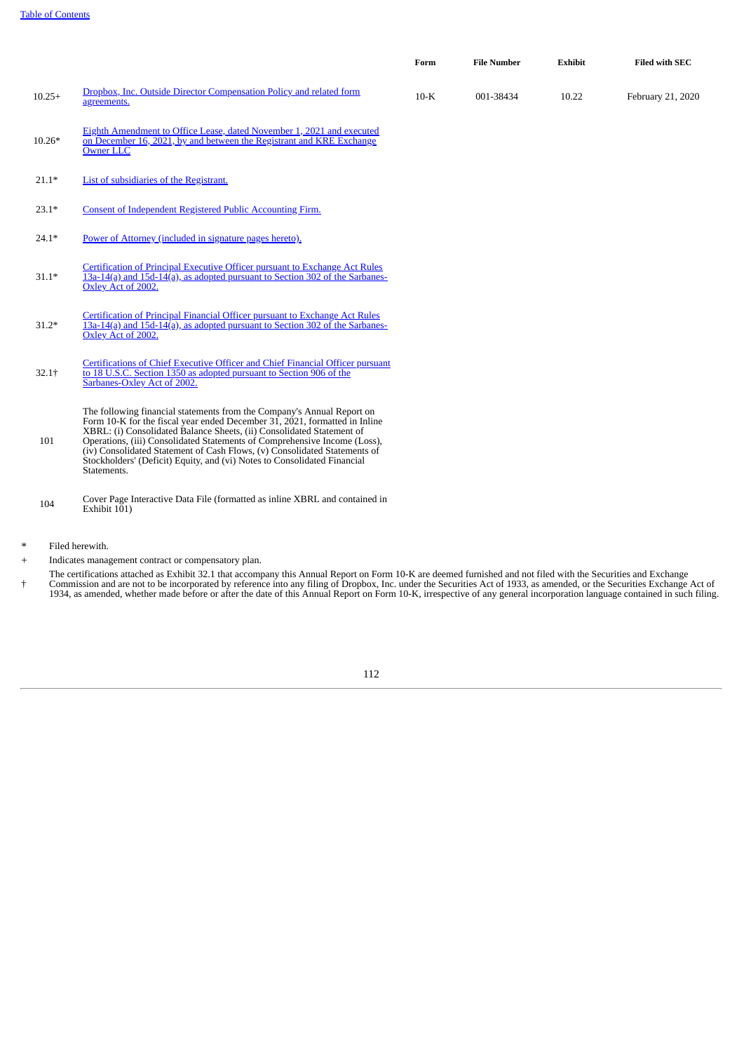|   |          |                                                                                                                                                                                                                                                                                                                                                                                                                                                                                    | Form   | <b>File Number</b> | Exhibit | <b>Filed with SEC</b> |
|---|----------|------------------------------------------------------------------------------------------------------------------------------------------------------------------------------------------------------------------------------------------------------------------------------------------------------------------------------------------------------------------------------------------------------------------------------------------------------------------------------------|--------|--------------------|---------|-----------------------|
|   | $10.25+$ | Dropbox, Inc. Outside Director Compensation Policy and related form<br>agreements.                                                                                                                                                                                                                                                                                                                                                                                                 | $10-K$ | 001-38434          | 10.22   | February 21, 2020     |
|   | $10.26*$ | Eighth Amendment to Office Lease, dated November 1, 2021 and executed<br>on December 16, 2021, by and between the Registrant and KRE Exchange<br><b>Owner LLC</b>                                                                                                                                                                                                                                                                                                                  |        |                    |         |                       |
|   | $21.1*$  | List of subsidiaries of the Registrant.                                                                                                                                                                                                                                                                                                                                                                                                                                            |        |                    |         |                       |
|   | $23.1*$  | Consent of Independent Registered Public Accounting Firm.                                                                                                                                                                                                                                                                                                                                                                                                                          |        |                    |         |                       |
|   | $24.1*$  | Power of Attorney (included in signature pages hereto).                                                                                                                                                                                                                                                                                                                                                                                                                            |        |                    |         |                       |
|   | $31.1*$  | <b>Certification of Principal Executive Officer pursuant to Exchange Act Rules</b><br>13a-14(a) and 15d-14 $\hat{a}$ ), as adopted pursuant to Section 302 of the Sarbanes-<br>Oxley Act of 2002.                                                                                                                                                                                                                                                                                  |        |                    |         |                       |
|   | $31.2*$  | Certification of Principal Financial Officer pursuant to Exchange Act Rules<br>13a-14(a) and 15d-14(a), as adopted pursuant to Section 302 of the Sarbanes-<br>Oxley Act of 2002.                                                                                                                                                                                                                                                                                                  |        |                    |         |                       |
|   | $32.1+$  | <b>Certifications of Chief Executive Officer and Chief Financial Officer pursuant</b><br>to 18 U.S.C. Section 1350 as adopted pursuant to Section 906 of the<br>Sarbanes-Oxley Act of 2002.                                                                                                                                                                                                                                                                                        |        |                    |         |                       |
|   | 101      | The following financial statements from the Company's Annual Report on<br>Form 10-K for the fiscal year ended December 31, 2021, formatted in Inline<br>XBRL: (i) Consolidated Balance Sheets, (ii) Consolidated Statement of<br>Operations, (iii) Consolidated Statements of Comprehensive Income (Loss),<br>(iv) Consolidated Statement of Cash Flows, (v) Consolidated Statements of<br>Stockholders' (Deficit) Equity, and (vi) Notes to Consolidated Financial<br>Statements. |        |                    |         |                       |
|   | 104      | Cover Page Interactive Data File (formatted as inline XBRL and contained in<br>Exhibit $101$ )                                                                                                                                                                                                                                                                                                                                                                                     |        |                    |         |                       |
| * |          | Filed herewith.                                                                                                                                                                                                                                                                                                                                                                                                                                                                    |        |                    |         |                       |

+ Indicates management contract or compensatory plan.

† The certifications attached as Exhibit 32.1 that accompany this Annual Report on Form 10-K are deemed furnished and not filed with the Securities and Exchange<br>Commission and are not to be incorporated by reference into any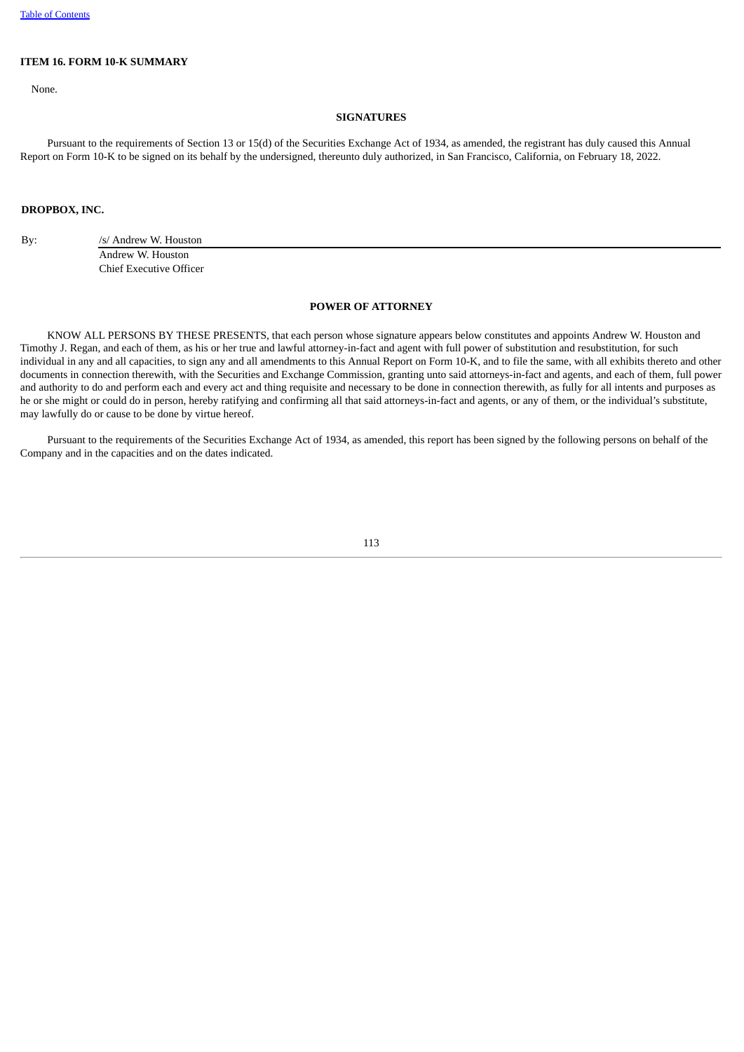#### **ITEM 16. FORM 10-K SUMMARY**

None.

#### **SIGNATURES**

<span id="page-113-0"></span>Pursuant to the requirements of Section 13 or 15(d) of the Securities Exchange Act of 1934, as amended, the registrant has duly caused this Annual Report on Form 10-K to be signed on its behalf by the undersigned, thereunto duly authorized, in San Francisco, California, on February 18, 2022.

#### **DROPBOX, INC.**

By: /s/ Andrew W. Houston Andrew W. Houston Chief Executive Officer

#### **POWER OF ATTORNEY**

KNOW ALL PERSONS BY THESE PRESENTS, that each person whose signature appears below constitutes and appoints Andrew W. Houston and Timothy J. Regan, and each of them, as his or her true and lawful attorney-in-fact and agent with full power of substitution and resubstitution, for such individual in any and all capacities, to sign any and all amendments to this Annual Report on Form 10-K, and to file the same, with all exhibits thereto and other documents in connection therewith, with the Securities and Exchange Commission, granting unto said attorneys-in-fact and agents, and each of them, full power and authority to do and perform each and every act and thing requisite and necessary to be done in connection therewith, as fully for all intents and purposes as he or she might or could do in person, hereby ratifying and confirming all that said attorneys-in-fact and agents, or any of them, or the individual's substitute, may lawfully do or cause to be done by virtue hereof.

Pursuant to the requirements of the Securities Exchange Act of 1934, as amended, this report has been signed by the following persons on behalf of the Company and in the capacities and on the dates indicated.

|  | ×<br>۰, |
|--|---------|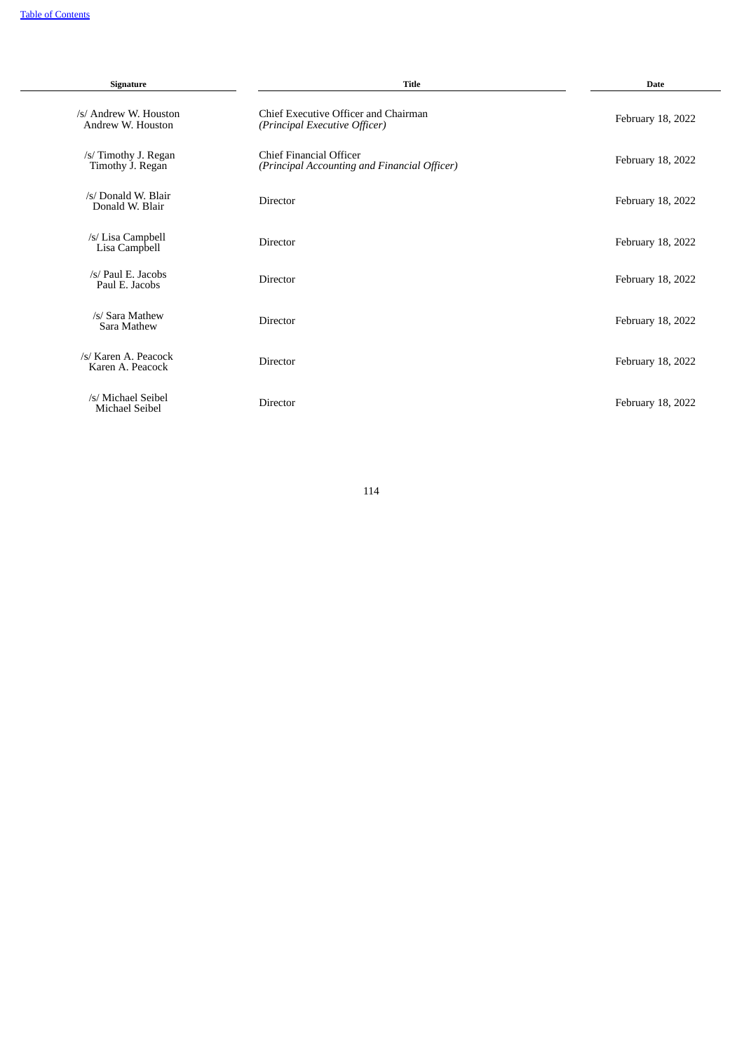| Signature                                  | <b>Title</b>                                                            | Date              |
|--------------------------------------------|-------------------------------------------------------------------------|-------------------|
| /s/ Andrew W. Houston<br>Andrew W. Houston | Chief Executive Officer and Chairman<br>(Principal Executive Officer)   | February 18, 2022 |
| /s/ Timothy J. Regan<br>Timothy J. Regan   | Chief Financial Officer<br>(Principal Accounting and Financial Officer) | February 18, 2022 |
| /s/ Donald W. Blair<br>Donald W. Blair     | Director                                                                | February 18, 2022 |
| /s/ Lisa Campbell<br>Lisa Campbell         | <b>Director</b>                                                         | February 18, 2022 |
| /s/ Paul E. Jacobs<br>Paul E. Jacobs       | Director                                                                | February 18, 2022 |
| /s/ Sara Mathew<br>Sara Mathew             | Director                                                                | February 18, 2022 |
| /s/ Karen A. Peacock<br>Karen A. Peacock   | Director                                                                | February 18, 2022 |
| /s/ Michael Seibel<br>Michael Seibel       | <b>Director</b>                                                         | February 18, 2022 |

114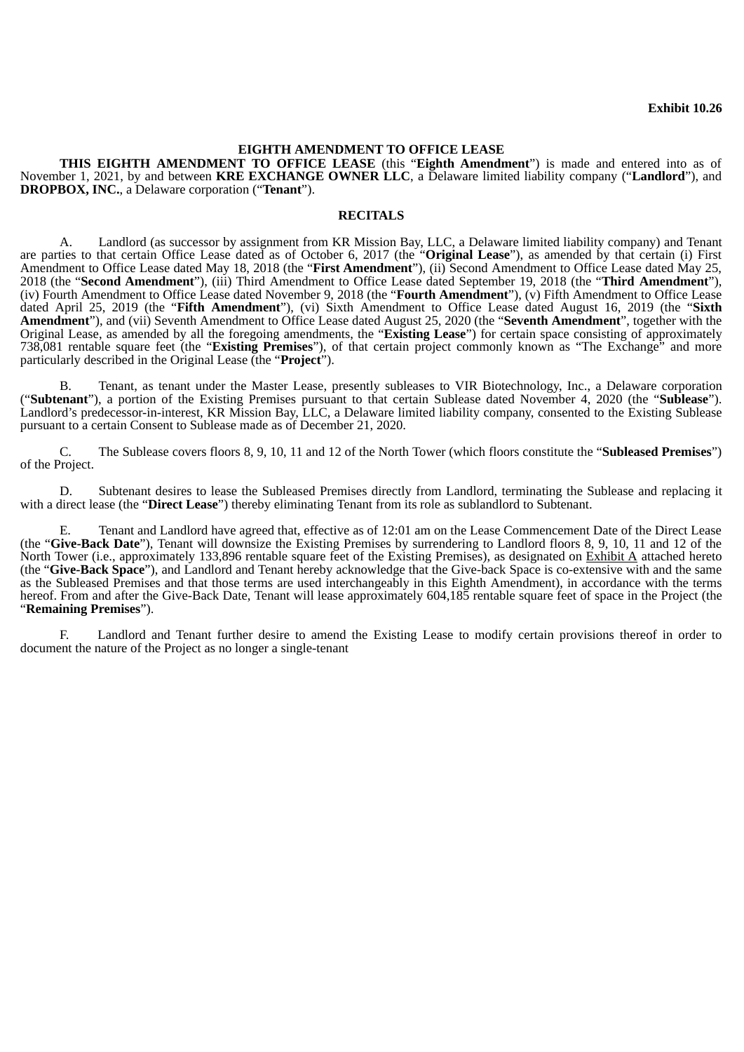#### **EIGHTH AMENDMENT TO OFFICE LEASE**

<span id="page-115-0"></span>**THIS EIGHTH AMENDMENT TO OFFICE LEASE** (this "**Eighth Amendment**") is made and entered into as of November 1, 2021, by and between **KRE EXCHANGE OWNER LLC**, a Delaware limited liability company ("**Landlord**"), and **DROPBOX, INC.**, a Delaware corporation ("**Tenant**").

## **RECITALS**

A. Landlord (as successor by assignment from KR Mission Bay, LLC, a Delaware limited liability company) and Tenant are parties to that certain Office Lease dated as of October 6, 2017 (the "**Original Lease**"), as amended by that certain (i) First Amendment to Office Lease dated May 18, 2018 (the "**First Amendment**"), (ii) Second Amendment to Office Lease dated May 25, 2018 (the "**Second Amendment**"), (iii) Third Amendment to Office Lease dated September 19, 2018 (the "**Third Amendment**"), (iv) Fourth Amendment to Office Lease dated November 9, 2018 (the "Fourth Amendment"), (v) Fifth Amendment to Office Lease dated April 25, 2019 (the "**Fifth Amendment**"), (vi) Sixth Amendment to Office Lease dated August 16, 2019 (the "**Sixth Amendment**"), and (vii) Seventh Amendment to Office Lease dated August 25, 2020 (the "**Seventh Amendment**", together with the Original Lease, as amended by all the foregoing amendments, the "**Existing Lease**") for certain space consisting of approximately 738,081 rentable square feet (the "**Existing Premises**"), of that certain project commonly known as "The Exchange" and more particularly described in the Original Lease (the "**Project**").

B. Tenant, as tenant under the Master Lease, presently subleases to VIR Biotechnology, Inc., a Delaware corporation ("**Subtenant**"), a portion of the Existing Premises pursuant to that certain Sublease dated November 4, 2020 (the "**Sublease**"). Landlord's predecessor-in-interest, KR Mission Bay, LLC, a Delaware limited liability company, consented to the Existing Sublease pursuant to a certain Consent to Sublease made as of December 21, 2020.

C. The Sublease covers floors 8, 9, 10, 11 and 12 of the North Tower (which floors constitute the "**Subleased Premises**") of the Project.

D. Subtenant desires to lease the Subleased Premises directly from Landlord, terminating the Sublease and replacing it with a direct lease (the "**Direct Lease**") thereby eliminating Tenant from its role as sublandlord to Subtenant.

E. Tenant and Landlord have agreed that, effective as of 12:01 am on the Lease Commencement Date of the Direct Lease (the "**Give-Back Date**"), Tenant will downsize the Existing Premises by surrendering to Landlord floors 8, 9, 10, 11 and 12 of the North Tower (i.e., approximately 133,896 rentable square feet of the Existing Premises), as designated on Exhibit A attached hereto (the "**Give-Back Space**"), and Landlord and Tenant hereby acknowledge that the Give-back Space is co-extensive with and the same as the Subleased Premises and that those terms are used interchangeably in this Eighth Amendment), in accordance with the terms hereof. From and after the Give-Back Date, Tenant will lease approximately 604,185 rentable square feet of space in the Project (the "**Remaining Premises**").

F. Landlord and Tenant further desire to amend the Existing Lease to modify certain provisions thereof in order to document the nature of the Project as no longer a single-tenant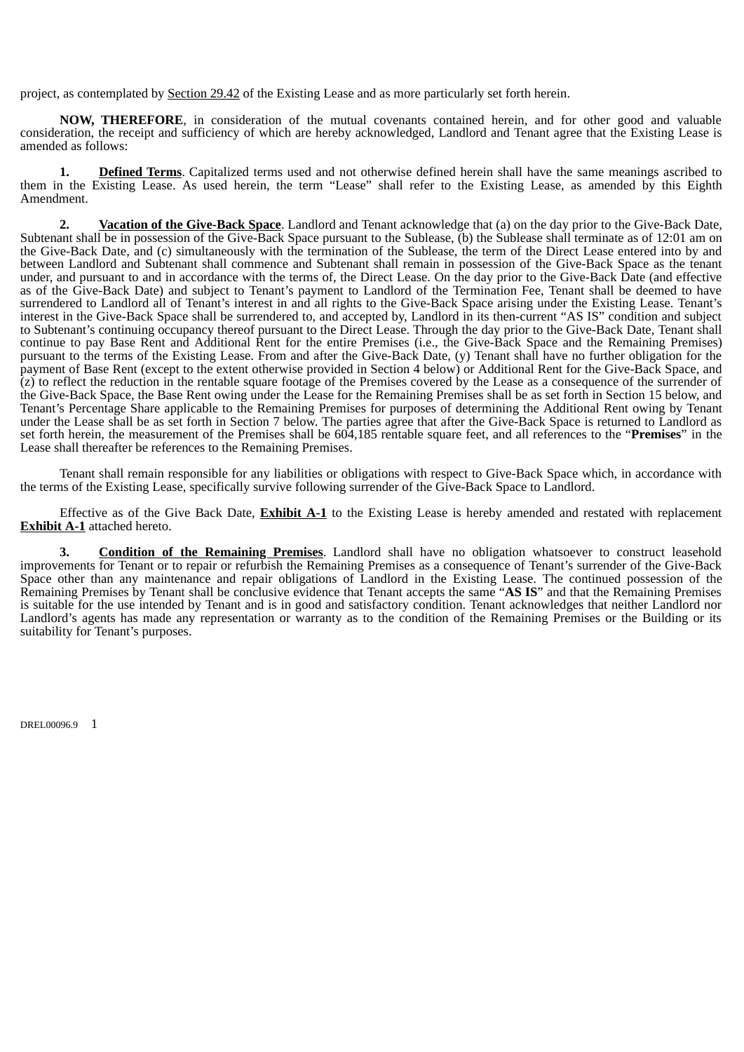project, as contemplated by Section 29.42 of the Existing Lease and as more particularly set forth herein.

**NOW, THEREFORE**, in consideration of the mutual covenants contained herein, and for other good and valuable consideration, the receipt and sufficiency of which are hereby acknowledged, Landlord and Tenant agree that the Existing Lease is amended as follows:

**1. Defined Terms**. Capitalized terms used and not otherwise defined herein shall have the same meanings ascribed to them in the Existing Lease. As used herein, the term "Lease" shall refer to the Existing Lease, as amended by this Eighth Amendment.

**2. Vacation of the Give-Back Space**. Landlord and Tenant acknowledge that (a) on the day prior to the Give-Back Date, Subtenant shall be in possession of the Give-Back Space pursuant to the Sublease, (b) the Sublease shall terminate as of 12:01 am on the Give-Back Date, and (c) simultaneously with the termination of the Sublease, the term of the Direct Lease entered into by and between Landlord and Subtenant shall commence and Subtenant shall remain in possession of the Give-Back Space as the tenant under, and pursuant to and in accordance with the terms of, the Direct Lease. On the day prior to the Give-Back Date (and effective as of the Give-Back Date) and subject to Tenant's payment to Landlord of the Termination Fee, Tenant shall be deemed to have surrendered to Landlord all of Tenant's interest in and all rights to the Give-Back Space arising under the Existing Lease. Tenant's interest in the Give-Back Space shall be surrendered to, and accepted by, Landlord in its then-current "AS IS" condition and subject to Subtenant's continuing occupancy thereof pursuant to the Direct Lease. Through the day prior to the Give-Back Date, Tenant shall continue to pay Base Rent and Additional Rent for the entire Premises (i.e., the Give-Back Space and the Remaining Premises) pursuant to the terms of the Existing Lease. From and after the Give-Back Date, (y) Tenant shall have no further obligation for the payment of Base Rent (except to the extent otherwise provided in Section 4 below) or Additional Rent for the Give-Back Space, and (z) to reflect the reduction in the rentable square footage of the Premises covered by the Lease as a consequence of the surrender of the Give-Back Space, the Base Rent owing under the Lease for the Remaining Premises shall be as set forth in Section 15 below, and Tenant's Percentage Share applicable to the Remaining Premises for purposes of determining the Additional Rent owing by Tenant under the Lease shall be as set forth in Section 7 below. The parties agree that after the Give-Back Space is returned to Landlord as set forth herein, the measurement of the Premises shall be 604,185 rentable square feet, and all references to the "**Premises**" in the Lease shall thereafter be references to the Remaining Premises.

Tenant shall remain responsible for any liabilities or obligations with respect to Give-Back Space which, in accordance with the terms of the Existing Lease, specifically survive following surrender of the Give-Back Space to Landlord.

Effective as of the Give Back Date, **Exhibit A-1** to the Existing Lease is hereby amended and restated with replacement **Exhibit A-1** attached hereto.

**3. Condition of the Remaining Premises**. Landlord shall have no obligation whatsoever to construct leasehold improvements for Tenant or to repair or refurbish the Remaining Premises as a consequence of Tenant's surrender of the Give-Back Space other than any maintenance and repair obligations of Landlord in the Existing Lease. The continued possession of the Remaining Premises by Tenant shall be conclusive evidence that Tenant accepts the same "**AS IS**" and that the Remaining Premises is suitable for the use intended by Tenant and is in good and satisfactory condition. Tenant acknowledges that neither Landlord nor Landlord's agents has made any representation or warranty as to the condition of the Remaining Premises or the Building or its suitability for Tenant's purposes.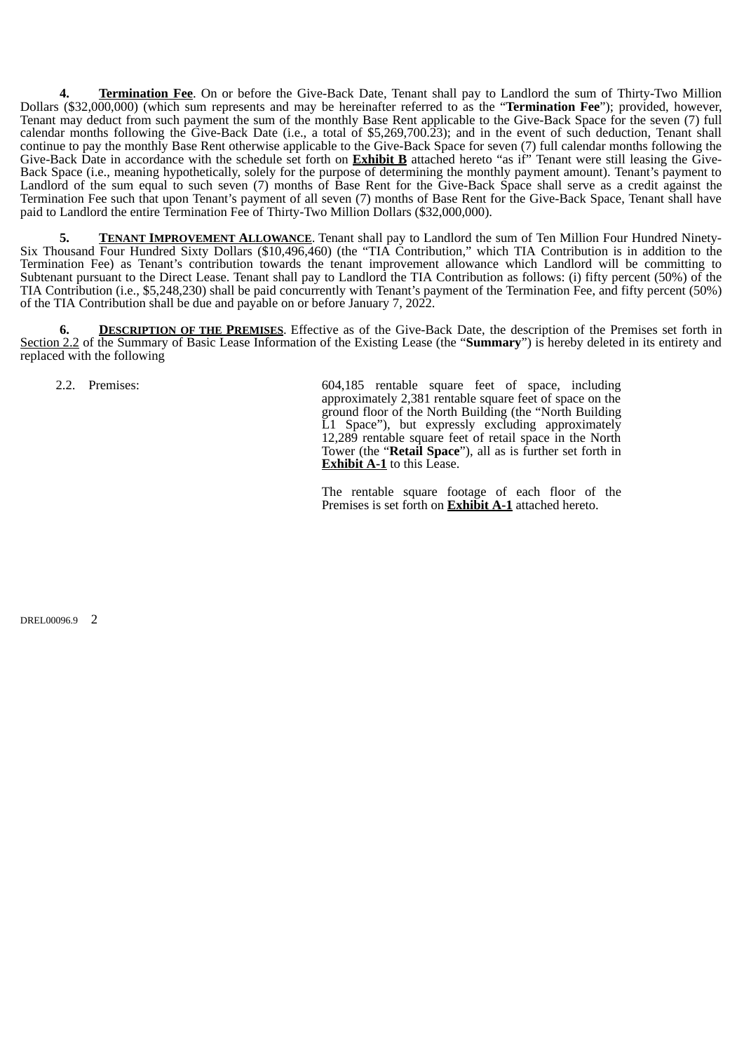**4. Termination Fee**. On or before the Give-Back Date, Tenant shall pay to Landlord the sum of Thirty-Two Million Dollars (\$32,000,000) (which sum represents and may be hereinafter referred to as the "**Termination Fee**"); provided, however, Tenant may deduct from such payment the sum of the monthly Base Rent applicable to the Give-Back Space for the seven (7) full calendar months following the Give-Back Date (i.e., a total of \$5,269,700.23); and in the event of such deduction, Tenant shall continue to pay the monthly Base Rent otherwise applicable to the Give-Back Space for seven (7) full calendar months following the Give-Back Date in accordance with the schedule set forth on **Exhibit B** attached hereto "as if" Tenant were still leasing the Give-Back Space (i.e., meaning hypothetically, solely for the purpose of determining the monthly payment amount). Tenant's payment to Landlord of the sum equal to such seven (7) months of Base Rent for the Give-Back Space shall serve as a credit against the Termination Fee such that upon Tenant's payment of all seven (7) months of Base Rent for the Give-Back Space, Tenant shall have paid to Landlord the entire Termination Fee of Thirty-Two Million Dollars (\$32,000,000).

**5. TENANT IMPROVEMENT ALLOWANCE**. Tenant shall pay to Landlord the sum of Ten Million Four Hundred Ninety-Six Thousand Four Hundred Sixty Dollars (\$10,496,460) (the "TIA Contribution," which TIA Contribution is in addition to the Termination Fee) as Tenant's contribution towards the tenant improvement allowance which Landlord will be committing to Subtenant pursuant to the Direct Lease. Tenant shall pay to Landlord the TIA Contribution as follows: (i) fifty percent (50%) of the TIA Contribution (i.e., \$5,248,230) shall be paid concurrently with Tenant's payment of the Termination Fee, and fifty percent (50%) of the TIA Contribution shall be due and payable on or before January 7, 2022.

**6. DESCRIPTION OF THE PREMISES**. Effective as of the Give-Back Date, the description of the Premises set forth in Section 2.2 of the Summary of Basic Lease Information of the Existing Lease (the "**Summary**") is hereby deleted in its entirety and replaced with the following

2.2. Premises: 604,185 rentable square feet of space, including approximately 2,381 rentable square feet of space on the ground floor of the North Building (the "North Building L1 Space"), but expressly excluding approximately 12,289 rentable square feet of retail space in the North Tower (the "**Retail Space**"), all as is further set forth in **Exhibit A-1** to this Lease.

> The rentable square footage of each floor of the Premises is set forth on **Exhibit A-1** attached hereto.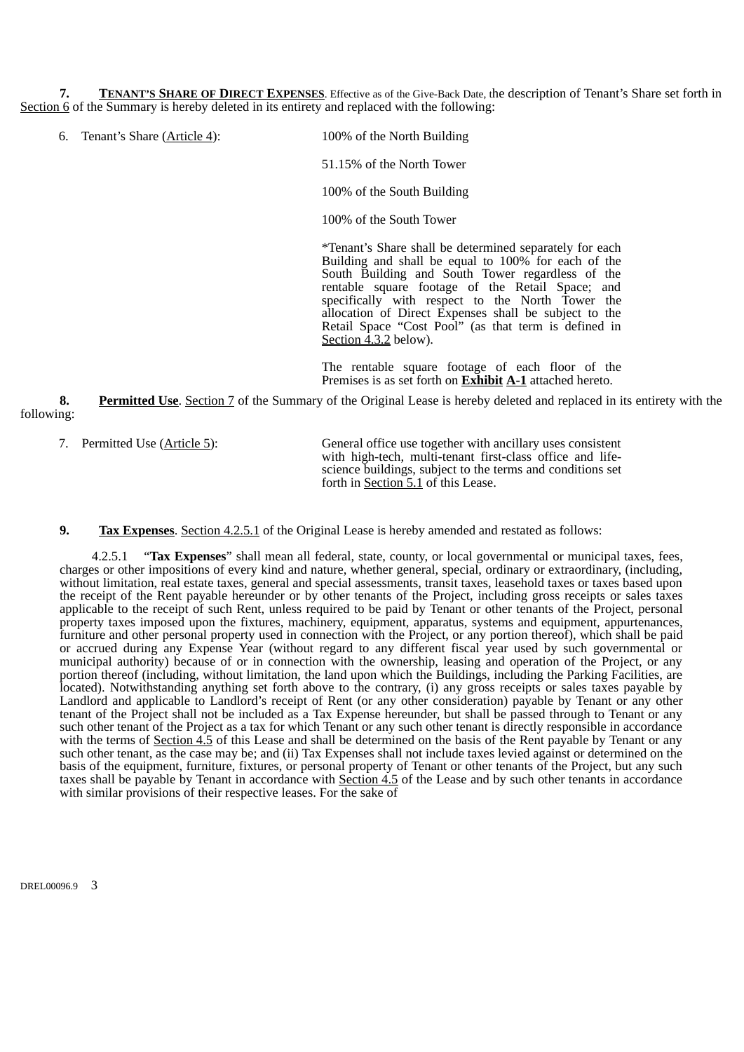**7. TENANT'S SHARE OF DIRECT EXPENSES**. Effective as of the Give-Back Date, the description of Tenant's Share set forth in Section 6 of the Summary is hereby deleted in its entirety and replaced with the following:

6. Tenant's Share (Article 4): 100% of the North Building

51.15% of the North Tower

100% of the South Building

100% of the South Tower

\*Tenant's Share shall be determined separately for each Building and shall be equal to 100% for each of the South Building and South Tower regardless of the rentable square footage of the Retail Space; and specifically with respect to the North Tower the allocation of Direct Expenses shall be subject to the Retail Space "Cost Pool" (as that term is defined in Section 4.3.2 below).

The rentable square footage of each floor of the Premises is as set forth on **Exhibit A-1** attached hereto.

**8. Permitted Use**. Section 7 of the Summary of the Original Lease is hereby deleted and replaced in its entirety with the following:

7. Permitted Use (Article 5): General office use together with ancillary uses consistent with high-tech, multi-tenant first-class office and lifescience buildings, subject to the terms and conditions set forth in **Section 5.1** of this Lease.

**9. Tax Expenses**. Section 4.2.5.1 of the Original Lease is hereby amended and restated as follows:

4.2.5.1 "**Tax Expenses**" shall mean all federal, state, county, or local governmental or municipal taxes, fees, charges or other impositions of every kind and nature, whether general, special, ordinary or extraordinary, (including, without limitation, real estate taxes, general and special assessments, transit taxes, leasehold taxes or taxes based upon the receipt of the Rent payable hereunder or by other tenants of the Project, including gross receipts or sales taxes applicable to the receipt of such Rent, unless required to be paid by Tenant or other tenants of the Project, personal property taxes imposed upon the fixtures, machinery, equipment, apparatus, systems and equipment, appurtenances, furniture and other personal property used in connection with the Project, or any portion thereof), which shall be paid or accrued during any Expense Year (without regard to any different fiscal year used by such governmental or municipal authority) because of or in connection with the ownership, leasing and operation of the Project, or any portion thereof (including, without limitation, the land upon which the Buildings, including the Parking Facilities, are located). Notwithstanding anything set forth above to the contrary, (i) any gross receipts or sales taxes payable by Landlord and applicable to Landlord's receipt of Rent (or any other consideration) payable by Tenant or any other tenant of the Project shall not be included as a Tax Expense hereunder, but shall be passed through to Tenant or any such other tenant of the Project as a tax for which Tenant or any such other tenant is directly responsible in accordance with the terms of Section 4.5 of this Lease and shall be determined on the basis of the Rent payable by Tenant or any such other tenant, as the case may be; and (ii) Tax Expenses shall not include taxes levied against or determined on the basis of the equipment, furniture, fixtures, or personal property of Tenant or other tenants of the Project, but any such taxes shall be payable by Tenant in accordance with  $Section 4.5$  of the Lease and by such other tenants in accordance with similar provisions of their respective leases. For the sake of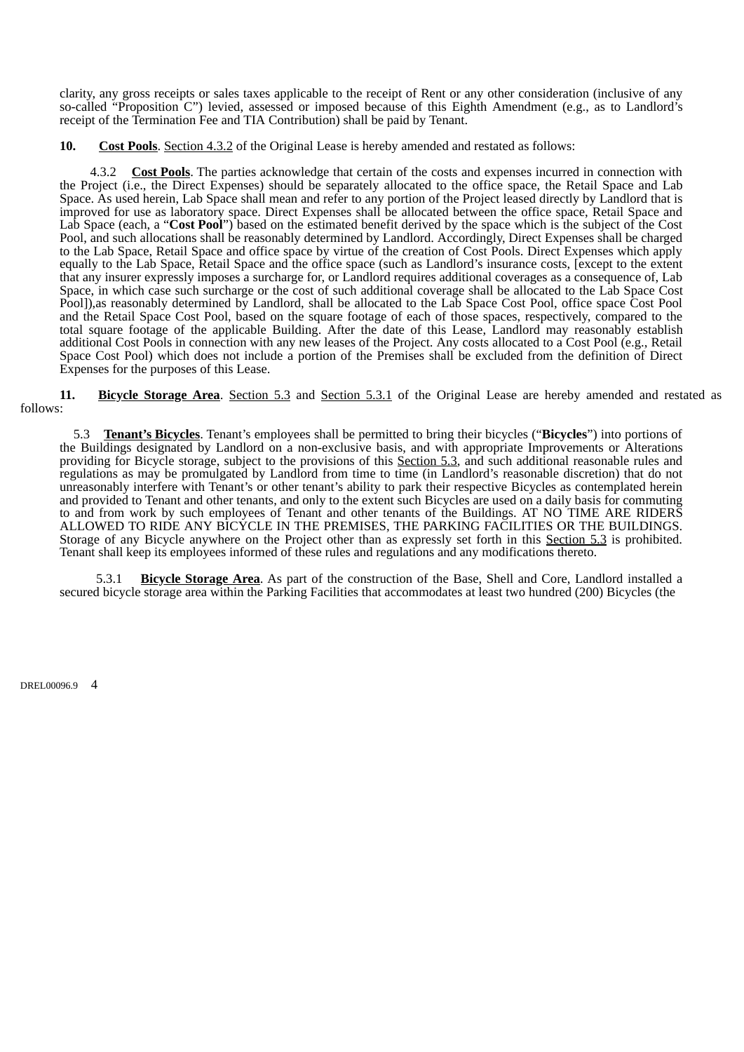clarity, any gross receipts or sales taxes applicable to the receipt of Rent or any other consideration (inclusive of any so-called "Proposition C") levied, assessed or imposed because of this Eighth Amendment (e.g., as to Landlord's receipt of the Termination Fee and TIA Contribution) shall be paid by Tenant.

**10. Cost Pools**. Section 4.3.2 of the Original Lease is hereby amended and restated as follows:

4.3.2 **Cost Pools**. The parties acknowledge that certain of the costs and expenses incurred in connection with the Project (i.e., the Direct Expenses) should be separately allocated to the office space, the Retail Space and Lab Space. As used herein, Lab Space shall mean and refer to any portion of the Project leased directly by Landlord that is improved for use as laboratory space. Direct Expenses shall be allocated between the office space, Retail Space and Lab Space (each, a "**Cost Pool**") based on the estimated benefit derived by the space which is the subject of the Cost Pool, and such allocations shall be reasonably determined by Landlord. Accordingly, Direct Expenses shall be charged to the Lab Space, Retail Space and office space by virtue of the creation of Cost Pools. Direct Expenses which apply equally to the Lab Space, Retail Space and the office space (such as Landlord's insurance costs, [except to the extent that any insurer expressly imposes a surcharge for, or Landlord requires additional coverages as a consequence of, Lab Space, in which case such surcharge or the cost of such additional coverage shall be allocated to the Lab Space Cost Pool]),as reasonably determined by Landlord, shall be allocated to the Lab Space Cost Pool, office space Cost Pool and the Retail Space Cost Pool, based on the square footage of each of those spaces, respectively, compared to the total square footage of the applicable Building. After the date of this Lease, Landlord may reasonably establish additional Cost Pools in connection with any new leases of the Project. Any costs allocated to a Cost Pool (e.g., Retail Space Cost Pool) which does not include a portion of the Premises shall be excluded from the definition of Direct Expenses for the purposes of this Lease.

**11. Bicycle Storage Area**. Section 5.3 and Section 5.3.1 of the Original Lease are hereby amended and restated as follows:

5.3 **Tenant's Bicycles**. Tenant's employees shall be permitted to bring their bicycles ("**Bicycles**") into portions of the Buildings designated by Landlord on a non-exclusive basis, and with appropriate Improvements or Alterations providing for Bicycle storage, subject to the provisions of this Section 5.3, and such additional reasonable rules and regulations as may be promulgated by Landlord from time to time (in Landlord's reasonable discretion) that do not unreasonably interfere with Tenant's or other tenant's ability to park their respective Bicycles as contemplated herein and provided to Tenant and other tenants, and only to the extent such Bicycles are used on a daily basis for commuting to and from work by such employees of Tenant and other tenants of the Buildings. AT NO TIME ARE RIDERS ALLOWED TO RIDE ANY BICYCLE IN THE PREMISES, THE PARKING FACILITIES OR THE BUILDINGS. Storage of any Bicycle anywhere on the Project other than as expressly set forth in this Section 5.3 is prohibited. Tenant shall keep its employees informed of these rules and regulations and any modifications thereto.

5.3.1 **Bicycle Storage Area**. As part of the construction of the Base, Shell and Core, Landlord installed a secured bicycle storage area within the Parking Facilities that accommodates at least two hundred (200) Bicycles (the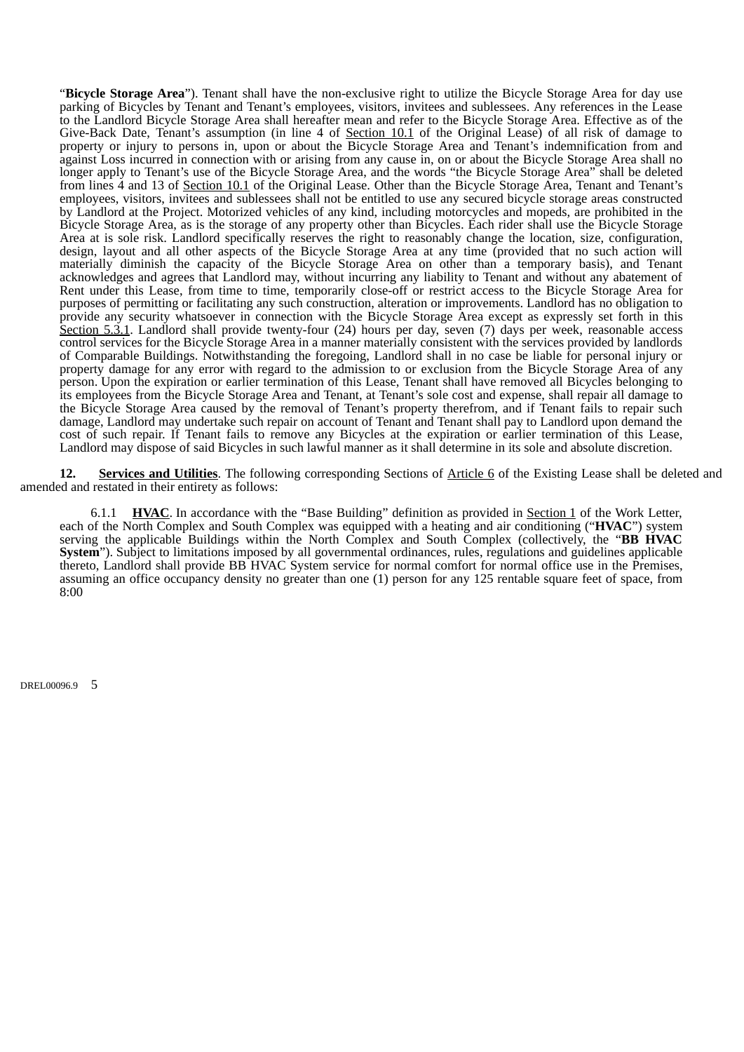"**Bicycle Storage Area**"). Tenant shall have the non-exclusive right to utilize the Bicycle Storage Area for day use parking of Bicycles by Tenant and Tenant's employees, visitors, invitees and sublessees. Any references in the Lease to the Landlord Bicycle Storage Area shall hereafter mean and refer to the Bicycle Storage Area. Effective as of the Give-Back Date, Tenant's assumption (in line 4 of Section 10.1 of the Original Lease) of all risk of damage to property or injury to persons in, upon or about the Bicycle Storage Area and Tenant's indemnification from and against Loss incurred in connection with or arising from any cause in, on or about the Bicycle Storage Area shall no longer apply to Tenant's use of the Bicycle Storage Area, and the words "the Bicycle Storage Area" shall be deleted from lines 4 and 13 of Section 10.1 of the Original Lease. Other than the Bicycle Storage Area, Tenant and Tenant's employees, visitors, invitees and sublessees shall not be entitled to use any secured bicycle storage areas constructed by Landlord at the Project. Motorized vehicles of any kind, including motorcycles and mopeds, are prohibited in the Bicycle Storage Area, as is the storage of any property other than Bicycles. Each rider shall use the Bicycle Storage Area at is sole risk. Landlord specifically reserves the right to reasonably change the location, size, configuration, design, layout and all other aspects of the Bicycle Storage Area at any time (provided that no such action will materially diminish the capacity of the Bicycle Storage Area on other than a temporary basis), and Tenant acknowledges and agrees that Landlord may, without incurring any liability to Tenant and without any abatement of Rent under this Lease, from time to time, temporarily close-off or restrict access to the Bicycle Storage Area for purposes of permitting or facilitating any such construction, alteration or improvements. Landlord has no obligation to provide any security whatsoever in connection with the Bicycle Storage Area except as expressly set forth in this Section 5.3.1. Landlord shall provide twenty-four (24) hours per day, seven (7) days per week, reasonable access control services for the Bicycle Storage Area in a manner materially consistent with the services provided by landlords of Comparable Buildings. Notwithstanding the foregoing, Landlord shall in no case be liable for personal injury or property damage for any error with regard to the admission to or exclusion from the Bicycle Storage Area of any person. Upon the expiration or earlier termination of this Lease, Tenant shall have removed all Bicycles belonging to its employees from the Bicycle Storage Area and Tenant, at Tenant's sole cost and expense, shall repair all damage to the Bicycle Storage Area caused by the removal of Tenant's property therefrom, and if Tenant fails to repair such damage, Landlord may undertake such repair on account of Tenant and Tenant shall pay to Landlord upon demand the cost of such repair. If Tenant fails to remove any Bicycles at the expiration or earlier termination of this Lease, Landlord may dispose of said Bicycles in such lawful manner as it shall determine in its sole and absolute discretion.

**12. Services and Utilities**. The following corresponding Sections of Article 6 of the Existing Lease shall be deleted and amended and restated in their entirety as follows:

6.1.1 **HVAC**. In accordance with the "Base Building" definition as provided in Section 1 of the Work Letter, each of the North Complex and South Complex was equipped with a heating and air conditioning ("**HVAC**") system serving the applicable Buildings within the North Complex and South Complex (collectively, the "**BB HVAC** System"). Subject to limitations imposed by all governmental ordinances, rules, regulations and guidelines applicable thereto, Landlord shall provide BB HVAC System service for normal comfort for normal office use in the Premises, assuming an office occupancy density no greater than one (1) person for any 125 rentable square feet of space, from 8:00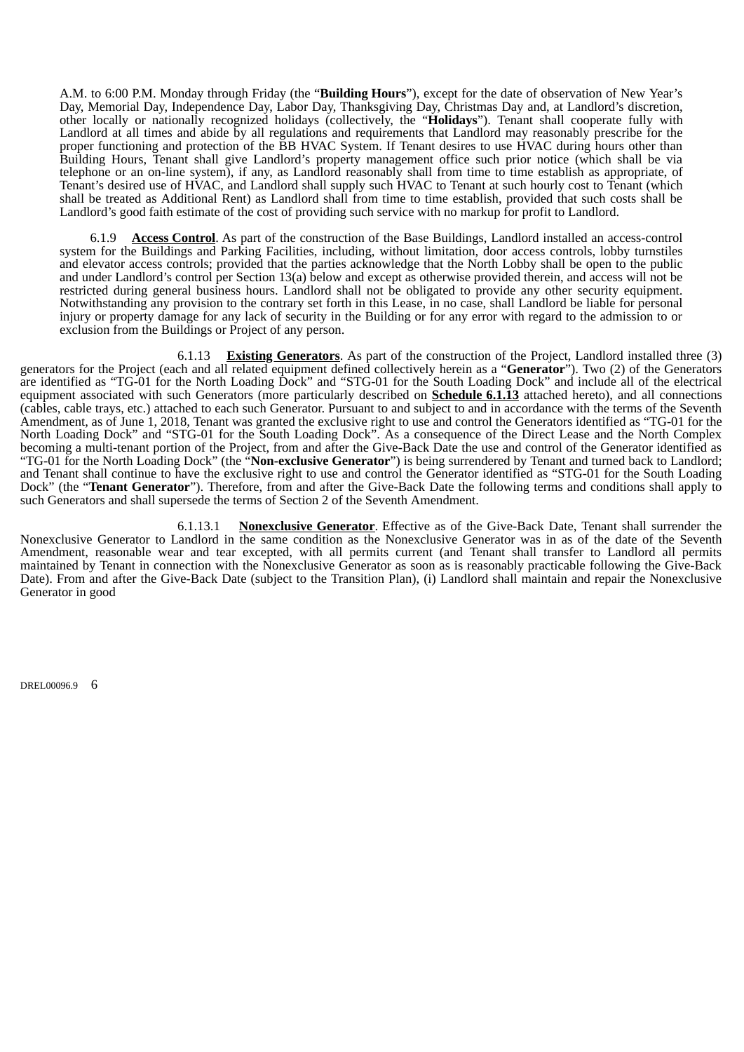A.M. to 6:00 P.M. Monday through Friday (the "**Building Hours**"), except for the date of observation of New Year's Day, Memorial Day, Independence Day, Labor Day, Thanksgiving Day, Christmas Day and, at Landlord's discretion, other locally or nationally recognized holidays (collectively, the "**Holidays**"). Tenant shall cooperate fully with Landlord at all times and abide by all regulations and requirements that Landlord may reasonably prescribe for the proper functioning and protection of the BB HVAC System. If Tenant desires to use HVAC during hours other than Building Hours, Tenant shall give Landlord's property management office such prior notice (which shall be via telephone or an on-line system), if any, as Landlord reasonably shall from time to time establish as appropriate, of Tenant's desired use of HVAC, and Landlord shall supply such HVAC to Tenant at such hourly cost to Tenant (which shall be treated as Additional Rent) as Landlord shall from time to time establish, provided that such costs shall be Landlord's good faith estimate of the cost of providing such service with no markup for profit to Landlord.

6.1.9 **Access Control**. As part of the construction of the Base Buildings, Landlord installed an access-control system for the Buildings and Parking Facilities, including, without limitation, door access controls, lobby turnstiles and elevator access controls; provided that the parties acknowledge that the North Lobby shall be open to the public and under Landlord's control per Section 13(a) below and except as otherwise provided therein, and access will not be restricted during general business hours. Landlord shall not be obligated to provide any other security equipment. Notwithstanding any provision to the contrary set forth in this Lease, in no case, shall Landlord be liable for personal injury or property damage for any lack of security in the Building or for any error with regard to the admission to or exclusion from the Buildings or Project of any person.

6.1.13 **Existing Generators**. As part of the construction of the Project, Landlord installed three (3) generators for the Project (each and all related equipment defined collectively herein as a "**Generator**"). Two (2) of the Generators are identified as "TG-01 for the North Loading Dock" and "STG-01 for the South Loading Dock" and include all of the electrical equipment associated with such Generators (more particularly described on **Schedule 6.1.13** attached hereto), and all connections (cables, cable trays, etc.) attached to each such Generator. Pursuant to and subject to and in accordance with the terms of the Seventh Amendment, as of June 1, 2018, Tenant was granted the exclusive right to use and control the Generators identified as "TG-01 for the North Loading Dock" and "STG-01 for the South Loading Dock". As a consequence of the Direct Lease and the North Complex becoming a multi-tenant portion of the Project, from and after the Give-Back Date the use and control of the Generator identified as "TG-01 for the North Loading Dock" (the "**Non-exclusive Generator**") is being surrendered by Tenant and turned back to Landlord; and Tenant shall continue to have the exclusive right to use and control the Generator identified as "STG-01 for the South Loading Dock" (the "**Tenant Generator**"). Therefore, from and after the Give-Back Date the following terms and conditions shall apply to such Generators and shall supersede the terms of Section 2 of the Seventh Amendment.

6.1.13.1 **Nonexclusive Generator**. Effective as of the Give-Back Date, Tenant shall surrender the Nonexclusive Generator to Landlord in the same condition as the Nonexclusive Generator was in as of the date of the Seventh Amendment, reasonable wear and tear excepted, with all permits current (and Tenant shall transfer to Landlord all permits maintained by Tenant in connection with the Nonexclusive Generator as soon as is reasonably practicable following the Give-Back Date). From and after the Give-Back Date (subject to the Transition Plan), (i) Landlord shall maintain and repair the Nonexclusive Generator in good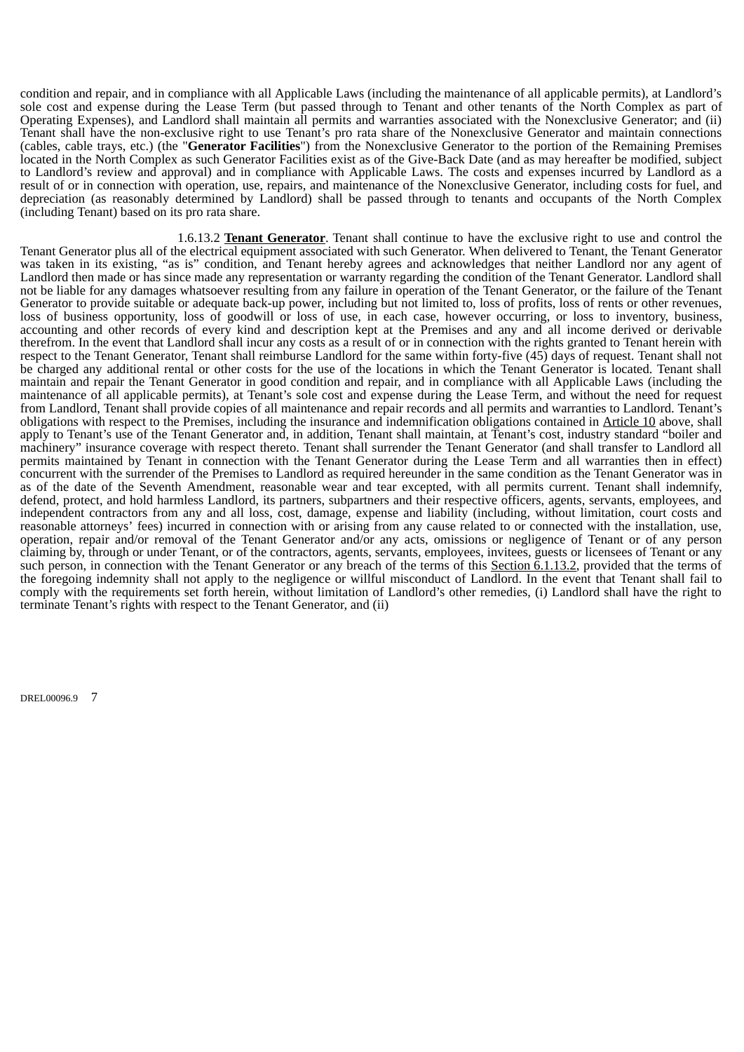condition and repair, and in compliance with all Applicable Laws (including the maintenance of all applicable permits), at Landlord's sole cost and expense during the Lease Term (but passed through to Tenant and other tenants of the North Complex as part of Operating Expenses), and Landlord shall maintain all permits and warranties associated with the Nonexclusive Generator; and (ii) Tenant shall have the non-exclusive right to use Tenant's pro rata share of the Nonexclusive Generator and maintain connections (cables, cable trays, etc.) (the "**Generator Facilities**") from the Nonexclusive Generator to the portion of the Remaining Premises located in the North Complex as such Generator Facilities exist as of the Give-Back Date (and as may hereafter be modified, subject to Landlord's review and approval) and in compliance with Applicable Laws. The costs and expenses incurred by Landlord as a result of or in connection with operation, use, repairs, and maintenance of the Nonexclusive Generator, including costs for fuel, and depreciation (as reasonably determined by Landlord) shall be passed through to tenants and occupants of the North Complex (including Tenant) based on its pro rata share.

1.6.13.2 **Tenant Generator**. Tenant shall continue to have the exclusive right to use and control the Tenant Generator plus all of the electrical equipment associated with such Generator. When delivered to Tenant, the Tenant Generator was taken in its existing, "as is" condition, and Tenant hereby agrees and acknowledges that neither Landlord nor any agent of Landlord then made or has since made any representation or warranty regarding the condition of the Tenant Generator. Landlord shall not be liable for any damages whatsoever resulting from any failure in operation of the Tenant Generator, or the failure of the Tenant Generator to provide suitable or adequate back-up power, including but not limited to, loss of profits, loss of rents or other revenues, loss of business opportunity, loss of goodwill or loss of use, in each case, however occurring, or loss to inventory, business, accounting and other records of every kind and description kept at the Premises and any and all income derived or derivable therefrom. In the event that Landlord shall incur any costs as a result of or in connection with the rights granted to Tenant herein with respect to the Tenant Generator, Tenant shall reimburse Landlord for the same within forty-five (45) days of request. Tenant shall not be charged any additional rental or other costs for the use of the locations in which the Tenant Generator is located. Tenant shall maintain and repair the Tenant Generator in good condition and repair, and in compliance with all Applicable Laws (including the maintenance of all applicable permits), at Tenant's sole cost and expense during the Lease Term, and without the need for request from Landlord, Tenant shall provide copies of all maintenance and repair records and all permits and warranties to Landlord. Tenant's obligations with respect to the Premises, including the insurance and indemnification obligations contained in Article 10 above, shall apply to Tenant's use of the Tenant Generator and, in addition, Tenant shall maintain, at Tenant's cost, industry standard "boiler and machinery" insurance coverage with respect thereto. Tenant shall surrender the Tenant Generator (and shall transfer to Landlord all permits maintained by Tenant in connection with the Tenant Generator during the Lease Term and all warranties then in effect) concurrent with the surrender of the Premises to Landlord as required hereunder in the same condition as the Tenant Generator was in as of the date of the Seventh Amendment, reasonable wear and tear excepted, with all permits current. Tenant shall indemnify, defend, protect, and hold harmless Landlord, its partners, subpartners and their respective officers, agents, servants, employees, and independent contractors from any and all loss, cost, damage, expense and liability (including, without limitation, court costs and reasonable attorneys' fees) incurred in connection with or arising from any cause related to or connected with the installation, use, operation, repair and/or removal of the Tenant Generator and/or any acts, omissions or negligence of Tenant or of any person claiming by, through or under Tenant, or of the contractors, agents, servants, employees, invitees, guests or licensees of Tenant or any such person, in connection with the Tenant Generator or any breach of the terms of this Section  $6.1.13.2$ , provided that the terms of the foregoing indemnity shall not apply to the negligence or willful misconduct of Landlord. In the event that Tenant shall fail to comply with the requirements set forth herein, without limitation of Landlord's other remedies, (i) Landlord shall have the right to terminate Tenant's rights with respect to the Tenant Generator, and (ii)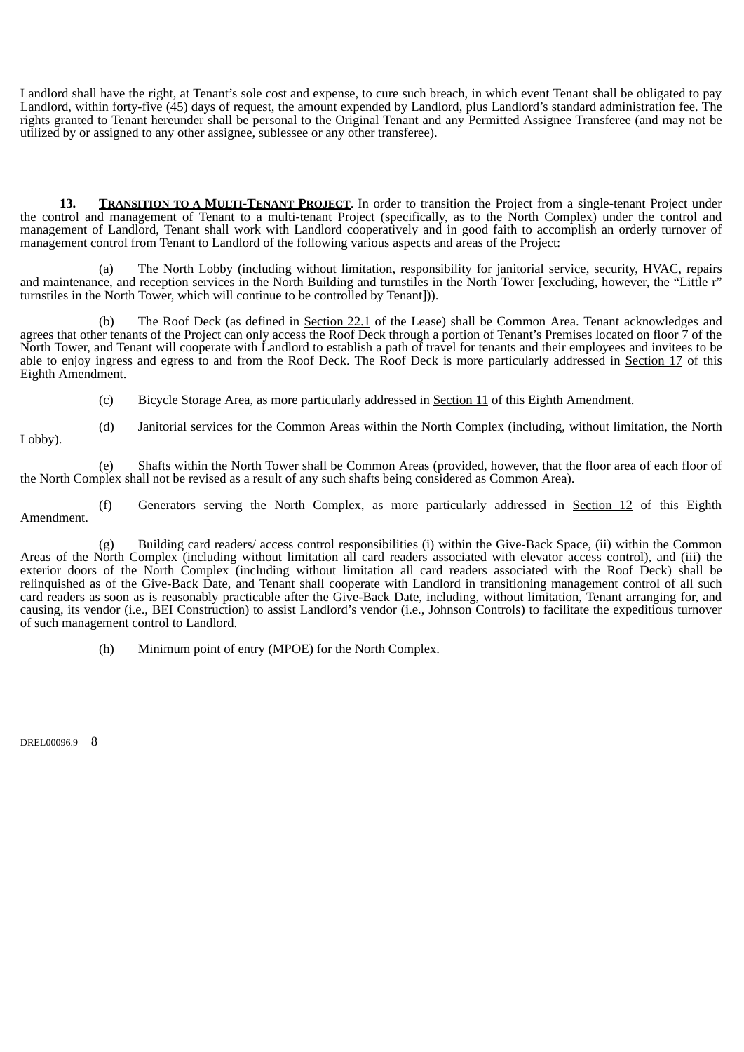Landlord shall have the right, at Tenant's sole cost and expense, to cure such breach, in which event Tenant shall be obligated to pay Landlord, within forty-five (45) days of request, the amount expended by Landlord, plus Landlord's standard administration fee. The rights granted to Tenant hereunder shall be personal to the Original Tenant and any Permitted Assignee Transferee (and may not be utilized by or assigned to any other assignee, sublessee or any other transferee).

**13. TRANSITION TO A MULTI-TENANT PROJECT**. In order to transition the Project from a single-tenant Project under the control and management of Tenant to a multi-tenant Project (specifically, as to the North Complex) under the control and management of Landlord, Tenant shall work with Landlord cooperatively and in good faith to accomplish an orderly turnover of management control from Tenant to Landlord of the following various aspects and areas of the Project:

(a) The North Lobby (including without limitation, responsibility for janitorial service, security, HVAC, repairs and maintenance, and reception services in the North Building and turnstiles in the North Tower [excluding, however, the "Little r" turnstiles in the North Tower, which will continue to be controlled by Tenant])).

(b) The Roof Deck (as defined in Section 22.1 of the Lease) shall be Common Area. Tenant acknowledges and agrees that other tenants of the Project can only access the Roof Deck through a portion of Tenant's Premises located on floor  $\frac{1}{7}$  of the North Tower, and Tenant will cooperate with Landlord to establish a path of travel for tenants and their employees and invitees to be able to enjoy ingress and egress to and from the Roof Deck. The Roof Deck is more particularly addressed in Section 17 of this Eighth Amendment.

(c) Bicycle Storage Area, as more particularly addressed in Section 11 of this Eighth Amendment.

Lobby).

(d) Janitorial services for the Common Areas within the North Complex (including, without limitation, the North

(e) Shafts within the North Tower shall be Common Areas (provided, however, that the floor area of each floor of the North Complex shall not be revised as a result of any such shafts being considered as Common Area).

(f) Generators serving the North Complex, as more particularly addressed in Section 12 of this Eighth Amendment.

(g) Building card readers/ access control responsibilities (i) within the Give-Back Space, (ii) within the Common Areas of the North Complex (including without limitation all card readers associated with elevator access control), and (iii) the exterior doors of the North Complex (including without limitation all card readers associated with the Roof Deck) shall be relinquished as of the Give-Back Date, and Tenant shall cooperate with Landlord in transitioning management control of all such card readers as soon as is reasonably practicable after the Give-Back Date, including, without limitation, Tenant arranging for, and causing, its vendor (i.e., BEI Construction) to assist Landlord's vendor (i.e., Johnson Controls) to facilitate the expeditious turnover of such management control to Landlord.

(h) Minimum point of entry (MPOE) for the North Complex.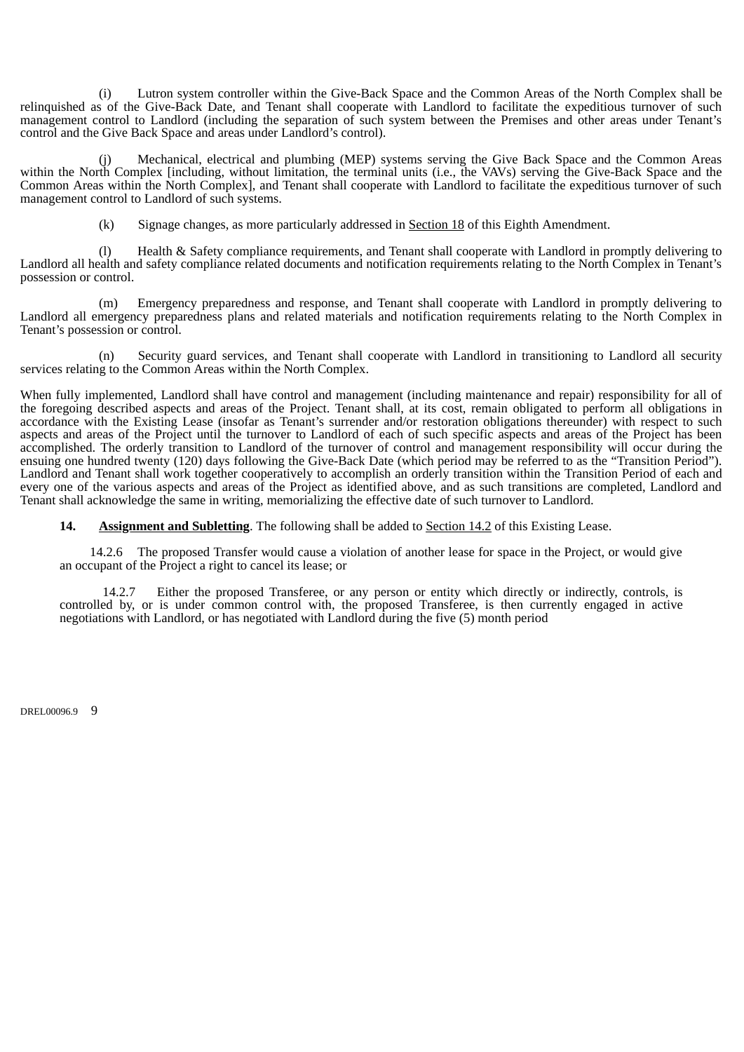(i) Lutron system controller within the Give-Back Space and the Common Areas of the North Complex shall be relinquished as of the Give-Back Date, and Tenant shall cooperate with Landlord to facilitate the expeditious turnover of such management control to Landlord (including the separation of such system between the Premises and other areas under Tenant's control and the Give Back Space and areas under Landlord's control).

Mechanical, electrical and plumbing (MEP) systems serving the Give Back Space and the Common Areas within the North Complex [including, without limitation, the terminal units (i.e., the VAVs) serving the Give-Back Space and the Common Areas within the North Complex], and Tenant shall cooperate with Landlord to facilitate the expeditious turnover of such management control to Landlord of such systems.

(k) Signage changes, as more particularly addressed in Section 18 of this Eighth Amendment.

Health & Safety compliance requirements, and Tenant shall cooperate with Landlord in promptly delivering to Landlord all health and safety compliance related documents and notification requirements relating to the North Complex in Tenant's possession or control.

(m) Emergency preparedness and response, and Tenant shall cooperate with Landlord in promptly delivering to Landlord all emergency preparedness plans and related materials and notification requirements relating to the North Complex in Tenant's possession or control.

(n) Security guard services, and Tenant shall cooperate with Landlord in transitioning to Landlord all security services relating to the Common Areas within the North Complex.

When fully implemented, Landlord shall have control and management (including maintenance and repair) responsibility for all of the foregoing described aspects and areas of the Project. Tenant shall, at its cost, remain obligated to perform all obligations in accordance with the Existing Lease (insofar as Tenant's surrender and/or restoration obligations thereunder) with respect to such aspects and areas of the Project until the turnover to Landlord of each of such specific aspects and areas of the Project has been accomplished. The orderly transition to Landlord of the turnover of control and management responsibility will occur during the ensuing one hundred twenty (120) days following the Give-Back Date (which period may be referred to as the "Transition Period"). Landlord and Tenant shall work together cooperatively to accomplish an orderly transition within the Transition Period of each and every one of the various aspects and areas of the Project as identified above, and as such transitions are completed, Landlord and Tenant shall acknowledge the same in writing, memorializing the effective date of such turnover to Landlord.

**14. Assignment and Subletting**. The following shall be added to Section 14.2 of this Existing Lease.

14.2.6 The proposed Transfer would cause a violation of another lease for space in the Project, or would give an occupant of the Project a right to cancel its lease; or

14.2.7 Either the proposed Transferee, or any person or entity which directly or indirectly, controls, is controlled by, or is under common control with, the proposed Transferee, is then currently engaged in active negotiations with Landlord, or has negotiated with Landlord during the five (5) month period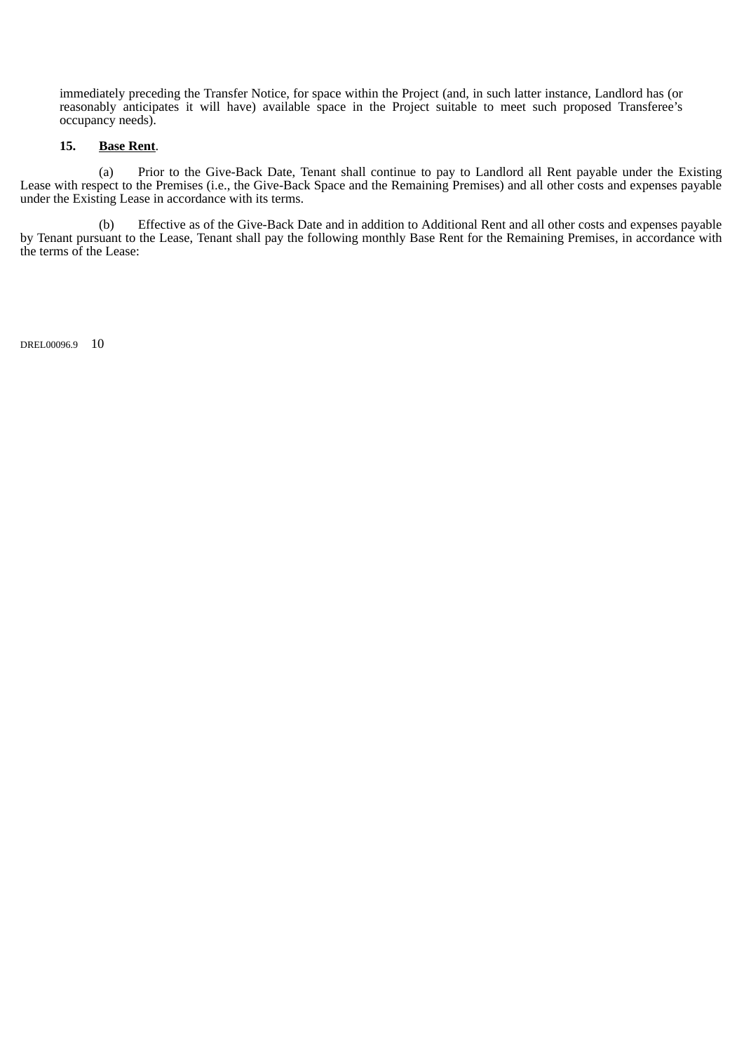immediately preceding the Transfer Notice, for space within the Project (and, in such latter instance, Landlord has (or reasonably anticipates it will have) available space in the Project suitable to meet such proposed Transferee's occupancy needs).

### **15. Base Rent**.

(a) Prior to the Give-Back Date, Tenant shall continue to pay to Landlord all Rent payable under the Existing Lease with respect to the Premises (i.e., the Give-Back Space and the Remaining Premises) and all other costs and expenses payable under the Existing Lease in accordance with its terms.

(b) Effective as of the Give-Back Date and in addition to Additional Rent and all other costs and expenses payable by Tenant pursuant to the Lease, Tenant shall pay the following monthly Base Rent for the Remaining Premises, in accordance with the terms of the Lease: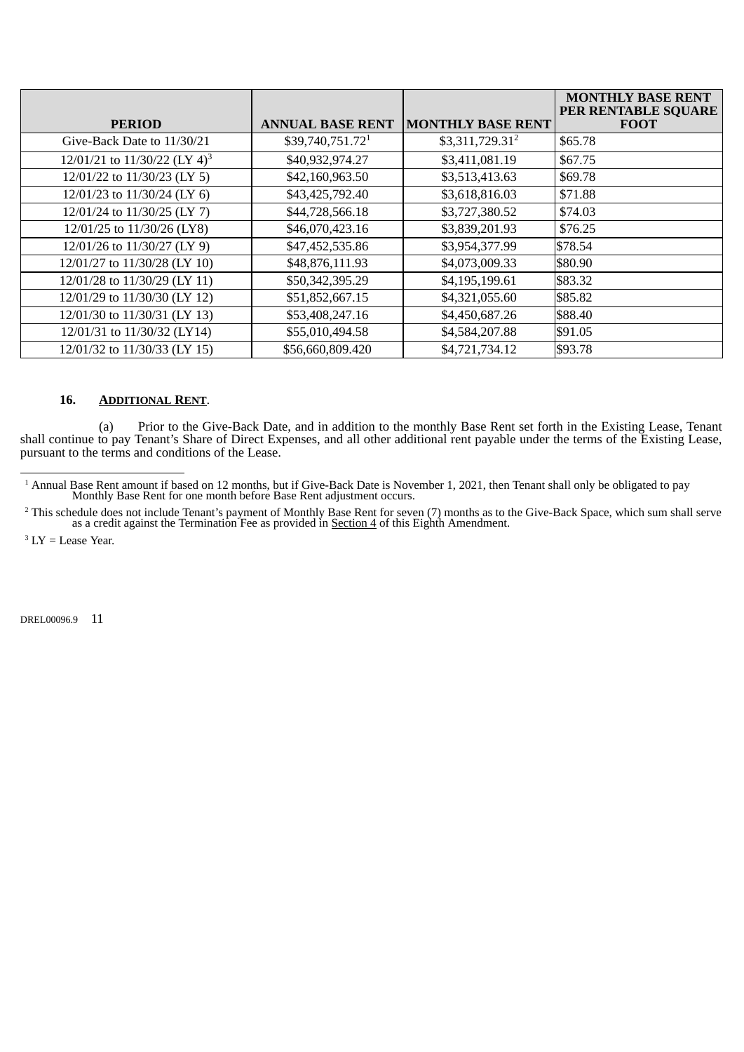| <b>PERIOD</b>                            | <b>ANNUAL BASE RENT</b> | <b>MONTHLY BASE RENT</b>    | <b>MONTHLY BASE RENT</b><br>PER RENTABLE SQUARE<br><b>FOOT</b> |
|------------------------------------------|-------------------------|-----------------------------|----------------------------------------------------------------|
| Give-Back Date to 11/30/21               | $$39,740,751.72^1$      | \$3,311,729.31 <sup>2</sup> | \$65.78                                                        |
| 12/01/21 to 11/30/22 (LY 4) <sup>3</sup> | \$40,932,974.27         | \$3,411,081.19              | \$67.75                                                        |
| 12/01/22 to 11/30/23 (LY 5)              | \$42,160,963.50         | \$3,513,413.63              | \$69.78                                                        |
| 12/01/23 to 11/30/24 (LY 6)              | \$43,425,792.40         | \$3,618,816.03              | \$71.88                                                        |
| 12/01/24 to 11/30/25 (LY 7)              | \$44,728,566.18         | \$3,727,380.52              | \$74.03                                                        |
| 12/01/25 to 11/30/26 (LY8)               | \$46,070,423.16         | \$3,839,201.93              | \$76.25                                                        |
| 12/01/26 to 11/30/27 (LY 9)              | \$47,452,535.86         | \$3,954,377.99              | \$78.54                                                        |
| 12/01/27 to 11/30/28 (LY 10)             | \$48,876,111.93         | \$4,073,009.33              | \$80.90                                                        |
| 12/01/28 to 11/30/29 (LY 11)             | \$50,342,395.29         | \$4,195,199.61              | \$83.32                                                        |
| 12/01/29 to 11/30/30 (LY 12)             | \$51,852,667.15         | \$4,321,055.60              | \$85.82                                                        |
| 12/01/30 to 11/30/31 (LY 13)             | \$53,408,247.16         | \$4,450,687.26              | \$88.40                                                        |
| 12/01/31 to 11/30/32 (LY14)              | \$55,010,494.58         | \$4,584,207.88              | \$91.05                                                        |
| 12/01/32 to 11/30/33 (LY 15)             | \$56,660,809.420        | \$4,721,734.12              | \$93.78                                                        |

# **16. ADDITIONAL RENT**.

(a) Prior to the Give-Back Date, and in addition to the monthly Base Rent set forth in the Existing Lease, Tenant shall continue to pay Tenant's Share of Direct Expenses, and all other additional rent payable under the terms of the Existing Lease, pursuant to the terms and conditions of the Lease.

 $3 LY =$  Lease Year.

Annual Base Rent amount if based on 12 months, but if Give-Back Date is November 1, 2021, then Tenant shall only be obligated to pay Monthly Base Rent for one month before Base Rent adjustment occurs. 1

This schedule does not include Tenant's payment of Monthly Base Rent for seven (7) months as to the Give-Back Space, which sum shall serve as a credit against the Termination Fee as provided in Section 4 of this Eighth Amendment. 2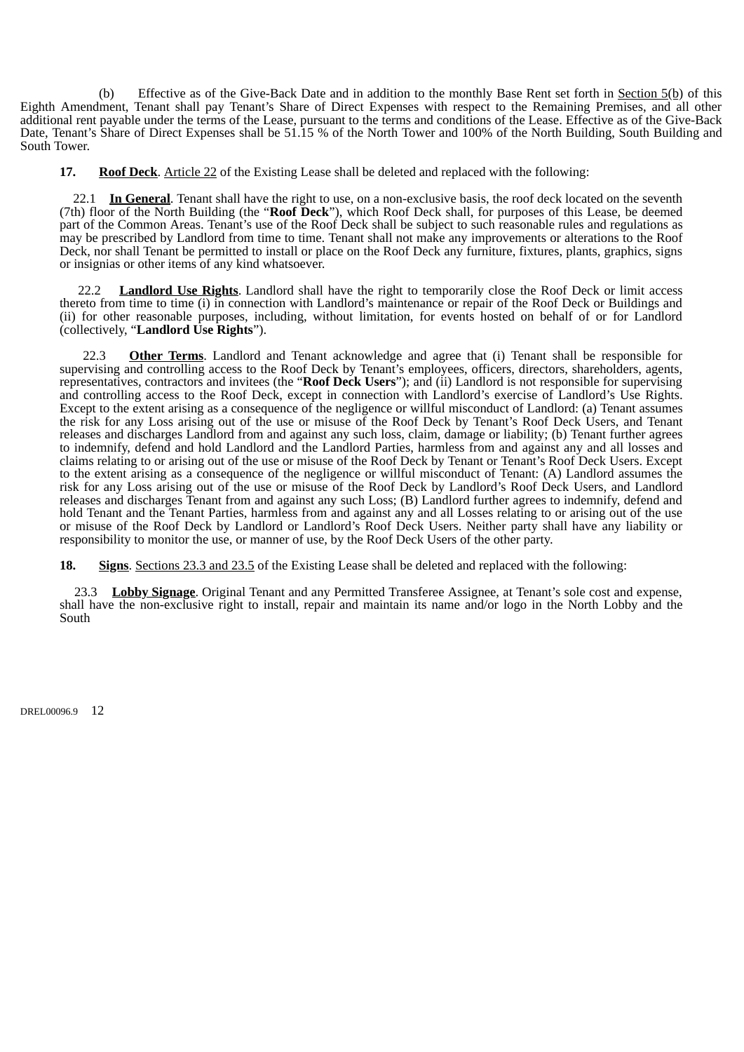(b) Effective as of the Give-Back Date and in addition to the monthly Base Rent set forth in Section 5(b) of this Eighth Amendment, Tenant shall pay Tenant's Share of Direct Expenses with respect to the Remaining Premises, and all other additional rent payable under the terms of the Lease, pursuant to the terms and conditions of the Lease. Effective as of the Give-Back Date, Tenant's Share of Direct Expenses shall be 51.15 % of the North Tower and 100% of the North Building, South Building and South Tower.

**17. Roof Deck**. Article 22 of the Existing Lease shall be deleted and replaced with the following:

22.1 **In General**. Tenant shall have the right to use, on a non-exclusive basis, the roof deck located on the seventh (7th) floor of the North Building (the "**Roof Deck**"), which Roof Deck shall, for purposes of this Lease, be deemed part of the Common Areas. Tenant's use of the Roof Deck shall be subject to such reasonable rules and regulations as may be prescribed by Landlord from time to time. Tenant shall not make any improvements or alterations to the Roof Deck, nor shall Tenant be permitted to install or place on the Roof Deck any furniture, fixtures, plants, graphics, signs or insignias or other items of any kind whatsoever.

22.2 **Landlord Use Rights**. Landlord shall have the right to temporarily close the Roof Deck or limit access thereto from time to time (i) in connection with Landlord's maintenance or repair of the Roof Deck or Buildings and (ii) for other reasonable purposes, including, without limitation, for events hosted on behalf of or for Landlord (collectively, "**Landlord Use Rights**").

22.3 **Other Terms**. Landlord and Tenant acknowledge and agree that (i) Tenant shall be responsible for supervising and controlling access to the Roof Deck by Tenant's employees, officers, directors, shareholders, agents, representatives, contractors and invitees (the "**Roof Deck Users**"); and (ii) Landlord is not responsible for supervising and controlling access to the Roof Deck, except in connection with Landlord's exercise of Landlord's Use Rights. Except to the extent arising as a consequence of the negligence or willful misconduct of Landlord: (a) Tenant assumes the risk for any Loss arising out of the use or misuse of the Roof Deck by Tenant's Roof Deck Users, and Tenant releases and discharges Landlord from and against any such loss, claim, damage or liability; (b) Tenant further agrees to indemnify, defend and hold Landlord and the Landlord Parties, harmless from and against any and all losses and claims relating to or arising out of the use or misuse of the Roof Deck by Tenant or Tenant's Roof Deck Users. Except to the extent arising as a consequence of the negligence or willful misconduct of Tenant: (A) Landlord assumes the risk for any Loss arising out of the use or misuse of the Roof Deck by Landlord's Roof Deck Users, and Landlord releases and discharges Tenant from and against any such Loss; (B) Landlord further agrees to indemnify, defend and hold Tenant and the Tenant Parties, harmless from and against any and all Losses relating to or arising out of the use or misuse of the Roof Deck by Landlord or Landlord's Roof Deck Users. Neither party shall have any liability or responsibility to monitor the use, or manner of use, by the Roof Deck Users of the other party.

**18. Signs**. Sections 23.3 and 23.5 of the Existing Lease shall be deleted and replaced with the following:

23.3 **Lobby Signage**. Original Tenant and any Permitted Transferee Assignee, at Tenant's sole cost and expense, shall have the non-exclusive right to install, repair and maintain its name and/or logo in the North Lobby and the South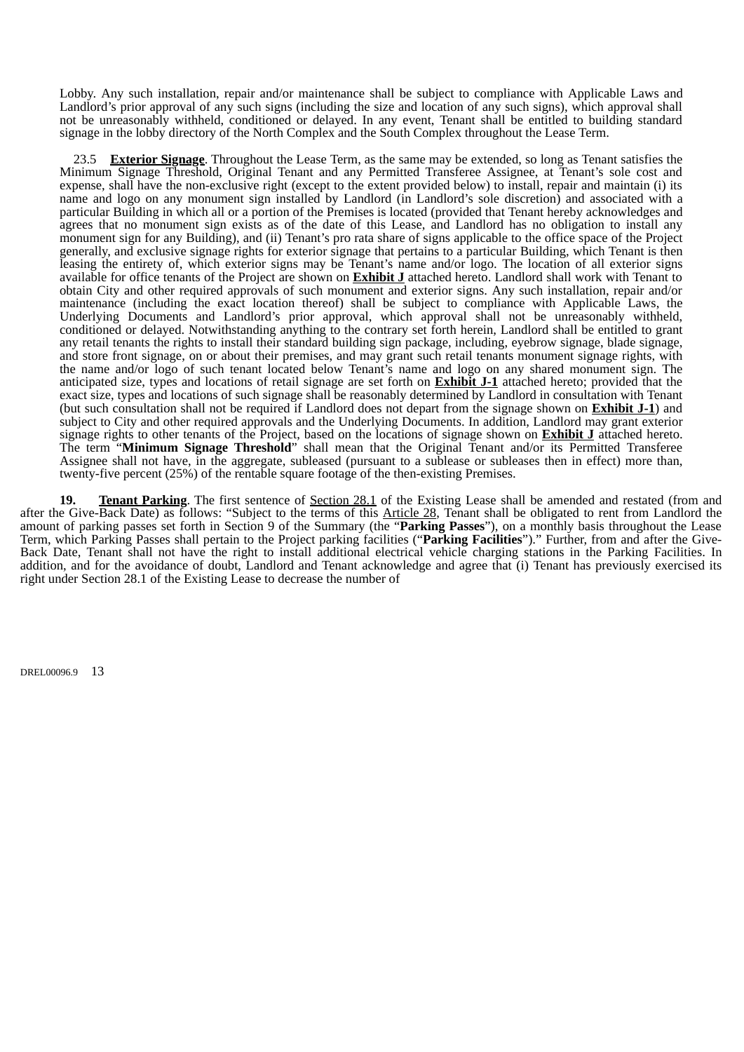Lobby. Any such installation, repair and/or maintenance shall be subject to compliance with Applicable Laws and Landlord's prior approval of any such signs (including the size and location of any such signs), which approval shall not be unreasonably withheld, conditioned or delayed. In any event, Tenant shall be entitled to building standard signage in the lobby directory of the North Complex and the South Complex throughout the Lease Term.

23.5 **Exterior Signage**. Throughout the Lease Term, as the same may be extended, so long as Tenant satisfies the Minimum Signage Threshold, Original Tenant and any Permitted Transferee Assignee, at Tenant's sole cost and expense, shall have the non-exclusive right (except to the extent provided below) to install, repair and maintain (i) its name and logo on any monument sign installed by Landlord (in Landlord's sole discretion) and associated with a particular Building in which all or a portion of the Premises is located (provided that Tenant hereby acknowledges and agrees that no monument sign exists as of the date of this Lease, and Landlord has no obligation to install any monument sign for any Building), and (ii) Tenant's pro rata share of signs applicable to the office space of the Project generally, and exclusive signage rights for exterior signage that pertains to a particular Building, which Tenant is then leasing the entirety of, which exterior signs may be Tenant's name and/or logo. The location of all exterior signs available for office tenants of the Project are shown on **Exhibit J** attached hereto. Landlord shall work with Tenant to obtain City and other required approvals of such monument and exterior signs. Any such installation, repair and/or maintenance (including the exact location thereof) shall be subject to compliance with Applicable Laws, the Underlying Documents and Landlord's prior approval, which approval shall not be unreasonably withheld, conditioned or delayed. Notwithstanding anything to the contrary set forth herein, Landlord shall be entitled to grant any retail tenants the rights to install their standard building sign package, including, eyebrow signage, blade signage, and store front signage, on or about their premises, and may grant such retail tenants monument signage rights, with the name and/or logo of such tenant located below Tenant's name and logo on any shared monument sign. The anticipated size, types and locations of retail signage are set forth on **Exhibit J-1** attached hereto; provided that the exact size, types and locations of such signage shall be reasonably determined by Landlord in consultation with Tenant (but such consultation shall not be required if Landlord does not depart from the signage shown on **Exhibit J-1**) and subject to City and other required approvals and the Underlying Documents. In addition, Landlord may grant exterior signage rights to other tenants of the Project, based on the locations of signage shown on **Exhibit J** attached hereto. The term "**Minimum Signage Threshold**" shall mean that the Original Tenant and/or its Permitted Transferee Assignee shall not have, in the aggregate, subleased (pursuant to a sublease or subleases then in effect) more than, twenty-five percent (25%) of the rentable square footage of the then-existing Premises.

**19. Tenant Parking**. The first sentence of Section 28.1 of the Existing Lease shall be amended and restated (from and after the Give-Back Date) as follows: "Subject to the terms of this Article 28, Tenant shall be obligated to rent from Landlord the amount of parking passes set forth in Section 9 of the Summary (the "**Parking Passes**"), on a monthly basis throughout the Lease Term, which Parking Passes shall pertain to the Project parking facilities ("**Parking Facilities**")." Further, from and after the Give-Back Date, Tenant shall not have the right to install additional electrical vehicle charging stations in the Parking Facilities. In addition, and for the avoidance of doubt, Landlord and Tenant acknowledge and agree that (i) Tenant has previously exercised its right under Section 28.1 of the Existing Lease to decrease the number of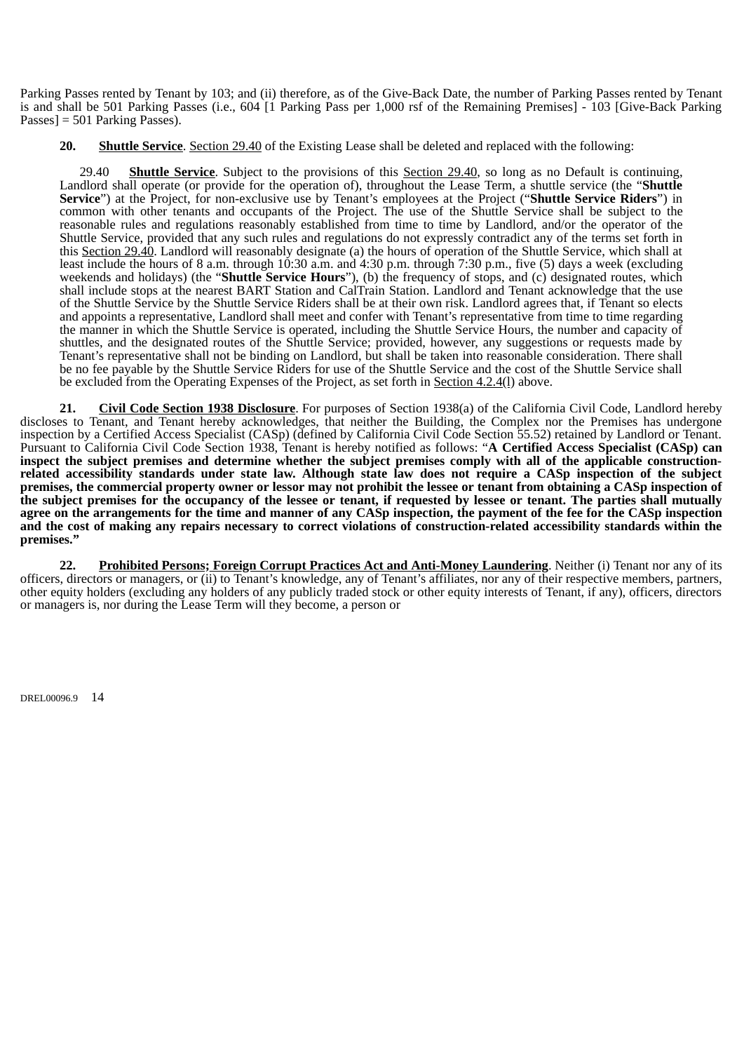Parking Passes rented by Tenant by 103; and (ii) therefore, as of the Give-Back Date, the number of Parking Passes rented by Tenant is and shall be 501 Parking Passes (i.e., 604 [1 Parking Pass per 1,000 rsf of the Remaining Premises] - 103 [Give-Back Parking Passes] = 501 Parking Passes).

**20. Shuttle Service**. Section 29.40 of the Existing Lease shall be deleted and replaced with the following:

29.40 **Shuttle Service**. Subject to the provisions of this Section 29.40, so long as no Default is continuing, Landlord shall operate (or provide for the operation of), throughout the Lease Term, a shuttle service (the "**Shuttle Service**") at the Project, for non-exclusive use by Tenant's employees at the Project ("**Shuttle Service Riders**") in common with other tenants and occupants of the Project. The use of the Shuttle Service shall be subject to the reasonable rules and regulations reasonably established from time to time by Landlord, and/or the operator of the Shuttle Service, provided that any such rules and regulations do not expressly contradict any of the terms set forth in this Section 29.40. Landlord will reasonably designate (a) the hours of operation of the Shuttle Service, which shall at least include the hours of 8 a.m. through 10:30 a.m. and 4:30 p.m. through 7:30 p.m., five (5) days a week (excluding weekends and holidays) (the "**Shuttle Service Hours**"), (b) the frequency of stops, and (c) designated routes, which shall include stops at the nearest BART Station and CalTrain Station. Landlord and Tenant acknowledge that the use of the Shuttle Service by the Shuttle Service Riders shall be at their own risk. Landlord agrees that, if Tenant so elects and appoints a representative, Landlord shall meet and confer with Tenant's representative from time to time regarding the manner in which the Shuttle Service is operated, including the Shuttle Service Hours, the number and capacity of shuttles, and the designated routes of the Shuttle Service; provided, however, any suggestions or requests made by Tenant's representative shall not be binding on Landlord, but shall be taken into reasonable consideration. There shall be no fee payable by the Shuttle Service Riders for use of the Shuttle Service and the cost of the Shuttle Service shall be excluded from the Operating Expenses of the Project, as set forth in **Section 4.2.4(1)** above.

**21. Civil Code Section 1938 Disclosure**. For purposes of Section 1938(a) of the California Civil Code, Landlord hereby discloses to Tenant, and Tenant hereby acknowledges, that neither the Building, the Complex nor the Premises has undergone inspection by a Certified Access Specialist (CASp) (defined by California Civil Code Section 55.52) retained by Landlord or Tenant. Pursuant to California Civil Code Section 1938, Tenant is hereby notified as follows: "**A Certified Access Specialist (CASp) can inspect the subject premises and determine whether the subject premises comply with all of the applicable constructionrelated accessibility standards under state law. Although state law does not require a CASp inspection of the subject premises, the commercial property owner or lessor may not prohibit the lessee or tenant from obtaining a CASp inspection of the subject premises for the occupancy of the lessee or tenant, if requested by lessee or tenant. The parties shall mutually agree on the arrangements for the time and manner of any CASp inspection, the payment of the fee for the CASp inspection and the cost of making any repairs necessary to correct violations of construction-related accessibility standards within the premises."**

**22. Prohibited Persons; Foreign Corrupt Practices Act and Anti-Money Laundering**. Neither (i) Tenant nor any of its officers, directors or managers, or (ii) to Tenant's knowledge, any of Tenant's affiliates, nor any of their respective members, partners, other equity holders (excluding any holders of any publicly traded stock or other equity interests of Tenant, if any), officers, directors or managers is, nor during the Lease Term will they become, a person or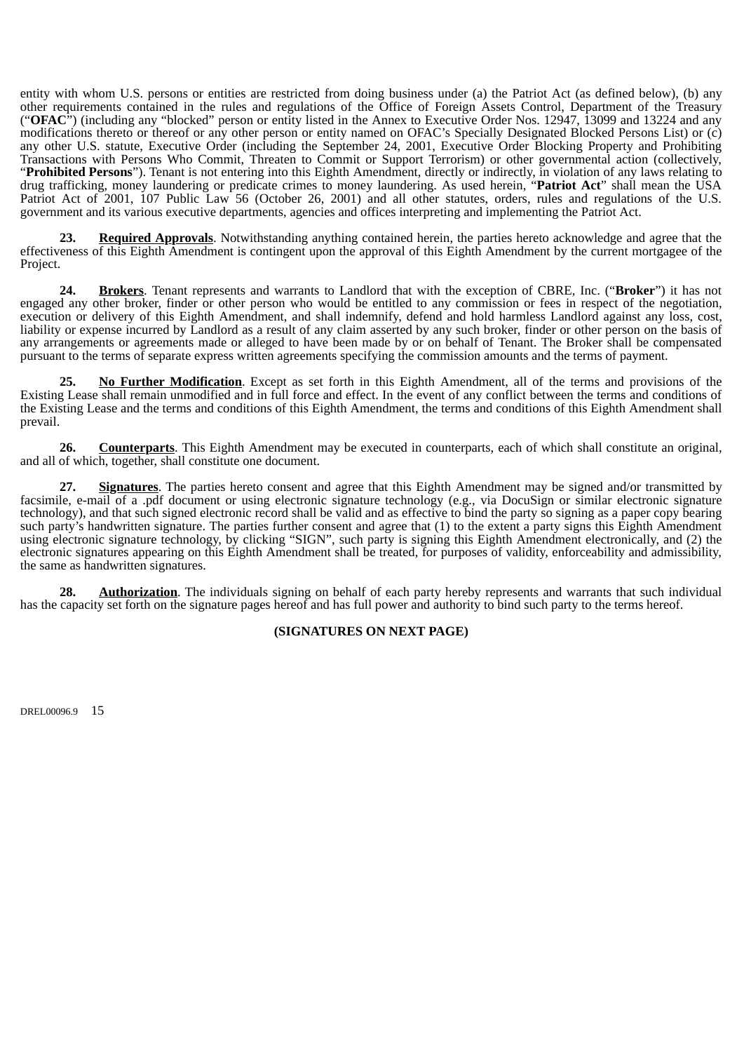entity with whom U.S. persons or entities are restricted from doing business under (a) the Patriot Act (as defined below), (b) any other requirements contained in the rules and regulations of the Office of Foreign Assets Control, Department of the Treasury ("**OFAC**") (including any "blocked" person or entity listed in the Annex to Executive Order Nos. 12947, 13099 and 13224 and any modifications thereto or thereof or any other person or entity named on OFAC's Specially Designated Blocked Persons List) or (c) any other U.S. statute, Executive Order (including the September 24, 2001, Executive Order Blocking Property and Prohibiting Transactions with Persons Who Commit, Threaten to Commit or Support Terrorism) or other governmental action (collectively, "**Prohibited Persons**"). Tenant is not entering into this Eighth Amendment, directly or indirectly, in violation of any laws relating to drug trafficking, money laundering or predicate crimes to money laundering. As used herein, "**Patriot Act**" shall mean the USA Patriot Act of 2001, 107 Public Law 56 (October 26, 2001) and all other statutes, orders, rules and regulations of the U.S. government and its various executive departments, agencies and offices interpreting and implementing the Patriot Act.

**23. Required Approvals**. Notwithstanding anything contained herein, the parties hereto acknowledge and agree that the effectiveness of this Eighth Amendment is contingent upon the approval of this Eighth Amendment by the current mortgagee of the Project.

**24. Brokers**. Tenant represents and warrants to Landlord that with the exception of CBRE, Inc. ("**Broker**") it has not engaged any other broker, finder or other person who would be entitled to any commission or fees in respect of the negotiation, execution or delivery of this Eighth Amendment, and shall indemnify, defend and hold harmless Landlord against any loss, cost, liability or expense incurred by Landlord as a result of any claim asserted by any such broker, finder or other person on the basis of any arrangements or agreements made or alleged to have been made by or on behalf of Tenant. The Broker shall be compensated pursuant to the terms of separate express written agreements specifying the commission amounts and the terms of payment.

**25. No Further Modification**. Except as set forth in this Eighth Amendment, all of the terms and provisions of the Existing Lease shall remain unmodified and in full force and effect. In the event of any conflict between the terms and conditions of the Existing Lease and the terms and conditions of this Eighth Amendment, the terms and conditions of this Eighth Amendment shall prevail.

**26. Counterparts**. This Eighth Amendment may be executed in counterparts, each of which shall constitute an original, and all of which, together, shall constitute one document.

**27. Signatures**. The parties hereto consent and agree that this Eighth Amendment may be signed and/or transmitted by facsimile, e-mail of a .pdf document or using electronic signature technology (e.g., via DocuSign or similar electronic signature technology), and that such signed electronic record shall be valid and as effective to bind the party so signing as a paper copy bearing such party's handwritten signature. The parties further consent and agree that (1) to the extent a party signs this Eighth Amendment using electronic signature technology, by clicking "SIGN", such party is signing this Eighth Amendment electronically, and (2) the electronic signatures appearing on this Eighth Amendment shall be treated, for purposes of validity, enforceability and admissibility, the same as handwritten signatures.

**28. Authorization**. The individuals signing on behalf of each party hereby represents and warrants that such individual has the capacity set forth on the signature pages hereof and has full power and authority to bind such party to the terms hereof.

# **(SIGNATURES ON NEXT PAGE)**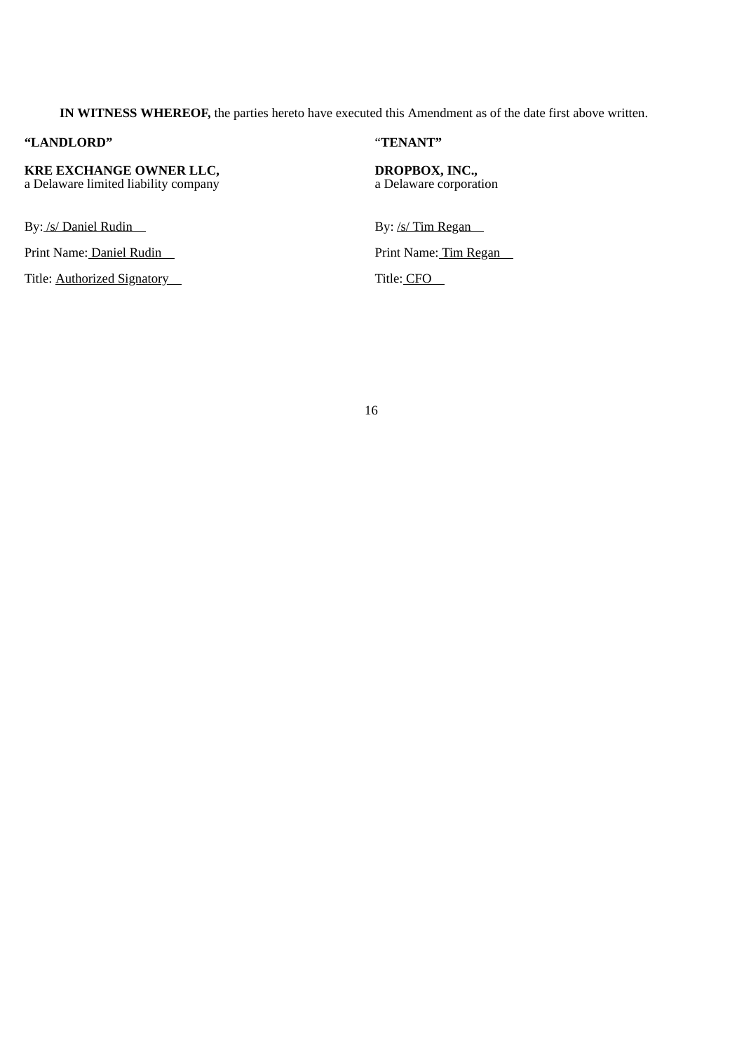**IN WITNESS WHEREOF,** the parties hereto have executed this Amendment as of the date first above written.

**"LANDLORD"**

**KRE EXCHANGE OWNER LLC,**

a Delaware limited liability company

By: /s/ Daniel Rudin

Print Name: Daniel Rudin

Title: Authorized Signatory

"**TENANT"**

**DROPBOX, INC.,** a Delaware corporation

By: /s/ Tim Regan

Print Name: Tim Regan

Title: CFO

16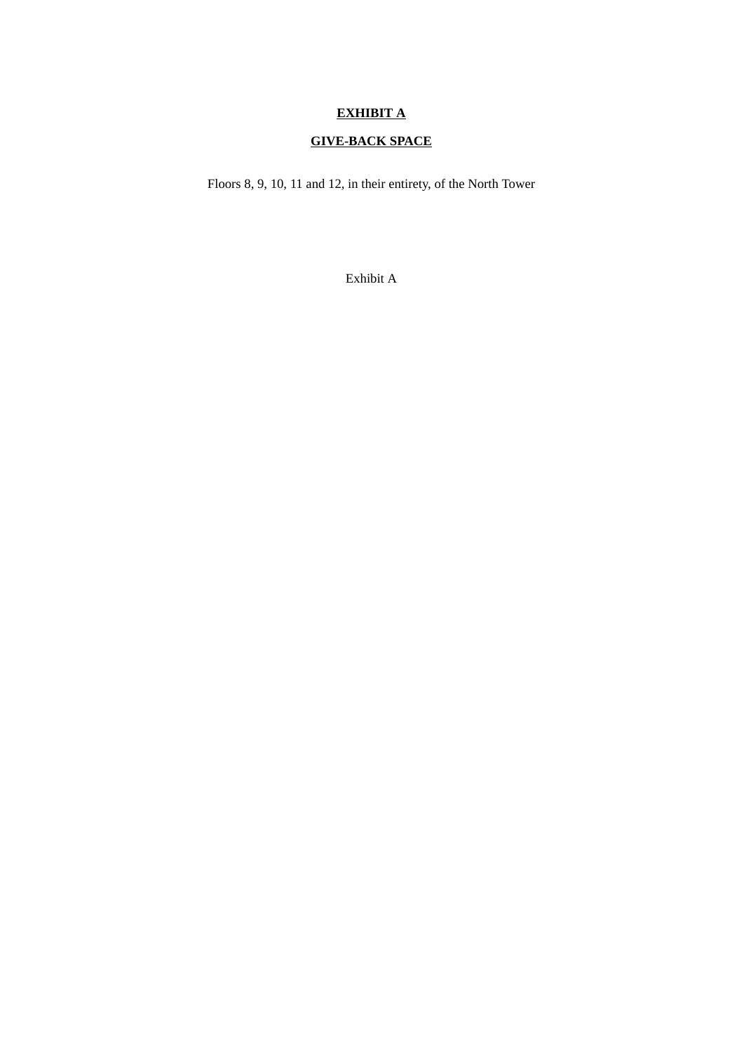# **EXHIBIT A**

# **GIVE-BACK SPACE**

Floors 8, 9, 10, 11 and 12, in their entirety, of the North Tower

Exhibit A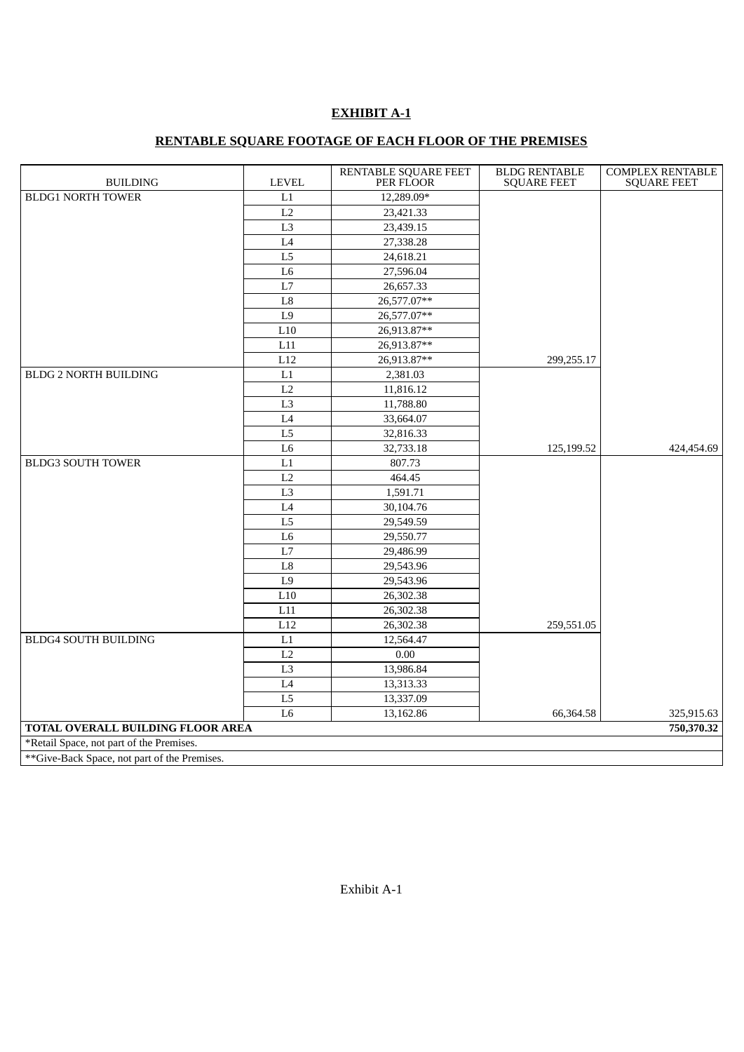# **EXHIBIT A-1**

# **RENTABLE SQUARE FOOTAGE OF EACH FLOOR OF THE PREMISES**

| <b>BUILDING</b>                              | <b>LEVEL</b>    | RENTABLE SQUARE FEET<br>PER FLOOR | <b>BLDG RENTABLE</b><br><b>SQUARE FEET</b> | <b>COMPLEX RENTABLE</b><br><b>SQUARE FEET</b> |
|----------------------------------------------|-----------------|-----------------------------------|--------------------------------------------|-----------------------------------------------|
| <b>BLDG1 NORTH TOWER</b>                     | L1              | 12,289.09*                        |                                            |                                               |
|                                              | L <sub>2</sub>  | 23,421.33                         |                                            |                                               |
|                                              | L <sub>3</sub>  | 23,439.15                         |                                            |                                               |
|                                              | L <sub>4</sub>  | 27,338.28                         |                                            |                                               |
|                                              | L <sub>5</sub>  | 24,618.21                         |                                            |                                               |
|                                              | L <sub>6</sub>  | 27,596.04                         |                                            |                                               |
|                                              | L7              | 26,657.33                         |                                            |                                               |
|                                              | $^{\rm L8}$     | 26,577.07**                       |                                            |                                               |
|                                              | L9              | 26,577.07**                       |                                            |                                               |
|                                              | L10             | 26,913.87**                       |                                            |                                               |
|                                              | L11             | 26,913.87**                       |                                            |                                               |
|                                              | L12             | 26,913.87**                       | 299,255.17                                 |                                               |
| <b>BLDG 2 NORTH BUILDING</b>                 | $\rm L1$        | 2,381.03                          |                                            |                                               |
|                                              | L <sub>2</sub>  | 11,816.12                         |                                            |                                               |
|                                              | L <sub>3</sub>  | 11,788.80                         |                                            |                                               |
|                                              | L4              | 33,664.07                         |                                            |                                               |
|                                              | L <sub>5</sub>  | 32,816.33                         |                                            |                                               |
|                                              | L <sub>6</sub>  | 32,733.18                         | 125,199.52                                 | 424,454.69                                    |
| <b>BLDG3 SOUTH TOWER</b>                     | L1              | 807.73                            |                                            |                                               |
|                                              | L2              | 464.45                            |                                            |                                               |
|                                              | L <sub>3</sub>  | 1,591.71                          |                                            |                                               |
|                                              | L4              | 30,104.76                         |                                            |                                               |
|                                              | $\overline{L5}$ | 29,549.59                         |                                            |                                               |
|                                              | L <sub>6</sub>  | 29,550.77                         |                                            |                                               |
|                                              | L7              | 29,486.99                         |                                            |                                               |
|                                              | L8              | 29,543.96                         |                                            |                                               |
|                                              | L9              | 29,543.96                         |                                            |                                               |
|                                              | L10             | 26,302.38                         |                                            |                                               |
|                                              | L11             | 26,302.38                         |                                            |                                               |
|                                              | L12             | 26,302.38                         | 259,551.05                                 |                                               |
| <b>BLDG4 SOUTH BUILDING</b>                  | $\rm L1$        | 12,564.47                         |                                            |                                               |
|                                              | L2              | 0.00                              |                                            |                                               |
|                                              | L <sub>3</sub>  | 13,986.84                         |                                            |                                               |
|                                              | L4              | 13,313.33                         |                                            |                                               |
|                                              | L <sub>5</sub>  | 13,337.09                         |                                            |                                               |
|                                              | L <sub>6</sub>  | 13,162.86                         | 66,364.58                                  | 325,915.63                                    |
| TOTAL OVERALL BUILDING FLOOR AREA            |                 |                                   |                                            | 750,370.32                                    |
| *Retail Space, not part of the Premises.     |                 |                                   |                                            |                                               |
| **Give-Back Space, not part of the Premises. |                 |                                   |                                            |                                               |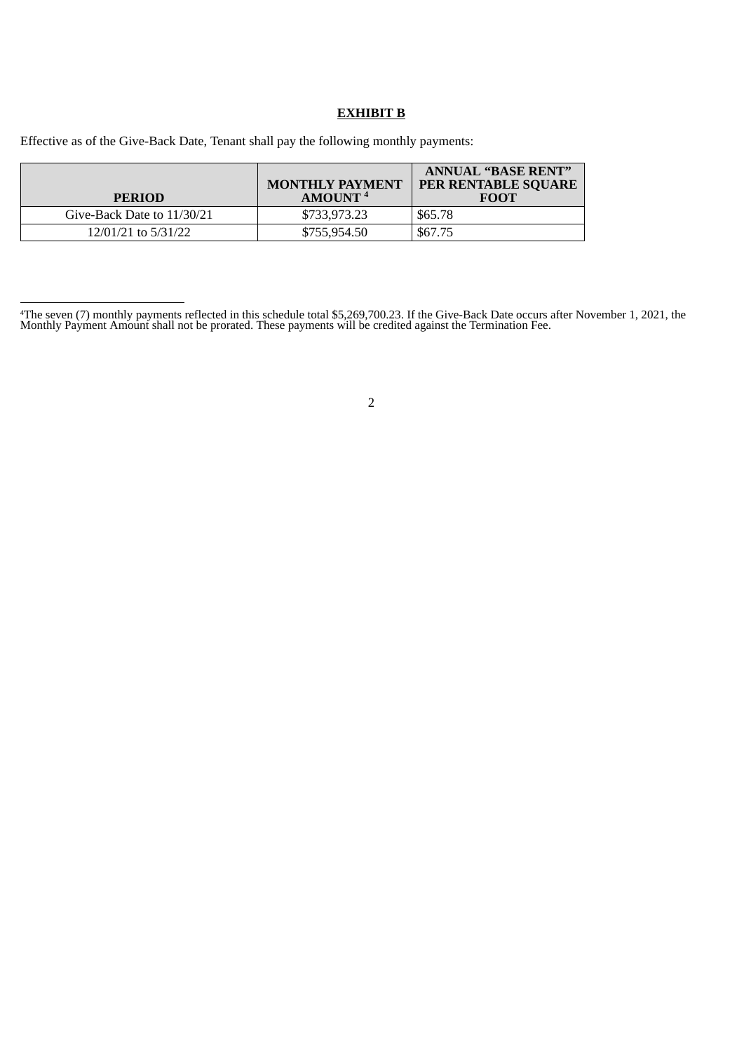# **EXHIBIT B**

| <b>PERIOD</b>              | <b>MONTHLY PAYMENT</b><br>AMOUNT <sup>4</sup> | <b>ANNUAL "BASE RENT"</b><br>PER RENTABLE SQUARE<br><b>FOOT</b> |
|----------------------------|-----------------------------------------------|-----------------------------------------------------------------|
| Give-Back Date to 11/30/21 | \$733,973.23                                  | \$65.78                                                         |
| 12/01/21 to 5/31/22        | \$755,954.50                                  | \$67.75                                                         |

Effective as of the Give-Back Date, Tenant shall pay the following monthly payments:

2

The seven (7) monthly payments reflected in this schedule total \$5,269,700.23. If the Give-Back Date occurs after November 1, 2021, the "The seven (7) monthly payments reflected in this schedule total \$5,269,700.23. If the Give-Back Date occurs a<br>Monthly Payment Amount shall not be prorated. These payments will be credited against the Termination Fee.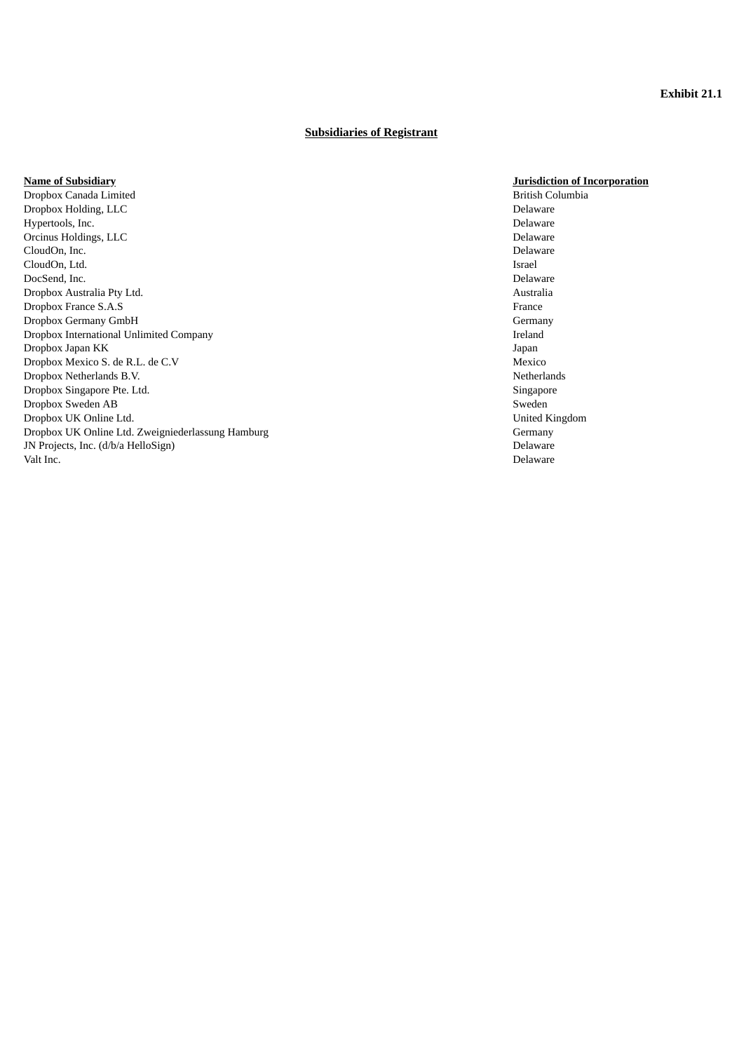# **Exhibit 21.1**

#### **Subsidiaries of Registrant**

## <span id="page-135-0"></span>**Name of Subsidiary Jurisdiction of Incorporation** Dropbox Canada Limited British Columbia Dropbox Holding, LLC Delaware Hypertools, Inc. Delaware Orcinus Holdings, LLC **Delaware** CloudOn, Inc. Delaware CloudOn, Ltd. Israel DocSend, Inc. Delaware Dropbox Australia Pty Ltd. Australia Dropbox France S.A.S France S.A.S France Dropbox Germany GmbH Dropbox Germany GmbH Dropbox International Unlimited Company **Ireland** Dropbox Japan KK Japan (Japan Composition Composition Composition Composition Composition Composition Composition Composition Composition Composition Composition Composition Composition Composition Composition Composition Dropbox Mexico S. de R.L. de C.V Dropbox Netherlands B.V. Netherlands B.V. Dropbox Singapore Pte. Ltd. Singapore Dropbox Sweden AB Sweden Dropbox UK Online Ltd. United Kingdom Dropbox UK Online Ltd. Zweigniederlassung Hamburg Germany Germany JN Projects, Inc. (d/b/a HelloSign) Delaware Valt Inc. Delaware Communication and the communication of the communication of the Delaware Communication of the Delaware Communication of the Communication of the Communication of the Communication of the Communication of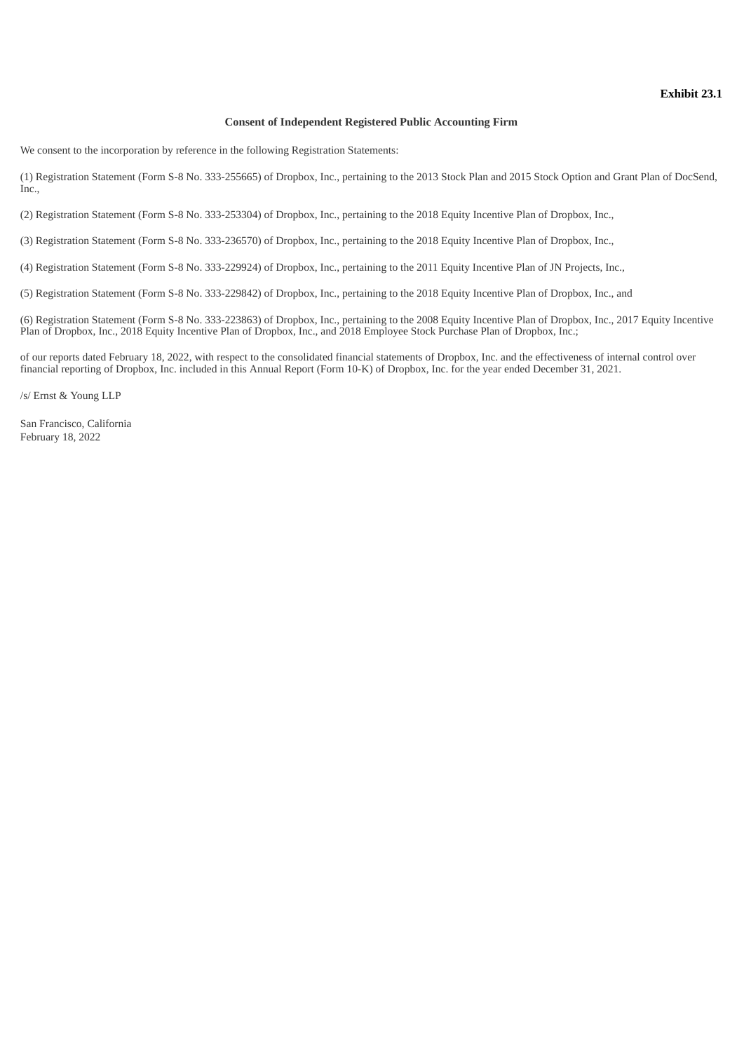#### **Consent of Independent Registered Public Accounting Firm**

<span id="page-136-0"></span>We consent to the incorporation by reference in the following Registration Statements:

(1) Registration Statement (Form S-8 No. 333-255665) of Dropbox, Inc., pertaining to the 2013 Stock Plan and 2015 Stock Option and Grant Plan of DocSend, Inc.,

(2) Registration Statement (Form S-8 No. 333-253304) of Dropbox, Inc., pertaining to the 2018 Equity Incentive Plan of Dropbox, Inc.,

(3) Registration Statement (Form S-8 No. 333-236570) of Dropbox, Inc., pertaining to the 2018 Equity Incentive Plan of Dropbox, Inc.,

(4) Registration Statement (Form S-8 No. 333-229924) of Dropbox, Inc., pertaining to the 2011 Equity Incentive Plan of JN Projects, Inc.,

(5) Registration Statement (Form S-8 No. 333-229842) of Dropbox, Inc., pertaining to the 2018 Equity Incentive Plan of Dropbox, Inc., and

(6) Registration Statement (Form S-8 No. 333-223863) of Dropbox, Inc., pertaining to the 2008 Equity Incentive Plan of Dropbox, Inc., 2017 Equity Incentive Plan of Dropbox, Inc., 2018 Equity Incentive Plan of Dropbox, Inc., and 2018 Employee Stock Purchase Plan of Dropbox, Inc.;

of our reports dated February 18, 2022, with respect to the consolidated financial statements of Dropbox, Inc. and the effectiveness of internal control over financial reporting of Dropbox, Inc. included in this Annual Report (Form 10-K) of Dropbox, Inc. for the year ended December 31, 2021.

/s/ Ernst & Young LLP

San Francisco, California February 18, 2022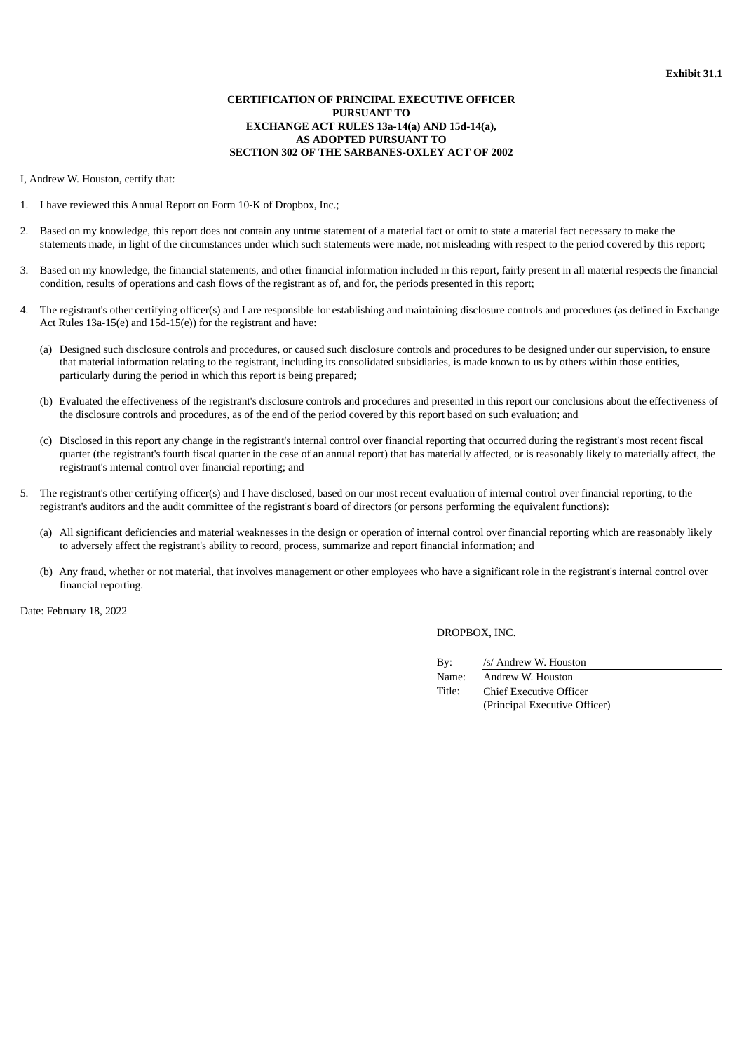#### **CERTIFICATION OF PRINCIPAL EXECUTIVE OFFICER PURSUANT TO EXCHANGE ACT RULES 13a-14(a) AND 15d-14(a), AS ADOPTED PURSUANT TO SECTION 302 OF THE SARBANES-OXLEY ACT OF 2002**

<span id="page-137-0"></span>I, Andrew W. Houston, certify that:

- 1. I have reviewed this Annual Report on Form 10-K of Dropbox, Inc.;
- 2. Based on my knowledge, this report does not contain any untrue statement of a material fact or omit to state a material fact necessary to make the statements made, in light of the circumstances under which such statements were made, not misleading with respect to the period covered by this report;
- 3. Based on my knowledge, the financial statements, and other financial information included in this report, fairly present in all material respects the financial condition, results of operations and cash flows of the registrant as of, and for, the periods presented in this report;
- 4. The registrant's other certifying officer(s) and I are responsible for establishing and maintaining disclosure controls and procedures (as defined in Exchange Act Rules 13a-15(e) and 15d-15(e)) for the registrant and have:
	- (a) Designed such disclosure controls and procedures, or caused such disclosure controls and procedures to be designed under our supervision, to ensure that material information relating to the registrant, including its consolidated subsidiaries, is made known to us by others within those entities, particularly during the period in which this report is being prepared;
	- (b) Evaluated the effectiveness of the registrant's disclosure controls and procedures and presented in this report our conclusions about the effectiveness of the disclosure controls and procedures, as of the end of the period covered by this report based on such evaluation; and
	- (c) Disclosed in this report any change in the registrant's internal control over financial reporting that occurred during the registrant's most recent fiscal quarter (the registrant's fourth fiscal quarter in the case of an annual report) that has materially affected, or is reasonably likely to materially affect, the registrant's internal control over financial reporting; and
- 5. The registrant's other certifying officer(s) and I have disclosed, based on our most recent evaluation of internal control over financial reporting, to the registrant's auditors and the audit committee of the registrant's board of directors (or persons performing the equivalent functions):
	- (a) All significant deficiencies and material weaknesses in the design or operation of internal control over financial reporting which are reasonably likely to adversely affect the registrant's ability to record, process, summarize and report financial information; and
	- (b) Any fraud, whether or not material, that involves management or other employees who have a significant role in the registrant's internal control over financial reporting.

Date: February 18, 2022

DROPBOX, INC.

By: /s/ Andrew W. Houston Name: Andrew W. Houston Title: Chief Executive Officer (Principal Executive Officer)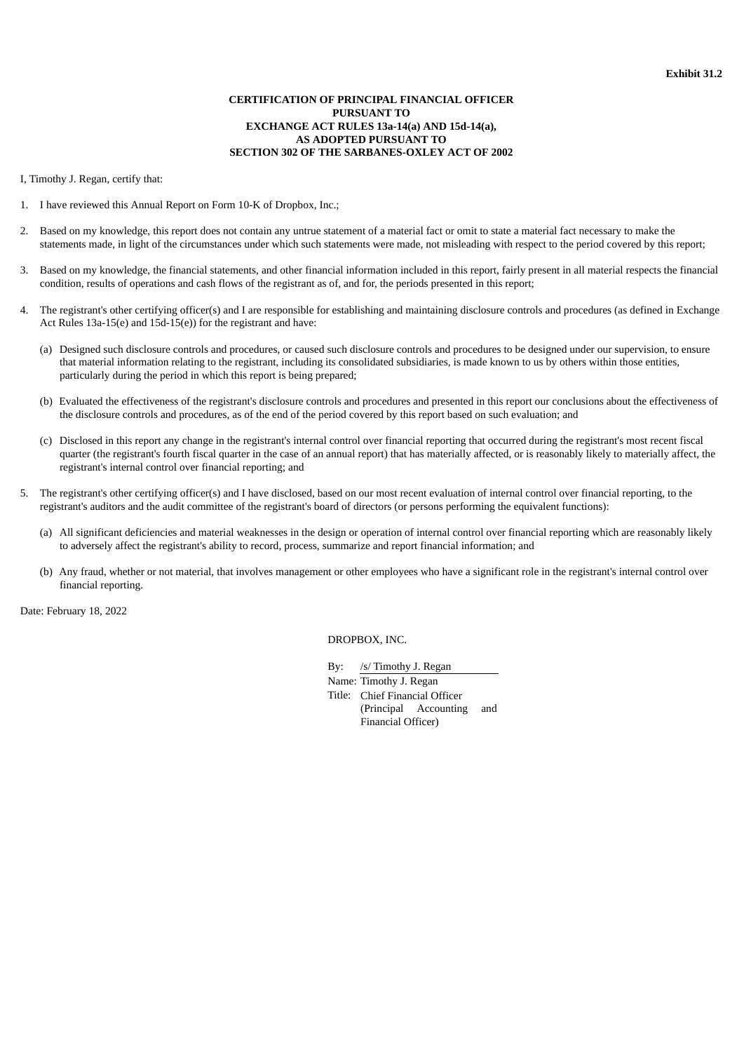#### **CERTIFICATION OF PRINCIPAL FINANCIAL OFFICER PURSUANT TO EXCHANGE ACT RULES 13a-14(a) AND 15d-14(a), AS ADOPTED PURSUANT TO SECTION 302 OF THE SARBANES-OXLEY ACT OF 2002**

<span id="page-138-0"></span>I, Timothy J. Regan, certify that:

- 1. I have reviewed this Annual Report on Form 10-K of Dropbox, Inc.;
- 2. Based on my knowledge, this report does not contain any untrue statement of a material fact or omit to state a material fact necessary to make the statements made, in light of the circumstances under which such statements were made, not misleading with respect to the period covered by this report;
- 3. Based on my knowledge, the financial statements, and other financial information included in this report, fairly present in all material respects the financial condition, results of operations and cash flows of the registrant as of, and for, the periods presented in this report;
- 4. The registrant's other certifying officer(s) and I are responsible for establishing and maintaining disclosure controls and procedures (as defined in Exchange Act Rules 13a-15(e) and 15d-15(e)) for the registrant and have:
	- (a) Designed such disclosure controls and procedures, or caused such disclosure controls and procedures to be designed under our supervision, to ensure that material information relating to the registrant, including its consolidated subsidiaries, is made known to us by others within those entities, particularly during the period in which this report is being prepared;
	- (b) Evaluated the effectiveness of the registrant's disclosure controls and procedures and presented in this report our conclusions about the effectiveness of the disclosure controls and procedures, as of the end of the period covered by this report based on such evaluation; and
	- (c) Disclosed in this report any change in the registrant's internal control over financial reporting that occurred during the registrant's most recent fiscal quarter (the registrant's fourth fiscal quarter in the case of an annual report) that has materially affected, or is reasonably likely to materially affect, the registrant's internal control over financial reporting; and
- 5. The registrant's other certifying officer(s) and I have disclosed, based on our most recent evaluation of internal control over financial reporting, to the registrant's auditors and the audit committee of the registrant's board of directors (or persons performing the equivalent functions):
	- (a) All significant deficiencies and material weaknesses in the design or operation of internal control over financial reporting which are reasonably likely to adversely affect the registrant's ability to record, process, summarize and report financial information; and
	- (b) Any fraud, whether or not material, that involves management or other employees who have a significant role in the registrant's internal control over financial reporting.

Date: February 18, 2022

DROPBOX, INC.

By: /s/ Timothy J. Regan

Name: Timothy J. Regan Title: Chief Financial Officer (Principal Accounting and Financial Officer)